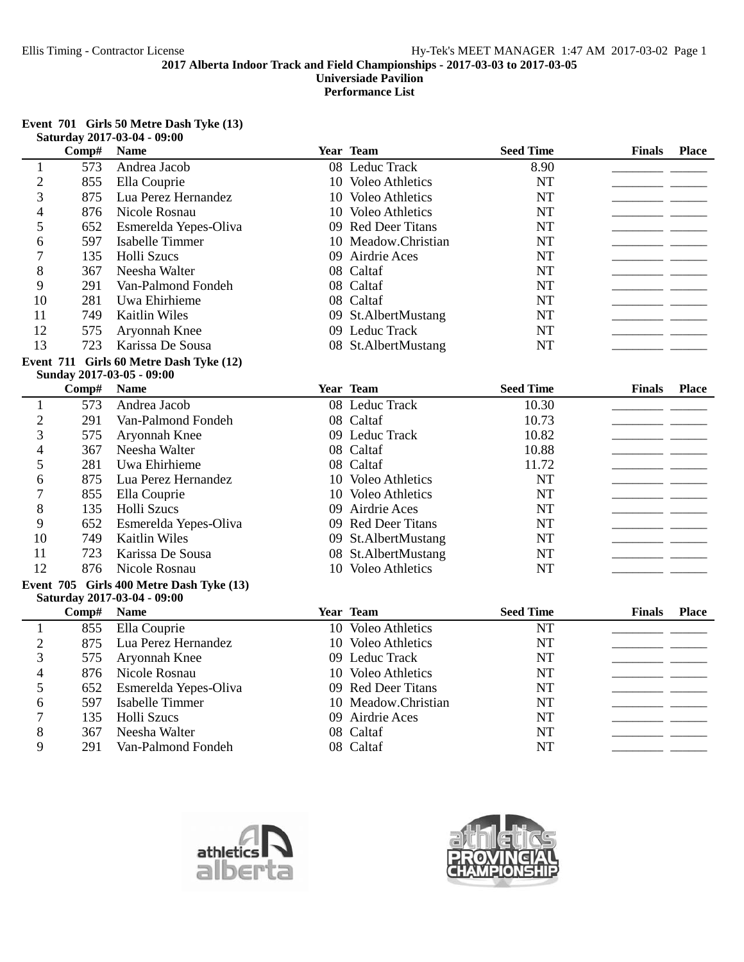#### **Universiade Pavilion**

**Performance List**

|                |       | Saturday 2017-03-04 - 09:00              |    |                        |                  |                                                                                                                                                                                                                                                                                                                                                                                                                                                       |              |
|----------------|-------|------------------------------------------|----|------------------------|------------------|-------------------------------------------------------------------------------------------------------------------------------------------------------------------------------------------------------------------------------------------------------------------------------------------------------------------------------------------------------------------------------------------------------------------------------------------------------|--------------|
|                | Comp# | <b>Name</b>                              |    | Year Team              | <b>Seed Time</b> | <b>Finals</b>                                                                                                                                                                                                                                                                                                                                                                                                                                         | <b>Place</b> |
| $\mathbf{1}$   | 573   | Andrea Jacob                             |    | 08 Leduc Track         | 8.90             | __ _                                                                                                                                                                                                                                                                                                                                                                                                                                                  |              |
| $\sqrt{2}$     | 855   | Ella Couprie                             |    | 10 Voleo Athletics     | <b>NT</b>        |                                                                                                                                                                                                                                                                                                                                                                                                                                                       |              |
| 3              | 875   | Lua Perez Hernandez                      |    | 10 Voleo Athletics     | <b>NT</b>        |                                                                                                                                                                                                                                                                                                                                                                                                                                                       |              |
| 4              | 876   | Nicole Rosnau                            |    | 10 Voleo Athletics     | <b>NT</b>        | ______                                                                                                                                                                                                                                                                                                                                                                                                                                                |              |
| 5              | 652   | Esmerelda Yepes-Oliva                    |    | 09 Red Deer Titans     | <b>NT</b>        | $\overline{\phantom{a}}$ and $\overline{\phantom{a}}$                                                                                                                                                                                                                                                                                                                                                                                                 |              |
| 6              | 597   | Isabelle Timmer                          |    | 10 Meadow.Christian    | <b>NT</b>        |                                                                                                                                                                                                                                                                                                                                                                                                                                                       |              |
| 7              | 135   | Holli Szucs                              |    | 09 Airdrie Aces        | <b>NT</b>        |                                                                                                                                                                                                                                                                                                                                                                                                                                                       |              |
| 8              | 367   | Neesha Walter                            |    | 08 Caltaf              | <b>NT</b>        |                                                                                                                                                                                                                                                                                                                                                                                                                                                       |              |
| 9              | 291   | Van-Palmond Fondeh                       |    | 08 Caltaf              | <b>NT</b>        |                                                                                                                                                                                                                                                                                                                                                                                                                                                       |              |
| 10             | 281   | Uwa Ehirhieme                            |    | 08 Caltaf              | <b>NT</b>        |                                                                                                                                                                                                                                                                                                                                                                                                                                                       |              |
| 11             | 749   | <b>Kaitlin Wiles</b>                     |    | 09 St.AlbertMustang    | <b>NT</b>        | $\begin{tabular}{ccccc} \multicolumn{2}{c }{\textbf{1} & \multicolumn{2}{c }{\textbf{2} & \multicolumn{2}{c }{\textbf{3} & \multicolumn{2}{c }{\textbf{4} & \multicolumn{2}{c }{\textbf{5} & \multicolumn{2}{c }{\textbf{6} & \multicolumn{2}{c }{\textbf{6} & \multicolumn{2}{c }{\textbf{6} & \multicolumn{2}{c }{\textbf{6} & \multicolumn{2}{c }{\textbf{6} & \multicolumn{2}{c }{\textbf{6} & \multicolumn{2}{c }{\textbf{6} & \multicolumn{2}{$ |              |
| 12             | 575   | Aryonnah Knee                            |    | 09 Leduc Track         | <b>NT</b>        | __ __                                                                                                                                                                                                                                                                                                                                                                                                                                                 |              |
| 13             | 723   | Karissa De Sousa                         |    | 08 St.AlbertMustang    | <b>NT</b>        |                                                                                                                                                                                                                                                                                                                                                                                                                                                       |              |
|                |       | Event 711 Girls 60 Metre Dash Tyke (12)  |    |                        |                  |                                                                                                                                                                                                                                                                                                                                                                                                                                                       |              |
|                |       | Sunday 2017-03-05 - 09:00                |    |                        |                  |                                                                                                                                                                                                                                                                                                                                                                                                                                                       |              |
|                | Comp# | <b>Name</b>                              |    | Year Team              | <b>Seed Time</b> | <b>Finals</b>                                                                                                                                                                                                                                                                                                                                                                                                                                         | <b>Place</b> |
| $\mathbf{1}$   | 573   | Andrea Jacob                             |    | 08 Leduc Track         | 10.30            |                                                                                                                                                                                                                                                                                                                                                                                                                                                       |              |
| $\overline{2}$ | 291   | Van-Palmond Fondeh                       |    | 08 Caltaf              | 10.73            |                                                                                                                                                                                                                                                                                                                                                                                                                                                       |              |
| 3              | 575   | Aryonnah Knee                            |    | 09 Leduc Track         | 10.82            | للمستحدث المستنب                                                                                                                                                                                                                                                                                                                                                                                                                                      |              |
| 4              | 367   | Neesha Walter                            |    | 08 Caltaf              | 10.88            |                                                                                                                                                                                                                                                                                                                                                                                                                                                       |              |
| 5              | 281   | Uwa Ehirhieme                            |    | 08 Caltaf              | 11.72            |                                                                                                                                                                                                                                                                                                                                                                                                                                                       |              |
| 6              | 875   | Lua Perez Hernandez                      |    | 10 Voleo Athletics     | <b>NT</b>        |                                                                                                                                                                                                                                                                                                                                                                                                                                                       |              |
| 7              | 855   | Ella Couprie                             |    | 10 Voleo Athletics     | <b>NT</b>        |                                                                                                                                                                                                                                                                                                                                                                                                                                                       |              |
| 8              | 135   | Holli Szucs                              |    | 09 Airdrie Aces        | <b>NT</b>        | $\frac{1}{2} \left( \frac{1}{2} \right) \frac{1}{2} \left( \frac{1}{2} \right) \frac{1}{2} \left( \frac{1}{2} \right) \frac{1}{2} \left( \frac{1}{2} \right) \frac{1}{2} \left( \frac{1}{2} \right) \frac{1}{2} \left( \frac{1}{2} \right) \frac{1}{2} \left( \frac{1}{2} \right) \frac{1}{2} \left( \frac{1}{2} \right) \frac{1}{2} \left( \frac{1}{2} \right) \frac{1}{2} \left( \frac{1}{2} \right) \frac{1}{2} \left( \frac{1}{2} \right)$        |              |
| 9              | 652   | Esmerelda Yepes-Oliva                    |    | 09 Red Deer Titans     | <b>NT</b>        |                                                                                                                                                                                                                                                                                                                                                                                                                                                       |              |
| 10             | 749   | <b>Kaitlin Wiles</b>                     |    | 09 St.AlbertMustang    | <b>NT</b>        |                                                                                                                                                                                                                                                                                                                                                                                                                                                       |              |
| 11             | 723   | Karissa De Sousa                         |    | 08 St.AlbertMustang    | <b>NT</b>        |                                                                                                                                                                                                                                                                                                                                                                                                                                                       |              |
| 12             | 876   | Nicole Rosnau                            |    | 10 Voleo Athletics     | <b>NT</b>        |                                                                                                                                                                                                                                                                                                                                                                                                                                                       |              |
|                |       | Event 705 Girls 400 Metre Dash Tyke (13) |    |                        |                  |                                                                                                                                                                                                                                                                                                                                                                                                                                                       |              |
|                |       | Saturday 2017-03-04 - 09:00              |    |                        |                  |                                                                                                                                                                                                                                                                                                                                                                                                                                                       |              |
|                | Comp# | <b>Name</b>                              |    | Year Team              | <b>Seed Time</b> | <b>Finals</b>                                                                                                                                                                                                                                                                                                                                                                                                                                         | <b>Place</b> |
| $\mathbf{1}$   | 855   | Ella Couprie                             | 10 | <b>Voleo Athletics</b> | <b>NT</b>        | $\sim$ $\sim$                                                                                                                                                                                                                                                                                                                                                                                                                                         |              |
| $\overline{2}$ | 875   | Lua Perez Hernandez                      |    | 10 Voleo Athletics     | <b>NT</b>        |                                                                                                                                                                                                                                                                                                                                                                                                                                                       |              |
| 3              | 575   | Aryonnah Knee                            |    | 09 Leduc Track         | <b>NT</b>        |                                                                                                                                                                                                                                                                                                                                                                                                                                                       |              |
| 4              | 876   | Nicole Rosnau                            |    | 10 Voleo Athletics     | <b>NT</b>        |                                                                                                                                                                                                                                                                                                                                                                                                                                                       |              |
| 5              | 652   | Esmerelda Yepes-Oliva                    |    | 09 Red Deer Titans     | <b>NT</b>        | __ __                                                                                                                                                                                                                                                                                                                                                                                                                                                 |              |
| 6              | 597   | Isabelle Timmer                          |    | 10 Meadow.Christian    | <b>NT</b>        | — —                                                                                                                                                                                                                                                                                                                                                                                                                                                   |              |
| 7              | 135   | Holli Szucs                              |    | 09 Airdrie Aces        | <b>NT</b>        |                                                                                                                                                                                                                                                                                                                                                                                                                                                       |              |
| 8              | 367   | Neesha Walter                            |    | 08 Caltaf              | <b>NT</b>        |                                                                                                                                                                                                                                                                                                                                                                                                                                                       |              |
| 9              | 291   | Van-Palmond Fondeh                       |    | 08 Caltaf              | <b>NT</b>        | - -                                                                                                                                                                                                                                                                                                                                                                                                                                                   |              |

# **Event 701 Girls 50 Metre Dash Tyke (13)**



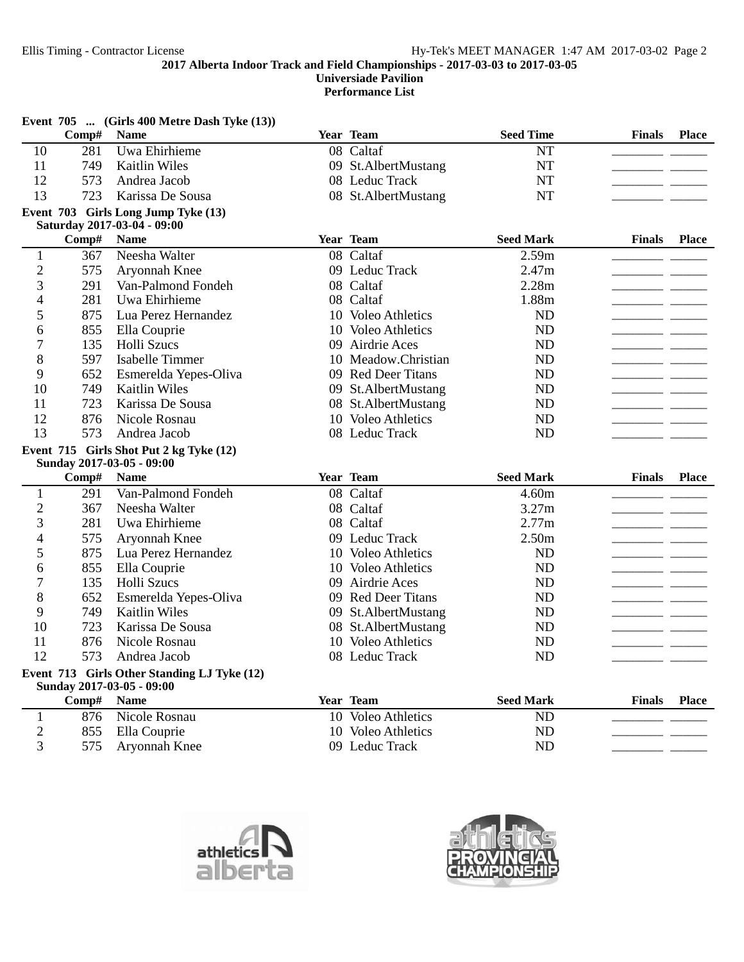## **Universiade Pavilion**

|                |       | Event 705  (Girls 400 Metre Dash Tyke (13)) |                       |                   |               |              |
|----------------|-------|---------------------------------------------|-----------------------|-------------------|---------------|--------------|
|                | Comp# | <b>Name</b>                                 | Year Team             | <b>Seed Time</b>  | <b>Finals</b> | <b>Place</b> |
| 10             | 281   | Uwa Ehirhieme                               | 08 Caltaf             | <b>NT</b>         |               |              |
| 11             | 749   | <b>Kaitlin Wiles</b>                        | 09 St.AlbertMustang   | NT                |               |              |
| 12             | 573   | Andrea Jacob                                | 08 Leduc Track        | NT                |               |              |
| 13             | 723   | Karissa De Sousa                            | 08 St.AlbertMustang   | <b>NT</b>         |               |              |
|                |       | Event 703 Girls Long Jump Tyke (13)         |                       |                   |               |              |
|                |       | Saturday 2017-03-04 - 09:00                 |                       |                   |               |              |
|                | Comp# | <b>Name</b>                                 | Year Team             | <b>Seed Mark</b>  | <b>Finals</b> | <b>Place</b> |
| $\mathbf{1}$   | 367   | Neesha Walter                               | 08 Caltaf             | 2.59m             | ___           |              |
| $\overline{2}$ | 575   | Aryonnah Knee                               | 09 Leduc Track        | 2.47m             |               |              |
| 3              | 291   | Van-Palmond Fondeh                          | 08 Caltaf             | 2.28m             |               |              |
| 4              | 281   | Uwa Ehirhieme                               | 08 Caltaf             | 1.88m             |               |              |
| 5              | 875   | Lua Perez Hernandez                         | 10 Voleo Athletics    | ND                |               |              |
| 6              | 855   | Ella Couprie                                | 10 Voleo Athletics    | ND                |               |              |
| 7              | 135   | Holli Szucs                                 | 09 Airdrie Aces       | ND                |               |              |
| 8              | 597   | Isabelle Timmer                             | 10 Meadow.Christian   | ND                |               |              |
| 9              | 652   | Esmerelda Yepes-Oliva                       | 09 Red Deer Titans    | ND                |               |              |
| 10             | 749   | <b>Kaitlin Wiles</b>                        | 09 St.AlbertMustang   | ND                |               |              |
| 11             | 723   | Karissa De Sousa                            | 08 St.AlbertMustang   | ND                |               |              |
| 12             | 876   | Nicole Rosnau                               | 10 Voleo Athletics    | ND                |               |              |
| 13             | 573   | Andrea Jacob                                | 08 Leduc Track        | <b>ND</b>         |               |              |
|                |       | Event 715 Girls Shot Put 2 kg Tyke (12)     |                       |                   |               |              |
|                |       | Sunday 2017-03-05 - 09:00                   |                       |                   |               |              |
|                | Comp# | <b>Name</b>                                 | Year Team             | <b>Seed Mark</b>  | <b>Finals</b> | <b>Place</b> |
| $\mathbf{1}$   | 291   | Van-Palmond Fondeh                          | 08 Caltaf             | 4.60m             |               |              |
| $\overline{c}$ | 367   | Neesha Walter                               | 08 Caltaf             | 3.27m             |               |              |
| 3              | 281   | Uwa Ehirhieme                               | 08 Caltaf             | 2.77m             | - -           |              |
| 4              | 575   | Aryonnah Knee                               | 09 Leduc Track        | 2.50 <sub>m</sub> | -- -          |              |
| 5              | 875   | Lua Perez Hernandez                         | 10 Voleo Athletics    | ND                |               |              |
| 6              | 855   | Ella Couprie                                | 10 Voleo Athletics    | ND                |               |              |
| 7              | 135   | Holli Szucs                                 | 09 Airdrie Aces       | ND                |               |              |
| 8              | 652   | Esmerelda Yepes-Oliva                       | 09 Red Deer Titans    | ND                | __ __         |              |
| 9              | 749   | <b>Kaitlin Wiles</b>                        | 09 St.AlbertMustang   | ND                | __ __         |              |
| 10             | 723   | Karissa De Sousa                            | 08 St. Albert Mustang | <b>ND</b>         |               | ___          |
| 11             | 876   | Nicole Rosnau                               | 10 Voleo Athletics    | <b>ND</b>         |               |              |
| 12             |       | 573 Andrea Jacob                            | 08 Leduc Track        | <b>ND</b>         |               |              |
|                |       | Event 713 Girls Other Standing LJ Tyke (12) |                       |                   |               |              |
|                |       | Sunday 2017-03-05 - 09:00                   |                       |                   |               |              |
|                | Comp# | <b>Name</b>                                 | Year Team             | <b>Seed Mark</b>  | <b>Finals</b> | <b>Place</b> |
| $\mathbf{1}$   | 876   | Nicole Rosnau                               | 10 Voleo Athletics    | ND                |               |              |
| $\overline{c}$ | 855   | Ella Couprie                                | 10 Voleo Athletics    | ND                |               |              |
| 3              | 575   | Aryonnah Knee                               | 09 Leduc Track        | <b>ND</b>         |               |              |



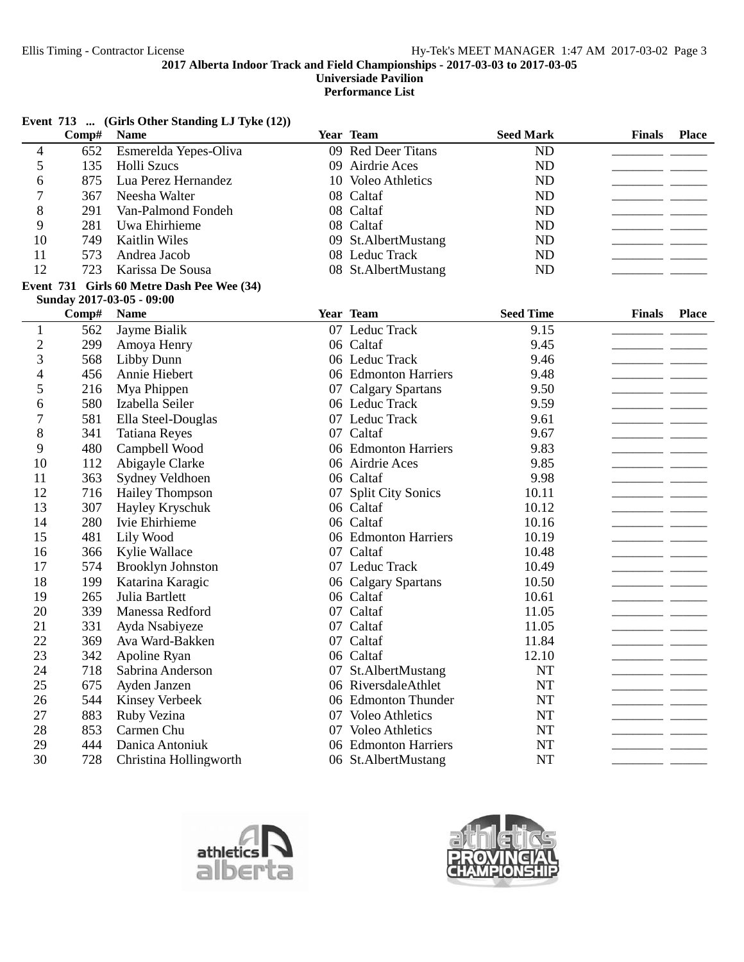**Universiade Pavilion**

|                |       | Event 713  (Girls Other Standing LJ Tyke (12)) |                       |                  |               |                                                                                                                       |
|----------------|-------|------------------------------------------------|-----------------------|------------------|---------------|-----------------------------------------------------------------------------------------------------------------------|
|                | Comp# | <b>Name</b>                                    | Year Team             | <b>Seed Mark</b> | <b>Finals</b> | <b>Place</b>                                                                                                          |
| 4              | 652   | Esmerelda Yepes-Oliva                          | 09 Red Deer Titans    | ND               |               |                                                                                                                       |
| 5              | 135   | Holli Szucs                                    | 09 Airdrie Aces       | ND               |               |                                                                                                                       |
| 6              | 875   | Lua Perez Hernandez                            | 10 Voleo Athletics    | <b>ND</b>        |               |                                                                                                                       |
| 7              | 367   | Neesha Walter                                  | 08 Caltaf             | <b>ND</b>        |               |                                                                                                                       |
| 8              | 291   | Van-Palmond Fondeh                             | 08 Caltaf             | ND               |               |                                                                                                                       |
| 9              | 281   | Uwa Ehirhieme                                  | 08 Caltaf             | ND               |               |                                                                                                                       |
| 10             | 749   | <b>Kaitlin Wiles</b>                           | 09 St.AlbertMustang   | ND               | -- -          |                                                                                                                       |
| 11             | 573   | Andrea Jacob                                   | 08 Leduc Track        | ND               |               |                                                                                                                       |
| 12             | 723   | Karissa De Sousa                               | 08 St. Albert Mustang | ND               |               |                                                                                                                       |
|                |       | Event 731 Girls 60 Metre Dash Pee Wee (34)     |                       |                  |               |                                                                                                                       |
|                |       | Sunday 2017-03-05 - 09:00                      |                       |                  |               |                                                                                                                       |
|                | Comp# | <b>Name</b>                                    | Year Team             | <b>Seed Time</b> | <b>Finals</b> | <b>Place</b>                                                                                                          |
| $\mathbf{1}$   | 562   | Jayme Bialik                                   | 07 Leduc Track        | 9.15             | _________     |                                                                                                                       |
| $\overline{c}$ | 299   | Amoya Henry                                    | 06 Caltaf             | 9.45             |               |                                                                                                                       |
| 3              | 568   | Libby Dunn                                     | 06 Leduc Track        | 9.46             |               |                                                                                                                       |
| 4              | 456   | Annie Hiebert                                  | 06 Edmonton Harriers  | 9.48             |               |                                                                                                                       |
| 5              | 216   | Mya Phippen                                    | 07 Calgary Spartans   | 9.50             |               |                                                                                                                       |
| 6              | 580   | Izabella Seiler                                | 06 Leduc Track        | 9.59             |               | ____                                                                                                                  |
| 7              | 581   | Ella Steel-Douglas                             | 07 Leduc Track        | 9.61             |               |                                                                                                                       |
| 8              | 341   | <b>Tatiana Reyes</b>                           | 07 Caltaf             | 9.67             |               |                                                                                                                       |
| 9              | 480   | Campbell Wood                                  | 06 Edmonton Harriers  | 9.83             |               |                                                                                                                       |
| 10             | 112   | Abigayle Clarke                                | 06 Airdrie Aces       | 9.85             |               |                                                                                                                       |
| 11             | 363   | Sydney Veldhoen                                | 06 Caltaf             | 9.98             |               | <u> Louis Communication de la provincia de la provincia de la provincia de la provincia de la provincia de la pro</u> |
| 12             | 716   | <b>Hailey Thompson</b>                         | 07 Split City Sonics  | 10.11            |               |                                                                                                                       |
| 13             | 307   | Hayley Kryschuk                                | 06 Caltaf             | 10.12            |               |                                                                                                                       |
| 14             | 280   | Ivie Ehirhieme                                 | 06 Caltaf             | 10.16            |               | __ ___                                                                                                                |
| 15             | 481   | Lily Wood                                      | 06 Edmonton Harriers  | 10.19            |               |                                                                                                                       |
| 16             | 366   | Kylie Wallace                                  | 07 Caltaf             | 10.48            |               |                                                                                                                       |
| 17             | 574   | Brooklyn Johnston                              | 07 Leduc Track        | 10.49            |               |                                                                                                                       |
| 18             | 199   | Katarina Karagic                               | 06 Calgary Spartans   | 10.50            |               |                                                                                                                       |
| 19             | 265   | Julia Bartlett                                 | 06 Caltaf             | 10.61            |               |                                                                                                                       |
| 20             | 339   | Manessa Redford                                | 07 Caltaf             | 11.05            |               |                                                                                                                       |
| 21             | 331   | Ayda Nsabiyeze                                 | 07 Caltaf             | 11.05            |               |                                                                                                                       |
| 22             | 369   | Ava Ward-Bakken                                | 07 Caltaf             | 11.84            |               |                                                                                                                       |
| 23             | 342   | Apoline Ryan                                   | 06 Caltaf             | 12.10            |               |                                                                                                                       |
| 24             | 718   | Sabrina Anderson                               | 07 St. Albert Mustang | NT               |               |                                                                                                                       |
| 25             | 675   | Ayden Janzen                                   | 06 RiversdaleAthlet   | NT               |               |                                                                                                                       |
| 26             | 544   | <b>Kinsey Verbeek</b>                          | 06 Edmonton Thunder   | NT               |               |                                                                                                                       |
| 27             | 883   | Ruby Vezina                                    | 07 Voleo Athletics    | NT               |               |                                                                                                                       |
| 28             | 853   | Carmen Chu                                     | 07 Voleo Athletics    | NT               |               |                                                                                                                       |
| 29             | 444   | Danica Antoniuk                                | 06 Edmonton Harriers  | NT               |               |                                                                                                                       |
| 30             | 728   | Christina Hollingworth                         | 06 St.AlbertMustang   | NT               |               |                                                                                                                       |



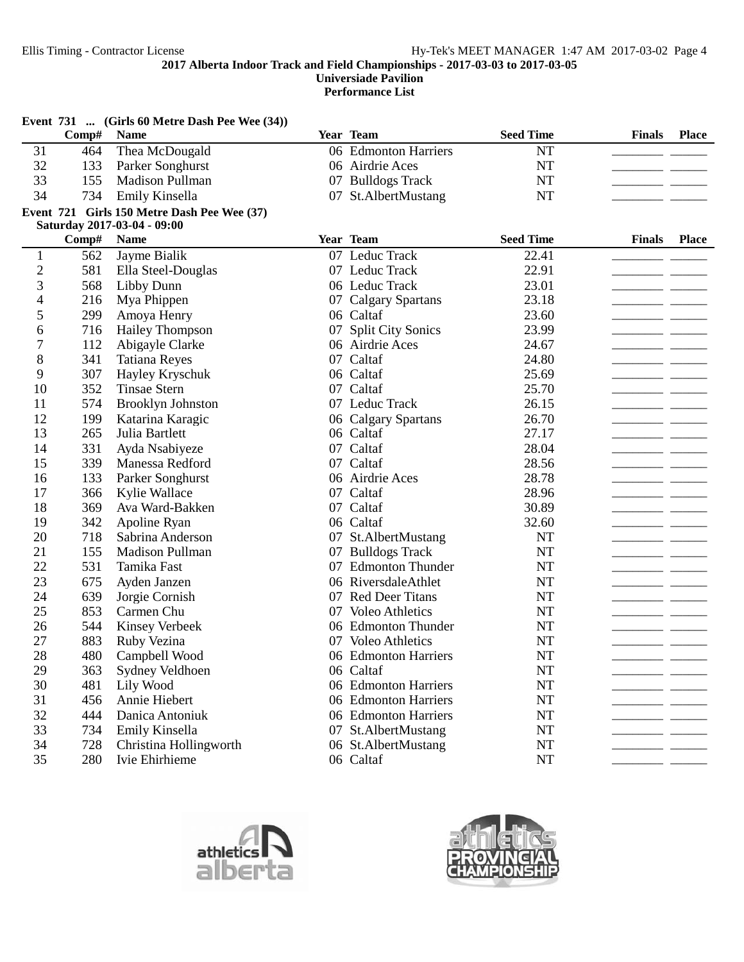**Universiade Pavilion**

|                |       | Event 731  (Girls 60 Metre Dash Pee Wee (34)) |    |                          |                  |               |              |
|----------------|-------|-----------------------------------------------|----|--------------------------|------------------|---------------|--------------|
|                | Comp# | <b>Name</b>                                   |    | Year Team                | <b>Seed Time</b> | <b>Finals</b> | <b>Place</b> |
| 31             | 464   | Thea McDougald                                |    | 06 Edmonton Harriers     | <b>NT</b>        |               |              |
| 32             | 133   | Parker Songhurst                              |    | 06 Airdrie Aces          | <b>NT</b>        |               |              |
| 33             | 155   | Madison Pullman                               |    | 07 Bulldogs Track        | <b>NT</b>        |               |              |
| 34             | 734   | Emily Kinsella                                |    | 07 St.AlbertMustang      | <b>NT</b>        |               |              |
|                |       | Event 721 Girls 150 Metre Dash Pee Wee (37)   |    |                          |                  |               |              |
|                |       | Saturday 2017-03-04 - 09:00                   |    |                          |                  |               |              |
|                | Comp# | <b>Name</b>                                   |    | Year Team                | <b>Seed Time</b> | <b>Finals</b> | <b>Place</b> |
| 1              | 562   | Jayme Bialik                                  |    | 07 Leduc Track           | 22.41            |               |              |
| $\overline{c}$ | 581   | Ella Steel-Douglas                            |    | 07 Leduc Track           | 22.91            |               |              |
| 3              | 568   | Libby Dunn                                    |    | 06 Leduc Track           | 23.01            |               |              |
| 4              | 216   | Mya Phippen                                   |    | 07 Calgary Spartans      | 23.18            |               |              |
| 5              | 299   | Amoya Henry                                   |    | 06 Caltaf                | 23.60            |               |              |
| 6              | 716   | <b>Hailey Thompson</b>                        | 07 | <b>Split City Sonics</b> | 23.99            |               |              |
| 7              | 112   | Abigayle Clarke                               |    | 06 Airdrie Aces          | 24.67            |               |              |
| 8              | 341   | <b>Tatiana Reves</b>                          |    | 07 Caltaf                | 24.80            |               |              |
| 9              | 307   | Hayley Kryschuk                               |    | 06 Caltaf                | 25.69            |               |              |
| 10             | 352   | <b>Tinsae Stern</b>                           |    | 07 Caltaf                | 25.70            |               |              |
| 11             | 574   | <b>Brooklyn Johnston</b>                      |    | 07 Leduc Track           | 26.15            |               |              |
| 12             | 199   | Katarina Karagic                              |    | 06 Calgary Spartans      | 26.70            |               |              |
| 13             | 265   | Julia Bartlett                                |    | 06 Caltaf                | 27.17            |               |              |
| 14             | 331   | Ayda Nsabiyeze                                |    | 07 Caltaf                | 28.04            | -- -          |              |
| 15             | 339   | Manessa Redford                               |    | 07 Caltaf                | 28.56            |               |              |
| 16             | 133   | Parker Songhurst                              |    | 06 Airdrie Aces          | 28.78            |               |              |
| 17             | 366   | Kylie Wallace                                 |    | 07 Caltaf                | 28.96            |               |              |
| 18             | 369   | Ava Ward-Bakken                               |    | 07 Caltaf                | 30.89            |               |              |
| 19             | 342   | Apoline Ryan                                  |    | 06 Caltaf                | 32.60            |               |              |
| 20             | 718   | Sabrina Anderson                              |    | 07 St.AlbertMustang      | NT               |               |              |
| 21             | 155   | Madison Pullman                               |    | 07 Bulldogs Track        | <b>NT</b>        |               | $\sim$       |
| 22             | 531   | Tamika Fast                                   |    | 07 Edmonton Thunder      | <b>NT</b>        |               | - -          |
| 23             | 675   | Ayden Janzen                                  |    | 06 RiversdaleAthlet      | <b>NT</b>        |               | - -          |
| 24             | 639   | Jorgie Cornish                                |    | 07 Red Deer Titans       | <b>NT</b>        | - --          |              |
| 25             | 853   | Carmen Chu                                    |    | 07 Voleo Athletics       | NT               | - -           |              |
| 26             | 544   | <b>Kinsey Verbeek</b>                         |    | 06 Edmonton Thunder      | NT               |               |              |
| 27             | 883   | Ruby Vezina                                   |    | 07 Voleo Athletics       | <b>NT</b>        |               |              |
| 28             | 480   | Campbell Wood                                 |    | 06 Edmonton Harriers     | <b>NT</b>        |               |              |
| 29             | 363   | Sydney Veldhoen                               |    | 06 Caltaf                | NT               |               |              |
| 30             | 481   | Lily Wood                                     |    | 06 Edmonton Harriers     | <b>NT</b>        |               |              |
| 31             | 456   | Annie Hiebert                                 |    | 06 Edmonton Harriers     | <b>NT</b>        |               |              |
| 32             | 444   | Danica Antoniuk                               |    | 06 Edmonton Harriers     | NT               |               |              |
| 33             | 734   | Emily Kinsella                                |    | 07 St. Albert Mustang    | NT               |               |              |
| 34             | 728   | Christina Hollingworth                        |    | 06 St.AlbertMustang      | NT               |               |              |
| 35             | 280   | Ivie Ehirhieme                                |    | 06 Caltaf                | NT               |               |              |



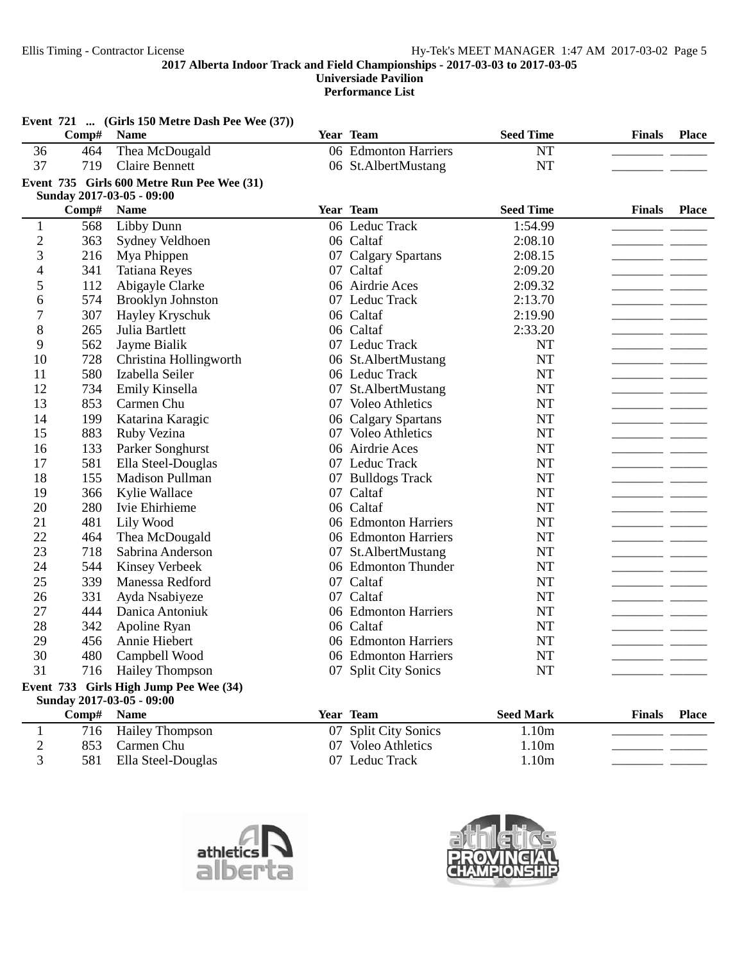**Universiade Pavilion**

|                  |       | Event 721  (Girls 150 Metre Dash Pee Wee (37)) |                       |                  |               |              |
|------------------|-------|------------------------------------------------|-----------------------|------------------|---------------|--------------|
|                  | Comp# | <b>Name</b>                                    | Year Team             | <b>Seed Time</b> | <b>Finals</b> | <b>Place</b> |
| 36               | 464   | Thea McDougald                                 | 06 Edmonton Harriers  | <b>NT</b>        |               |              |
| 37               | 719   | <b>Claire Bennett</b>                          | 06 St.AlbertMustang   | NT               |               |              |
|                  |       | Event 735 Girls 600 Metre Run Pee Wee (31)     |                       |                  |               |              |
|                  |       | Sunday 2017-03-05 - 09:00                      |                       |                  |               |              |
|                  | Comp# | <b>Name</b>                                    | Year Team             | <b>Seed Time</b> | <b>Finals</b> | <b>Place</b> |
| $\mathbf{1}$     | 568   | Libby Dunn                                     | 06 Leduc Track        | 1:54.99          |               |              |
| $\overline{c}$   | 363   | Sydney Veldhoen                                | 06 Caltaf             | 2:08.10          |               |              |
| 3                | 216   | Mya Phippen                                    | 07 Calgary Spartans   | 2:08.15          |               |              |
| 4                | 341   | <b>Tatiana Reyes</b>                           | 07 Caltaf             | 2:09.20          |               |              |
| 5                | 112   | Abigayle Clarke                                | 06 Airdrie Aces       | 2:09.32          |               |              |
| 6                | 574   | <b>Brooklyn Johnston</b>                       | 07 Leduc Track        | 2:13.70          |               |              |
| 7                | 307   | Hayley Kryschuk                                | 06 Caltaf             | 2:19.90          |               |              |
| 8                | 265   | Julia Bartlett                                 | 06 Caltaf             | 2:33.20          |               |              |
| 9                | 562   | Jayme Bialik                                   | 07 Leduc Track        | <b>NT</b>        |               |              |
| 10               | 728   | Christina Hollingworth                         | 06 St.AlbertMustang   | <b>NT</b>        |               |              |
| 11               | 580   | Izabella Seiler                                | 06 Leduc Track        | <b>NT</b>        |               |              |
| 12               | 734   | Emily Kinsella                                 | 07 St. Albert Mustang | <b>NT</b>        |               |              |
| 13               | 853   | Carmen Chu                                     | 07 Voleo Athletics    | <b>NT</b>        |               |              |
| 14               | 199   | Katarina Karagic                               | 06 Calgary Spartans   | <b>NT</b>        |               |              |
| 15               | 883   | Ruby Vezina                                    | 07 Voleo Athletics    | <b>NT</b>        |               |              |
| 16               | 133   | Parker Songhurst                               | 06 Airdrie Aces       | <b>NT</b>        |               |              |
| 17               | 581   | Ella Steel-Douglas                             | 07 Leduc Track        | <b>NT</b>        |               |              |
| 18               | 155   | Madison Pullman                                | 07 Bulldogs Track     | <b>NT</b>        | - -           |              |
| 19               | 366   | Kylie Wallace                                  | 07 Caltaf             | <b>NT</b>        | - -           |              |
| 20               | 280   | Ivie Ehirhieme                                 | 06 Caltaf             | <b>NT</b>        | _____         |              |
| 21               | 481   | Lily Wood                                      | 06 Edmonton Harriers  | <b>NT</b>        | ___           |              |
| 22               | 464   | Thea McDougald                                 | 06 Edmonton Harriers  | <b>NT</b>        |               |              |
| 23               | 718   | Sabrina Anderson                               | 07 St.AlbertMustang   | <b>NT</b>        |               |              |
| 24               | 544   | <b>Kinsey Verbeek</b>                          | 06 Edmonton Thunder   | <b>NT</b>        |               |              |
| 25               | 339   | Manessa Redford                                | 07 Caltaf             | <b>NT</b>        |               |              |
| 26               | 331   | Ayda Nsabiyeze                                 | 07 Caltaf             | <b>NT</b>        | _ _           |              |
| 27               | 444   | Danica Antoniuk                                | 06 Edmonton Harriers  | <b>NT</b>        | _ _           |              |
| 28               | 342   | Apoline Ryan                                   | 06 Caltaf             | <b>NT</b>        |               |              |
| 29               | 456   | Annie Hiebert                                  | 06 Edmonton Harriers  | <b>NT</b>        |               |              |
| 30               |       | 480 Campbell Wood                              | 06 Edmonton Harriers  | $\bf NT$         |               |              |
| 31               | 716   | <b>Hailey Thompson</b>                         | 07 Split City Sonics  | NT               |               |              |
|                  |       | Event 733 Girls High Jump Pee Wee (34)         |                       |                  |               |              |
|                  |       | Sunday 2017-03-05 - 09:00                      |                       |                  |               |              |
|                  | Comp# | <b>Name</b>                                    | Year Team             | <b>Seed Mark</b> | <b>Finals</b> | <b>Place</b> |
| $\mathbf 1$      | 716   | <b>Hailey Thompson</b>                         | 07 Split City Sonics  | 1.10m            |               |              |
| $\boldsymbol{2}$ | 853   | Carmen Chu                                     | 07 Voleo Athletics    | 1.10m            |               |              |
| 3                | 581   | Ella Steel-Douglas                             | 07 Leduc Track        | 1.10m            |               |              |



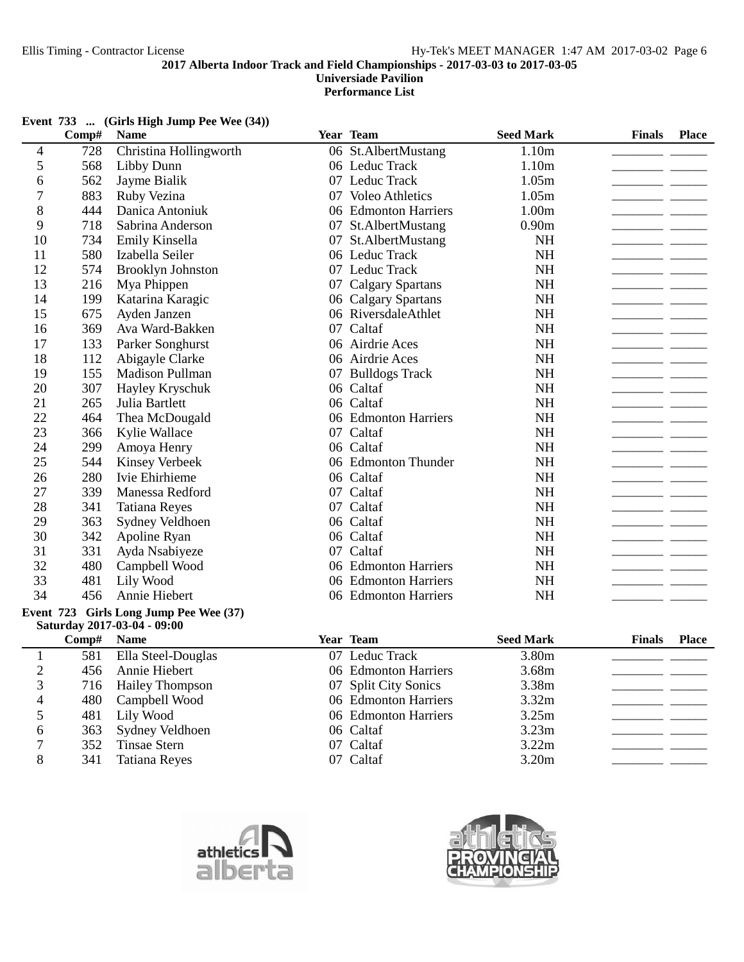**Universiade Pavilion**

|                | Comp# | <b>Name</b>                  | Year Team             | <b>Seed Mark</b>  | <b>Finals</b> | <b>Place</b> |
|----------------|-------|------------------------------|-----------------------|-------------------|---------------|--------------|
| 4              | 728   | Christina Hollingworth       | 06 St.AlbertMustang   | 1.10m             |               |              |
| 5              | 568   | Libby Dunn                   | 06 Leduc Track        | 1.10m             |               |              |
| 6              | 562   | Jayme Bialik                 | 07 Leduc Track        | 1.05m             |               |              |
| 7              | 883   | Ruby Vezina                  | 07 Voleo Athletics    | 1.05m             |               |              |
| $8\,$          | 444   | Danica Antoniuk              | 06 Edmonton Harriers  | 1.00 <sub>m</sub> |               |              |
| 9              | 718   | Sabrina Anderson             | 07 St. Albert Mustang | 0.90m             |               |              |
| 10             | 734   | Emily Kinsella               | 07 St.AlbertMustang   | <b>NH</b>         |               |              |
| 11             | 580   | Izabella Seiler              | 06 Leduc Track        | <b>NH</b>         |               |              |
| 12             | 574   | <b>Brooklyn Johnston</b>     | 07 Leduc Track        | <b>NH</b>         |               |              |
| 13             | 216   | Mya Phippen                  | 07 Calgary Spartans   | <b>NH</b>         |               |              |
| 14             | 199   | Katarina Karagic             | 06 Calgary Spartans   | <b>NH</b>         |               |              |
| 15             | 675   | Ayden Janzen                 | 06 RiversdaleAthlet   | <b>NH</b>         |               |              |
| 16             | 369   | Ava Ward-Bakken              | 07 Caltaf             | <b>NH</b>         |               |              |
| 17             | 133   | Parker Songhurst             | 06 Airdrie Aces       | <b>NH</b>         |               |              |
| 18             | 112   | Abigayle Clarke              | 06 Airdrie Aces       | <b>NH</b>         |               |              |
| 19             | 155   | <b>Madison Pullman</b>       | 07 Bulldogs Track     | <b>NH</b>         |               |              |
| 20             | 307   | Hayley Kryschuk              | 06 Caltaf             | <b>NH</b>         |               |              |
| 21             | 265   | Julia Bartlett               | 06 Caltaf             | <b>NH</b>         |               |              |
| 22             | 464   | Thea McDougald               | 06 Edmonton Harriers  | <b>NH</b>         |               |              |
| 23             | 366   | Kylie Wallace                | 07 Caltaf             | <b>NH</b>         |               |              |
| 24             | 299   | Amoya Henry                  | 06 Caltaf             | <b>NH</b>         | -- -          |              |
| 25             | 544   | <b>Kinsey Verbeek</b>        | 06 Edmonton Thunder   | <b>NH</b>         |               |              |
| 26             | 280   | Ivie Ehirhieme               | 06 Caltaf             | <b>NH</b>         |               |              |
| 27             | 339   | Manessa Redford              | 07 Caltaf             | <b>NH</b>         |               |              |
| 28             | 341   | <b>Tatiana Reyes</b>         | 07 Caltaf             | <b>NH</b>         | —— ——         |              |
| 29             | 363   | Sydney Veldhoen              | 06 Caltaf             | <b>NH</b>         |               | ____         |
| 30             | 342   | Apoline Ryan                 | 06 Caltaf             | <b>NH</b>         |               |              |
| 31             | 331   | Ayda Nsabiyeze               | 07 Caltaf             | <b>NH</b>         |               |              |
| 32             | 480   | Campbell Wood                | 06 Edmonton Harriers  | <b>NH</b>         |               |              |
| 33             | 481   | Lily Wood                    | 06 Edmonton Harriers  | <b>NH</b>         |               |              |
| 34             | 456   | Annie Hiebert                | 06 Edmonton Harriers  | <b>NH</b>         |               |              |
| Event 723      |       | Girls Long Jump Pee Wee (37) |                       |                   |               |              |
|                |       | Saturday 2017-03-04 - 09:00  |                       |                   |               |              |
|                | Comp# | <b>Name</b>                  | Year Team             | <b>Seed Mark</b>  | <b>Finals</b> | <b>Place</b> |
| $\mathbf{1}$   | 581   | Ella Steel-Douglas           | 07 Leduc Track        | 3.80m             |               |              |
| $\overline{c}$ | 456   | Annie Hiebert                | 06 Edmonton Harriers  | 3.68m             |               |              |
| 3              | 716   | <b>Hailey Thompson</b>       | 07 Split City Sonics  | 3.38m             |               |              |
| 4              | 480   | Campbell Wood                | 06 Edmonton Harriers  | 3.32m             |               |              |
| 5              | 481   | Lily Wood                    | 06 Edmonton Harriers  | 3.25m             |               |              |
| 6              | 363   | Sydney Veldhoen              | 06 Caltaf             | 3.23m             |               |              |
| 7              | 352   | <b>Tinsae Stern</b>          | 07 Caltaf             | 3.22m             |               |              |
| 8              | 341   | <b>Tatiana Reyes</b>         | 07 Caltaf             | 3.20m             |               |              |





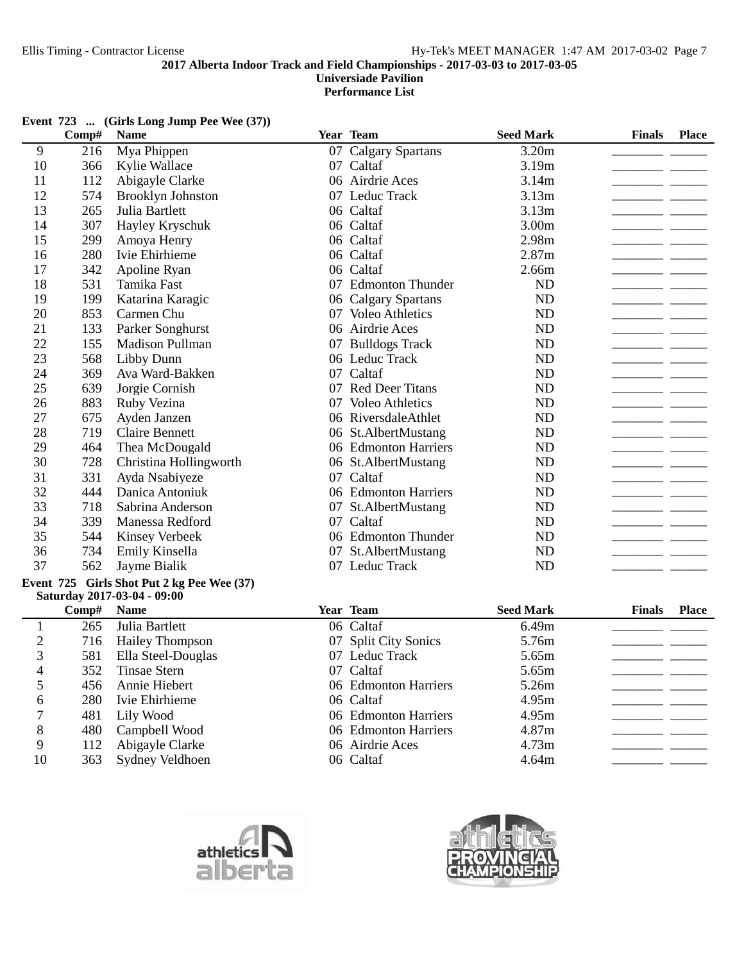## **Universiade Pavilion**

**Performance List**

|                | Comp# | <b>Name</b>                                | Year Team            | <b>Seed Mark</b> | <b>Finals</b> | <b>Place</b>     |
|----------------|-------|--------------------------------------------|----------------------|------------------|---------------|------------------|
| 9              | 216   | Mya Phippen                                | 07 Calgary Spartans  | 3.20m            |               |                  |
| 10             | 366   | Kylie Wallace                              | 07 Caltaf            | 3.19m            |               |                  |
| 11             | 112   | Abigayle Clarke                            | 06 Airdrie Aces      | 3.14m            |               |                  |
| 12             | 574   | Brooklyn Johnston                          | 07 Leduc Track       | 3.13m            |               |                  |
| 13             | 265   | Julia Bartlett                             | 06 Caltaf            | 3.13m            |               |                  |
| 14             | 307   | Hayley Kryschuk                            | 06 Caltaf            | 3.00m            |               |                  |
| 15             | 299   | Amoya Henry                                | 06 Caltaf            | 2.98m            |               | <b>CONTINUES</b> |
| 16             | 280   | Ivie Ehirhieme                             | 06 Caltaf            | 2.87m            | __ __         |                  |
| 17             | 342   | Apoline Ryan                               | 06 Caltaf            | 2.66m            |               |                  |
| 18             | 531   | Tamika Fast                                | 07 Edmonton Thunder  | ND               |               |                  |
| 19             | 199   | Katarina Karagic                           | 06 Calgary Spartans  | ND               |               |                  |
| 20             | 853   | Carmen Chu                                 | 07 Voleo Athletics   | ND               |               |                  |
| 21             | 133   | Parker Songhurst                           | 06 Airdrie Aces      | ND               |               |                  |
| 22             | 155   | Madison Pullman                            | 07 Bulldogs Track    | ND               |               |                  |
| 23             | 568   | Libby Dunn                                 | 06 Leduc Track       | ND               | ______        |                  |
| 24             | 369   | Ava Ward-Bakken                            | 07 Caltaf            | ND               | __ __         |                  |
| 25             | 639   | Jorgie Cornish                             | 07 Red Deer Titans   | ND               |               |                  |
| 26             | 883   | Ruby Vezina                                | 07 Voleo Athletics   | ND               |               |                  |
| 27             | 675   | Ayden Janzen                               | 06 RiversdaleAthlet  | ND               | _ __          |                  |
| 28             | 719   | <b>Claire Bennett</b>                      | 06 St.AlbertMustang  | ND               |               |                  |
| 29             | 464   | Thea McDougald                             | 06 Edmonton Harriers | ND               |               |                  |
| 30             | 728   | Christina Hollingworth                     | 06 St.AlbertMustang  | ND               |               |                  |
| 31             | 331   | Ayda Nsabiyeze                             | 07 Caltaf            | ND               |               |                  |
| 32             | 444   | Danica Antoniuk                            | 06 Edmonton Harriers | ND               |               |                  |
| 33             | 718   | Sabrina Anderson                           | 07 St.AlbertMustang  | ND               |               |                  |
| 34             | 339   | Manessa Redford                            | 07 Caltaf            | ND               |               |                  |
| 35             | 544   | <b>Kinsey Verbeek</b>                      | 06 Edmonton Thunder  | ND               |               |                  |
| 36             | 734   | Emily Kinsella                             | 07 St.AlbertMustang  | ND               |               |                  |
| 37             | 562   | Jayme Bialik                               | 07 Leduc Track       | <b>ND</b>        |               |                  |
|                |       | Event 725 Girls Shot Put 2 kg Pee Wee (37) |                      |                  |               |                  |
|                |       | Saturday 2017-03-04 - 09:00                |                      |                  |               |                  |
|                | Comp# | <b>Name</b>                                | Year Team            | <b>Seed Mark</b> | <b>Finals</b> | <b>Place</b>     |
| 1              | 265   | Julia Bartlett                             | 06 Caltaf            | 6.49m            |               |                  |
| $\overline{c}$ | 716   | <b>Hailey Thompson</b>                     | 07 Split City Sonics | 5.76m            |               |                  |
| 3              | 581   | Ella Steel-Douglas                         | 07 Leduc Track       | 5.65m            |               |                  |
| 4              | 352   | <b>Tinsae Stern</b>                        | 07 Caltaf            | 5.65m            |               |                  |
| 5              | 456   | Annie Hiebert                              | 06 Edmonton Harriers | 5.26m            |               |                  |
| 6              | 280   | Ivie Ehirhieme                             | 06 Caltaf            | 4.95m            |               |                  |
| 7              | 481   | Lily Wood                                  | 06 Edmonton Harriers | 4.95m            |               |                  |
| 8              | 480   | Campbell Wood                              | 06 Edmonton Harriers | 4.87m            |               |                  |
| 9              | 112   | Abigayle Clarke                            | 06 Airdrie Aces      | 4.73m            |               |                  |
| 10             | 363   | Sydney Veldhoen                            | 06 Caltaf            | 4.64m            |               |                  |

## **Event 723 ... (Girls Long Jump Pee Wee (37))**



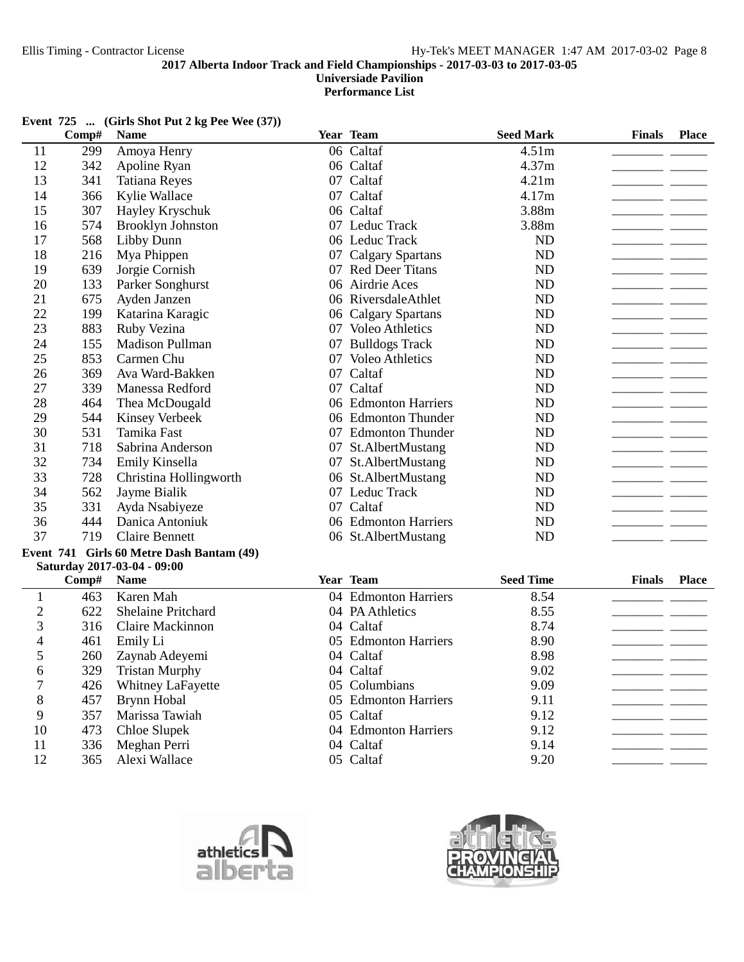**Event 725 ... (Girls Shot Put 2 kg Pee Wee (37))**

**2017 Alberta Indoor Track and Field Championships - 2017-03-03 to 2017-03-05**

## **Universiade Pavilion**

|                | Comp# | <b>Name</b>                               | Year Team            | <b>Seed Mark</b> | <b>Finals</b>                                                                                                        | <b>Place</b>                                |
|----------------|-------|-------------------------------------------|----------------------|------------------|----------------------------------------------------------------------------------------------------------------------|---------------------------------------------|
| 11             | 299   | Amoya Henry                               | 06 Caltaf            | 4.51m            |                                                                                                                      |                                             |
| 12             | 342   | Apoline Ryan                              | 06 Caltaf            | 4.37m            |                                                                                                                      |                                             |
| 13             | 341   | <b>Tatiana Reyes</b>                      | 07 Caltaf            | 4.21m            |                                                                                                                      |                                             |
| 14             | 366   | Kylie Wallace                             | 07 Caltaf            | 4.17m            |                                                                                                                      | <u> Louis Communication de la propincia</u> |
| 15             | 307   | Hayley Kryschuk                           | 06 Caltaf            | 3.88m            |                                                                                                                      |                                             |
| 16             | 574   | <b>Brooklyn Johnston</b>                  | 07 Leduc Track       | 3.88m            | <u> 2000 - 2000 - 2000 - 2000 - 2000 - 2000 - 2000 - 2000 - 2000 - 2000 - 2000 - 2000 - 2000 - 2000 - 2000 - 200</u> |                                             |
| 17             | 568   | Libby Dunn                                | 06 Leduc Track       | ND               | __________                                                                                                           |                                             |
| 18             | 216   | Mya Phippen                               | 07 Calgary Spartans  | ND               |                                                                                                                      |                                             |
| 19             | 639   | Jorgie Cornish                            | 07 Red Deer Titans   | ND               |                                                                                                                      |                                             |
| 20             | 133   | Parker Songhurst                          | 06 Airdrie Aces      | ND               |                                                                                                                      |                                             |
| 21             | 675   | Ayden Janzen                              | 06 RiversdaleAthlet  | ND               |                                                                                                                      |                                             |
| 22             | 199   | Katarina Karagic                          | 06 Calgary Spartans  | ND               |                                                                                                                      |                                             |
| 23             | 883   | Ruby Vezina                               | 07 Voleo Athletics   | ND               |                                                                                                                      |                                             |
| 24             | 155   | Madison Pullman                           | 07 Bulldogs Track    | ND               |                                                                                                                      |                                             |
| 25             | 853   | Carmen Chu                                | 07 Voleo Athletics   | ND               | __ __                                                                                                                |                                             |
| 26             | 369   | Ava Ward-Bakken                           | 07 Caltaf            | ND               | __ __                                                                                                                |                                             |
| 27             | 339   | Manessa Redford                           | 07 Caltaf            | ND               |                                                                                                                      |                                             |
| 28             | 464   | Thea McDougald                            | 06 Edmonton Harriers | ND               |                                                                                                                      |                                             |
| 29             | 544   | <b>Kinsey Verbeek</b>                     | 06 Edmonton Thunder  | ND               |                                                                                                                      |                                             |
| 30             | 531   | Tamika Fast                               | 07 Edmonton Thunder  | ND               |                                                                                                                      |                                             |
| 31             | 718   | Sabrina Anderson                          | 07 St.AlbertMustang  | ND               | _________                                                                                                            |                                             |
| 32             | 734   | Emily Kinsella                            | 07 St.AlbertMustang  | ND               | __ __                                                                                                                |                                             |
| 33             | 728   | Christina Hollingworth                    | 06 St.AlbertMustang  | ND               |                                                                                                                      |                                             |
| 34             | 562   | Jayme Bialik                              | 07 Leduc Track       | ND               | <u>— —</u>                                                                                                           |                                             |
| 35             | 331   | Ayda Nsabiyeze                            | 07 Caltaf            | ND               |                                                                                                                      |                                             |
| 36             | 444   | Danica Antoniuk                           | 06 Edmonton Harriers | <b>ND</b>        |                                                                                                                      |                                             |
| 37             | 719   | <b>Claire Bennett</b>                     | 06 St.AlbertMustang  | <b>ND</b>        |                                                                                                                      |                                             |
|                |       | Event 741 Girls 60 Metre Dash Bantam (49) |                      |                  |                                                                                                                      |                                             |
|                |       | Saturday 2017-03-04 - 09:00               |                      |                  |                                                                                                                      |                                             |
|                | Comp# | <b>Name</b>                               | Year Team            | <b>Seed Time</b> | <b>Finals</b>                                                                                                        | <b>Place</b>                                |
| $\mathbf{1}$   | 463   | Karen Mah                                 | 04 Edmonton Harriers | 8.54             |                                                                                                                      |                                             |
| $\overline{2}$ | 622   | Shelaine Pritchard                        | 04 PA Athletics      | 8.55             |                                                                                                                      |                                             |
| 3              | 316   | Claire Mackinnon                          | 04 Caltaf            | 8.74             | _____                                                                                                                |                                             |
| 4              | 461   | Emily Li                                  | 05 Edmonton Harriers | 8.90             |                                                                                                                      |                                             |
| 5              | 260   | Zaynab Adeyemi                            | 04 Caltaf            | 8.98             |                                                                                                                      |                                             |
| 6              | 329   | <b>Tristan Murphy</b>                     | 04 Caltaf            | 9.02             |                                                                                                                      |                                             |
| 7              | 426   | Whitney LaFayette                         | 05 Columbians        | 9.09             |                                                                                                                      |                                             |
| 8              | 457   | Brynn Hobal                               | 05 Edmonton Harriers | 9.11             |                                                                                                                      |                                             |
| 9              | 357   | Marissa Tawiah                            | 05 Caltaf            | 9.12             |                                                                                                                      |                                             |
| 10             | 473   | Chloe Slupek                              | 04 Edmonton Harriers | 9.12             |                                                                                                                      |                                             |
| 11             | 336   | Meghan Perri                              | 04 Caltaf            | 9.14             |                                                                                                                      |                                             |
| 12             | 365   | Alexi Wallace                             | 05 Caltaf            | 9.20             |                                                                                                                      |                                             |



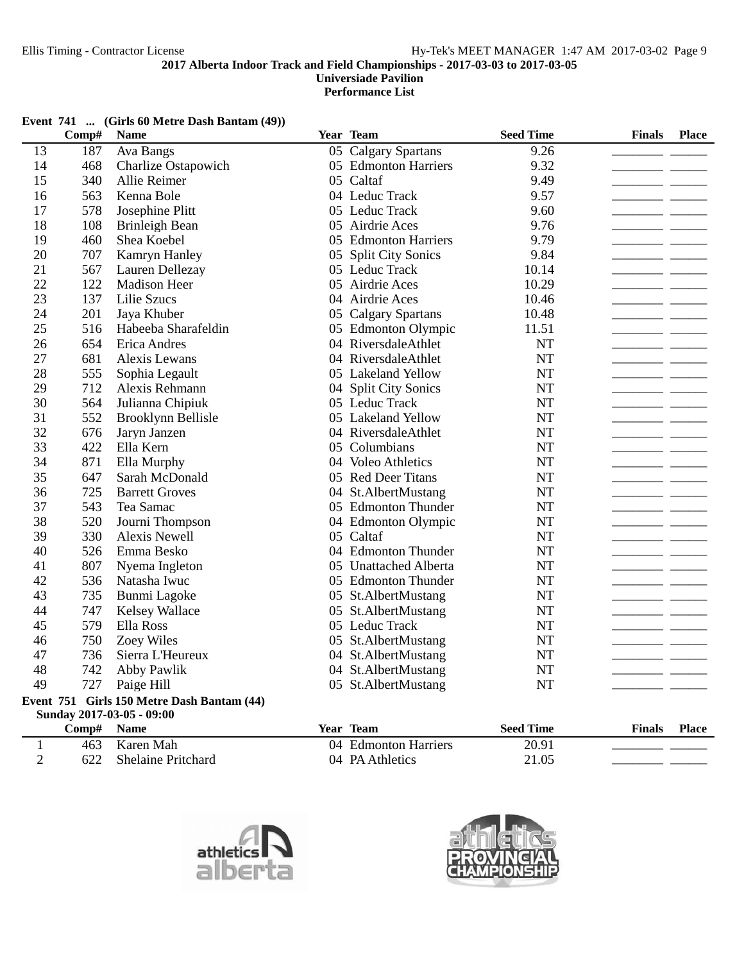## **Universiade Pavilion**

#### **Performance List**

|    |       | Event 741  (Girls 60 Metre Dash Bantam (49))                            |                       |                  |                                                                                                                                                                                                                                                                                                                                                                                                                       |                          |
|----|-------|-------------------------------------------------------------------------|-----------------------|------------------|-----------------------------------------------------------------------------------------------------------------------------------------------------------------------------------------------------------------------------------------------------------------------------------------------------------------------------------------------------------------------------------------------------------------------|--------------------------|
|    | Comp# | <b>Name</b>                                                             | Year Team             | <b>Seed Time</b> | <b>Finals</b>                                                                                                                                                                                                                                                                                                                                                                                                         | Place                    |
| 13 | 187   | Ava Bangs                                                               | 05 Calgary Spartans   | 9.26             |                                                                                                                                                                                                                                                                                                                                                                                                                       |                          |
| 14 | 468   | Charlize Ostapowich                                                     | 05 Edmonton Harriers  | 9.32             |                                                                                                                                                                                                                                                                                                                                                                                                                       |                          |
| 15 | 340   | Allie Reimer                                                            | 05 Caltaf             | 9.49             |                                                                                                                                                                                                                                                                                                                                                                                                                       |                          |
| 16 | 563   | Kenna Bole                                                              | 04 Leduc Track        | 9.57             |                                                                                                                                                                                                                                                                                                                                                                                                                       |                          |
| 17 | 578   | Josephine Plitt                                                         | 05 Leduc Track        | 9.60             |                                                                                                                                                                                                                                                                                                                                                                                                                       | للمستدر                  |
| 18 | 108   | <b>Brinleigh Bean</b>                                                   | 05 Airdrie Aces       | 9.76             | - --                                                                                                                                                                                                                                                                                                                                                                                                                  |                          |
| 19 | 460   | Shea Koebel                                                             | 05 Edmonton Harriers  | 9.79             | <u>and the second second</u>                                                                                                                                                                                                                                                                                                                                                                                          |                          |
| 20 | 707   | <b>Kamryn Hanley</b>                                                    | 05 Split City Sonics  | 9.84             | المستحدث                                                                                                                                                                                                                                                                                                                                                                                                              |                          |
| 21 | 567   | Lauren Dellezay                                                         | 05 Leduc Track        | 10.14            | -- --                                                                                                                                                                                                                                                                                                                                                                                                                 |                          |
| 22 | 122   | <b>Madison Heer</b>                                                     | 05 Airdrie Aces       | 10.29            |                                                                                                                                                                                                                                                                                                                                                                                                                       |                          |
| 23 | 137   | Lilie Szucs                                                             | 04 Airdrie Aces       | 10.46            |                                                                                                                                                                                                                                                                                                                                                                                                                       |                          |
| 24 | 201   | Jaya Khuber                                                             | 05 Calgary Spartans   | 10.48            |                                                                                                                                                                                                                                                                                                                                                                                                                       |                          |
| 25 | 516   | Habeeba Sharafeldin                                                     | 05 Edmonton Olympic   | 11.51            |                                                                                                                                                                                                                                                                                                                                                                                                                       |                          |
| 26 | 654   | <b>Erica Andres</b>                                                     | 04 RiversdaleAthlet   | <b>NT</b>        |                                                                                                                                                                                                                                                                                                                                                                                                                       |                          |
| 27 | 681   | Alexis Lewans                                                           | 04 RiversdaleAthlet   | <b>NT</b>        |                                                                                                                                                                                                                                                                                                                                                                                                                       |                          |
| 28 | 555   | Sophia Legault                                                          | 05 Lakeland Yellow    | <b>NT</b>        |                                                                                                                                                                                                                                                                                                                                                                                                                       |                          |
| 29 | 712   | Alexis Rehmann                                                          | 04 Split City Sonics  | <b>NT</b>        | - -                                                                                                                                                                                                                                                                                                                                                                                                                   |                          |
| 30 | 564   | Julianna Chipiuk                                                        | 05 Leduc Track        | <b>NT</b>        | the control of the control of the control of                                                                                                                                                                                                                                                                                                                                                                          |                          |
| 31 | 552   | Brooklynn Bellisle                                                      | 05 Lakeland Yellow    | <b>NT</b>        |                                                                                                                                                                                                                                                                                                                                                                                                                       |                          |
| 32 | 676   | Jaryn Janzen                                                            | 04 RiversdaleAthlet   | <b>NT</b>        |                                                                                                                                                                                                                                                                                                                                                                                                                       |                          |
| 33 | 422   | Ella Kern                                                               | 05 Columbians         | <b>NT</b>        | $\frac{1}{1-\frac{1}{1-\frac{1}{1-\frac{1}{1-\frac{1}{1-\frac{1}{1-\frac{1}{1-\frac{1}{1-\frac{1}{1-\frac{1}{1-\frac{1}{1-\frac{1}{1-\frac{1}{1-\frac{1}{1-\frac{1}{1-\frac{1}{1-\frac{1}{1-\frac{1}{1-\frac{1}{1-\frac{1}{1-\frac{1}{1-\frac{1}{1-\frac{1}{1-\frac{1}{1-\frac{1}{1-\frac{1}{1-\frac{1}{1-\frac{1}{1-\frac{1}{1-\frac{1}{1-\frac{1}{1-\frac{1}{1-\frac{1}{1-\frac{1}{1-\frac{1}{1-\frac{1}{1-\frac{1$ |                          |
| 34 | 871   | Ella Murphy                                                             | 04 Voleo Athletics    | <b>NT</b>        |                                                                                                                                                                                                                                                                                                                                                                                                                       |                          |
| 35 | 647   | Sarah McDonald                                                          | 05 Red Deer Titans    | <b>NT</b>        | — —                                                                                                                                                                                                                                                                                                                                                                                                                   |                          |
| 36 | 725   | <b>Barrett Groves</b>                                                   | 04 St. Albert Mustang | <b>NT</b>        | - -                                                                                                                                                                                                                                                                                                                                                                                                                   |                          |
| 37 | 543   | Tea Samac                                                               | 05 Edmonton Thunder   | <b>NT</b>        |                                                                                                                                                                                                                                                                                                                                                                                                                       |                          |
| 38 | 520   | Journi Thompson                                                         | 04 Edmonton Olympic   | <b>NT</b>        |                                                                                                                                                                                                                                                                                                                                                                                                                       |                          |
| 39 | 330   | <b>Alexis Newell</b>                                                    | 05 Caltaf             | <b>NT</b>        |                                                                                                                                                                                                                                                                                                                                                                                                                       |                          |
| 40 | 526   | Emma Besko                                                              | 04 Edmonton Thunder   | <b>NT</b>        |                                                                                                                                                                                                                                                                                                                                                                                                                       |                          |
| 41 | 807   | Nyema Ingleton                                                          | 05 Unattached Alberta | <b>NT</b>        |                                                                                                                                                                                                                                                                                                                                                                                                                       | $\overline{\phantom{a}}$ |
| 42 | 536   | Natasha Iwuc                                                            | 05 Edmonton Thunder   | <b>NT</b>        | - -                                                                                                                                                                                                                                                                                                                                                                                                                   |                          |
| 43 | 735   | Bunmi Lagoke                                                            | 05 St.AlbertMustang   | <b>NT</b>        |                                                                                                                                                                                                                                                                                                                                                                                                                       |                          |
| 44 | 747   | Kelsey Wallace                                                          | 05 St.AlbertMustang   | <b>NT</b>        | — —                                                                                                                                                                                                                                                                                                                                                                                                                   |                          |
| 45 | 579   | Ella Ross                                                               | 05 Leduc Track        | <b>NT</b>        | $\overline{\phantom{a}}$ $\overline{\phantom{a}}$                                                                                                                                                                                                                                                                                                                                                                     |                          |
| 46 | 750   | Zoey Wiles                                                              | 05 St.AlbertMustang   | <b>NT</b>        |                                                                                                                                                                                                                                                                                                                                                                                                                       |                          |
| 47 | 736   | Sierra L'Heureux                                                        | 04 St.AlbertMustang   | <b>NT</b>        |                                                                                                                                                                                                                                                                                                                                                                                                                       |                          |
| 48 | 742   | Abby Pawlik                                                             | 04 St.AlbertMustang   | NT               |                                                                                                                                                                                                                                                                                                                                                                                                                       |                          |
| 49 | 727   | Paige Hill                                                              | 05 St.AlbertMustang   | <b>NT</b>        |                                                                                                                                                                                                                                                                                                                                                                                                                       |                          |
|    |       | Event 751 Girls 150 Metre Dash Bantam (44)<br>Sunday 2017-03-05 - 09:00 |                       |                  |                                                                                                                                                                                                                                                                                                                                                                                                                       |                          |

## **Comp# Name Vear Team Seed Time Finals Place** 1 463 Karen Mah 04 Edmonton Harriers 20.91 2 622 Shelaine Pritchard 04 PA Athletics 21.05



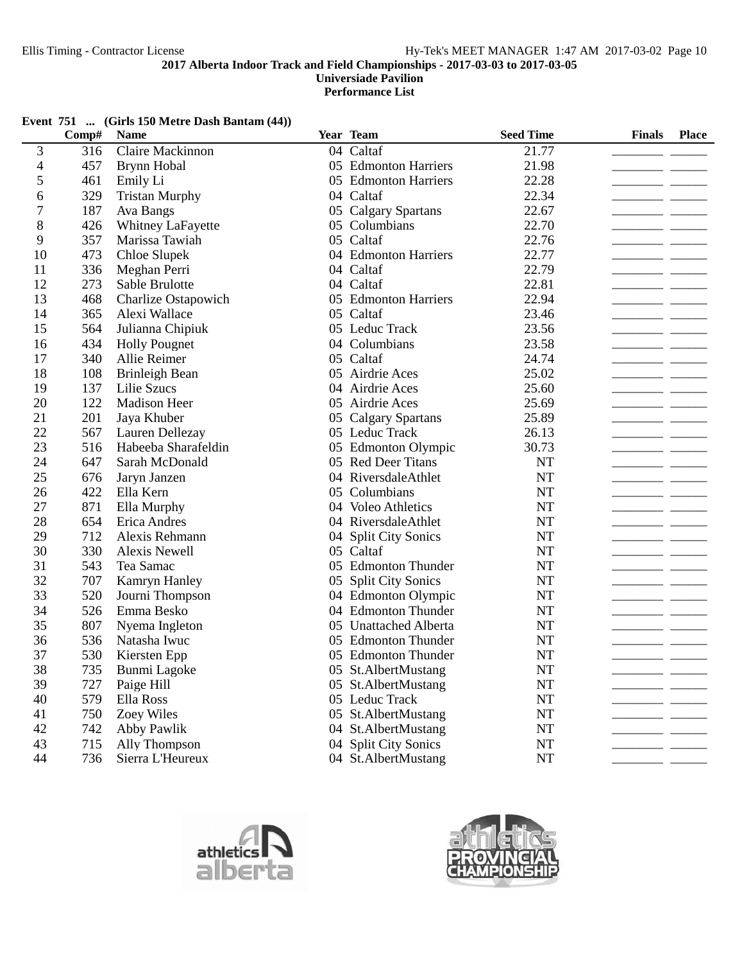**Universiade Pavilion**

| Event 751  (Girls 150 Metre Dash Bantam (44)) |  |  |  |  |  |  |
|-----------------------------------------------|--|--|--|--|--|--|
|-----------------------------------------------|--|--|--|--|--|--|

|    | Comp# | <b>Name</b>                | Year Team             | <b>Seed Time</b> | <b>Finals</b> | <b>Place</b> |
|----|-------|----------------------------|-----------------------|------------------|---------------|--------------|
| 3  | 316   | Claire Mackinnon           | 04 Caltaf             | 21.77            |               |              |
| 4  | 457   | Brynn Hobal                | 05 Edmonton Harriers  | 21.98            |               |              |
| 5  | 461   | Emily Li                   | 05 Edmonton Harriers  | 22.28            |               |              |
| 6  | 329   | <b>Tristan Murphy</b>      | 04 Caltaf             | 22.34            |               |              |
| 7  | 187   | Ava Bangs                  | 05 Calgary Spartans   | 22.67            |               |              |
| 8  | 426   | Whitney LaFayette          | 05 Columbians         | 22.70            |               |              |
| 9  | 357   | Marissa Tawiah             | 05 Caltaf             | 22.76            |               |              |
| 10 | 473   | Chloe Slupek               | 04 Edmonton Harriers  | 22.77            |               |              |
| 11 | 336   | Meghan Perri               | 04 Caltaf             | 22.79            |               |              |
| 12 | 273   | Sable Brulotte             | 04 Caltaf             | 22.81            |               |              |
| 13 | 468   | <b>Charlize Ostapowich</b> | 05 Edmonton Harriers  | 22.94            |               |              |
| 14 | 365   | Alexi Wallace              | 05 Caltaf             | 23.46            |               |              |
| 15 | 564   | Julianna Chipiuk           | 05 Leduc Track        | 23.56            |               |              |
| 16 | 434   | <b>Holly Pougnet</b>       | 04 Columbians         | 23.58            |               |              |
| 17 | 340   | Allie Reimer               | 05 Caltaf             | 24.74            |               |              |
| 18 | 108   | Brinleigh Bean             | 05 Airdrie Aces       | 25.02            |               |              |
| 19 | 137   | <b>Lilie Szucs</b>         | 04 Airdrie Aces       | 25.60            |               |              |
| 20 | 122   | <b>Madison Heer</b>        | 05 Airdrie Aces       | 25.69            |               |              |
| 21 | 201   | Jaya Khuber                | 05 Calgary Spartans   | 25.89            |               |              |
| 22 | 567   | Lauren Dellezay            | 05 Leduc Track        | 26.13            |               |              |
| 23 | 516   | Habeeba Sharafeldin        | 05 Edmonton Olympic   | 30.73            |               |              |
| 24 | 647   | Sarah McDonald             | 05 Red Deer Titans    | <b>NT</b>        |               |              |
| 25 | 676   | Jaryn Janzen               | 04 RiversdaleAthlet   | <b>NT</b>        |               |              |
| 26 | 422   | Ella Kern                  | 05 Columbians         | <b>NT</b>        |               |              |
| 27 | 871   | Ella Murphy                | 04 Voleo Athletics    | <b>NT</b>        |               |              |
| 28 | 654   | Erica Andres               | 04 RiversdaleAthlet   | <b>NT</b>        |               |              |
| 29 | 712   | Alexis Rehmann             | 04 Split City Sonics  | <b>NT</b>        |               |              |
| 30 | 330   | Alexis Newell              | 05 Caltaf             | <b>NT</b>        |               |              |
| 31 | 543   | Tea Samac                  | 05 Edmonton Thunder   | <b>NT</b>        |               |              |
| 32 | 707   | Kamryn Hanley              | 05 Split City Sonics  | <b>NT</b>        |               |              |
| 33 | 520   | Journi Thompson            | 04 Edmonton Olympic   | <b>NT</b>        |               |              |
| 34 | 526   | Emma Besko                 | 04 Edmonton Thunder   | <b>NT</b>        |               |              |
| 35 | 807   | Nyema Ingleton             | 05 Unattached Alberta | <b>NT</b>        |               |              |
| 36 | 536   | Natasha Iwuc               | 05 Edmonton Thunder   | <b>NT</b>        |               |              |
| 37 | 530   | Kiersten Epp               | 05 Edmonton Thunder   | <b>NT</b>        |               |              |
| 38 | 735   | Bunmi Lagoke               | 05 St.AlbertMustang   | <b>NT</b>        |               |              |
| 39 | 727   | Paige Hill                 | 05 St.AlbertMustang   | <b>NT</b>        |               |              |
| 40 | 579   | Ella Ross                  | 05 Leduc Track        | <b>NT</b>        |               |              |
| 41 | 750   | Zoey Wiles                 | 05 St.AlbertMustang   | NT               |               |              |
| 42 | 742   | Abby Pawlik                | 04 St. Albert Mustang | NT               |               |              |
| 43 | 715   | Ally Thompson              | 04 Split City Sonics  | NT               |               |              |
| 44 | 736   | Sierra L'Heureux           | 04 St. Albert Mustang | NT               |               |              |
|    |       |                            |                       |                  |               |              |



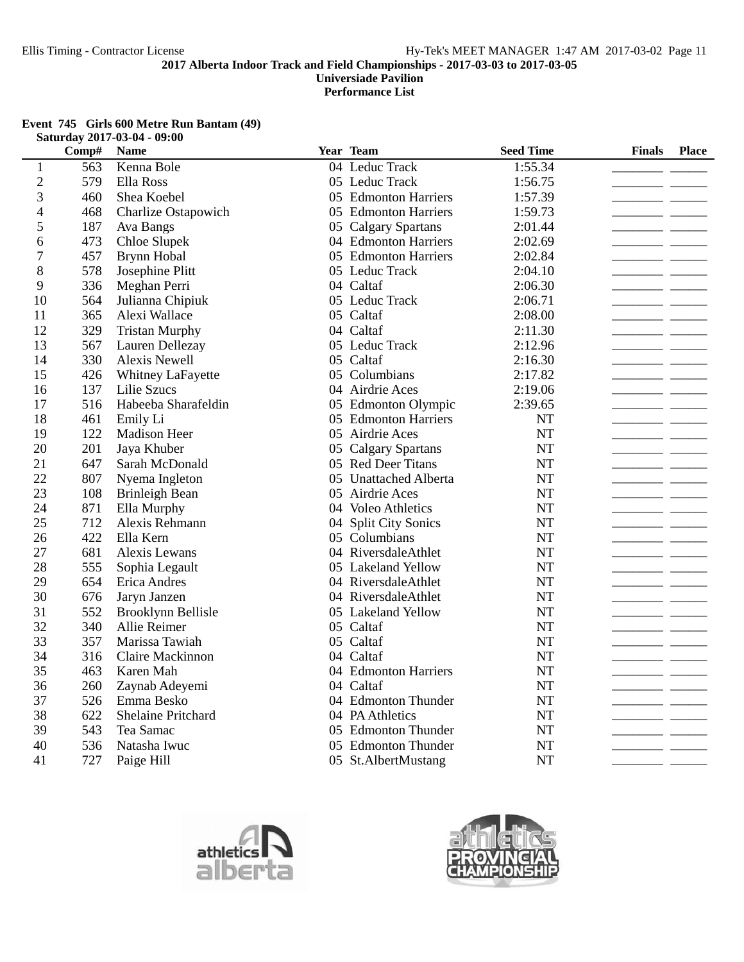## **Universiade Pavilion**

**Performance List**

|                | $-0.1$<br>Comp# | <b>Name</b>                | Year Team             | <b>Seed Time</b> | <b>Finals</b>                      | <b>Place</b>             |
|----------------|-----------------|----------------------------|-----------------------|------------------|------------------------------------|--------------------------|
| $\mathbf{1}$   | 563             | Kenna Bole                 | 04 Leduc Track        | 1:55.34          |                                    |                          |
| $\overline{2}$ | 579             | Ella Ross                  | 05 Leduc Track        | 1:56.75          | _____________                      |                          |
| 3              | 460             | Shea Koebel                | 05 Edmonton Harriers  | 1:57.39          |                                    |                          |
| 4              | 468             | <b>Charlize Ostapowich</b> | 05 Edmonton Harriers  | 1:59.73          |                                    |                          |
| 5              | 187             | Ava Bangs                  | 05 Calgary Spartans   | 2:01.44          |                                    |                          |
| 6              | 473             | Chloe Slupek               | 04 Edmonton Harriers  | 2:02.69          |                                    |                          |
| $\overline{7}$ | 457             | Brynn Hobal                | 05 Edmonton Harriers  | 2:02.84          |                                    | $\sim$                   |
| 8              | 578             | Josephine Plitt            | 05 Leduc Track        | 2:04.10          |                                    | $\sim$                   |
| 9              | 336             | Meghan Perri               | 04 Caltaf             | 2:06.30          |                                    |                          |
| 10             | 564             | Julianna Chipiuk           | 05 Leduc Track        | 2:06.71          |                                    | $\sim$                   |
| 11             | 365             | Alexi Wallace              | 05 Caltaf             | 2:08.00          |                                    |                          |
| 12             | 329             | <b>Tristan Murphy</b>      | 04 Caltaf             | 2:11.30          |                                    |                          |
| 13             | 567             | Lauren Dellezay            | 05 Leduc Track        | 2:12.96          |                                    |                          |
| 14             | 330             | <b>Alexis Newell</b>       | 05 Caltaf             | 2:16.30          |                                    |                          |
| 15             | 426             | Whitney LaFayette          | 05 Columbians         | 2:17.82          |                                    |                          |
| 16             | 137             | Lilie Szucs                | 04 Airdrie Aces       | 2:19.06          |                                    |                          |
| 17             | 516             | Habeeba Sharafeldin        | 05 Edmonton Olympic   | 2:39.65          |                                    |                          |
| 18             | 461             | Emily Li                   | 05 Edmonton Harriers  | <b>NT</b>        |                                    |                          |
| 19             | 122             | Madison Heer               | 05 Airdrie Aces       | <b>NT</b>        |                                    |                          |
| 20             | 201             | Jaya Khuber                | 05 Calgary Spartans   | <b>NT</b>        |                                    | - - - -                  |
| 21             | 647             | Sarah McDonald             | 05 Red Deer Titans    | <b>NT</b>        |                                    | $\sim$                   |
| 22             | 807             | Nyema Ingleton             | 05 Unattached Alberta | <b>NT</b>        |                                    | سيست                     |
| 23             | 108             | <b>Brinleigh Bean</b>      | 05 Airdrie Aces       | <b>NT</b>        |                                    |                          |
| 24             | 871             | Ella Murphy                | 04 Voleo Athletics    | <b>NT</b>        |                                    |                          |
| 25             | 712             | Alexis Rehmann             | 04 Split City Sonics  | <b>NT</b>        | $\overline{a}$                     |                          |
| 26             | 422             | Ella Kern                  | 05 Columbians         | <b>NT</b>        | <u>.</u>                           |                          |
| 27             | 681             | <b>Alexis Lewans</b>       | 04 RiversdaleAthlet   | <b>NT</b>        | <u> The Common State State Sta</u> |                          |
| 28             | 555             | Sophia Legault             | 05 Lakeland Yellow    | <b>NT</b>        |                                    |                          |
| 29             | 654             | Erica Andres               | 04 RiversdaleAthlet   | <b>NT</b>        | — —                                |                          |
| 30             | 676             | Jaryn Janzen               | 04 RiversdaleAthlet   | <b>NT</b>        |                                    |                          |
| 31             | 552             | <b>Brooklynn Bellisle</b>  | 05 Lakeland Yellow    | <b>NT</b>        |                                    |                          |
| 32             | 340             | Allie Reimer               | 05 Caltaf             | <b>NT</b>        |                                    |                          |
| 33             | 357             | Marissa Tawiah             | 05 Caltaf             | <b>NT</b>        |                                    | $\sim$                   |
| 34             | 316             | Claire Mackinnon           | 04 Caltaf             | <b>NT</b>        |                                    | $\sim$                   |
| 35             | 463             | Karen Mah                  | 04 Edmonton Harriers  | <b>NT</b>        |                                    |                          |
| 36             | 260             | Zaynab Adeyemi             | 04 Caltaf             | <b>NT</b>        |                                    |                          |
| 37             | 526             | Emma Besko                 | 04 Edmonton Thunder   | NT               | $\overline{\phantom{a}}$           |                          |
| 38             | 622             | Shelaine Pritchard         | 04 PA Athletics       | <b>NT</b>        | $=$ $=$                            |                          |
| 39             | 543             | Tea Samac                  | 05 Edmonton Thunder   | <b>NT</b>        |                                    |                          |
| 40             | 536             | Natasha Iwuc               | 05 Edmonton Thunder   | <b>NT</b>        |                                    |                          |
| 41             | 727             | Paige Hill                 | 05 St.AlbertMustang   | <b>NT</b>        |                                    | $\overline{\phantom{0}}$ |

#### **Event 745 Girls 600 Metre Run Bantam (49) Saturday 2017-03-04 - 09:00**



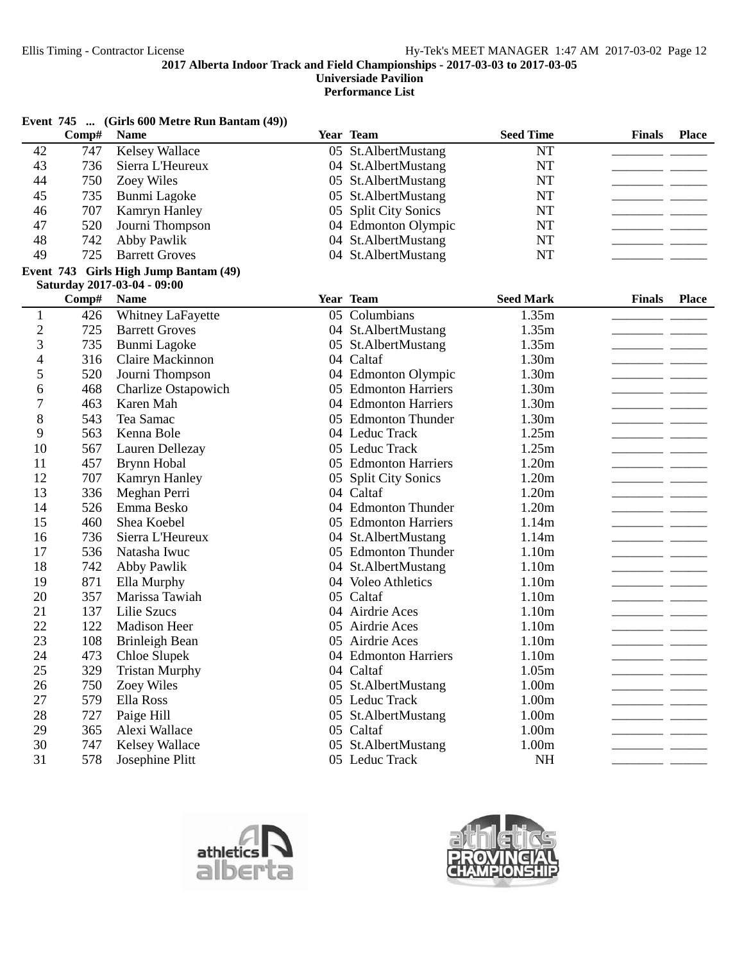**Universiade Pavilion**

|              |       | Event 745  (Girls 600 Metre Run Bantam (49)) |    |                          |                   |               |              |
|--------------|-------|----------------------------------------------|----|--------------------------|-------------------|---------------|--------------|
|              | Comp# | <b>Name</b>                                  |    | Year Team                | <b>Seed Time</b>  | <b>Finals</b> | <b>Place</b> |
| 42           | 747   | <b>Kelsey Wallace</b>                        |    | 05 St.AlbertMustang      | <b>NT</b>         |               |              |
| 43           | 736   | Sierra L'Heureux                             |    | 04 St.AlbertMustang      | <b>NT</b>         |               |              |
| 44           | 750   | Zoey Wiles                                   |    | 05 St.AlbertMustang      | NT                |               |              |
| 45           | 735   | Bunmi Lagoke                                 |    | 05 St.AlbertMustang      | NT                |               |              |
| 46           | 707   | Kamryn Hanley                                | 05 | <b>Split City Sonics</b> | NT                | _____         |              |
| 47           | 520   | Journi Thompson                              |    | 04 Edmonton Olympic      | NT                | __ __         |              |
| 48           | 742   | Abby Pawlik                                  |    | 04 St.AlbertMustang      | NT                |               |              |
| 49           | 725   | <b>Barrett Groves</b>                        |    | 04 St. Albert Mustang    | <b>NT</b>         |               |              |
|              |       | Event 743 Girls High Jump Bantam (49)        |    |                          |                   |               |              |
|              |       | Saturday 2017-03-04 - 09:00                  |    |                          |                   |               |              |
|              | Comp# | <b>Name</b>                                  |    | Year Team                | <b>Seed Mark</b>  | <b>Finals</b> | <b>Place</b> |
| $\mathbf{1}$ | 426   | Whitney LaFayette                            |    | 05 Columbians            | 1.35m             |               |              |
| $\mathbf{2}$ | 725   | <b>Barrett Groves</b>                        |    | 04 St.AlbertMustang      | 1.35m             |               |              |
| 3            | 735   | Bunmi Lagoke                                 |    | 05 St.AlbertMustang      | 1.35m             |               |              |
| 4            | 316   | <b>Claire Mackinnon</b>                      |    | 04 Caltaf                | 1.30 <sub>m</sub> |               |              |
| 5            | 520   | Journi Thompson                              |    | 04 Edmonton Olympic      | 1.30 <sub>m</sub> |               |              |
| 6            | 468   | <b>Charlize Ostapowich</b>                   | 05 | <b>Edmonton Harriers</b> | 1.30 <sub>m</sub> |               |              |
| 7            | 463   | Karen Mah                                    |    | 04 Edmonton Harriers     | 1.30m             |               |              |
| 8            | 543   | Tea Samac                                    |    | 05 Edmonton Thunder      | 1.30m             |               |              |
| 9            | 563   | Kenna Bole                                   |    | 04 Leduc Track           | 1.25m             |               |              |
| 10           | 567   | Lauren Dellezay                              |    | 05 Leduc Track           | 1.25m             |               |              |
| 11           | 457   | Brynn Hobal                                  |    | 05 Edmonton Harriers     | 1.20m             |               |              |
| 12           | 707   | Kamryn Hanley                                | 05 | <b>Split City Sonics</b> | 1.20m             |               |              |
| 13           | 336   | Meghan Perri                                 |    | 04 Caltaf                | 1.20m             |               |              |
| 14           | 526   | Emma Besko                                   |    | 04 Edmonton Thunder      | 1.20m             |               |              |
| 15           | 460   | Shea Koebel                                  |    | 05 Edmonton Harriers     | 1.14m             |               |              |
| 16           | 736   | Sierra L'Heureux                             |    | 04 St. Albert Mustang    | 1.14m             | -- -          |              |
| 17           | 536   | Natasha Iwuc                                 |    | 05 Edmonton Thunder      | 1.10m             | - -           |              |
| 18           | 742   | Abby Pawlik                                  |    | 04 St.AlbertMustang      | 1.10m             |               |              |
| 19           | 871   | Ella Murphy                                  |    | 04 Voleo Athletics       | 1.10m             |               |              |
| 20           | 357   | Marissa Tawiah                               |    | 05 Caltaf                | 1.10m             | ______        |              |
| 21           | 137   | <b>Lilie Szucs</b>                           |    | 04 Airdrie Aces          | 1.10m             |               |              |
| 22           | 122   | Madison Heer                                 |    | 05 Airdrie Aces          | 1.10m             |               |              |
| 23           | 108   | <b>Brinleigh Bean</b>                        |    | 05 Airdrie Aces          | 1.10m             | _ _           |              |
| 24           | 473   | Chloe Slupek                                 |    | 04 Edmonton Harriers     | 1.10m             |               |              |
| 25           | 329   | <b>Tristan Murphy</b>                        |    | 04 Caltaf                | 1.05m             |               |              |
| 26           | 750   | Zoey Wiles                                   |    | 05 St.AlbertMustang      | 1.00 <sub>m</sub> |               |              |
| 27           | 579   | Ella Ross                                    |    | 05 Leduc Track           | 1.00 <sub>m</sub> |               |              |
| 28           | 727   | Paige Hill                                   |    | 05 St.AlbertMustang      | 1.00 <sub>m</sub> |               |              |
| 29           | 365   | Alexi Wallace                                |    | 05 Caltaf                | 1.00m             |               |              |
| 30           | 747   | <b>Kelsey Wallace</b>                        |    | 05 St.AlbertMustang      | 1.00 <sub>m</sub> |               |              |
| 31           | 578   | Josephine Plitt                              |    | 05 Leduc Track           | <b>NH</b>         |               |              |



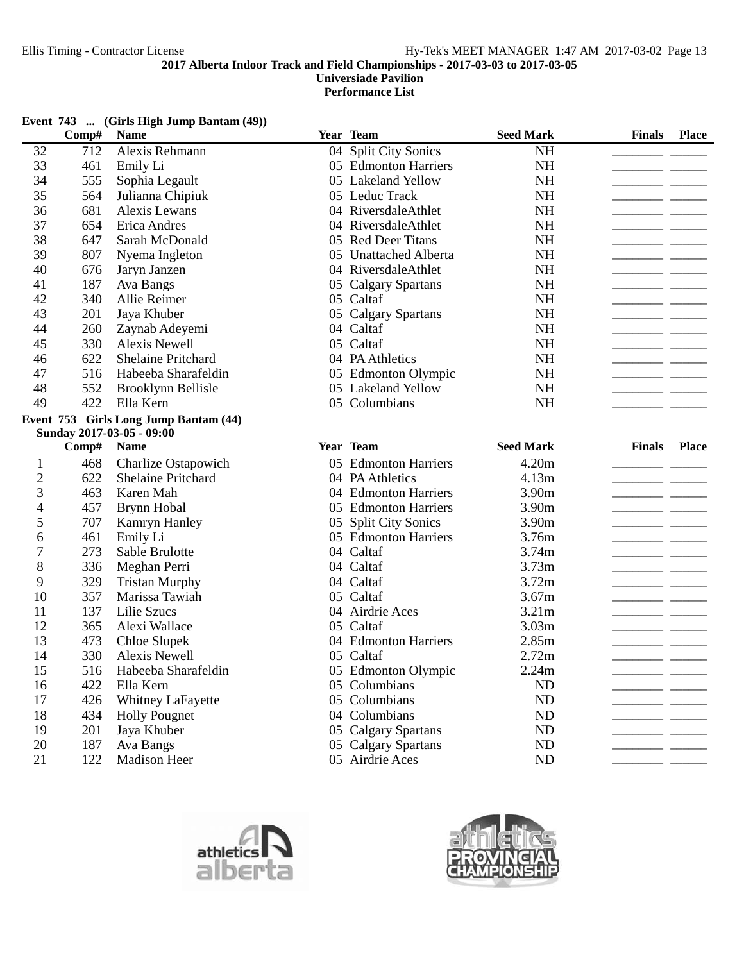**Event 743 ... (Girls High Jump Bantam (49))**

**2017 Alberta Indoor Track and Field Championships - 2017-03-03 to 2017-03-05**

## **Universiade Pavilion**

|                | Comp# | <b>Name</b>                           | Year Team             | <b>Seed Mark</b> | <b>Finals</b>     | <b>Place</b>                                                                                                                                                                                                                         |
|----------------|-------|---------------------------------------|-----------------------|------------------|-------------------|--------------------------------------------------------------------------------------------------------------------------------------------------------------------------------------------------------------------------------------|
| 32             | 712   | Alexis Rehmann                        | 04 Split City Sonics  | <b>NH</b>        |                   |                                                                                                                                                                                                                                      |
| 33             | 461   | Emily Li                              | 05 Edmonton Harriers  | <b>NH</b>        |                   |                                                                                                                                                                                                                                      |
| 34             | 555   | Sophia Legault                        | 05 Lakeland Yellow    | <b>NH</b>        |                   |                                                                                                                                                                                                                                      |
| 35             | 564   | Julianna Chipiuk                      | 05 Leduc Track        | <b>NH</b>        |                   |                                                                                                                                                                                                                                      |
| 36             | 681   | Alexis Lewans                         | 04 RiversdaleAthlet   | <b>NH</b>        |                   |                                                                                                                                                                                                                                      |
| 37             | 654   | Erica Andres                          | 04 RiversdaleAthlet   | <b>NH</b>        |                   |                                                                                                                                                                                                                                      |
| 38             | 647   | Sarah McDonald                        | 05 Red Deer Titans    | <b>NH</b>        |                   |                                                                                                                                                                                                                                      |
| 39             | 807   | Nyema Ingleton                        | 05 Unattached Alberta | <b>NH</b>        |                   |                                                                                                                                                                                                                                      |
| 40             | 676   | Jaryn Janzen                          | 04 RiversdaleAthlet   | <b>NH</b>        |                   |                                                                                                                                                                                                                                      |
| 41             | 187   | Ava Bangs                             | 05 Calgary Spartans   | <b>NH</b>        |                   |                                                                                                                                                                                                                                      |
| 42             | 340   | Allie Reimer                          | 05 Caltaf             | <b>NH</b>        |                   |                                                                                                                                                                                                                                      |
| 43             | 201   | Jaya Khuber                           | 05 Calgary Spartans   | <b>NH</b>        | المستحدث المستحدث |                                                                                                                                                                                                                                      |
| 44             | 260   | Zaynab Adeyemi                        | 04 Caltaf             | <b>NH</b>        |                   |                                                                                                                                                                                                                                      |
| 45             | 330   | <b>Alexis Newell</b>                  | 05 Caltaf             | <b>NH</b>        | — —               |                                                                                                                                                                                                                                      |
| 46             | 622   | <b>Shelaine Pritchard</b>             | 04 PA Athletics       | <b>NH</b>        | — —               |                                                                                                                                                                                                                                      |
| 47             | 516   | Habeeba Sharafeldin                   | 05 Edmonton Olympic   | <b>NH</b>        |                   |                                                                                                                                                                                                                                      |
| 48             | 552   | Brooklynn Bellisle                    | 05 Lakeland Yellow    | <b>NH</b>        |                   |                                                                                                                                                                                                                                      |
| 49             | 422   | Ella Kern                             | 05 Columbians         | <b>NH</b>        |                   |                                                                                                                                                                                                                                      |
|                |       | Event 753 Girls Long Jump Bantam (44) |                       |                  |                   |                                                                                                                                                                                                                                      |
|                |       | Sunday 2017-03-05 - 09:00             |                       |                  |                   |                                                                                                                                                                                                                                      |
|                | Comp# | <b>Name</b>                           | Year Team             | <b>Seed Mark</b> | <b>Finals</b>     | <b>Place</b>                                                                                                                                                                                                                         |
| $\mathbf{1}$   | 468   | <b>Charlize Ostapowich</b>            | 05 Edmonton Harriers  | 4.20m            |                   |                                                                                                                                                                                                                                      |
| $\overline{c}$ | 622   | Shelaine Pritchard                    | 04 PA Athletics       | 4.13m            |                   |                                                                                                                                                                                                                                      |
| 3              | 463   | Karen Mah                             | 04 Edmonton Harriers  | 3.90m            |                   | ___                                                                                                                                                                                                                                  |
| 4              | 457   | Brynn Hobal                           | 05 Edmonton Harriers  | 3.90m            |                   |                                                                                                                                                                                                                                      |
| 5              | 707   | Kamryn Hanley                         | 05 Split City Sonics  | 3.90m            |                   |                                                                                                                                                                                                                                      |
| 6              | 461   | Emily Li                              | 05 Edmonton Harriers  | 3.76m            |                   |                                                                                                                                                                                                                                      |
| 7              | 273   | Sable Brulotte                        | 04 Caltaf             | 3.74m            |                   |                                                                                                                                                                                                                                      |
| 8              | 336   | Meghan Perri                          | 04 Caltaf             | 3.73m            |                   |                                                                                                                                                                                                                                      |
| 9              | 329   | <b>Tristan Murphy</b>                 | 04 Caltaf             | 3.72m            |                   |                                                                                                                                                                                                                                      |
| 10             | 357   | Marissa Tawiah                        | 05 Caltaf             | 3.67m            |                   | <u>and the companies of the companies of the companies of the companies of the companies of the companies of the companies of the companies of the companies of the companies of the companies of the companies of the companies</u> |
| 11             | 137   | Lilie Szucs                           | 04 Airdrie Aces       | 3.21m            |                   |                                                                                                                                                                                                                                      |
| 12             | 365   | Alexi Wallace                         | 05 Caltaf             | 3.03m            |                   |                                                                                                                                                                                                                                      |
| 13             | 473   | Chloe Slupek                          | 04 Edmonton Harriers  | 2.85m            |                   |                                                                                                                                                                                                                                      |
| 14             | 330   | <b>Alexis Newell</b>                  | 05 Caltaf             | 2.72m            |                   |                                                                                                                                                                                                                                      |
| 15             | 516   | Habeeba Sharafeldin                   | 05 Edmonton Olympic   | 2.24m            |                   |                                                                                                                                                                                                                                      |
| 16             | 422   | Ella Kern                             | 05 Columbians         | <b>ND</b>        |                   |                                                                                                                                                                                                                                      |
| 17             | 426   | <b>Whitney LaFayette</b>              | 05 Columbians         | <b>ND</b>        |                   |                                                                                                                                                                                                                                      |
| 18             | 434   | <b>Holly Pougnet</b>                  | 04 Columbians         | <b>ND</b>        |                   |                                                                                                                                                                                                                                      |
| 19             | 201   | Jaya Khuber                           | 05 Calgary Spartans   | <b>ND</b>        |                   |                                                                                                                                                                                                                                      |
| 20             | 187   | Ava Bangs                             | 05 Calgary Spartans   | <b>ND</b>        |                   |                                                                                                                                                                                                                                      |
| 21             | 122   | Madison Heer                          | 05 Airdrie Aces       | <b>ND</b>        |                   |                                                                                                                                                                                                                                      |



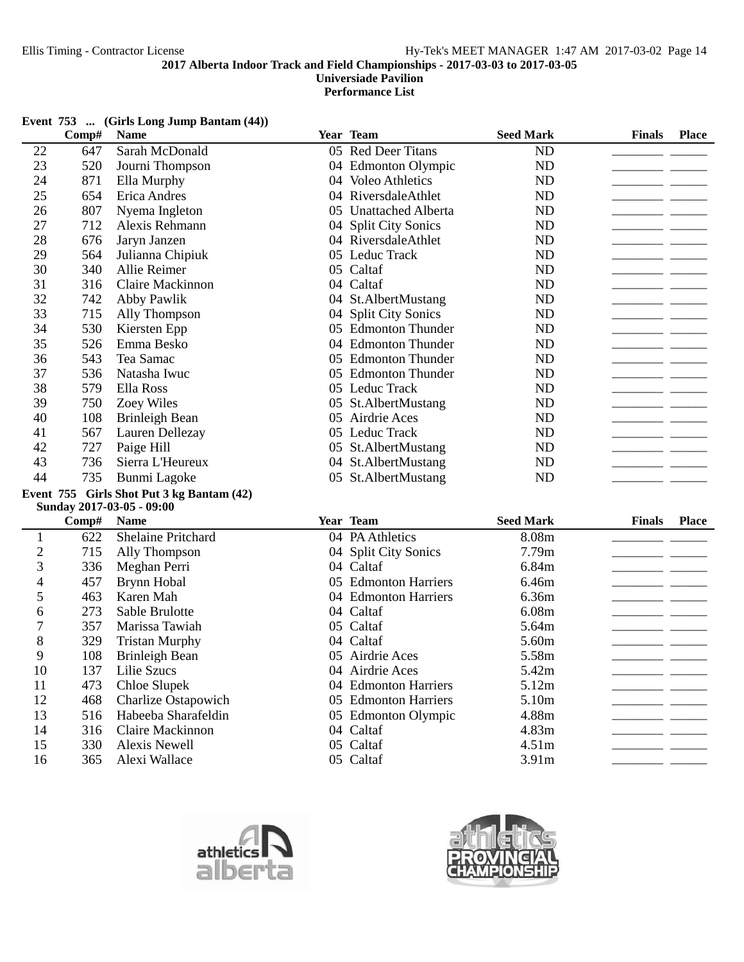**Event 753 ... (Girls Long Jump Bantam (44))**

**2017 Alberta Indoor Track and Field Championships - 2017-03-03 to 2017-03-05**

## **Universiade Pavilion**

|                | Comp# | <b>Name</b>                               | Year Team             | <b>Seed Mark</b> | <b>Finals</b>                                                                                                                                                                                                                        | <b>Place</b> |
|----------------|-------|-------------------------------------------|-----------------------|------------------|--------------------------------------------------------------------------------------------------------------------------------------------------------------------------------------------------------------------------------------|--------------|
| 22             | 647   | Sarah McDonald                            | 05 Red Deer Titans    | <b>ND</b>        |                                                                                                                                                                                                                                      |              |
| 23             | 520   | Journi Thompson                           | 04 Edmonton Olympic   | ND               |                                                                                                                                                                                                                                      |              |
| 24             | 871   | Ella Murphy                               | 04 Voleo Athletics    | ND               |                                                                                                                                                                                                                                      |              |
| 25             | 654   | Erica Andres                              | 04 RiversdaleAthlet   | ND               |                                                                                                                                                                                                                                      |              |
| 26             | 807   | Nyema Ingleton                            | 05 Unattached Alberta | ND               |                                                                                                                                                                                                                                      |              |
| 27             | 712   | Alexis Rehmann                            | 04 Split City Sonics  | ND               |                                                                                                                                                                                                                                      |              |
| 28             | 676   | Jaryn Janzen                              | 04 RiversdaleAthlet   | ND               |                                                                                                                                                                                                                                      |              |
| 29             | 564   | Julianna Chipiuk                          | 05 Leduc Track        | <b>ND</b>        |                                                                                                                                                                                                                                      |              |
| 30             | 340   | Allie Reimer                              | 05 Caltaf             | <b>ND</b>        |                                                                                                                                                                                                                                      |              |
| 31             | 316   | Claire Mackinnon                          | 04 Caltaf             | <b>ND</b>        |                                                                                                                                                                                                                                      |              |
| 32             | 742   | Abby Pawlik                               | 04 St.AlbertMustang   | <b>ND</b>        |                                                                                                                                                                                                                                      |              |
| 33             | 715   | Ally Thompson                             | 04 Split City Sonics  | ND               |                                                                                                                                                                                                                                      |              |
| 34             | 530   | Kiersten Epp                              | 05 Edmonton Thunder   | ND               |                                                                                                                                                                                                                                      |              |
| 35             | 526   | Emma Besko                                | 04 Edmonton Thunder   | <b>ND</b>        |                                                                                                                                                                                                                                      |              |
| 36             | 543   | Tea Samac                                 | 05 Edmonton Thunder   | <b>ND</b>        |                                                                                                                                                                                                                                      |              |
| 37             | 536   | Natasha Iwuc                              | 05 Edmonton Thunder   | <b>ND</b>        | <u>.</u>                                                                                                                                                                                                                             |              |
| 38             | 579   | Ella Ross                                 | 05 Leduc Track        | ND               |                                                                                                                                                                                                                                      |              |
| 39             | 750   | Zoey Wiles                                | 05 St. Albert Mustang | ND               |                                                                                                                                                                                                                                      |              |
| 40             | 108   | Brinleigh Bean                            | 05 Airdrie Aces       | ND               |                                                                                                                                                                                                                                      |              |
| 41             | 567   | Lauren Dellezay                           | 05 Leduc Track        | ND               |                                                                                                                                                                                                                                      |              |
| 42             | 727   | Paige Hill                                | 05 St.AlbertMustang   | ND               | <u> The Communication of the Communication of the Communication of the Communication of the Communication of the Communication of the Communication of the Communication of the Communication of the Communication of the Commun</u> |              |
| 43             | 736   | Sierra L'Heureux                          | 04 St. Albert Mustang | ND               |                                                                                                                                                                                                                                      |              |
| 44             | 735   | Bunmi Lagoke                              | 05 St.AlbertMustang   | <b>ND</b>        |                                                                                                                                                                                                                                      |              |
|                |       | Event 755 Girls Shot Put 3 kg Bantam (42) |                       |                  |                                                                                                                                                                                                                                      |              |
|                |       | Sunday 2017-03-05 - 09:00                 |                       |                  |                                                                                                                                                                                                                                      |              |
|                | Comp# | <b>Name</b>                               | Year Team             | <b>Seed Mark</b> | <b>Finals</b>                                                                                                                                                                                                                        | <b>Place</b> |
| $\mathbf{1}$   | 622   | <b>Shelaine Pritchard</b>                 | 04 PA Athletics       | 8.08m            | -- -                                                                                                                                                                                                                                 |              |
| $\overline{c}$ | 715   | Ally Thompson                             | 04 Split City Sonics  | 7.79m            |                                                                                                                                                                                                                                      |              |
| 3              | 336   | Meghan Perri                              | 04 Caltaf             | 6.84m            |                                                                                                                                                                                                                                      |              |
| 4              | 457   | Brynn Hobal                               | 05 Edmonton Harriers  | 6.46m            |                                                                                                                                                                                                                                      |              |
| 5              | 463   | Karen Mah                                 | 04 Edmonton Harriers  | 6.36m            |                                                                                                                                                                                                                                      | __ ____      |
| 6              | 273   | Sable Brulotte                            | 04 Caltaf             | 6.08m            |                                                                                                                                                                                                                                      |              |
| 7              | 357   | Marissa Tawiah                            | 05 Caltaf             | 5.64m            | __________                                                                                                                                                                                                                           |              |
| 8              | 329   | <b>Tristan Murphy</b>                     | 04 Caltaf             | 5.60m            |                                                                                                                                                                                                                                      |              |
| 9              | 108   | <b>Brinleigh Bean</b>                     | 05 Airdrie Aces       | 5.58m            |                                                                                                                                                                                                                                      |              |
| 10             | 137   | Lilie Szucs                               | 04 Airdrie Aces       | 5.42m            |                                                                                                                                                                                                                                      |              |
| 11             | 473   | Chloe Slupek                              | 04 Edmonton Harriers  | 5.12m            |                                                                                                                                                                                                                                      |              |
| 12             | 468   | <b>Charlize Ostapowich</b>                | 05 Edmonton Harriers  | 5.10m            |                                                                                                                                                                                                                                      |              |
| 13             | 516   | Habeeba Sharafeldin                       | 05 Edmonton Olympic   | 4.88m            |                                                                                                                                                                                                                                      |              |
| 14             | 316   | <b>Claire Mackinnon</b>                   | 04 Caltaf             | 4.83m            |                                                                                                                                                                                                                                      |              |
| 15             | 330   | <b>Alexis Newell</b>                      | 05 Caltaf             | 4.51m            |                                                                                                                                                                                                                                      |              |
| 16             | 365   | Alexi Wallace                             | 05 Caltaf             | 3.91m            |                                                                                                                                                                                                                                      |              |



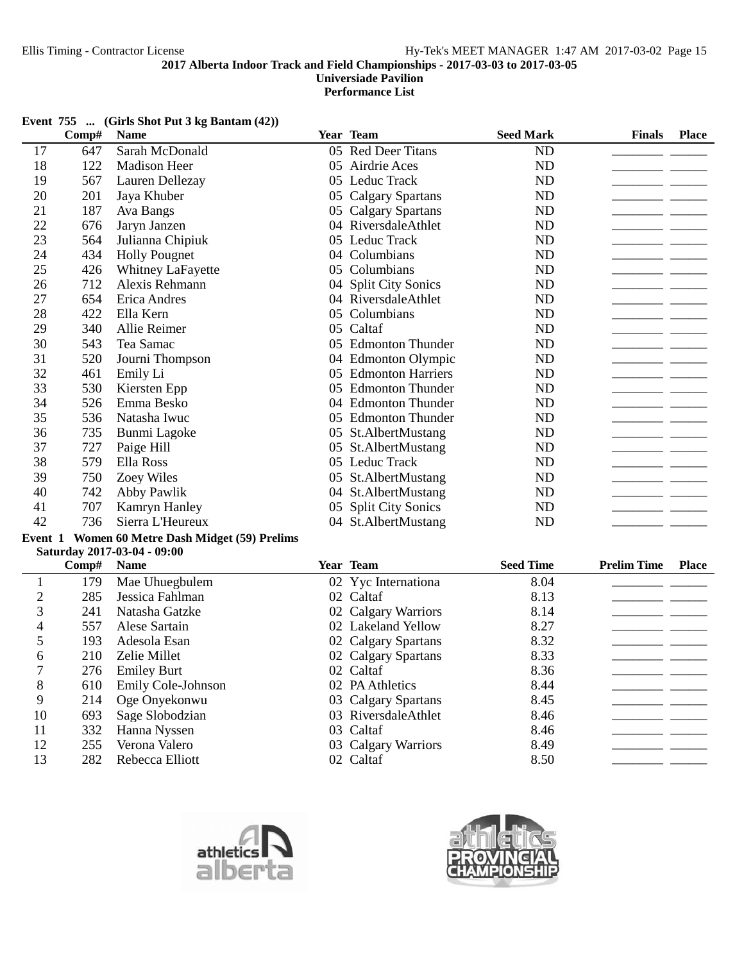## **Universiade Pavilion**

|                |       | Event 755  (Girls Shot Put 3 kg Bantam (42))    |                       |                  |                                                                                                                       |                                            |
|----------------|-------|-------------------------------------------------|-----------------------|------------------|-----------------------------------------------------------------------------------------------------------------------|--------------------------------------------|
|                | Comp# | <b>Name</b>                                     | Year Team             | <b>Seed Mark</b> | <b>Finals</b>                                                                                                         | <b>Place</b>                               |
| 17             | 647   | Sarah McDonald                                  | 05 Red Deer Titans    | <b>ND</b>        |                                                                                                                       |                                            |
| 18             | 122   | Madison Heer                                    | 05 Airdrie Aces       | <b>ND</b>        |                                                                                                                       |                                            |
| 19             | 567   | Lauren Dellezay                                 | 05 Leduc Track        | <b>ND</b>        |                                                                                                                       |                                            |
| 20             | 201   | Jaya Khuber                                     | 05 Calgary Spartans   | <b>ND</b>        |                                                                                                                       |                                            |
| 21             | 187   | Ava Bangs                                       | 05 Calgary Spartans   | <b>ND</b>        |                                                                                                                       |                                            |
| 22             | 676   | Jaryn Janzen                                    | 04 RiversdaleAthlet   | <b>ND</b>        |                                                                                                                       |                                            |
| 23             | 564   | Julianna Chipiuk                                | 05 Leduc Track        | <b>ND</b>        |                                                                                                                       |                                            |
| 24             | 434   | <b>Holly Pougnet</b>                            | 04 Columbians         | <b>ND</b>        |                                                                                                                       |                                            |
| 25             | 426   | Whitney LaFayette                               | 05 Columbians         | <b>ND</b>        |                                                                                                                       |                                            |
| 26             | 712   | Alexis Rehmann                                  | 04 Split City Sonics  | <b>ND</b>        |                                                                                                                       |                                            |
| 27             | 654   | Erica Andres                                    | 04 RiversdaleAthlet   | <b>ND</b>        |                                                                                                                       |                                            |
| 28             | 422   | Ella Kern                                       | 05 Columbians         | <b>ND</b>        |                                                                                                                       |                                            |
| 29             | 340   | Allie Reimer                                    | 05 Caltaf             | <b>ND</b>        | _ _                                                                                                                   |                                            |
| 30             | 543   | Tea Samac                                       | 05 Edmonton Thunder   | <b>ND</b>        | <u> Louis Communication de la provincia de la provincia de la provincia de la provincia de la provincia de la pro</u> |                                            |
| 31             | 520   | Journi Thompson                                 | 04 Edmonton Olympic   | <b>ND</b>        | __ __                                                                                                                 |                                            |
| 32             | 461   | Emily Li                                        | 05 Edmonton Harriers  | <b>ND</b>        | للمسار المسا                                                                                                          |                                            |
| 33             | 530   | Kiersten Epp                                    | 05 Edmonton Thunder   | <b>ND</b>        | _ __                                                                                                                  |                                            |
| 34             | 526   | Emma Besko                                      | 04 Edmonton Thunder   | <b>ND</b>        |                                                                                                                       |                                            |
| 35             | 536   | Natasha Iwuc                                    | 05 Edmonton Thunder   | <b>ND</b>        | ___                                                                                                                   |                                            |
| 36             | 735   | Bunmi Lagoke                                    | 05 St.AlbertMustang   | <b>ND</b>        | - -                                                                                                                   |                                            |
| 37             | 727   | Paige Hill                                      | 05 St. Albert Mustang | <b>ND</b>        |                                                                                                                       | ____                                       |
| 38             | 579   | Ella Ross                                       | 05 Leduc Track        | <b>ND</b>        |                                                                                                                       | <b>Contract Contract Contract Contract</b> |
| 39             | 750   | Zoey Wiles                                      | 05 St.AlbertMustang   | <b>ND</b>        |                                                                                                                       |                                            |
| 40             | 742   | Abby Pawlik                                     | 04 St.AlbertMustang   | <b>ND</b>        |                                                                                                                       |                                            |
| 41             | 707   | Kamryn Hanley                                   | 05 Split City Sonics  | <b>ND</b>        |                                                                                                                       |                                            |
| 42             | 736   | Sierra L'Heureux                                | 04 St.AlbertMustang   | <b>ND</b>        |                                                                                                                       |                                            |
|                |       | Event 1 Women 60 Metre Dash Midget (59) Prelims |                       |                  |                                                                                                                       |                                            |
|                |       | Saturday 2017-03-04 - 09:00                     |                       |                  |                                                                                                                       |                                            |
|                | Comp# | <b>Name</b>                                     | Year Team             | <b>Seed Time</b> | <b>Prelim Time</b>                                                                                                    | <b>Place</b>                               |
| $\mathbf{1}$   | 179   | Mae Uhuegbulem                                  | 02 Yyc Internationa   | 8.04             |                                                                                                                       |                                            |
| $\overline{2}$ | 285   | Jessica Fahlman                                 | 02 Caltaf             | 8.13             |                                                                                                                       |                                            |
| 3              | 241   | Natasha Gatzke                                  | 02 Calgary Warriors   | 8.14             |                                                                                                                       |                                            |
| 4              | 557   | Alese Sartain                                   | 02 Lakeland Yellow    | 8.27             |                                                                                                                       |                                            |
| 5              | 193   | Adesola Esan                                    | 02 Calgary Spartans   | 8.32             |                                                                                                                       |                                            |
| 6              | 210   | Zelie Millet                                    | 02 Calgary Spartans   | 8.33             |                                                                                                                       |                                            |
| 7              | 276   | <b>Emiley Burt</b>                              | 02 Caltaf             | 8.36             |                                                                                                                       |                                            |
| 8              | 610   | Emily Cole-Johnson                              | 02 PA Athletics       | 8.44             |                                                                                                                       |                                            |
| 9              | 214   | Oge Onyekonwu                                   | 03 Calgary Spartans   | 8.45             |                                                                                                                       |                                            |
| 10             | 693   | Sage Slobodzian                                 | 03 RiversdaleAthlet   | 8.46             |                                                                                                                       |                                            |
| 11             | 332   | Hanna Nyssen                                    | 03 Caltaf             | 8.46             |                                                                                                                       |                                            |
| 12             | 255   | Verona Valero                                   | 03 Calgary Warriors   | 8.49             |                                                                                                                       |                                            |
| 13             | 282   | Rebecca Elliott                                 | 02 Caltaf             | 8.50             |                                                                                                                       |                                            |





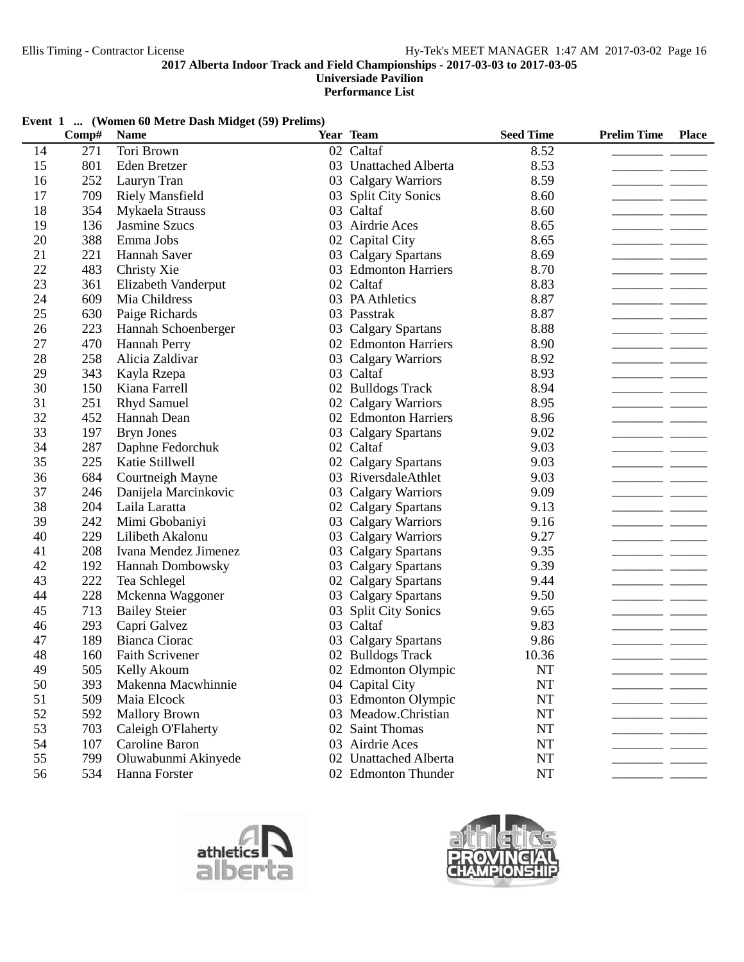## **Universiade Pavilion**

|  |  |  |  | Event 1  (Women 60 Metre Dash Midget (59) Prelims) |
|--|--|--|--|----------------------------------------------------|
|--|--|--|--|----------------------------------------------------|

|    | Comp# | <b>Name</b>            |    | Year Team                | <b>Seed Time</b> | <b>Prelim Time</b> | <b>Place</b> |
|----|-------|------------------------|----|--------------------------|------------------|--------------------|--------------|
| 14 | 271   | Tori Brown             |    | 02 Caltaf                | 8.52             |                    |              |
| 15 | 801   | Eden Bretzer           |    | 03 Unattached Alberta    | 8.53             |                    |              |
| 16 | 252   | Lauryn Tran            |    | 03 Calgary Warriors      | 8.59             |                    |              |
| 17 | 709   | <b>Riely Mansfield</b> | 03 | <b>Split City Sonics</b> | 8.60             |                    |              |
| 18 | 354   | Mykaela Strauss        |    | 03 Caltaf                | 8.60             |                    |              |
| 19 | 136   | <b>Jasmine Szucs</b>   |    | 03 Airdrie Aces          | 8.65             |                    |              |
| 20 | 388   | Emma Jobs              |    | 02 Capital City          | 8.65             |                    |              |
| 21 | 221   | Hannah Saver           |    | 03 Calgary Spartans      | 8.69             |                    |              |
| 22 | 483   | Christy Xie            |    | 03 Edmonton Harriers     | 8.70             |                    |              |
| 23 | 361   | Elizabeth Vanderput    |    | 02 Caltaf                | 8.83             |                    |              |
| 24 | 609   | Mia Childress          |    | 03 PA Athletics          | 8.87             |                    |              |
| 25 | 630   | Paige Richards         |    | 03 Passtrak              | 8.87             |                    |              |
| 26 | 223   | Hannah Schoenberger    |    | 03 Calgary Spartans      | 8.88             |                    |              |
| 27 | 470   | <b>Hannah Perry</b>    |    | 02 Edmonton Harriers     | 8.90             |                    |              |
| 28 | 258   | Alicia Zaldivar        |    | 03 Calgary Warriors      | 8.92             |                    |              |
| 29 | 343   | Kayla Rzepa            |    | 03 Caltaf                | 8.93             | للمستحدث المستحدث  |              |
| 30 | 150   | Kiana Farrell          |    | 02 Bulldogs Track        | 8.94             |                    |              |
| 31 | 251   | <b>Rhyd Samuel</b>     |    | 02 Calgary Warriors      | 8.95             |                    |              |
| 32 | 452   | Hannah Dean            |    | 02 Edmonton Harriers     | 8.96             | المستحدث           |              |
| 33 | 197   | <b>Bryn Jones</b>      |    | 03 Calgary Spartans      | 9.02             |                    |              |
| 34 | 287   | Daphne Fedorchuk       |    | 02 Caltaf                | 9.03             |                    |              |
| 35 | 225   | Katie Stillwell        |    | 02 Calgary Spartans      | 9.03             |                    |              |
| 36 | 684   | Courtneigh Mayne       |    | 03 RiversdaleAthlet      | 9.03             |                    |              |
| 37 | 246   | Danijela Marcinkovic   |    | 03 Calgary Warriors      | 9.09             |                    |              |
| 38 | 204   | Laila Laratta          |    | 02 Calgary Spartans      | 9.13             |                    |              |
| 39 | 242   | Mimi Gbobaniyi         |    | 03 Calgary Warriors      | 9.16             | <u>— —</u>         |              |
| 40 | 229   | Lilibeth Akalonu       |    | 03 Calgary Warriors      | 9.27             |                    |              |
| 41 | 208   | Ivana Mendez Jimenez   |    | 03 Calgary Spartans      | 9.35             |                    |              |
| 42 | 192   | Hannah Dombowsky       |    | 03 Calgary Spartans      | 9.39             |                    |              |
| 43 | 222   | Tea Schlegel           |    | 02 Calgary Spartans      | 9.44             |                    |              |
| 44 | 228   | Mckenna Waggoner       |    | 03 Calgary Spartans      | 9.50             |                    |              |
| 45 | 713   | <b>Bailey Steier</b>   | 03 | <b>Split City Sonics</b> | 9.65             |                    |              |
| 46 | 293   | Capri Galvez           |    | 03 Caltaf                | 9.83             |                    |              |
| 47 | 189   | Bianca Ciorac          | 03 | <b>Calgary Spartans</b>  | 9.86             |                    |              |
| 48 | 160   | <b>Faith Scrivener</b> |    | 02 Bulldogs Track        | 10.36            |                    |              |
| 49 | 505   | Kelly Akoum            |    | 02 Edmonton Olympic      | NT               | - -                |              |
| 50 | 393   | Makenna Macwhinnie     |    | 04 Capital City          | <b>NT</b>        |                    |              |
| 51 | 509   | Maia Elcock            |    | 03 Edmonton Olympic      | <b>NT</b>        |                    |              |
| 52 | 592   | <b>Mallory Brown</b>   |    | 03 Meadow.Christian      | <b>NT</b>        |                    |              |
| 53 | 703   | Caleigh O'Flaherty     |    | 02 Saint Thomas          | <b>NT</b>        |                    |              |
| 54 | 107   | Caroline Baron         |    | 03 Airdrie Aces          | NT               |                    |              |
| 55 | 799   | Oluwabunmi Akinyede    |    | 02 Unattached Alberta    | NT               |                    |              |
| 56 | 534   | Hanna Forster          |    | 02 Edmonton Thunder      | NT               |                    |              |
|    |       |                        |    |                          |                  |                    |              |



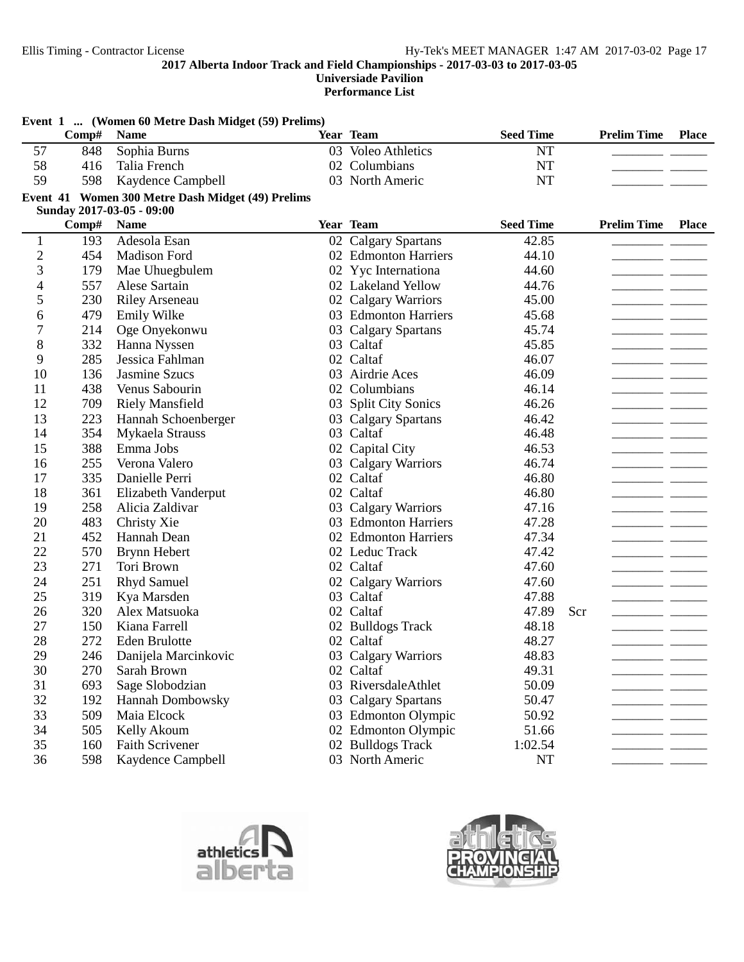**Universiade Pavilion**

|                          |       | Event 1  (Women 60 Metre Dash Midget (59) Prelims) |                      |                  |                    |              |
|--------------------------|-------|----------------------------------------------------|----------------------|------------------|--------------------|--------------|
|                          | Comp# | <b>Name</b>                                        | Year Team            | <b>Seed Time</b> | <b>Prelim Time</b> | <b>Place</b> |
| 57                       | 848   | Sophia Burns                                       | 03 Voleo Athletics   | NT               |                    |              |
| 58                       | 416   | Talia French                                       | 02 Columbians        | NT               |                    |              |
| 59                       | 598   | Kaydence Campbell                                  | 03 North Americ      | <b>NT</b>        |                    |              |
|                          |       | Event 41 Women 300 Metre Dash Midget (49) Prelims  |                      |                  |                    |              |
|                          |       | Sunday 2017-03-05 - 09:00                          |                      |                  |                    |              |
|                          | Comp# | <b>Name</b>                                        | Year Team            | <b>Seed Time</b> | <b>Prelim Time</b> | <b>Place</b> |
| 1                        | 193   | Adesola Esan                                       | 02 Calgary Spartans  | 42.85            |                    |              |
| $\mathbf{2}$             | 454   | Madison Ford                                       | 02 Edmonton Harriers | 44.10            |                    |              |
| 3                        | 179   | Mae Uhuegbulem                                     | 02 Yyc Internationa  | 44.60            |                    |              |
| $\overline{\mathcal{L}}$ | 557   | Alese Sartain                                      | 02 Lakeland Yellow   | 44.76            |                    |              |
| 5                        | 230   | <b>Riley Arseneau</b>                              | 02 Calgary Warriors  | 45.00            |                    |              |
| 6                        | 479   | Emily Wilke                                        | 03 Edmonton Harriers | 45.68            |                    |              |
| 7                        | 214   | Oge Onyekonwu                                      | 03 Calgary Spartans  | 45.74            |                    |              |
| 8                        | 332   | Hanna Nyssen                                       | 03 Caltaf            | 45.85            |                    |              |
| 9                        | 285   | Jessica Fahlman                                    | 02 Caltaf            | 46.07            |                    |              |
| 10                       | 136   | <b>Jasmine Szucs</b>                               | 03 Airdrie Aces      | 46.09            |                    |              |
| 11                       | 438   | Venus Sabourin                                     | 02 Columbians        | 46.14            |                    |              |
| 12                       | 709   | <b>Riely Mansfield</b>                             | 03 Split City Sonics | 46.26            |                    |              |
| 13                       | 223   | Hannah Schoenberger                                | 03 Calgary Spartans  | 46.42            |                    |              |
| 14                       | 354   | Mykaela Strauss                                    | 03 Caltaf            | 46.48            |                    |              |
| 15                       | 388   | Emma Jobs                                          | 02 Capital City      | 46.53            | - -                |              |
| 16                       | 255   | Verona Valero                                      | 03 Calgary Warriors  | 46.74            |                    |              |
| 17                       | 335   | Danielle Perri                                     | 02 Caltaf            | 46.80            |                    |              |
| 18                       | 361   | Elizabeth Vanderput                                | 02 Caltaf            | 46.80            |                    |              |
| 19                       | 258   | Alicia Zaldivar                                    | 03 Calgary Warriors  | 47.16            |                    |              |
| 20                       | 483   | Christy Xie                                        | 03 Edmonton Harriers | 47.28            |                    |              |
| 21                       | 452   | Hannah Dean                                        | 02 Edmonton Harriers | 47.34            |                    |              |
| 22                       | 570   | Brynn Hebert                                       | 02 Leduc Track       | 47.42            |                    |              |
| 23                       | 271   | Tori Brown                                         | 02 Caltaf            | 47.60            |                    | - -          |
| 24                       | 251   | <b>Rhyd Samuel</b>                                 | 02 Calgary Warriors  | 47.60            |                    |              |
| 25                       | 319   | Kya Marsden                                        | 03 Caltaf            | 47.88            |                    |              |
| 26                       | 320   | Alex Matsuoka                                      | 02 Caltaf            | 47.89            | Scr                |              |
| 27                       | 150   | Kiana Farrell                                      | 02 Bulldogs Track    | 48.18            |                    |              |
| 28                       | 272   | Eden Brulotte                                      | 02 Caltaf            | 48.27            |                    |              |
| 29                       | 246   | Danijela Marcinkovic                               | 03 Calgary Warriors  | 48.83            |                    |              |
| 30                       | 270   | Sarah Brown                                        | 02 Caltaf            | 49.31            |                    |              |
| 31                       | 693   | Sage Slobodzian                                    | 03 RiversdaleAthlet  | 50.09            |                    |              |
| 32                       | 192   | Hannah Dombowsky                                   | 03 Calgary Spartans  | 50.47            |                    |              |
| 33                       | 509   | Maia Elcock                                        | 03 Edmonton Olympic  | 50.92            |                    |              |
| 34                       | 505   | Kelly Akoum                                        | 02 Edmonton Olympic  | 51.66            |                    |              |
| 35                       | 160   | <b>Faith Scrivener</b>                             | 02 Bulldogs Track    | 1:02.54          |                    |              |
| 36                       | 598   | Kaydence Campbell                                  | 03 North Americ      | NT               |                    |              |



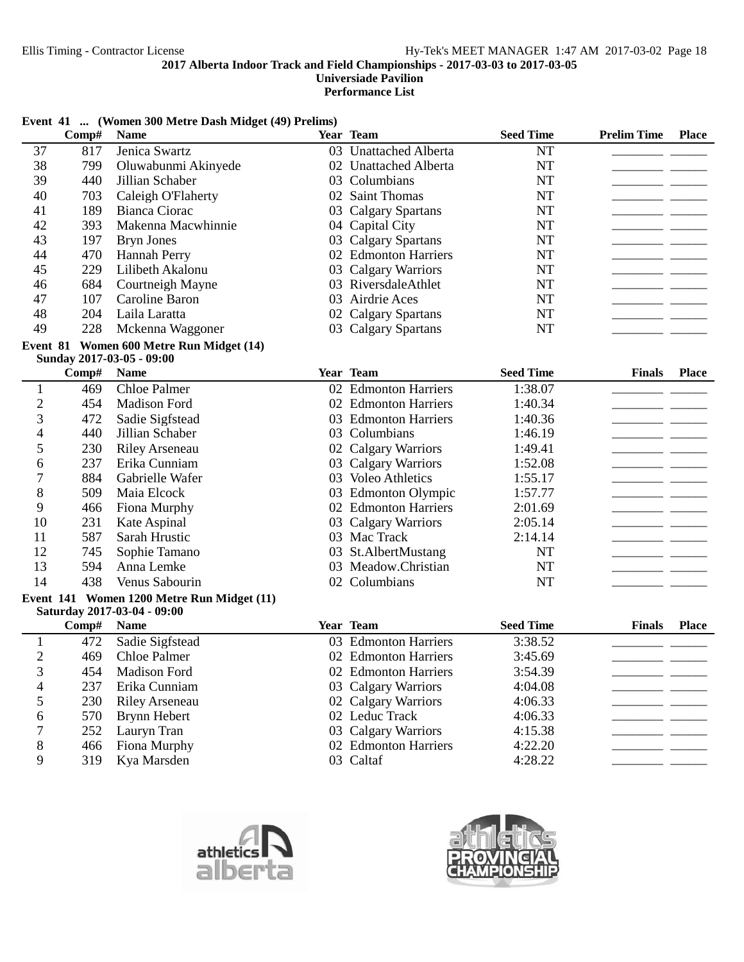**Universiade Pavilion**

|                |       | Event 41  (Women 300 Metre Dash Midget (49) Prelims)                  |    |                         |                  |                    |              |
|----------------|-------|-----------------------------------------------------------------------|----|-------------------------|------------------|--------------------|--------------|
|                | Comp# | <b>Name</b>                                                           |    | Year Team               | <b>Seed Time</b> | <b>Prelim Time</b> | <b>Place</b> |
| 37             | 817   | Jenica Swartz                                                         |    | 03 Unattached Alberta   | <b>NT</b>        |                    |              |
| 38             | 799   | Oluwabunmi Akinyede                                                   |    | 02 Unattached Alberta   | <b>NT</b>        |                    |              |
| 39             | 440   | Jillian Schaber                                                       |    | 03 Columbians           | NT               |                    |              |
| 40             | 703   | Caleigh O'Flaherty                                                    |    | 02 Saint Thomas         | NT               |                    |              |
| 41             | 189   | <b>Bianca Ciorac</b>                                                  | 03 | <b>Calgary Spartans</b> | <b>NT</b>        |                    |              |
| 42             | 393   | Makenna Macwhinnie                                                    |    | 04 Capital City         | NT               |                    |              |
| 43             | 197   | <b>Bryn Jones</b>                                                     | 03 | <b>Calgary Spartans</b> | NT               | ________           |              |
| 44             | 470   | Hannah Perry                                                          |    | 02 Edmonton Harriers    | NT               |                    |              |
| 45             | 229   | Lilibeth Akalonu                                                      |    | 03 Calgary Warriors     | NT               |                    |              |
| 46             | 684   | Courtneigh Mayne                                                      |    | 03 RiversdaleAthlet     | <b>NT</b>        |                    |              |
| 47             | 107   | Caroline Baron                                                        |    | 03 Airdrie Aces         | NT               |                    |              |
| 48             | 204   | Laila Laratta                                                         |    | 02 Calgary Spartans     | NT               |                    |              |
| 49             | 228   | Mckenna Waggoner                                                      |    | 03 Calgary Spartans     | NT               |                    |              |
|                |       | Event 81 Women 600 Metre Run Midget (14)<br>Sunday 2017-03-05 - 09:00 |    |                         |                  |                    |              |
|                | Comp# | <b>Name</b>                                                           |    | Year Team               | <b>Seed Time</b> | <b>Finals</b>      | <b>Place</b> |
| $\mathbf{1}$   | 469   | <b>Chloe Palmer</b>                                                   |    | 02 Edmonton Harriers    | 1:38.07          |                    |              |
| $\overline{2}$ | 454   | Madison Ford                                                          |    | 02 Edmonton Harriers    | 1:40.34          |                    |              |
| 3              | 472   | Sadie Sigfstead                                                       |    | 03 Edmonton Harriers    | 1:40.36          |                    |              |
| 4              | 440   | Jillian Schaber                                                       |    | 03 Columbians           | 1:46.19          |                    |              |
| 5              | 230   | <b>Riley Arseneau</b>                                                 |    | 02 Calgary Warriors     | 1:49.41          |                    |              |
| 6              | 237   | Erika Cunniam                                                         | 03 | <b>Calgary Warriors</b> | 1:52.08          |                    |              |
| 7              | 884   | Gabrielle Wafer                                                       |    | 03 Voleo Athletics      | 1:55.17          |                    |              |
| 8              | 509   | Maia Elcock                                                           |    | 03 Edmonton Olympic     | 1:57.77          |                    |              |
| 9              | 466   | Fiona Murphy                                                          |    | 02 Edmonton Harriers    | 2:01.69          |                    |              |
| 10             | 231   | Kate Aspinal                                                          | 03 | <b>Calgary Warriors</b> | 2:05.14          |                    |              |
| 11             | 587   | Sarah Hrustic                                                         |    | 03 Mac Track            | 2:14.14          |                    |              |
| 12             | 745   | Sophie Tamano                                                         | 03 | St.AlbertMustang        | <b>NT</b>        |                    |              |
| 13             | 594   | Anna Lemke                                                            |    | 03 Meadow.Christian     | <b>NT</b>        |                    |              |
| 14             | 438   | Venus Sabourin                                                        |    | 02 Columbians           | <b>NT</b>        |                    |              |
|                |       | Event 141 Women 1200 Metre Run Midget (11)                            |    |                         |                  |                    |              |
|                |       | Saturday 2017-03-04 - 09:00                                           |    |                         |                  |                    |              |
|                | Comp# | <b>Name</b>                                                           |    | Year Team               | <b>Seed Time</b> | <b>Finals</b>      | <b>Place</b> |
| $\mathbf{1}$   | 472   | Sadie Sigfstead                                                       |    | 03 Edmonton Harriers    | 3:38.52          |                    |              |
| 2              |       | 469 Chloe Palmer                                                      |    | 02 Edmonton Harriers    | 3:45.69          |                    |              |
| 3              | 454   | Madison Ford                                                          |    | 02 Edmonton Harriers    | 3:54.39          |                    |              |
| 4              | 237   | Erika Cunniam                                                         |    | 03 Calgary Warriors     | 4:04.08          |                    |              |
| 5              | 230   | <b>Riley Arseneau</b>                                                 |    | 02 Calgary Warriors     | 4:06.33          |                    |              |
| 6              | 570   | Brynn Hebert                                                          |    | 02 Leduc Track          | 4:06.33          |                    |              |
| 7              | 252   | Lauryn Tran                                                           |    | 03 Calgary Warriors     | 4:15.38          |                    |              |
| 8              | 466   | Fiona Murphy                                                          |    | 02 Edmonton Harriers    | 4:22.20          |                    |              |
| 9              | 319   | Kya Marsden                                                           |    | 03 Caltaf               | 4:28.22          |                    |              |



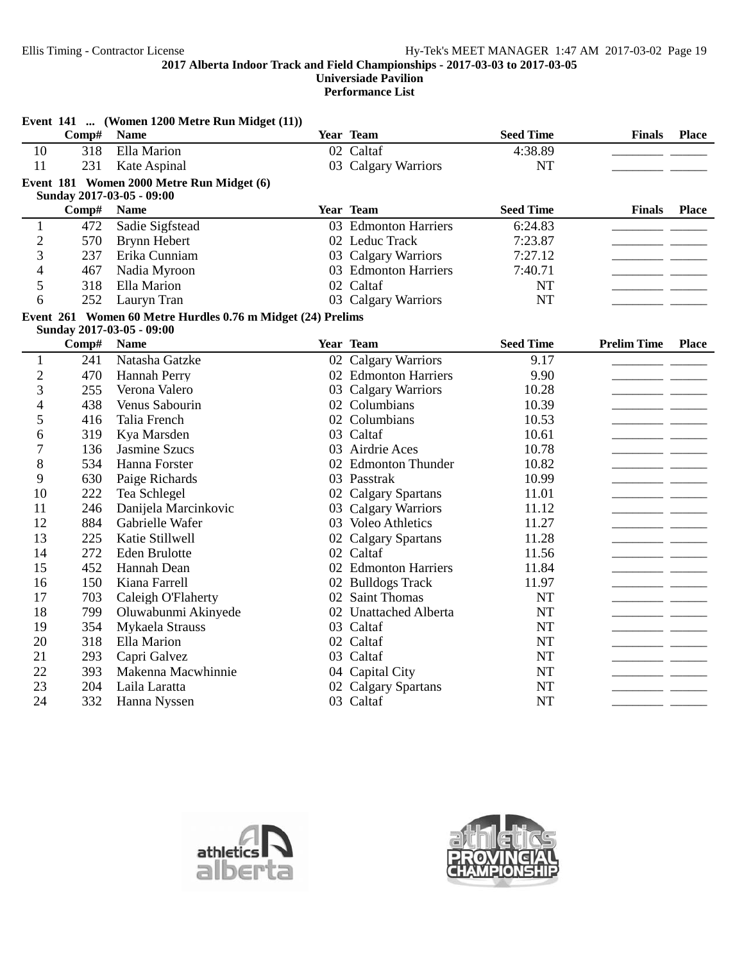**Universiade Pavilion**

|                |       | Event 141  (Women 1200 Metre Run Midget (11))               |                       |                  |                    |              |
|----------------|-------|-------------------------------------------------------------|-----------------------|------------------|--------------------|--------------|
|                | Comp# | <b>Name</b>                                                 | Year Team             | <b>Seed Time</b> | <b>Finals</b>      | <b>Place</b> |
| 10             | 318   | Ella Marion                                                 | 02 Caltaf             | 4:38.89          |                    |              |
| 11             | 231   | Kate Aspinal                                                | 03 Calgary Warriors   | <b>NT</b>        |                    |              |
|                |       | Event 181 Women 2000 Metre Run Midget (6)                   |                       |                  |                    |              |
|                |       | Sunday 2017-03-05 - 09:00                                   |                       |                  |                    |              |
|                | Comp# | <b>Name</b>                                                 | Year Team             | <b>Seed Time</b> | <b>Finals</b>      | <b>Place</b> |
| $\mathbf{1}$   | 472   | Sadie Sigfstead                                             | 03 Edmonton Harriers  | 6:24.83          |                    |              |
| $\overline{2}$ | 570   | <b>Brynn Hebert</b>                                         | 02 Leduc Track        | 7:23.87          |                    |              |
| 3              | 237   | Erika Cunniam                                               | 03 Calgary Warriors   | 7:27.12          |                    |              |
| 4              | 467   | Nadia Myroon                                                | 03 Edmonton Harriers  | 7:40.71          |                    |              |
| 5              | 318   | Ella Marion                                                 | 02 Caltaf             | <b>NT</b>        |                    |              |
| 6              | 252   | Lauryn Tran                                                 | 03 Calgary Warriors   | <b>NT</b>        |                    |              |
|                |       | Event 261 Women 60 Metre Hurdles 0.76 m Midget (24) Prelims |                       |                  |                    |              |
|                |       | Sunday 2017-03-05 - 09:00                                   |                       |                  |                    |              |
|                | Comp# | <b>Name</b>                                                 | Year Team             | <b>Seed Time</b> | <b>Prelim Time</b> | <b>Place</b> |
| 1              | 241   | Natasha Gatzke                                              | 02 Calgary Warriors   | 9.17             |                    |              |
| $\overline{2}$ | 470   | Hannah Perry                                                | 02 Edmonton Harriers  | 9.90             |                    |              |
| 3              | 255   | Verona Valero                                               | 03 Calgary Warriors   | 10.28            |                    |              |
| 4              | 438   | Venus Sabourin                                              | 02 Columbians         | 10.39            |                    |              |
| 5              | 416   | Talia French                                                | 02 Columbians         | 10.53            |                    |              |
| 6              | 319   | Kya Marsden                                                 | 03 Caltaf             | 10.61            |                    |              |
| 7              | 136   | <b>Jasmine Szucs</b>                                        | 03 Airdrie Aces       | 10.78            |                    |              |
| 8              | 534   | Hanna Forster                                               | 02 Edmonton Thunder   | 10.82            |                    |              |
| 9              | 630   | Paige Richards                                              | 03 Passtrak           | 10.99            |                    |              |
| 10             | 222   | Tea Schlegel                                                | 02 Calgary Spartans   | 11.01            | - -                |              |
| 11             | 246   | Danijela Marcinkovic                                        | 03 Calgary Warriors   | 11.12            |                    |              |
| 12             | 884   | Gabrielle Wafer                                             | 03 Voleo Athletics    | 11.27            | - -                |              |
| 13             | 225   | Katie Stillwell                                             | 02 Calgary Spartans   | 11.28            |                    |              |
| 14             | 272   | Eden Brulotte                                               | 02 Caltaf             | 11.56            |                    |              |
| 15             | 452   | Hannah Dean                                                 | 02 Edmonton Harriers  | 11.84            | - -                |              |
| 16             | 150   | Kiana Farrell                                               | 02 Bulldogs Track     | 11.97            |                    |              |
| 17             | 703   | Caleigh O'Flaherty                                          | 02 Saint Thomas       | <b>NT</b>        |                    |              |
| 18             | 799   | Oluwabunmi Akinyede                                         | 02 Unattached Alberta | <b>NT</b>        |                    |              |
| 19             | 354   | Mykaela Strauss                                             | 03 Caltaf             | <b>NT</b>        |                    |              |
| 20             | 318   | Ella Marion                                                 | 02 Caltaf             | <b>NT</b>        | ____               |              |
| 21             | 293   | Capri Galvez                                                | 03 Caltaf             | <b>NT</b>        |                    |              |
| 22             | 393   | Makenna Macwhinnie                                          | 04 Capital City       | <b>NT</b>        | - -                |              |
| 23             | 204   | Laila Laratta                                               | 02 Calgary Spartans   | <b>NT</b>        | - -                |              |
| 24             | 332   | Hanna Nyssen                                                | 03 Caltaf             | <b>NT</b>        |                    |              |



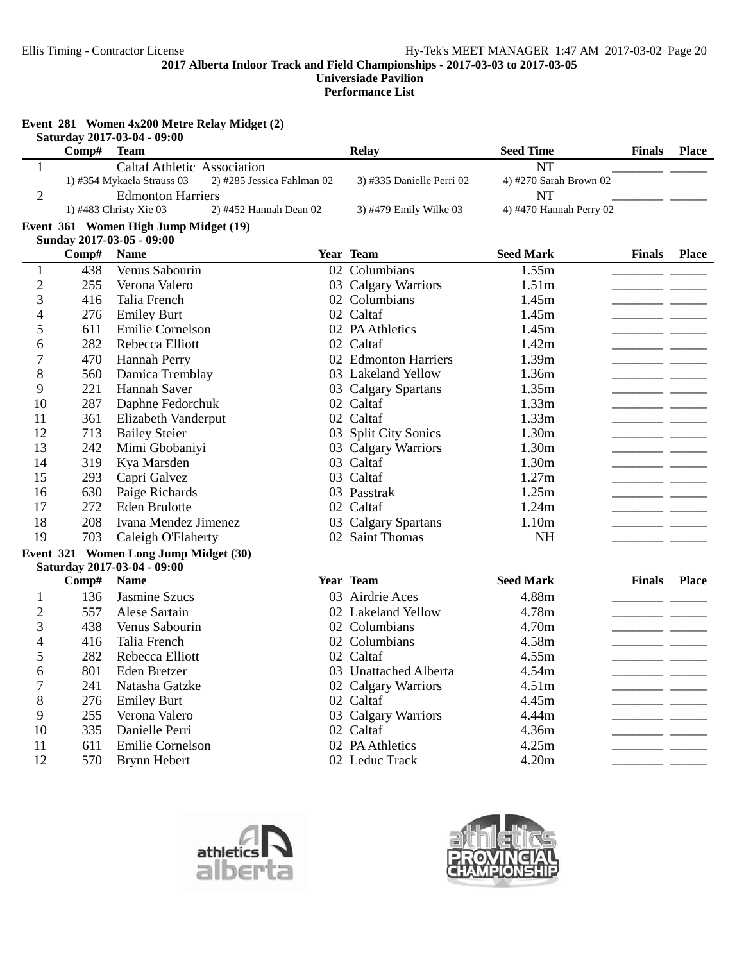**Universiade Pavilion**

**Performance List**

**Event 281 Women 4x200 Metre Relay Midget (2)**

|                |            | Saturday 2017-03-04 - 09:00           |                            |                           |                         |                                                                                                                       |              |
|----------------|------------|---------------------------------------|----------------------------|---------------------------|-------------------------|-----------------------------------------------------------------------------------------------------------------------|--------------|
|                | Comp#      | <b>Team</b>                           |                            | <b>Relay</b>              | <b>Seed Time</b>        | <b>Finals</b>                                                                                                         | <b>Place</b> |
| 1              |            | <b>Caltaf Athletic Association</b>    |                            |                           | <b>NT</b>               |                                                                                                                       |              |
|                |            | 1) #354 Mykaela Strauss 03            | 2) #285 Jessica Fahlman 02 | 3) #335 Danielle Perri 02 | 4) #270 Sarah Brown 02  |                                                                                                                       |              |
| $\overline{2}$ |            | <b>Edmonton Harriers</b>              |                            |                           | <b>NT</b>               |                                                                                                                       |              |
|                |            | 1) #483 Christy Xie 03                | 2) #452 Hannah Dean 02     | 3) #479 Emily Wilke 03    | 4) #470 Hannah Perry 02 |                                                                                                                       |              |
|                |            | Event 361 Women High Jump Midget (19) |                            |                           |                         |                                                                                                                       |              |
|                |            | Sunday 2017-03-05 - 09:00             |                            |                           |                         |                                                                                                                       |              |
|                | Comp# Name |                                       |                            | Year Team                 | <b>Seed Mark</b>        | <b>Finals</b>                                                                                                         | <b>Place</b> |
| 1              | 438        | Venus Sabourin                        |                            | 02 Columbians             | 1.55m                   |                                                                                                                       |              |
| $\overline{2}$ | 255        | Verona Valero                         |                            | 03 Calgary Warriors       | 1.51 <sub>m</sub>       |                                                                                                                       |              |
| 3              | 416        | Talia French                          |                            | 02 Columbians             | 1.45m                   |                                                                                                                       |              |
| 4              | 276        | <b>Emiley Burt</b>                    |                            | 02 Caltaf                 | 1.45m                   |                                                                                                                       |              |
| 5              | 611        | Emilie Cornelson                      |                            | 02 PA Athletics           | 1.45m                   |                                                                                                                       |              |
| 6              | 282        | Rebecca Elliott                       |                            | 02 Caltaf                 | 1.42m                   |                                                                                                                       |              |
| 7              | 470        | Hannah Perry                          |                            | 02 Edmonton Harriers      | 1.39m                   |                                                                                                                       |              |
| 8              | 560        | Damica Tremblay                       |                            | 03 Lakeland Yellow        | 1.36m                   | <u> La Carlo de la Carlo de la Carlo de la Carlo de la Carlo de la Carlo de la Carlo de la Carlo de la Carlo de l</u> |              |
| 9              | 221        | Hannah Saver                          |                            | 03 Calgary Spartans       | 1.35m                   |                                                                                                                       |              |
| 10             | 287        | Daphne Fedorchuk                      |                            | 02 Caltaf                 | 1.33m                   |                                                                                                                       |              |
| 11             | 361        | Elizabeth Vanderput                   |                            | 02 Caltaf                 | 1.33m                   | __ __                                                                                                                 |              |
| 12             | 713        | <b>Bailey Steier</b>                  |                            | 03 Split City Sonics      | 1.30 <sub>m</sub>       |                                                                                                                       |              |
| 13             | 242        | Mimi Gbobaniyi                        |                            | 03 Calgary Warriors       | 1.30m                   | __ __                                                                                                                 |              |
| 14             | 319        | Kya Marsden                           |                            | 03 Caltaf                 | 1.30m                   | - -                                                                                                                   |              |
| 15             | 293        | Capri Galvez                          |                            | 03 Caltaf                 | 1.27m                   | ___                                                                                                                   |              |
| 16             | 630        | Paige Richards                        |                            | 03 Passtrak               | 1.25m                   |                                                                                                                       |              |
| 17             | 272        | Eden Brulotte                         |                            | 02 Caltaf                 | 1.24m                   | _ _                                                                                                                   |              |
| 18             | 208        | Ivana Mendez Jimenez                  |                            | 03 Calgary Spartans       | 1.10m                   |                                                                                                                       |              |
| 19             | 703        | Caleigh O'Flaherty                    |                            | 02 Saint Thomas           | <b>NH</b>               |                                                                                                                       |              |
|                |            | Event 321 Women Long Jump Midget (30) |                            |                           |                         |                                                                                                                       |              |
|                |            | Saturday 2017-03-04 - 09:00           |                            |                           |                         |                                                                                                                       |              |
|                | Comp#      | <b>Name</b>                           |                            | Year Team                 | <b>Seed Mark</b>        | <b>Finals</b>                                                                                                         | <b>Place</b> |
| 1              | 136        | Jasmine Szucs                         |                            | 03 Airdrie Aces           | 4.88m                   |                                                                                                                       |              |
| $\overline{2}$ | 557        | Alese Sartain                         |                            | 02 Lakeland Yellow        | 4.78m                   |                                                                                                                       |              |
| 3              | 438        | Venus Sabourin                        |                            | 02 Columbians             | 4.70m                   |                                                                                                                       |              |
| 4              | 416        | Talia French                          |                            | 02 Columbians             | 4.58m                   |                                                                                                                       |              |
| 5              | 282        | Rebecca Elliott                       |                            | 02 Caltaf                 | 4.55m                   |                                                                                                                       |              |
| 6              | 801        | Eden Bretzer                          |                            | 03 Unattached Alberta     | 4.54m                   |                                                                                                                       |              |
| 7              | 241        | Natasha Gatzke                        |                            | 02 Calgary Warriors       | 4.51 <sub>m</sub>       |                                                                                                                       |              |
| 8              | 276        | <b>Emiley Burt</b>                    |                            | 02 Caltaf                 | 4.45m                   |                                                                                                                       |              |
| 9              | 255        | Verona Valero                         |                            | 03 Calgary Warriors       | 4.44m                   |                                                                                                                       |              |
| 10             | 335        | Danielle Perri                        |                            | 02 Caltaf                 | 4.36m                   |                                                                                                                       |              |
| 11             | 611        | <b>Emilie Cornelson</b>               |                            | 02 PA Athletics           | 4.25m                   |                                                                                                                       |              |
| 12             | 570        | Brynn Hebert                          |                            | 02 Leduc Track            | 4.20m                   |                                                                                                                       |              |



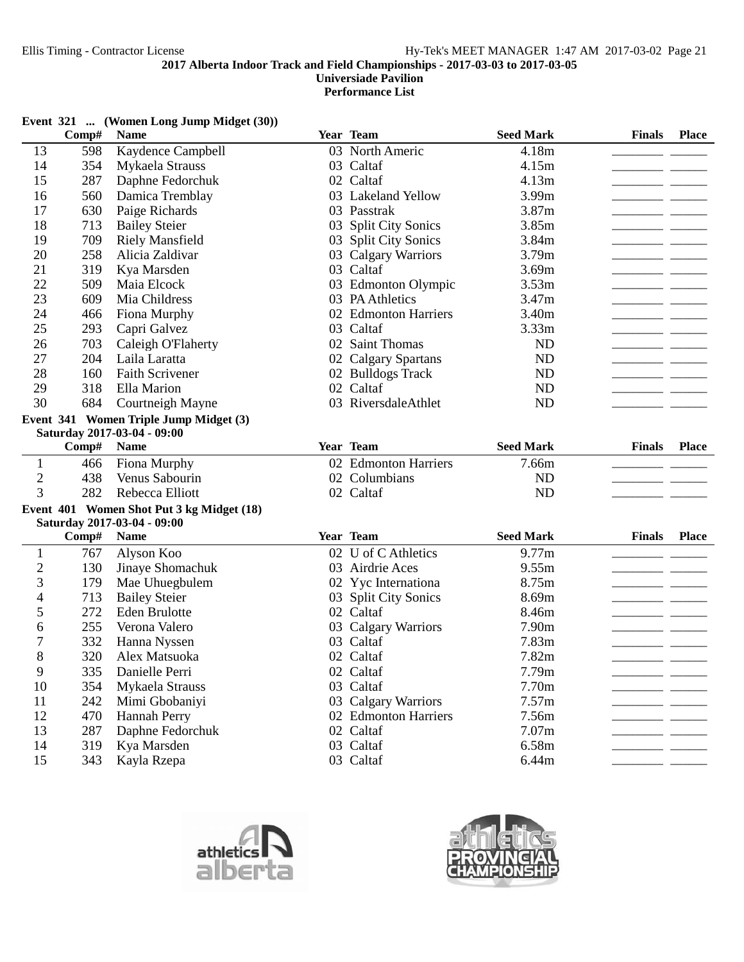**Event 321 ... (Women Long Jump Midget (30))**

**2017 Alberta Indoor Track and Field Championships - 2017-03-03 to 2017-03-05**

## **Universiade Pavilion**

|                | Comp# | <b>Name</b>                                                           |    | Year Team                | <b>Seed Mark</b>  | <b>Finals</b> | <b>Place</b> |
|----------------|-------|-----------------------------------------------------------------------|----|--------------------------|-------------------|---------------|--------------|
| 13             | 598   | Kaydence Campbell                                                     |    | 03 North Americ          | 4.18m             |               |              |
| 14             | 354   | Mykaela Strauss                                                       |    | 03 Caltaf                | 4.15m             |               |              |
| 15             | 287   | Daphne Fedorchuk                                                      |    | 02 Caltaf                | 4.13m             |               |              |
| 16             | 560   | Damica Tremblay                                                       |    | 03 Lakeland Yellow       | 3.99m             | _______       |              |
| 17             | 630   | Paige Richards                                                        |    | 03 Passtrak              | 3.87m             |               |              |
| 18             | 713   | <b>Bailey Steier</b>                                                  | 03 | <b>Split City Sonics</b> | 3.85m             |               |              |
| 19             | 709   | <b>Riely Mansfield</b>                                                |    | 03 Split City Sonics     | 3.84m             |               |              |
| 20             | 258   | Alicia Zaldivar                                                       |    | 03 Calgary Warriors      | 3.79m             |               |              |
| 21             | 319   | Kya Marsden                                                           |    | 03 Caltaf                | 3.69m             |               |              |
| 22             | 509   | Maia Elcock                                                           |    | 03 Edmonton Olympic      | 3.53m             |               |              |
| 23             | 609   | Mia Childress                                                         |    | 03 PA Athletics          | 3.47m             |               |              |
| 24             | 466   | Fiona Murphy                                                          |    | 02 Edmonton Harriers     | 3.40m             |               |              |
| 25             | 293   | Capri Galvez                                                          |    | 03 Caltaf                | 3.33m             |               |              |
| 26             | 703   | Caleigh O'Flaherty                                                    |    | 02 Saint Thomas          | <b>ND</b>         |               |              |
| 27             | 204   | Laila Laratta                                                         | 02 | <b>Calgary Spartans</b>  | <b>ND</b>         |               |              |
| 28             | 160   | <b>Faith Scrivener</b>                                                |    | 02 Bulldogs Track        | <b>ND</b>         |               |              |
| 29             | 318   | Ella Marion                                                           |    | 02 Caltaf                | <b>ND</b>         |               |              |
| 30             | 684   | Courtneigh Mayne                                                      |    | 03 RiversdaleAthlet      | <b>ND</b>         |               |              |
|                |       | Event 341 Women Triple Jump Midget (3)<br>Saturday 2017-03-04 - 09:00 |    |                          |                   |               |              |
|                | Comp# | <b>Name</b>                                                           |    | Year Team                | <b>Seed Mark</b>  | <b>Finals</b> | <b>Place</b> |
| $\mathbf{1}$   | 466   | Fiona Murphy                                                          |    | 02 Edmonton Harriers     | 7.66m             |               |              |
| $\mathbf{2}$   | 438   | Venus Sabourin                                                        |    | 02 Columbians            | <b>ND</b>         |               |              |
| 3              | 282   | Rebecca Elliott                                                       |    | 02 Caltaf                | <b>ND</b>         |               |              |
|                |       | Event 401 Women Shot Put 3 kg Midget (18)                             |    |                          |                   |               |              |
|                |       | Saturday 2017-03-04 - 09:00                                           |    |                          |                   |               |              |
|                | Comp# | <b>Name</b>                                                           |    | Year Team                | <b>Seed Mark</b>  | Finals        | <b>Place</b> |
| 1              | 767   | Alyson Koo                                                            |    | 02 U of C Athletics      | 9.77m             |               |              |
| $\overline{c}$ | 130   | Jinaye Shomachuk                                                      |    | 03 Airdrie Aces          | 9.55m             |               |              |
| 3              | 179   | Mae Uhuegbulem                                                        |    | 02 Yyc Internationa      | 8.75m             | _________     |              |
| $\overline{4}$ | 713   | <b>Bailey Steier</b>                                                  |    | 03 Split City Sonics     | 8.69m             |               |              |
| 5              | 272   | Eden Brulotte                                                         |    | 02 Caltaf                | 8.46m             |               |              |
| 6              | 255   | Verona Valero                                                         |    | 03 Calgary Warriors      | 7.90m             |               |              |
| 7              | 332   | Hanna Nyssen                                                          |    | 03 Caltaf                | 7.83m             |               |              |
| $8\,$          | 320   | Alex Matsuoka                                                         |    | 02 Caltaf                | 7.82m             |               |              |
| $\mathbf Q$    | 335   | Danielle Perri                                                        |    | 02 Caltaf                | 7.79m             |               |              |
| 10             | 354   | Mykaela Strauss                                                       |    | 03 Caltaf                | 7.70m             |               |              |
| 11             | 242   | Mimi Gbobaniyi                                                        |    | 03 Calgary Warriors      | 7.57m             |               |              |
| 12             | 470   | Hannah Perry                                                          |    | 02 Edmonton Harriers     | 7.56m             |               |              |
| 13             | 287   | Daphne Fedorchuk                                                      |    | 02 Caltaf                | 7.07 <sub>m</sub> |               |              |
| 14             | 319   | Kya Marsden                                                           |    | 03 Caltaf                | 6.58m             |               |              |
| 15             | 343   | Kayla Rzepa                                                           |    | 03 Caltaf                | 6.44m             |               |              |
|                |       |                                                                       |    |                          |                   |               |              |



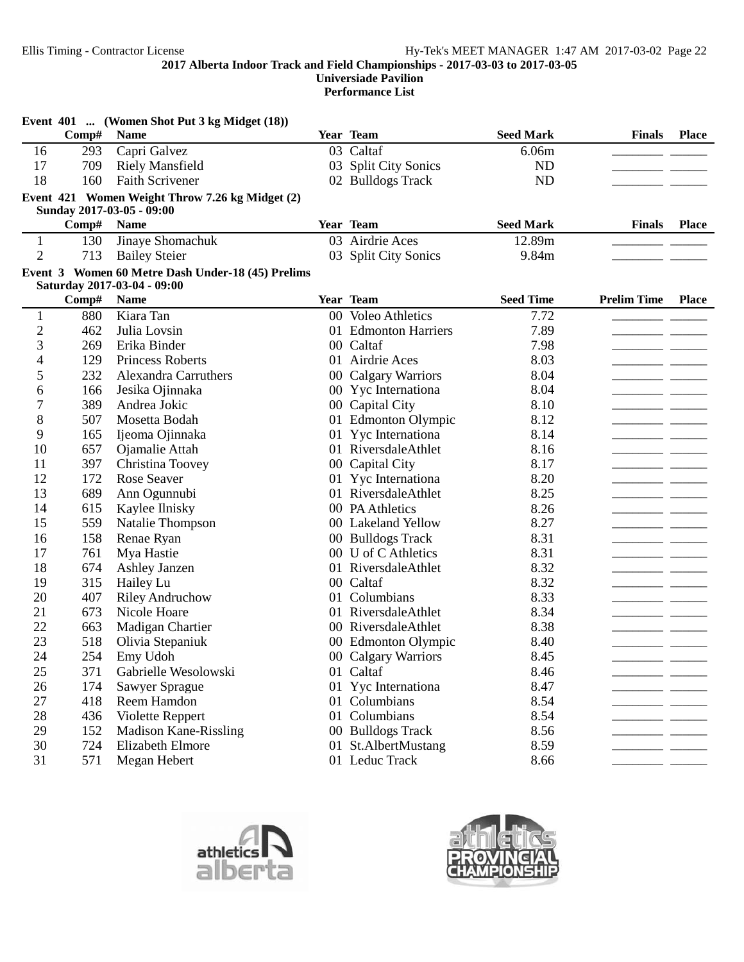**Universiade Pavilion**

|                |       | Event 401  (Women Shot Put 3 kg Midget (18))                                     |                       |                  |                                                                                                                      |              |
|----------------|-------|----------------------------------------------------------------------------------|-----------------------|------------------|----------------------------------------------------------------------------------------------------------------------|--------------|
|                | Comp# | <b>Name</b>                                                                      | Year Team             | <b>Seed Mark</b> | <b>Finals</b>                                                                                                        | <b>Place</b> |
| 16             | 293   | Capri Galvez                                                                     | 03 Caltaf             | 6.06m            |                                                                                                                      |              |
| 17             | 709   | <b>Riely Mansfield</b>                                                           | 03 Split City Sonics  | ND               | ___                                                                                                                  |              |
| 18             | 160   | <b>Faith Scrivener</b>                                                           | 02 Bulldogs Track     | <b>ND</b>        |                                                                                                                      |              |
|                |       | Event 421 Women Weight Throw 7.26 kg Midget (2)<br>Sunday 2017-03-05 - 09:00     |                       |                  |                                                                                                                      |              |
|                | Comp# | <b>Name</b>                                                                      | Year Team             | <b>Seed Mark</b> | <b>Finals</b>                                                                                                        | <b>Place</b> |
| $\mathbf{1}$   | 130   | Jinaye Shomachuk                                                                 | 03 Airdrie Aces       | 12.89m           |                                                                                                                      |              |
| $\overline{2}$ | 713   | <b>Bailey Steier</b>                                                             | 03 Split City Sonics  | 9.84m            |                                                                                                                      |              |
|                |       | Event 3 Women 60 Metre Dash Under-18 (45) Prelims<br>Saturday 2017-03-04 - 09:00 |                       |                  |                                                                                                                      |              |
|                | Comp# | <b>Name</b>                                                                      | Year Team             | <b>Seed Time</b> | <b>Prelim Time</b>                                                                                                   | <b>Place</b> |
| 1              | 880   | Kiara Tan                                                                        | 00 Voleo Athletics    | 7.72             |                                                                                                                      |              |
| $\overline{2}$ | 462   | Julia Lovsin                                                                     | 01 Edmonton Harriers  | 7.89             |                                                                                                                      |              |
| 3              | 269   | Erika Binder                                                                     | 00 Caltaf             | 7.98             |                                                                                                                      |              |
| 4              | 129   | <b>Princess Roberts</b>                                                          | 01 Airdrie Aces       | 8.03             |                                                                                                                      |              |
| 5              | 232   | <b>Alexandra Carruthers</b>                                                      | 00 Calgary Warriors   | 8.04             |                                                                                                                      |              |
| 6              | 166   | Jesika Ojinnaka                                                                  | 00 Yyc Internationa   | 8.04             | <u> 2000 - 2000 - 2000 - 2000 - 2000 - 2000 - 2000 - 2000 - 2000 - 2000 - 2000 - 2000 - 2000 - 2000 - 2000 - 200</u> |              |
| 7              | 389   | Andrea Jokic                                                                     | 00 Capital City       | 8.10             |                                                                                                                      |              |
| 8              | 507   | Mosetta Bodah                                                                    | 01 Edmonton Olympic   | 8.12             |                                                                                                                      |              |
| 9              | 165   | Ijeoma Ojinnaka                                                                  | 01 Yyc Internationa   | 8.14             |                                                                                                                      |              |
| 10             | 657   | Ojamalie Attah                                                                   | 01 RiversdaleAthlet   | 8.16             | <u>— —</u>                                                                                                           |              |
| 11             | 397   | Christina Toovey                                                                 | 00 Capital City       | 8.17             |                                                                                                                      |              |
| 12             | 172   | Rose Seaver                                                                      | 01 Yyc Internationa   | 8.20             | <u>.</u>                                                                                                             |              |
| 13             | 689   | Ann Ogunnubi                                                                     | 01 RiversdaleAthlet   | 8.25             |                                                                                                                      | ___ _____    |
| 14             | 615   | Kaylee Ilnisky                                                                   | 00 PA Athletics       | 8.26             |                                                                                                                      |              |
| 15             | 559   | Natalie Thompson                                                                 | 00 Lakeland Yellow    | 8.27             |                                                                                                                      |              |
| 16             | 158   | Renae Ryan                                                                       | 00 Bulldogs Track     | 8.31             |                                                                                                                      |              |
| 17             | 761   | Mya Hastie                                                                       | 00 U of C Athletics   | 8.31             |                                                                                                                      |              |
| 18             | 674   | <b>Ashley Janzen</b>                                                             | 01 RiversdaleAthlet   | 8.32             |                                                                                                                      |              |
| 19             | 315   | Hailey Lu                                                                        | 00 Caltaf             | 8.32             |                                                                                                                      |              |
| 20             | 407   | <b>Riley Andruchow</b>                                                           | 01 Columbians         | 8.33             |                                                                                                                      |              |
| 21             | 673   | Nicole Hoare                                                                     | 01 RiversdaleAthlet   | 8.34             |                                                                                                                      |              |
| 22             | 663   | Madigan Chartier                                                                 | 00 RiversdaleAthlet   | 8.38             |                                                                                                                      |              |
| 23             | 518   | Olivia Stepaniuk                                                                 | 00 Edmonton Olympic   | 8.40             |                                                                                                                      |              |
| 24             | 254   | Emy Udoh                                                                         | 00 Calgary Warriors   | 8.45             | ___                                                                                                                  |              |
| 25             | 371   | Gabrielle Wesolowski                                                             | 01 Caltaf             | 8.46             |                                                                                                                      |              |
| 26             | 174   | Sawyer Sprague                                                                   | 01 Yyc Internationa   | 8.47             |                                                                                                                      |              |
| 27             | 418   | Reem Hamdon                                                                      | 01 Columbians         | 8.54             |                                                                                                                      |              |
| 28             | 436   | <b>Violette Reppert</b>                                                          | 01 Columbians         | 8.54             |                                                                                                                      |              |
| 29             | 152   | <b>Madison Kane-Rissling</b>                                                     | 00 Bulldogs Track     | 8.56             |                                                                                                                      |              |
| 30             | 724   | <b>Elizabeth Elmore</b>                                                          | 01 St. Albert Mustang | 8.59             |                                                                                                                      |              |
| 31             | 571   | Megan Hebert                                                                     | 01 Leduc Track        | 8.66             |                                                                                                                      |              |



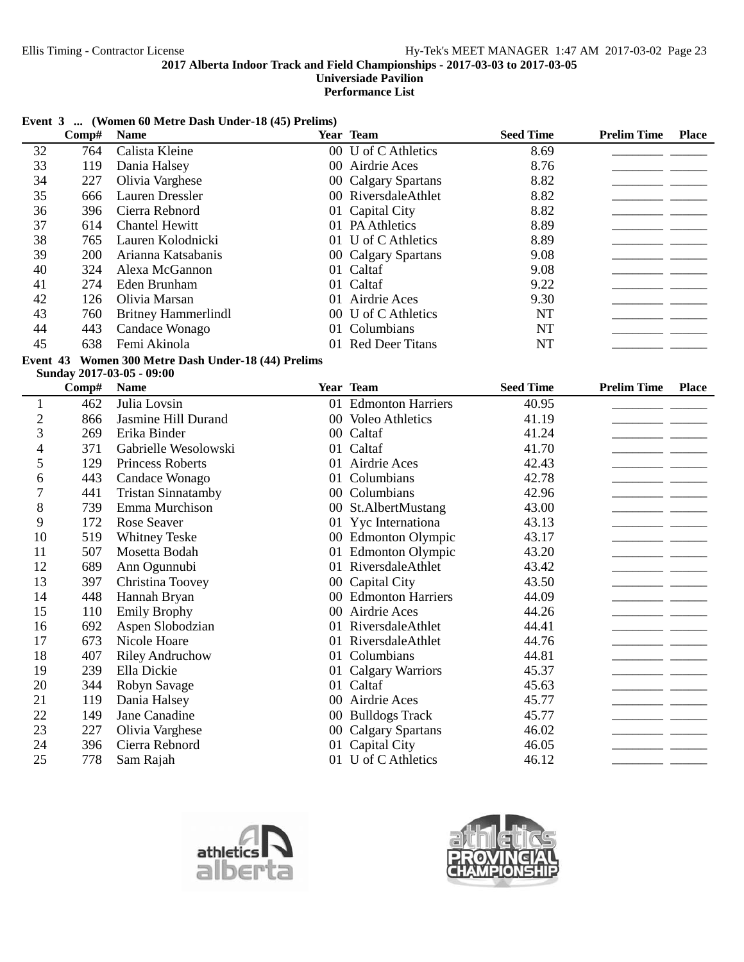## **Universiade Pavilion**

|  | Event 3  (Women 60 Metre Dash Under-18 (45) Prelims) |  |
|--|------------------------------------------------------|--|
|--|------------------------------------------------------|--|

|                | Comp# | <b>Name</b>                                         |    | Year Team            | <b>Seed Time</b> | <b>Prelim Time</b>                                                                                                     | <b>Place</b>                                                                                                         |
|----------------|-------|-----------------------------------------------------|----|----------------------|------------------|------------------------------------------------------------------------------------------------------------------------|----------------------------------------------------------------------------------------------------------------------|
| 32             | 764   | Calista Kleine                                      |    | 00 U of C Athletics  | 8.69             |                                                                                                                        |                                                                                                                      |
| 33             | 119   | Dania Halsey                                        |    | 00 Airdrie Aces      | 8.76             |                                                                                                                        |                                                                                                                      |
| 34             | 227   | Olivia Varghese                                     |    | 00 Calgary Spartans  | 8.82             |                                                                                                                        |                                                                                                                      |
| 35             | 666   | <b>Lauren Dressler</b>                              |    | 00 RiversdaleAthlet  | 8.82             |                                                                                                                        |                                                                                                                      |
| 36             | 396   | Cierra Rebnord                                      |    | 01 Capital City      | 8.82             |                                                                                                                        |                                                                                                                      |
| 37             | 614   | <b>Chantel Hewitt</b>                               |    | 01 PA Athletics      | 8.89             |                                                                                                                        |                                                                                                                      |
| 38             | 765   | Lauren Kolodnicki                                   |    | 01 U of C Athletics  | 8.89             |                                                                                                                        |                                                                                                                      |
| 39             | 200   | Arianna Katsabanis                                  |    | 00 Calgary Spartans  | 9.08             |                                                                                                                        |                                                                                                                      |
| 40             | 324   | Alexa McGannon                                      |    | 01 Caltaf            | 9.08             |                                                                                                                        |                                                                                                                      |
| 41             | 274   | Eden Brunham                                        |    | 01 Caltaf            | 9.22             |                                                                                                                        |                                                                                                                      |
| 42             | 126   | Olivia Marsan                                       |    | 01 Airdrie Aces      | 9.30             | المستحدث                                                                                                               |                                                                                                                      |
| 43             | 760   | <b>Britney Hammerlindl</b>                          |    | 00 U of C Athletics  | <b>NT</b>        |                                                                                                                        |                                                                                                                      |
| 44             | 443   | Candace Wonago                                      |    | 01 Columbians        | <b>NT</b>        |                                                                                                                        |                                                                                                                      |
| 45             | 638   | Femi Akinola                                        |    | 01 Red Deer Titans   | <b>NT</b>        |                                                                                                                        |                                                                                                                      |
|                |       | Event 43 Women 300 Metre Dash Under-18 (44) Prelims |    |                      |                  |                                                                                                                        |                                                                                                                      |
|                |       | Sunday 2017-03-05 - 09:00                           |    |                      |                  |                                                                                                                        |                                                                                                                      |
|                | Comp# | <b>Name</b>                                         |    | Year Team            | <b>Seed Time</b> | <b>Prelim Time</b>                                                                                                     | <b>Place</b>                                                                                                         |
| $\mathbf{1}$   | 462   | Julia Lovsin                                        |    | 01 Edmonton Harriers | 40.95            |                                                                                                                        |                                                                                                                      |
| $\overline{2}$ | 866   | Jasmine Hill Durand                                 |    | 00 Voleo Athletics   | 41.19            |                                                                                                                        |                                                                                                                      |
| 3              | 269   | Erika Binder                                        |    | 00 Caltaf            | 41.24            |                                                                                                                        |                                                                                                                      |
| 4              | 371   | Gabrielle Wesolowski                                |    | 01 Caltaf            | 41.70            |                                                                                                                        |                                                                                                                      |
| 5              | 129   | Princess Roberts                                    |    | 01 Airdrie Aces      | 42.43            |                                                                                                                        |                                                                                                                      |
| 6              | 443   | Candace Wonago                                      |    | 01 Columbians        | 42.78            |                                                                                                                        |                                                                                                                      |
| 7              | 441   | <b>Tristan Sinnatamby</b>                           |    | 00 Columbians        | 42.96            |                                                                                                                        |                                                                                                                      |
| 8              | 739   | Emma Murchison                                      |    | 00 St.AlbertMustang  | 43.00            |                                                                                                                        | <u> La Carlo Carlo de la Carlo de la Carlo de la Carlo de la Carlo de la Carlo de la Carlo de la Carlo de la Car</u> |
| 9              | 172   | Rose Seaver                                         |    | 01 Yyc Internationa  | 43.13            | - -                                                                                                                    |                                                                                                                      |
| 10             | 519   | <b>Whitney Teske</b>                                |    | 00 Edmonton Olympic  | 43.17            | - -                                                                                                                    |                                                                                                                      |
| 11             | 507   | Mosetta Bodah                                       |    | 01 Edmonton Olympic  | 43.20            |                                                                                                                        |                                                                                                                      |
| 12             | 689   | Ann Ogunnubi                                        |    | 01 RiversdaleAthlet  | 43.42            |                                                                                                                        |                                                                                                                      |
| 13             | 397   | Christina Toovey                                    |    | 00 Capital City      | 43.50            |                                                                                                                        |                                                                                                                      |
| 14             | 448   | Hannah Bryan                                        |    | 00 Edmonton Harriers | 44.09            |                                                                                                                        |                                                                                                                      |
| 15             | 110   | <b>Emily Brophy</b>                                 |    | 00 Airdrie Aces      | 44.26            |                                                                                                                        |                                                                                                                      |
| 16             | 692   | Aspen Slobodzian                                    |    | 01 RiversdaleAthlet  | 44.41            | <u> De Barbara de la Barbara de Barbara de la Barbara de la Barbara de la Barbara de la Barbara de la Barbara de l</u> |                                                                                                                      |
| 17             | 673   | Nicole Hoare                                        | 01 | RiversdaleAthlet     | 44.76            |                                                                                                                        |                                                                                                                      |
| 18             | 407   | <b>Riley Andruchow</b>                              |    | 01 Columbians        | 44.81            |                                                                                                                        |                                                                                                                      |
| 19             | 239   | Ella Dickie                                         |    | 01 Calgary Warriors  | 45.37            |                                                                                                                        |                                                                                                                      |
| 20             | 344   | Robyn Savage                                        |    | 01 Caltaf            | 45.63            |                                                                                                                        |                                                                                                                      |
| 21             | 119   | Dania Halsey                                        |    | 00 Airdrie Aces      | 45.77            |                                                                                                                        |                                                                                                                      |
| 22             | 149   | Jane Canadine                                       |    | 00 Bulldogs Track    | 45.77            |                                                                                                                        |                                                                                                                      |
| 23             | 227   | Olivia Varghese                                     |    | 00 Calgary Spartans  | 46.02            |                                                                                                                        |                                                                                                                      |
| 24             | 396   | Cierra Rebnord                                      |    | 01 Capital City      | 46.05            |                                                                                                                        |                                                                                                                      |
| 25             | 778   | Sam Rajah                                           |    | 01 U of C Athletics  | 46.12            |                                                                                                                        |                                                                                                                      |



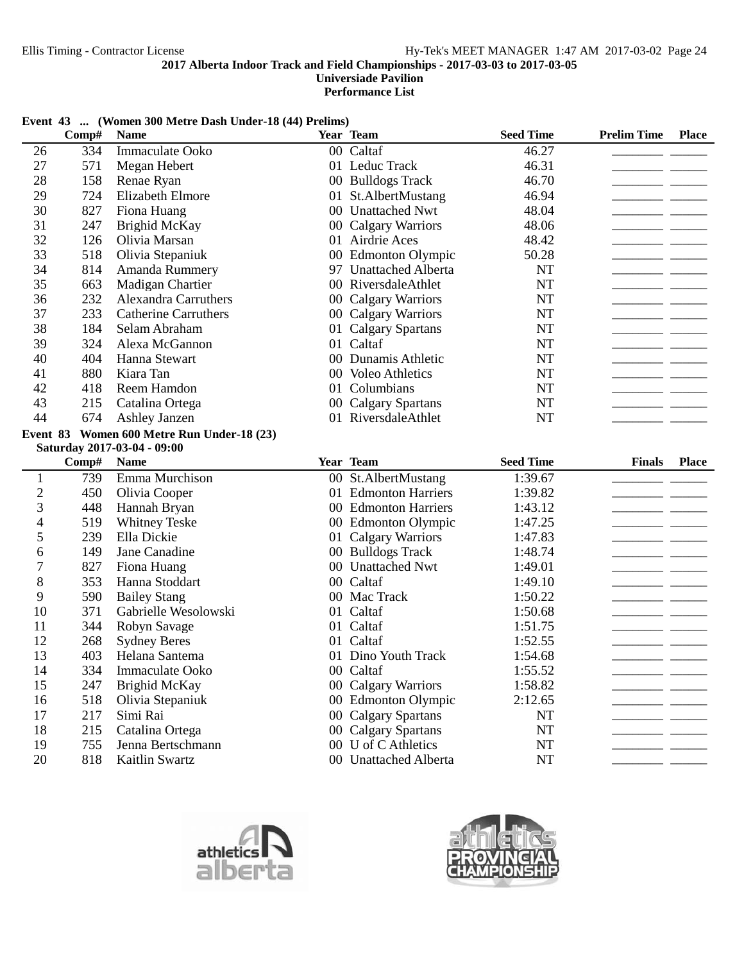#### **Universiade Pavilion**

|  | Event 43  (Women 300 Metre Dash Under-18 (44) Prelims) |  |
|--|--------------------------------------------------------|--|
|  |                                                        |  |

|                | Comp#      | <b>Name</b>                                |                 | Year Team                                    | <b>Seed Time</b>       | <b>Prelim Time</b>                                                                                                                                                                                                                                                                                                                                                                                                    | <b>Place</b> |
|----------------|------------|--------------------------------------------|-----------------|----------------------------------------------|------------------------|-----------------------------------------------------------------------------------------------------------------------------------------------------------------------------------------------------------------------------------------------------------------------------------------------------------------------------------------------------------------------------------------------------------------------|--------------|
| 26             | 334        | Immaculate Ooko                            |                 | 00 Caltaf                                    | 46.27                  |                                                                                                                                                                                                                                                                                                                                                                                                                       |              |
| 27             | 571        | Megan Hebert                               |                 | 01 Leduc Track                               | 46.31                  |                                                                                                                                                                                                                                                                                                                                                                                                                       |              |
| 28             | 158        | Renae Ryan                                 |                 | 00 Bulldogs Track                            | 46.70                  |                                                                                                                                                                                                                                                                                                                                                                                                                       |              |
| 29             | 724        | <b>Elizabeth Elmore</b>                    |                 | 01 St.AlbertMustang                          | 46.94                  |                                                                                                                                                                                                                                                                                                                                                                                                                       |              |
| 30             | 827        | Fiona Huang                                |                 | 00 Unattached Nwt                            | 48.04                  |                                                                                                                                                                                                                                                                                                                                                                                                                       |              |
| 31             | 247        | Brighid McKay                              |                 | 00 Calgary Warriors                          | 48.06                  |                                                                                                                                                                                                                                                                                                                                                                                                                       |              |
| 32             | 126        | Olivia Marsan                              |                 | 01 Airdrie Aces                              | 48.42                  |                                                                                                                                                                                                                                                                                                                                                                                                                       |              |
| 33             | 518        | Olivia Stepaniuk                           |                 | 00 Edmonton Olympic                          | 50.28                  |                                                                                                                                                                                                                                                                                                                                                                                                                       |              |
| 34             | 814        | Amanda Rummery                             |                 | 97 Unattached Alberta                        | <b>NT</b>              |                                                                                                                                                                                                                                                                                                                                                                                                                       |              |
| 35             | 663        | Madigan Chartier                           |                 | 00 RiversdaleAthlet                          | <b>NT</b>              |                                                                                                                                                                                                                                                                                                                                                                                                                       |              |
| 36             | 232        | <b>Alexandra Carruthers</b>                |                 | 00 Calgary Warriors                          | <b>NT</b>              |                                                                                                                                                                                                                                                                                                                                                                                                                       |              |
| 37             | 233        | <b>Catherine Carruthers</b>                |                 | 00 Calgary Warriors                          | <b>NT</b>              |                                                                                                                                                                                                                                                                                                                                                                                                                       |              |
| 38             | 184        | Selam Abraham                              |                 | 01 Calgary Spartans                          | <b>NT</b>              | للمستنقص المستنقص                                                                                                                                                                                                                                                                                                                                                                                                     |              |
| 39             | 324        | Alexa McGannon                             |                 | 01 Caltaf                                    | <b>NT</b>              |                                                                                                                                                                                                                                                                                                                                                                                                                       |              |
| 40             | 404        | Hanna Stewart                              |                 | 00 Dunamis Athletic                          | <b>NT</b>              | للمستحدث المستحدث                                                                                                                                                                                                                                                                                                                                                                                                     |              |
| 41             | 880        | Kiara Tan                                  |                 | 00 Voleo Athletics                           | <b>NT</b>              | $\frac{1}{1-\frac{1}{1-\frac{1}{1-\frac{1}{1-\frac{1}{1-\frac{1}{1-\frac{1}{1-\frac{1}{1-\frac{1}{1-\frac{1}{1-\frac{1}{1-\frac{1}{1-\frac{1}{1-\frac{1}{1-\frac{1}{1-\frac{1}{1-\frac{1}{1-\frac{1}{1-\frac{1}{1-\frac{1}{1-\frac{1}{1-\frac{1}{1-\frac{1}{1-\frac{1}{1-\frac{1}{1-\frac{1}{1-\frac{1}{1-\frac{1}{1-\frac{1}{1-\frac{1}{1-\frac{1}{1-\frac{1}{1-\frac{1}{1-\frac{1}{1-\frac{1}{1-\frac{1}{1-\frac{1$ |              |
| 42             | 418        | Reem Hamdon                                |                 | 01 Columbians                                | <b>NT</b>              |                                                                                                                                                                                                                                                                                                                                                                                                                       |              |
| 43             | 215        | Catalina Ortega                            |                 | 00 Calgary Spartans                          | <b>NT</b>              | $\overline{\phantom{a}}$                                                                                                                                                                                                                                                                                                                                                                                              |              |
| 44             | 674        | Ashley Janzen                              |                 | 01 RiversdaleAthlet                          | <b>NT</b>              |                                                                                                                                                                                                                                                                                                                                                                                                                       |              |
|                |            | Event 83 Women 600 Metre Run Under-18 (23) |                 |                                              |                        |                                                                                                                                                                                                                                                                                                                                                                                                                       |              |
|                |            |                                            |                 |                                              |                        |                                                                                                                                                                                                                                                                                                                                                                                                                       |              |
|                |            | Saturday 2017-03-04 - 09:00                |                 |                                              |                        |                                                                                                                                                                                                                                                                                                                                                                                                                       |              |
|                | Comp#      | <b>Name</b>                                |                 | Year Team                                    | <b>Seed Time</b>       | <b>Finals</b>                                                                                                                                                                                                                                                                                                                                                                                                         | <b>Place</b> |
| 1              | 739        | Emma Murchison                             |                 | 00 St.AlbertMustang                          | 1:39.67                |                                                                                                                                                                                                                                                                                                                                                                                                                       |              |
| $\overline{c}$ | 450        | Olivia Cooper                              |                 | 01 Edmonton Harriers                         | 1:39.82                |                                                                                                                                                                                                                                                                                                                                                                                                                       |              |
| 3              | 448        | Hannah Bryan                               |                 | 00 Edmonton Harriers                         | 1:43.12                | - -                                                                                                                                                                                                                                                                                                                                                                                                                   |              |
| 4              | 519        | <b>Whitney Teske</b>                       |                 | 00 Edmonton Olympic                          | 1:47.25                | - -                                                                                                                                                                                                                                                                                                                                                                                                                   |              |
| 5              | 239        | Ella Dickie                                |                 | 01 Calgary Warriors                          | 1:47.83                | - -                                                                                                                                                                                                                                                                                                                                                                                                                   |              |
| 6              | 149        | Jane Canadine                              |                 | 00 Bulldogs Track                            | 1:48.74                |                                                                                                                                                                                                                                                                                                                                                                                                                       |              |
| $\overline{7}$ | 827        | Fiona Huang                                |                 | 00 Unattached Nwt                            | 1:49.01                |                                                                                                                                                                                                                                                                                                                                                                                                                       |              |
| $8\,$          | 353        | Hanna Stoddart                             |                 | 00 Caltaf                                    | 1:49.10                |                                                                                                                                                                                                                                                                                                                                                                                                                       |              |
| 9              | 590        | <b>Bailey Stang</b>                        |                 | 00 Mac Track                                 | 1:50.22                |                                                                                                                                                                                                                                                                                                                                                                                                                       |              |
| 10             | 371        | Gabrielle Wesolowski                       |                 | 01 Caltaf                                    | 1:50.68                |                                                                                                                                                                                                                                                                                                                                                                                                                       |              |
| 11             | 344        | Robyn Savage                               |                 | 01 Caltaf                                    | 1:51.75                |                                                                                                                                                                                                                                                                                                                                                                                                                       |              |
| 12             | 268        | <b>Sydney Beres</b>                        |                 | 01 Caltaf                                    | 1:52.55                |                                                                                                                                                                                                                                                                                                                                                                                                                       |              |
| 13             | 403        | Helana Santema                             |                 | 01 Dino Youth Track                          | 1:54.68                |                                                                                                                                                                                                                                                                                                                                                                                                                       |              |
| 14             | 334        | Immaculate Ooko                            |                 | 00 Caltaf                                    | 1:55.52                |                                                                                                                                                                                                                                                                                                                                                                                                                       |              |
| 15             | 247        | Brighid McKay                              |                 | 00 Calgary Warriors                          | 1:58.82                |                                                                                                                                                                                                                                                                                                                                                                                                                       |              |
| 16             | 518        | Olivia Stepaniuk                           |                 | 00 Edmonton Olympic                          | 2:12.65                |                                                                                                                                                                                                                                                                                                                                                                                                                       |              |
| 17             | 217        | Simi Rai                                   | $00\,$          | <b>Calgary Spartans</b>                      | <b>NT</b>              |                                                                                                                                                                                                                                                                                                                                                                                                                       |              |
| 18             | 215        | Catalina Ortega                            | 00 <sup>°</sup> | <b>Calgary Spartans</b>                      | <b>NT</b>              |                                                                                                                                                                                                                                                                                                                                                                                                                       |              |
| 19<br>20       | 755<br>818 | Jenna Bertschmann<br>Kaitlin Swartz        |                 | 00 U of C Athletics<br>00 Unattached Alberta | <b>NT</b><br><b>NT</b> |                                                                                                                                                                                                                                                                                                                                                                                                                       |              |



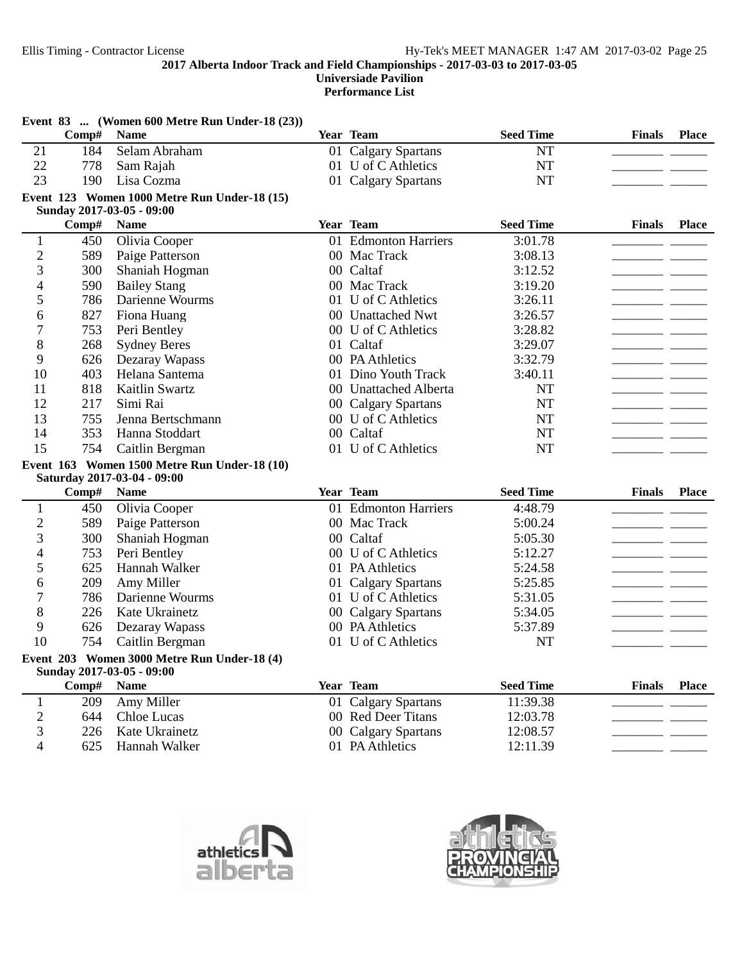**Universiade Pavilion**

| Comp#<br><b>Name</b><br>Year Team<br><b>Seed Time</b><br><b>Finals</b><br><b>Place</b><br><b>NT</b><br>21<br>184<br>Selam Abraham<br>01 Calgary Spartans<br>22<br>778<br>01 U of C Athletics<br><b>NT</b><br>Sam Rajah<br>23<br><b>NT</b><br>190<br>Lisa Cozma<br>01 Calgary Spartans<br>Event 123 Women 1000 Metre Run Under-18 (15)<br>Sunday 2017-03-05 - 09:00<br>Year Team<br><b>Seed Time</b><br>Comp#<br><b>Name</b><br><b>Finals</b><br><b>Place</b><br>01 Edmonton Harriers<br>3:01.78<br>450<br>Olivia Cooper<br>$\mathbf{1}$<br>$\overline{2}$<br>589<br>3:08.13<br>Paige Patterson<br>00 Mac Track<br><u>— —</u><br>3<br>300<br>00 Caltaf<br>3:12.52<br>Shaniah Hogman<br>المستنقل المستنقل<br>590<br>3:19.20<br>4<br><b>Bailey Stang</b><br>00 Mac Track<br><u>.</u><br>5<br>786<br>01 U of C Athletics<br>3:26.11<br>Darienne Wourms<br><u>.</u><br>827<br>3:26.57<br>Fiona Huang<br>00 Unattached Nwt<br>6<br>__ __<br>7<br>753<br>00 U of C Athletics<br>3:28.82<br>Peri Bentley<br>- - - -<br>8<br>268<br>01 Caltaf<br>3:29.07<br><b>Sydney Beres</b><br><u> Louis Communication de la provincia de la provincia de la provincia de la provincia de la provincia de la pro</u><br>9<br>3:32.79<br>626<br>Dezaray Wapass<br>00 PA Athletics<br>10<br>403<br>Helana Santema<br>01 Dino Youth Track<br>3:40.11<br>818<br>11<br>Kaitlin Swartz<br>00 Unattached Alberta<br><b>NT</b><br>12<br>217<br>Simi Rai<br>00 Calgary Spartans<br>NT<br>13<br>755<br>00 U of C Athletics<br>Jenna Bertschmann<br><b>NT</b><br>14<br>353<br>00 Caltaf<br><b>NT</b><br>Hanna Stoddart<br>15<br>754<br>01 U of C Athletics<br><b>NT</b><br>Caitlin Bergman<br>Event 163 Women 1500 Metre Run Under-18 (10)<br>Saturday 2017-03-04 - 09:00<br>Year Team<br><b>Seed Time</b><br>Comp#<br><b>Finals</b><br><b>Place</b><br><b>Name</b><br>01 Edmonton Harriers<br>450<br>4:48.79<br>$\mathbf{1}$<br>Olivia Cooper<br>$\mathfrak{2}$<br>589<br>00 Mac Track<br>Paige Patterson<br>5:00.24<br>3<br>300<br>Shaniah Hogman<br>00 Caltaf<br>5:05.30<br>00 U of C Athletics<br>4<br>753<br>Peri Bentley<br>5:12.27<br>5<br>625<br>Hannah Walker<br>01 PA Athletics<br>5:24.58<br>209<br>Amy Miller<br>01 Calgary Spartans<br>5:25.85<br>6<br>7<br>786<br>Darienne Wourms<br>01 U of C Athletics<br>5:31.05<br>________<br>8<br>226<br>Kate Ukrainetz<br>00 Calgary Spartans<br>5:34.05<br>9<br>00 PA Athletics<br>626<br>Dezaray Wapass<br>5:37.89<br>-- --<br>10<br>754<br>01 U of C Athletics<br><b>NT</b><br>Caitlin Bergman<br>Event 203 Women 3000 Metre Run Under-18 (4)<br>Sunday 2017-03-05 - 09:00<br><b>Seed Time</b><br>Comp#<br>Year Team<br><b>Place</b><br><b>Name</b><br>Finals<br>01 Calgary Spartans<br>11:39.38<br>209<br>Amy Miller<br>$\mathbf{1}$<br>$\overline{c}$<br>644<br>Chloe Lucas<br>00 Red Deer Titans<br>12:03.78<br>$\mathfrak{Z}$<br>Kate Ukrainetz<br>226<br>00 Calgary Spartans<br>12:08.57<br>01 PA Athletics |                |     | Event 83  (Women 600 Metre Run Under-18 (23)) |  |          |  |
|------------------------------------------------------------------------------------------------------------------------------------------------------------------------------------------------------------------------------------------------------------------------------------------------------------------------------------------------------------------------------------------------------------------------------------------------------------------------------------------------------------------------------------------------------------------------------------------------------------------------------------------------------------------------------------------------------------------------------------------------------------------------------------------------------------------------------------------------------------------------------------------------------------------------------------------------------------------------------------------------------------------------------------------------------------------------------------------------------------------------------------------------------------------------------------------------------------------------------------------------------------------------------------------------------------------------------------------------------------------------------------------------------------------------------------------------------------------------------------------------------------------------------------------------------------------------------------------------------------------------------------------------------------------------------------------------------------------------------------------------------------------------------------------------------------------------------------------------------------------------------------------------------------------------------------------------------------------------------------------------------------------------------------------------------------------------------------------------------------------------------------------------------------------------------------------------------------------------------------------------------------------------------------------------------------------------------------------------------------------------------------------------------------------------------------------------------------------------------------------------------------------------------------------------------------------------------------------------------------------------------------------------------------------------------------------------------------------------------------------------------------------------------------------------------------------------------------------------------------------------------------------------------------------------------------------|----------------|-----|-----------------------------------------------|--|----------|--|
|                                                                                                                                                                                                                                                                                                                                                                                                                                                                                                                                                                                                                                                                                                                                                                                                                                                                                                                                                                                                                                                                                                                                                                                                                                                                                                                                                                                                                                                                                                                                                                                                                                                                                                                                                                                                                                                                                                                                                                                                                                                                                                                                                                                                                                                                                                                                                                                                                                                                                                                                                                                                                                                                                                                                                                                                                                                                                                                                          |                |     |                                               |  |          |  |
|                                                                                                                                                                                                                                                                                                                                                                                                                                                                                                                                                                                                                                                                                                                                                                                                                                                                                                                                                                                                                                                                                                                                                                                                                                                                                                                                                                                                                                                                                                                                                                                                                                                                                                                                                                                                                                                                                                                                                                                                                                                                                                                                                                                                                                                                                                                                                                                                                                                                                                                                                                                                                                                                                                                                                                                                                                                                                                                                          |                |     |                                               |  |          |  |
|                                                                                                                                                                                                                                                                                                                                                                                                                                                                                                                                                                                                                                                                                                                                                                                                                                                                                                                                                                                                                                                                                                                                                                                                                                                                                                                                                                                                                                                                                                                                                                                                                                                                                                                                                                                                                                                                                                                                                                                                                                                                                                                                                                                                                                                                                                                                                                                                                                                                                                                                                                                                                                                                                                                                                                                                                                                                                                                                          |                |     |                                               |  |          |  |
|                                                                                                                                                                                                                                                                                                                                                                                                                                                                                                                                                                                                                                                                                                                                                                                                                                                                                                                                                                                                                                                                                                                                                                                                                                                                                                                                                                                                                                                                                                                                                                                                                                                                                                                                                                                                                                                                                                                                                                                                                                                                                                                                                                                                                                                                                                                                                                                                                                                                                                                                                                                                                                                                                                                                                                                                                                                                                                                                          |                |     |                                               |  |          |  |
|                                                                                                                                                                                                                                                                                                                                                                                                                                                                                                                                                                                                                                                                                                                                                                                                                                                                                                                                                                                                                                                                                                                                                                                                                                                                                                                                                                                                                                                                                                                                                                                                                                                                                                                                                                                                                                                                                                                                                                                                                                                                                                                                                                                                                                                                                                                                                                                                                                                                                                                                                                                                                                                                                                                                                                                                                                                                                                                                          |                |     |                                               |  |          |  |
|                                                                                                                                                                                                                                                                                                                                                                                                                                                                                                                                                                                                                                                                                                                                                                                                                                                                                                                                                                                                                                                                                                                                                                                                                                                                                                                                                                                                                                                                                                                                                                                                                                                                                                                                                                                                                                                                                                                                                                                                                                                                                                                                                                                                                                                                                                                                                                                                                                                                                                                                                                                                                                                                                                                                                                                                                                                                                                                                          |                |     |                                               |  |          |  |
|                                                                                                                                                                                                                                                                                                                                                                                                                                                                                                                                                                                                                                                                                                                                                                                                                                                                                                                                                                                                                                                                                                                                                                                                                                                                                                                                                                                                                                                                                                                                                                                                                                                                                                                                                                                                                                                                                                                                                                                                                                                                                                                                                                                                                                                                                                                                                                                                                                                                                                                                                                                                                                                                                                                                                                                                                                                                                                                                          |                |     |                                               |  |          |  |
|                                                                                                                                                                                                                                                                                                                                                                                                                                                                                                                                                                                                                                                                                                                                                                                                                                                                                                                                                                                                                                                                                                                                                                                                                                                                                                                                                                                                                                                                                                                                                                                                                                                                                                                                                                                                                                                                                                                                                                                                                                                                                                                                                                                                                                                                                                                                                                                                                                                                                                                                                                                                                                                                                                                                                                                                                                                                                                                                          |                |     |                                               |  |          |  |
|                                                                                                                                                                                                                                                                                                                                                                                                                                                                                                                                                                                                                                                                                                                                                                                                                                                                                                                                                                                                                                                                                                                                                                                                                                                                                                                                                                                                                                                                                                                                                                                                                                                                                                                                                                                                                                                                                                                                                                                                                                                                                                                                                                                                                                                                                                                                                                                                                                                                                                                                                                                                                                                                                                                                                                                                                                                                                                                                          |                |     |                                               |  |          |  |
|                                                                                                                                                                                                                                                                                                                                                                                                                                                                                                                                                                                                                                                                                                                                                                                                                                                                                                                                                                                                                                                                                                                                                                                                                                                                                                                                                                                                                                                                                                                                                                                                                                                                                                                                                                                                                                                                                                                                                                                                                                                                                                                                                                                                                                                                                                                                                                                                                                                                                                                                                                                                                                                                                                                                                                                                                                                                                                                                          |                |     |                                               |  |          |  |
|                                                                                                                                                                                                                                                                                                                                                                                                                                                                                                                                                                                                                                                                                                                                                                                                                                                                                                                                                                                                                                                                                                                                                                                                                                                                                                                                                                                                                                                                                                                                                                                                                                                                                                                                                                                                                                                                                                                                                                                                                                                                                                                                                                                                                                                                                                                                                                                                                                                                                                                                                                                                                                                                                                                                                                                                                                                                                                                                          |                |     |                                               |  |          |  |
|                                                                                                                                                                                                                                                                                                                                                                                                                                                                                                                                                                                                                                                                                                                                                                                                                                                                                                                                                                                                                                                                                                                                                                                                                                                                                                                                                                                                                                                                                                                                                                                                                                                                                                                                                                                                                                                                                                                                                                                                                                                                                                                                                                                                                                                                                                                                                                                                                                                                                                                                                                                                                                                                                                                                                                                                                                                                                                                                          |                |     |                                               |  |          |  |
|                                                                                                                                                                                                                                                                                                                                                                                                                                                                                                                                                                                                                                                                                                                                                                                                                                                                                                                                                                                                                                                                                                                                                                                                                                                                                                                                                                                                                                                                                                                                                                                                                                                                                                                                                                                                                                                                                                                                                                                                                                                                                                                                                                                                                                                                                                                                                                                                                                                                                                                                                                                                                                                                                                                                                                                                                                                                                                                                          |                |     |                                               |  |          |  |
|                                                                                                                                                                                                                                                                                                                                                                                                                                                                                                                                                                                                                                                                                                                                                                                                                                                                                                                                                                                                                                                                                                                                                                                                                                                                                                                                                                                                                                                                                                                                                                                                                                                                                                                                                                                                                                                                                                                                                                                                                                                                                                                                                                                                                                                                                                                                                                                                                                                                                                                                                                                                                                                                                                                                                                                                                                                                                                                                          |                |     |                                               |  |          |  |
|                                                                                                                                                                                                                                                                                                                                                                                                                                                                                                                                                                                                                                                                                                                                                                                                                                                                                                                                                                                                                                                                                                                                                                                                                                                                                                                                                                                                                                                                                                                                                                                                                                                                                                                                                                                                                                                                                                                                                                                                                                                                                                                                                                                                                                                                                                                                                                                                                                                                                                                                                                                                                                                                                                                                                                                                                                                                                                                                          |                |     |                                               |  |          |  |
|                                                                                                                                                                                                                                                                                                                                                                                                                                                                                                                                                                                                                                                                                                                                                                                                                                                                                                                                                                                                                                                                                                                                                                                                                                                                                                                                                                                                                                                                                                                                                                                                                                                                                                                                                                                                                                                                                                                                                                                                                                                                                                                                                                                                                                                                                                                                                                                                                                                                                                                                                                                                                                                                                                                                                                                                                                                                                                                                          |                |     |                                               |  |          |  |
|                                                                                                                                                                                                                                                                                                                                                                                                                                                                                                                                                                                                                                                                                                                                                                                                                                                                                                                                                                                                                                                                                                                                                                                                                                                                                                                                                                                                                                                                                                                                                                                                                                                                                                                                                                                                                                                                                                                                                                                                                                                                                                                                                                                                                                                                                                                                                                                                                                                                                                                                                                                                                                                                                                                                                                                                                                                                                                                                          |                |     |                                               |  |          |  |
|                                                                                                                                                                                                                                                                                                                                                                                                                                                                                                                                                                                                                                                                                                                                                                                                                                                                                                                                                                                                                                                                                                                                                                                                                                                                                                                                                                                                                                                                                                                                                                                                                                                                                                                                                                                                                                                                                                                                                                                                                                                                                                                                                                                                                                                                                                                                                                                                                                                                                                                                                                                                                                                                                                                                                                                                                                                                                                                                          |                |     |                                               |  |          |  |
|                                                                                                                                                                                                                                                                                                                                                                                                                                                                                                                                                                                                                                                                                                                                                                                                                                                                                                                                                                                                                                                                                                                                                                                                                                                                                                                                                                                                                                                                                                                                                                                                                                                                                                                                                                                                                                                                                                                                                                                                                                                                                                                                                                                                                                                                                                                                                                                                                                                                                                                                                                                                                                                                                                                                                                                                                                                                                                                                          |                |     |                                               |  |          |  |
|                                                                                                                                                                                                                                                                                                                                                                                                                                                                                                                                                                                                                                                                                                                                                                                                                                                                                                                                                                                                                                                                                                                                                                                                                                                                                                                                                                                                                                                                                                                                                                                                                                                                                                                                                                                                                                                                                                                                                                                                                                                                                                                                                                                                                                                                                                                                                                                                                                                                                                                                                                                                                                                                                                                                                                                                                                                                                                                                          |                |     |                                               |  |          |  |
|                                                                                                                                                                                                                                                                                                                                                                                                                                                                                                                                                                                                                                                                                                                                                                                                                                                                                                                                                                                                                                                                                                                                                                                                                                                                                                                                                                                                                                                                                                                                                                                                                                                                                                                                                                                                                                                                                                                                                                                                                                                                                                                                                                                                                                                                                                                                                                                                                                                                                                                                                                                                                                                                                                                                                                                                                                                                                                                                          |                |     |                                               |  |          |  |
|                                                                                                                                                                                                                                                                                                                                                                                                                                                                                                                                                                                                                                                                                                                                                                                                                                                                                                                                                                                                                                                                                                                                                                                                                                                                                                                                                                                                                                                                                                                                                                                                                                                                                                                                                                                                                                                                                                                                                                                                                                                                                                                                                                                                                                                                                                                                                                                                                                                                                                                                                                                                                                                                                                                                                                                                                                                                                                                                          |                |     |                                               |  |          |  |
|                                                                                                                                                                                                                                                                                                                                                                                                                                                                                                                                                                                                                                                                                                                                                                                                                                                                                                                                                                                                                                                                                                                                                                                                                                                                                                                                                                                                                                                                                                                                                                                                                                                                                                                                                                                                                                                                                                                                                                                                                                                                                                                                                                                                                                                                                                                                                                                                                                                                                                                                                                                                                                                                                                                                                                                                                                                                                                                                          |                |     |                                               |  |          |  |
|                                                                                                                                                                                                                                                                                                                                                                                                                                                                                                                                                                                                                                                                                                                                                                                                                                                                                                                                                                                                                                                                                                                                                                                                                                                                                                                                                                                                                                                                                                                                                                                                                                                                                                                                                                                                                                                                                                                                                                                                                                                                                                                                                                                                                                                                                                                                                                                                                                                                                                                                                                                                                                                                                                                                                                                                                                                                                                                                          |                |     |                                               |  |          |  |
|                                                                                                                                                                                                                                                                                                                                                                                                                                                                                                                                                                                                                                                                                                                                                                                                                                                                                                                                                                                                                                                                                                                                                                                                                                                                                                                                                                                                                                                                                                                                                                                                                                                                                                                                                                                                                                                                                                                                                                                                                                                                                                                                                                                                                                                                                                                                                                                                                                                                                                                                                                                                                                                                                                                                                                                                                                                                                                                                          |                |     |                                               |  |          |  |
|                                                                                                                                                                                                                                                                                                                                                                                                                                                                                                                                                                                                                                                                                                                                                                                                                                                                                                                                                                                                                                                                                                                                                                                                                                                                                                                                                                                                                                                                                                                                                                                                                                                                                                                                                                                                                                                                                                                                                                                                                                                                                                                                                                                                                                                                                                                                                                                                                                                                                                                                                                                                                                                                                                                                                                                                                                                                                                                                          |                |     |                                               |  |          |  |
|                                                                                                                                                                                                                                                                                                                                                                                                                                                                                                                                                                                                                                                                                                                                                                                                                                                                                                                                                                                                                                                                                                                                                                                                                                                                                                                                                                                                                                                                                                                                                                                                                                                                                                                                                                                                                                                                                                                                                                                                                                                                                                                                                                                                                                                                                                                                                                                                                                                                                                                                                                                                                                                                                                                                                                                                                                                                                                                                          |                |     |                                               |  |          |  |
|                                                                                                                                                                                                                                                                                                                                                                                                                                                                                                                                                                                                                                                                                                                                                                                                                                                                                                                                                                                                                                                                                                                                                                                                                                                                                                                                                                                                                                                                                                                                                                                                                                                                                                                                                                                                                                                                                                                                                                                                                                                                                                                                                                                                                                                                                                                                                                                                                                                                                                                                                                                                                                                                                                                                                                                                                                                                                                                                          |                |     |                                               |  |          |  |
|                                                                                                                                                                                                                                                                                                                                                                                                                                                                                                                                                                                                                                                                                                                                                                                                                                                                                                                                                                                                                                                                                                                                                                                                                                                                                                                                                                                                                                                                                                                                                                                                                                                                                                                                                                                                                                                                                                                                                                                                                                                                                                                                                                                                                                                                                                                                                                                                                                                                                                                                                                                                                                                                                                                                                                                                                                                                                                                                          |                |     |                                               |  |          |  |
|                                                                                                                                                                                                                                                                                                                                                                                                                                                                                                                                                                                                                                                                                                                                                                                                                                                                                                                                                                                                                                                                                                                                                                                                                                                                                                                                                                                                                                                                                                                                                                                                                                                                                                                                                                                                                                                                                                                                                                                                                                                                                                                                                                                                                                                                                                                                                                                                                                                                                                                                                                                                                                                                                                                                                                                                                                                                                                                                          |                |     |                                               |  |          |  |
|                                                                                                                                                                                                                                                                                                                                                                                                                                                                                                                                                                                                                                                                                                                                                                                                                                                                                                                                                                                                                                                                                                                                                                                                                                                                                                                                                                                                                                                                                                                                                                                                                                                                                                                                                                                                                                                                                                                                                                                                                                                                                                                                                                                                                                                                                                                                                                                                                                                                                                                                                                                                                                                                                                                                                                                                                                                                                                                                          |                |     |                                               |  |          |  |
|                                                                                                                                                                                                                                                                                                                                                                                                                                                                                                                                                                                                                                                                                                                                                                                                                                                                                                                                                                                                                                                                                                                                                                                                                                                                                                                                                                                                                                                                                                                                                                                                                                                                                                                                                                                                                                                                                                                                                                                                                                                                                                                                                                                                                                                                                                                                                                                                                                                                                                                                                                                                                                                                                                                                                                                                                                                                                                                                          |                |     |                                               |  |          |  |
|                                                                                                                                                                                                                                                                                                                                                                                                                                                                                                                                                                                                                                                                                                                                                                                                                                                                                                                                                                                                                                                                                                                                                                                                                                                                                                                                                                                                                                                                                                                                                                                                                                                                                                                                                                                                                                                                                                                                                                                                                                                                                                                                                                                                                                                                                                                                                                                                                                                                                                                                                                                                                                                                                                                                                                                                                                                                                                                                          |                |     |                                               |  |          |  |
|                                                                                                                                                                                                                                                                                                                                                                                                                                                                                                                                                                                                                                                                                                                                                                                                                                                                                                                                                                                                                                                                                                                                                                                                                                                                                                                                                                                                                                                                                                                                                                                                                                                                                                                                                                                                                                                                                                                                                                                                                                                                                                                                                                                                                                                                                                                                                                                                                                                                                                                                                                                                                                                                                                                                                                                                                                                                                                                                          |                |     |                                               |  |          |  |
|                                                                                                                                                                                                                                                                                                                                                                                                                                                                                                                                                                                                                                                                                                                                                                                                                                                                                                                                                                                                                                                                                                                                                                                                                                                                                                                                                                                                                                                                                                                                                                                                                                                                                                                                                                                                                                                                                                                                                                                                                                                                                                                                                                                                                                                                                                                                                                                                                                                                                                                                                                                                                                                                                                                                                                                                                                                                                                                                          |                |     |                                               |  |          |  |
|                                                                                                                                                                                                                                                                                                                                                                                                                                                                                                                                                                                                                                                                                                                                                                                                                                                                                                                                                                                                                                                                                                                                                                                                                                                                                                                                                                                                                                                                                                                                                                                                                                                                                                                                                                                                                                                                                                                                                                                                                                                                                                                                                                                                                                                                                                                                                                                                                                                                                                                                                                                                                                                                                                                                                                                                                                                                                                                                          |                |     |                                               |  |          |  |
|                                                                                                                                                                                                                                                                                                                                                                                                                                                                                                                                                                                                                                                                                                                                                                                                                                                                                                                                                                                                                                                                                                                                                                                                                                                                                                                                                                                                                                                                                                                                                                                                                                                                                                                                                                                                                                                                                                                                                                                                                                                                                                                                                                                                                                                                                                                                                                                                                                                                                                                                                                                                                                                                                                                                                                                                                                                                                                                                          |                |     |                                               |  |          |  |
|                                                                                                                                                                                                                                                                                                                                                                                                                                                                                                                                                                                                                                                                                                                                                                                                                                                                                                                                                                                                                                                                                                                                                                                                                                                                                                                                                                                                                                                                                                                                                                                                                                                                                                                                                                                                                                                                                                                                                                                                                                                                                                                                                                                                                                                                                                                                                                                                                                                                                                                                                                                                                                                                                                                                                                                                                                                                                                                                          |                |     |                                               |  |          |  |
|                                                                                                                                                                                                                                                                                                                                                                                                                                                                                                                                                                                                                                                                                                                                                                                                                                                                                                                                                                                                                                                                                                                                                                                                                                                                                                                                                                                                                                                                                                                                                                                                                                                                                                                                                                                                                                                                                                                                                                                                                                                                                                                                                                                                                                                                                                                                                                                                                                                                                                                                                                                                                                                                                                                                                                                                                                                                                                                                          | $\overline{4}$ | 625 | Hannah Walker                                 |  | 12:11.39 |  |



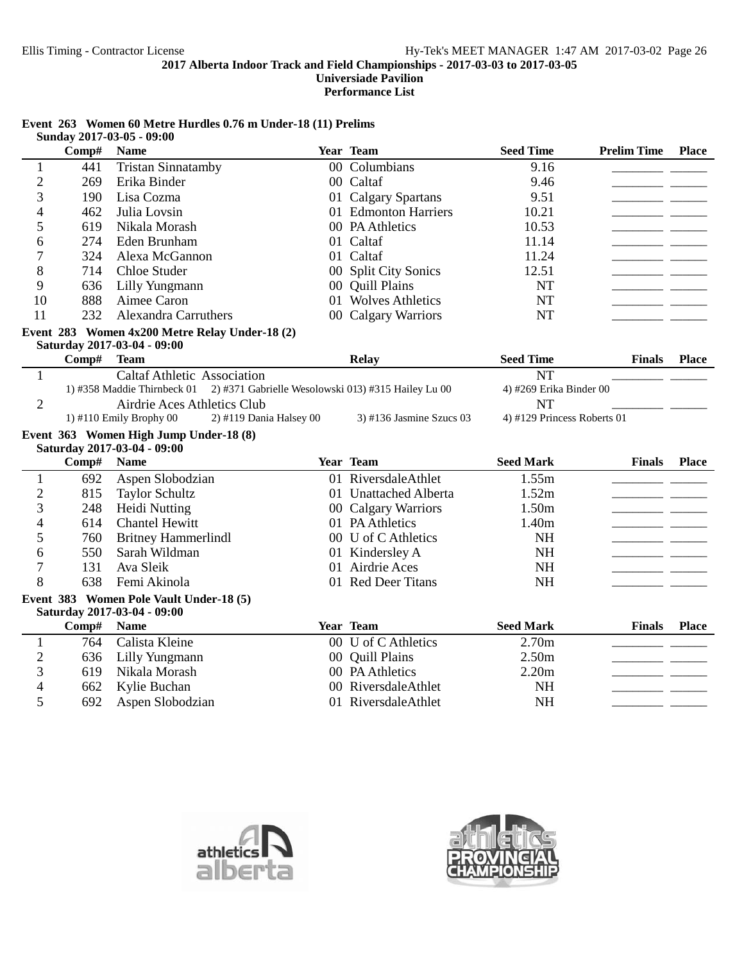**Universiade Pavilion**

**Performance List**

|                | Comp# | <b>Name</b>                                    |                         | Year Team                                           | <b>Seed Time</b>            | <b>Prelim Time</b>                                                  | <b>Place</b> |
|----------------|-------|------------------------------------------------|-------------------------|-----------------------------------------------------|-----------------------------|---------------------------------------------------------------------|--------------|
| $\mathbf{1}$   | 441   | <b>Tristan Sinnatamby</b>                      |                         | 00 Columbians                                       | 9.16                        |                                                                     |              |
| $\overline{c}$ | 269   | Erika Binder                                   |                         | 00 Caltaf                                           | 9.46                        |                                                                     |              |
| 3              | 190   | Lisa Cozma                                     |                         | 01 Calgary Spartans                                 | 9.51                        |                                                                     |              |
| 4              | 462   | Julia Lovsin                                   |                         | 01 Edmonton Harriers                                | 10.21                       |                                                                     |              |
| 5              | 619   | Nikala Morash                                  |                         | 00 PA Athletics                                     | 10.53                       |                                                                     |              |
| 6              | 274   | Eden Brunham                                   |                         | 01 Caltaf                                           | 11.14                       | منت المستحدث                                                        |              |
| 7              | 324   | Alexa McGannon                                 |                         | 01 Caltaf                                           | 11.24                       |                                                                     |              |
| 8              | 714   | Chloe Studer                                   |                         | 00 Split City Sonics                                | 12.51                       | <u> 1989 - Andrea Sta</u>                                           |              |
| 9              | 636   | Lilly Yungmann                                 |                         | 00 Quill Plains                                     | <b>NT</b>                   | سياسي المستحقق                                                      |              |
| 10             | 888   | Aimee Caron                                    |                         | 01 Wolves Athletics                                 | <b>NT</b>                   |                                                                     |              |
| 11             | 232   | <b>Alexandra Carruthers</b>                    |                         | 00 Calgary Warriors                                 | <b>NT</b>                   |                                                                     |              |
|                |       | Event 283 Women 4x200 Metre Relay Under-18 (2) |                         |                                                     |                             |                                                                     |              |
|                | Comp# | Saturday 2017-03-04 - 09:00<br><b>Team</b>     |                         | <b>Relay</b>                                        | <b>Seed Time</b>            | <b>Finals</b>                                                       | <b>Place</b> |
| $\mathbf{1}$   |       | <b>Caltaf Athletic Association</b>             |                         |                                                     | <b>NT</b>                   |                                                                     |              |
|                |       | 1) #358 Maddie Thirnbeck 01                    |                         | 2) #371 Gabrielle Wesolowski 013) #315 Hailey Lu 00 | 4) #269 Erika Binder 00     |                                                                     |              |
| $\overline{2}$ |       | Airdrie Aces Athletics Club                    |                         |                                                     | <b>NT</b>                   |                                                                     |              |
|                |       | 1) #110 Emily Brophy 00                        | 2) #119 Dania Halsey 00 | 3) #136 Jasmine Szucs 03                            | 4) #129 Princess Roberts 01 |                                                                     |              |
|                |       | Event 363 Women High Jump Under-18 (8)         |                         |                                                     |                             |                                                                     |              |
|                | Comp# | Saturday 2017-03-04 - 09:00<br><b>Name</b>     |                         | Year Team                                           | <b>Seed Mark</b>            | <b>Finals</b>                                                       | <b>Place</b> |
| $\mathbf{1}$   | 692   | Aspen Slobodzian                               |                         | 01 RiversdaleAthlet                                 | 1.55m                       |                                                                     |              |
| $\overline{c}$ | 815   | <b>Taylor Schultz</b>                          |                         | 01 Unattached Alberta                               | 1.52m                       |                                                                     |              |
| 3              | 248   | Heidi Nutting                                  |                         | 00 Calgary Warriors                                 | 1.50m                       |                                                                     |              |
| 4              | 614   | <b>Chantel Hewitt</b>                          |                         | 01 PA Athletics                                     | 1.40m                       |                                                                     |              |
| 5              | 760   | <b>Britney Hammerlindl</b>                     |                         | 00 U of C Athletics                                 | <b>NH</b>                   |                                                                     |              |
| 6              | 550   | Sarah Wildman                                  |                         | 01 Kindersley A                                     | <b>NH</b>                   | <u> Louis Communication de la communica</u><br>$\sim$ $\sim$ $\sim$ |              |
| 7              | 131   | Ava Sleik                                      |                         | 01 Airdrie Aces                                     | <b>NH</b>                   |                                                                     |              |
| 8              | 638   | Femi Akinola                                   |                         | 01 Red Deer Titans                                  | <b>NH</b>                   |                                                                     |              |
|                |       | Event 383 Women Pole Vault Under-18 (5)        |                         |                                                     |                             |                                                                     |              |
|                |       | Saturday 2017-03-04 - 09:00                    |                         |                                                     |                             |                                                                     |              |
|                | Comp# | <b>Name</b>                                    |                         | Year Team                                           | <b>Seed Mark</b>            | Finals                                                              | <b>Place</b> |
| 1              | 764   | Calista Kleine                                 |                         | 00 U of C Athletics                                 | 2.70 <sub>m</sub>           |                                                                     |              |
| $\overline{2}$ | 636   | Lilly Yungmann                                 |                         | 00 Quill Plains                                     | 2.50 <sub>m</sub>           |                                                                     |              |
| 3              | 619   | Nikala Morash                                  |                         | 00 PA Athletics                                     | 2.20m                       |                                                                     |              |
| 4              | 662   | Kylie Buchan                                   |                         | 00 RiversdaleAthlet                                 | <b>NH</b>                   |                                                                     |              |
| 5              | 692   | Aspen Slobodzian                               |                         | 01 RiversdaleAthlet                                 | <b>NH</b>                   |                                                                     |              |

#### **Event 263 Women 60 Metre Hurdles 0.76 m Under-18 (11) Prelims Sunday 2017-03-05 - 09:00**



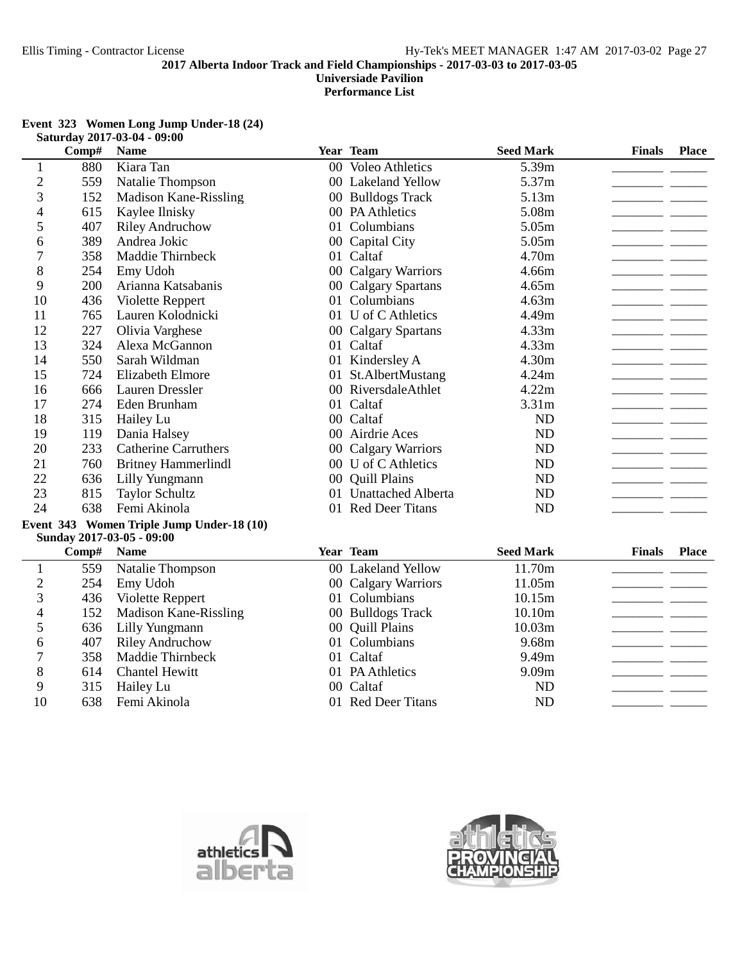## **Universiade Pavilion**

**Performance List**

|                | $_{\text{outun}, \text{un}}$ surf |                                           |                                 |                   |                                                                                                                                                                                                                                                                                                                                                                                                                                                       |              |
|----------------|-----------------------------------|-------------------------------------------|---------------------------------|-------------------|-------------------------------------------------------------------------------------------------------------------------------------------------------------------------------------------------------------------------------------------------------------------------------------------------------------------------------------------------------------------------------------------------------------------------------------------------------|--------------|
|                | Comp#                             | <b>Name</b>                               | Year Team                       | <b>Seed Mark</b>  | <b>Finals</b>                                                                                                                                                                                                                                                                                                                                                                                                                                         | <b>Place</b> |
| $\mathbf{1}$   | 880                               | Kiara Tan                                 | $\overline{00}$ Voleo Athletics | 5.39m             |                                                                                                                                                                                                                                                                                                                                                                                                                                                       |              |
| $\overline{c}$ | 559                               | Natalie Thompson                          | 00 Lakeland Yellow              | 5.37m             |                                                                                                                                                                                                                                                                                                                                                                                                                                                       |              |
| 3              | 152                               | <b>Madison Kane-Rissling</b>              | 00 Bulldogs Track               | 5.13m             |                                                                                                                                                                                                                                                                                                                                                                                                                                                       |              |
| $\overline{4}$ | 615                               | Kaylee Ilnisky                            | 00 PA Athletics                 | 5.08m             | $\begin{tabular}{ccccc} \multicolumn{2}{c }{\textbf{1} & \multicolumn{2}{c }{\textbf{2} & \multicolumn{2}{c }{\textbf{3} & \multicolumn{2}{c }{\textbf{4} & \multicolumn{2}{c }{\textbf{5} & \multicolumn{2}{c }{\textbf{6} & \multicolumn{2}{c }{\textbf{6} & \multicolumn{2}{c }{\textbf{6} & \multicolumn{2}{c }{\textbf{6} & \multicolumn{2}{c }{\textbf{6} & \multicolumn{2}{c }{\textbf{6} & \multicolumn{2}{c }{\textbf{6} & \multicolumn{2}{$ |              |
| 5              | 407                               | <b>Riley Andruchow</b>                    | 01 Columbians                   | 5.05m             |                                                                                                                                                                                                                                                                                                                                                                                                                                                       |              |
| 6              | 389                               | Andrea Jokic                              | 00 Capital City                 | 5.05m             | <u> The Communication of the Communication of the Communication of the Communication of the Communication of the Communication of the Communication of the Communication of the Communication of the Communication of the Commun</u>                                                                                                                                                                                                                  |              |
| 7              | 358                               | <b>Maddie Thirnbeck</b>                   | 01 Caltaf                       | 4.70m             | المستحدث                                                                                                                                                                                                                                                                                                                                                                                                                                              |              |
| 8              | 254                               | Emy Udoh                                  | 00 Calgary Warriors             | 4.66m             |                                                                                                                                                                                                                                                                                                                                                                                                                                                       |              |
| 9              | 200                               | Arianna Katsabanis                        | 00 Calgary Spartans             | 4.65m             |                                                                                                                                                                                                                                                                                                                                                                                                                                                       |              |
| 10             | 436                               | <b>Violette Reppert</b>                   | 01 Columbians                   | 4.63m             |                                                                                                                                                                                                                                                                                                                                                                                                                                                       |              |
| 11             | 765                               | Lauren Kolodnicki                         | 01 U of C Athletics             | 4.49m             |                                                                                                                                                                                                                                                                                                                                                                                                                                                       |              |
| 12             | 227                               | Olivia Varghese                           | 00 Calgary Spartans             | 4.33m             |                                                                                                                                                                                                                                                                                                                                                                                                                                                       |              |
| 13             | 324                               | Alexa McGannon                            | 01 Caltaf                       | 4.33m             |                                                                                                                                                                                                                                                                                                                                                                                                                                                       |              |
| 14             | 550                               | Sarah Wildman                             | 01 Kindersley A                 | 4.30m             | <u> The Common School (1989)</u>                                                                                                                                                                                                                                                                                                                                                                                                                      |              |
| 15             | 724                               | <b>Elizabeth Elmore</b>                   | 01 St.AlbertMustang             | 4.24m             |                                                                                                                                                                                                                                                                                                                                                                                                                                                       |              |
| 16             | 666                               | <b>Lauren Dressler</b>                    | 00 RiversdaleAthlet             | 4.22m             |                                                                                                                                                                                                                                                                                                                                                                                                                                                       |              |
| 17             | 274                               | Eden Brunham                              | 01 Caltaf                       | 3.31 <sub>m</sub> |                                                                                                                                                                                                                                                                                                                                                                                                                                                       |              |
| 18             | 315                               | Hailey Lu                                 | 00 Caltaf                       | <b>ND</b>         |                                                                                                                                                                                                                                                                                                                                                                                                                                                       |              |
| 19             | 119                               | Dania Halsey                              | 00 Airdrie Aces                 | ND                |                                                                                                                                                                                                                                                                                                                                                                                                                                                       |              |
| 20             | 233                               | <b>Catherine Carruthers</b>               | 00 Calgary Warriors             | ND                |                                                                                                                                                                                                                                                                                                                                                                                                                                                       |              |
| 21             | 760                               | <b>Britney Hammerlindl</b>                | 00 U of C Athletics             | <b>ND</b>         |                                                                                                                                                                                                                                                                                                                                                                                                                                                       |              |
| 22             | 636                               | Lilly Yungmann                            | 00 Quill Plains                 | <b>ND</b>         |                                                                                                                                                                                                                                                                                                                                                                                                                                                       |              |
| 23             | 815                               | <b>Taylor Schultz</b>                     | 01 Unattached Alberta           | <b>ND</b>         |                                                                                                                                                                                                                                                                                                                                                                                                                                                       |              |
| 24             | 638                               | Femi Akinola                              | 01 Red Deer Titans              | <b>ND</b>         |                                                                                                                                                                                                                                                                                                                                                                                                                                                       |              |
|                |                                   | Event 343 Women Triple Jump Under-18 (10) |                                 |                   |                                                                                                                                                                                                                                                                                                                                                                                                                                                       |              |
|                |                                   | Sunday 2017-03-05 - 09:00                 |                                 |                   |                                                                                                                                                                                                                                                                                                                                                                                                                                                       |              |
|                | Comp#                             | <b>Name</b>                               | Year Team                       | <b>Seed Mark</b>  | <b>Finals</b>                                                                                                                                                                                                                                                                                                                                                                                                                                         | <b>Place</b> |
| $\mathbf{1}$   | 559                               | Natalie Thompson                          | 00 Lakeland Yellow              | 11.70m            |                                                                                                                                                                                                                                                                                                                                                                                                                                                       |              |
| $\overline{2}$ | 254                               | Emy Udoh                                  | 00 Calgary Warriors             | 11.05m            | للمستنقص المستنقص                                                                                                                                                                                                                                                                                                                                                                                                                                     |              |
| 3              | 436                               | Violette Reppert                          | 01 Columbians                   | 10.15m            | — —                                                                                                                                                                                                                                                                                                                                                                                                                                                   |              |
| 4              | 152                               | <b>Madison Kane-Rissling</b>              | 00 Bulldogs Track               | 10.10m            | — —                                                                                                                                                                                                                                                                                                                                                                                                                                                   |              |
| 5              | 636                               | Lilly Yungmann                            | 00 Quill Plains                 | 10.03m            | <u> Liberatura de la conte</u>                                                                                                                                                                                                                                                                                                                                                                                                                        |              |
| 6              | 407                               | <b>Riley Andruchow</b>                    | 01 Columbians                   | 9.68m             |                                                                                                                                                                                                                                                                                                                                                                                                                                                       |              |
| 7              | 358                               | Maddie Thirnbeck                          | 01 Caltaf                       | 9.49m             | ____                                                                                                                                                                                                                                                                                                                                                                                                                                                  |              |
| 8              | 614                               | <b>Chantel Hewitt</b>                     | 01 PA Athletics                 | 9.09m             |                                                                                                                                                                                                                                                                                                                                                                                                                                                       |              |
| 9              | 315                               | Hailey Lu                                 | 00 Caltaf                       | <b>ND</b>         | ___                                                                                                                                                                                                                                                                                                                                                                                                                                                   |              |
| 10             | 638                               | Femi Akinola                              | 01 Red Deer Titans              | <b>ND</b>         | - -                                                                                                                                                                                                                                                                                                                                                                                                                                                   |              |

#### **Event 323 Women Long Jump Under-18 (24) Saturday 2017-03-04 - 09:00**



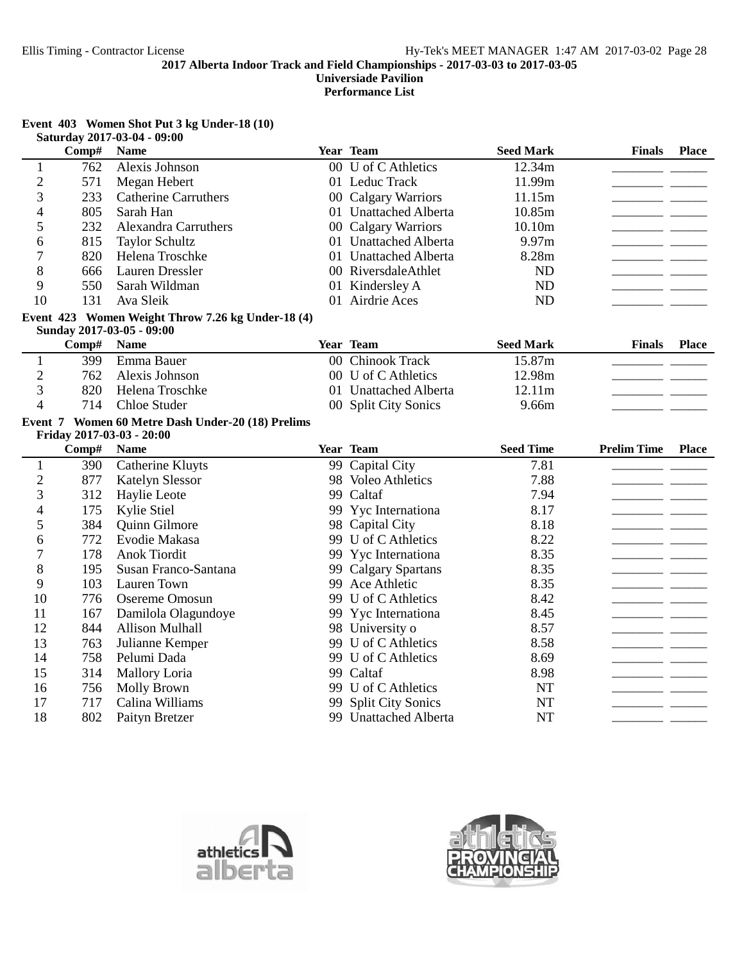**Universiade Pavilion**

|  | Event 403 Women Shot Put 3 kg Under-18 (10) |  |
|--|---------------------------------------------|--|
|  | Saturday 2017-03-04 - 09:00                 |  |

|                | Comp#      | <b>Name</b>                                                                    | Year Team                                     | <b>Seed Mark</b>       | <b>Finals</b>      | <b>Place</b> |
|----------------|------------|--------------------------------------------------------------------------------|-----------------------------------------------|------------------------|--------------------|--------------|
| 1              | 762        | Alexis Johnson                                                                 | 00 U of C Athletics                           | 12.34m                 |                    |              |
| $\overline{c}$ | 571        | Megan Hebert                                                                   | 01 Leduc Track                                | 11.99m                 | _________          |              |
| 3              | 233        | <b>Catherine Carruthers</b>                                                    | 00 Calgary Warriors                           | 11.15m                 |                    |              |
| 4              | 805        | Sarah Han                                                                      | 01 Unattached Alberta                         | 10.85m                 |                    |              |
| 5              | 232        | <b>Alexandra Carruthers</b>                                                    | 00 Calgary Warriors                           | 10.10m                 |                    |              |
| 6              | 815        | <b>Taylor Schultz</b>                                                          | 01 Unattached Alberta                         | 9.97m                  |                    |              |
| 7              | 820        | Helena Troschke                                                                | 01 Unattached Alberta                         | 8.28m                  |                    |              |
| 8              | 666        | <b>Lauren Dressler</b>                                                         | 00 RiversdaleAthlet                           | ND                     |                    |              |
| 9              | 550        | Sarah Wildman                                                                  | 01 Kindersley A                               | ND                     | __ __              |              |
| 10             | 131        | Ava Sleik                                                                      | 01 Airdrie Aces                               | <b>ND</b>              |                    |              |
|                |            | Event 423 Women Weight Throw 7.26 kg Under-18 (4)<br>Sunday 2017-03-05 - 09:00 |                                               |                        |                    |              |
|                | Comp#      | <b>Name</b>                                                                    | Year Team                                     | <b>Seed Mark</b>       | Finals             | <b>Place</b> |
| $\mathbf{1}$   | 399        | Emma Bauer                                                                     | 00 Chinook Track                              | 15.87m                 | للمستحدث           |              |
| $\overline{2}$ | 762        | Alexis Johnson                                                                 | 00 U of C Athletics                           | 12.98m                 |                    |              |
| 3              | 820        | Helena Troschke                                                                | 01 Unattached Alberta                         | 12.11m                 |                    |              |
| 4              | 714        | Chloe Studer                                                                   | 00 Split City Sonics                          | 9.66m                  |                    |              |
|                |            | Event 7 Women 60 Metre Dash Under-20 (18) Prelims                              |                                               |                        |                    |              |
|                |            |                                                                                |                                               |                        |                    |              |
|                |            | Friday 2017-03-03 - 20:00                                                      |                                               |                        |                    |              |
|                | Comp#      | <b>Name</b>                                                                    | Year Team                                     | <b>Seed Time</b>       | <b>Prelim Time</b> | <b>Place</b> |
| $\mathbf{1}$   | 390        | Catherine Kluyts                                                               | 99 Capital City                               | 7.81                   |                    |              |
| $\overline{c}$ | 877        | <b>Katelyn Slessor</b>                                                         | 98 Voleo Athletics                            | 7.88                   |                    |              |
| 3              | 312        | Haylie Leote                                                                   | 99 Caltaf                                     | 7.94                   |                    |              |
| 4              | 175        | Kylie Stiel                                                                    | 99 Yyc Internationa                           | 8.17                   |                    |              |
| 5              | 384        | Quinn Gilmore                                                                  | 98 Capital City                               | 8.18                   |                    |              |
| 6              | 772        | Evodie Makasa                                                                  | 99 U of C Athletics                           | 8.22                   |                    |              |
| 7              | 178        | <b>Anok Tiordit</b>                                                            | 99 Yyc Internationa                           | 8.35                   |                    |              |
| 8              | 195        | Susan Franco-Santana                                                           | 99 Calgary Spartans                           | 8.35                   |                    |              |
| 9              | 103        | Lauren Town                                                                    | 99 Ace Athletic                               | 8.35                   |                    |              |
| 10             | 776        | Osereme Omosun                                                                 | 99 U of C Athletics                           | 8.42                   |                    |              |
| 11             | 167        | Damilola Olagundoye                                                            | 99 Yyc Internationa                           | 8.45                   | _______            |              |
| 12             | 844        | Allison Mulhall                                                                | 98 University o                               | 8.57                   |                    |              |
| 13             | 763        | Julianne Kemper                                                                | 99 U of C Athletics                           | 8.58                   |                    |              |
| 14             | 758        | Pelumi Dada                                                                    | 99 U of C Athletics                           | 8.69                   |                    |              |
| 15             | 314        | Mallory Loria                                                                  | 99 Caltaf                                     | 8.98                   | - -                |              |
| 16             | 756        | <b>Molly Brown</b>                                                             | 99 U of C Athletics                           | <b>NT</b>              |                    |              |
| 17<br>18       | 717<br>802 | Calina Williams<br>Paityn Bretzer                                              | 99 Split City Sonics<br>99 Unattached Alberta | <b>NT</b><br><b>NT</b> |                    |              |



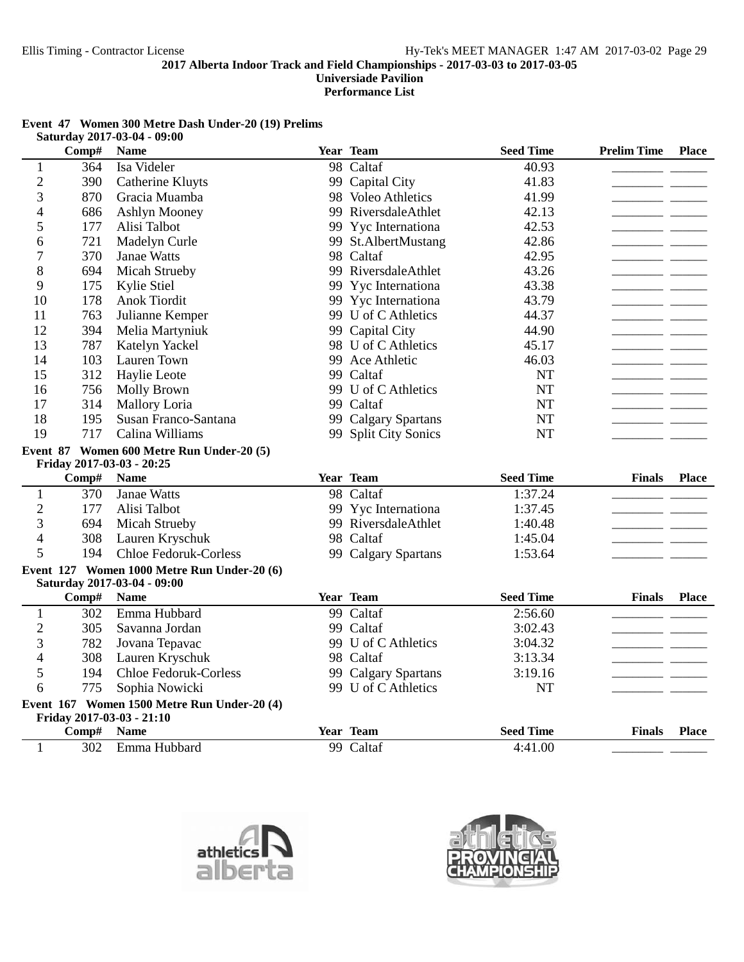## **Universiade Pavilion**

**Performance List**

|                          | Comp# | <b>Name</b>                                 | Year Team            | <b>Seed Time</b> | <b>Prelim Time</b> | <b>Place</b> |
|--------------------------|-------|---------------------------------------------|----------------------|------------------|--------------------|--------------|
| 1                        | 364   | Isa Videler                                 | 98 Caltaf            | 40.93            |                    |              |
| $\overline{c}$           | 390   | Catherine Kluyts                            | 99 Capital City      | 41.83            |                    |              |
| 3                        | 870   | Gracia Muamba                               | 98 Voleo Athletics   | 41.99            | $=$ $=$            |              |
| 4                        | 686   | <b>Ashlyn Mooney</b>                        | 99 RiversdaleAthlet  | 42.13            |                    |              |
| 5                        | 177   | Alisi Talbot                                | 99 Yyc Internationa  | 42.53            |                    |              |
| 6                        | 721   | Madelyn Curle                               | 99 St.AlbertMustang  | 42.86            |                    |              |
| 7                        | 370   | Janae Watts                                 | 98 Caltaf            | 42.95            |                    |              |
| 8                        | 694   | Micah Strueby                               | 99 RiversdaleAthlet  | 43.26            |                    |              |
| 9                        | 175   | Kylie Stiel                                 | 99 Yyc Internationa  | 43.38            |                    |              |
| 10                       | 178   | <b>Anok Tiordit</b>                         | 99 Yyc Internationa  | 43.79            |                    |              |
| 11                       | 763   | Julianne Kemper                             | 99 U of C Athletics  | 44.37            |                    |              |
| 12                       | 394   | Melia Martyniuk                             | 99 Capital City      | 44.90            |                    |              |
| 13                       | 787   | Katelyn Yackel                              | 98 U of C Athletics  | 45.17            |                    |              |
| 14                       | 103   | Lauren Town                                 | 99 Ace Athletic      | 46.03            |                    |              |
| 15                       | 312   | Haylie Leote                                | 99 Caltaf            | <b>NT</b>        |                    |              |
| 16                       | 756   | <b>Molly Brown</b>                          | 99 U of C Athletics  | <b>NT</b>        |                    |              |
| 17                       | 314   | Mallory Loria                               | 99 Caltaf            | <b>NT</b>        |                    |              |
| 18                       | 195   | Susan Franco-Santana                        | 99 Calgary Spartans  | <b>NT</b>        |                    |              |
| 19                       | 717   | Calina Williams                             | 99 Split City Sonics | <b>NT</b>        |                    |              |
|                          |       | Event 87 Women 600 Metre Run Under-20 (5)   |                      |                  |                    |              |
|                          |       | Friday 2017-03-03 - 20:25                   |                      |                  |                    |              |
|                          | Comp# | <b>Name</b>                                 | Year Team            | <b>Seed Time</b> | <b>Finals</b>      | <b>Place</b> |
| 1                        | 370   | <b>Janae Watts</b>                          | 98 Caltaf            | 1:37.24          |                    |              |
| $\overline{c}$           | 177   | Alisi Talbot                                | 99 Yyc Internationa  | 1:37.45          |                    |              |
| 3                        | 694   | Micah Strueby                               | 99 RiversdaleAthlet  | 1:40.48          |                    |              |
| 4                        | 308   | Lauren Kryschuk                             | 98 Caltaf            | 1:45.04          |                    |              |
| 5                        | 194   | <b>Chloe Fedoruk-Corless</b>                | 99 Calgary Spartans  | 1:53.64          |                    |              |
|                          |       | Event 127 Women 1000 Metre Run Under-20 (6) |                      |                  |                    |              |
|                          |       | Saturday 2017-03-04 - 09:00                 |                      |                  |                    |              |
|                          | Comp# | <b>Name</b>                                 | Year Team            | <b>Seed Time</b> | <b>Finals</b>      | <b>Place</b> |
| $\mathbf{1}$             | 302   | Emma Hubbard                                | 99 Caltaf            | 2:56.60          |                    |              |
| $\overline{c}$           | 305   | Savanna Jordan                              | 99 Caltaf            | 3:02.43          |                    |              |
| 3                        | 782   | Jovana Tepavac                              | 99 U of C Athletics  | 3:04.32          |                    |              |
| $\overline{\mathcal{L}}$ | 308   | Lauren Kryschuk                             | 98 Caltaf            | 3:13.34          |                    |              |
| 5                        | 194   | <b>Chloe Fedoruk-Corless</b>                | 99 Calgary Spartans  | 3:19.16          |                    |              |
| 6                        | 775   | Sophia Nowicki                              | 99 U of C Athletics  | <b>NT</b>        |                    |              |
|                          |       | Event 167 Women 1500 Metre Run Under-20 (4) |                      |                  |                    |              |
|                          |       | Friday 2017-03-03 - 21:10                   |                      |                  |                    |              |
|                          | Comp# | <b>Name</b>                                 | Year Team            | <b>Seed Time</b> | <b>Finals</b>      | <b>Place</b> |
| 1                        | 302   | Emma Hubbard                                | 99 Caltaf            | 4:41.00          |                    |              |

## **Event 47 Women 300 Metre Dash Under-20 (19) Prelims Saturday 2017-03-04 - 09:00**



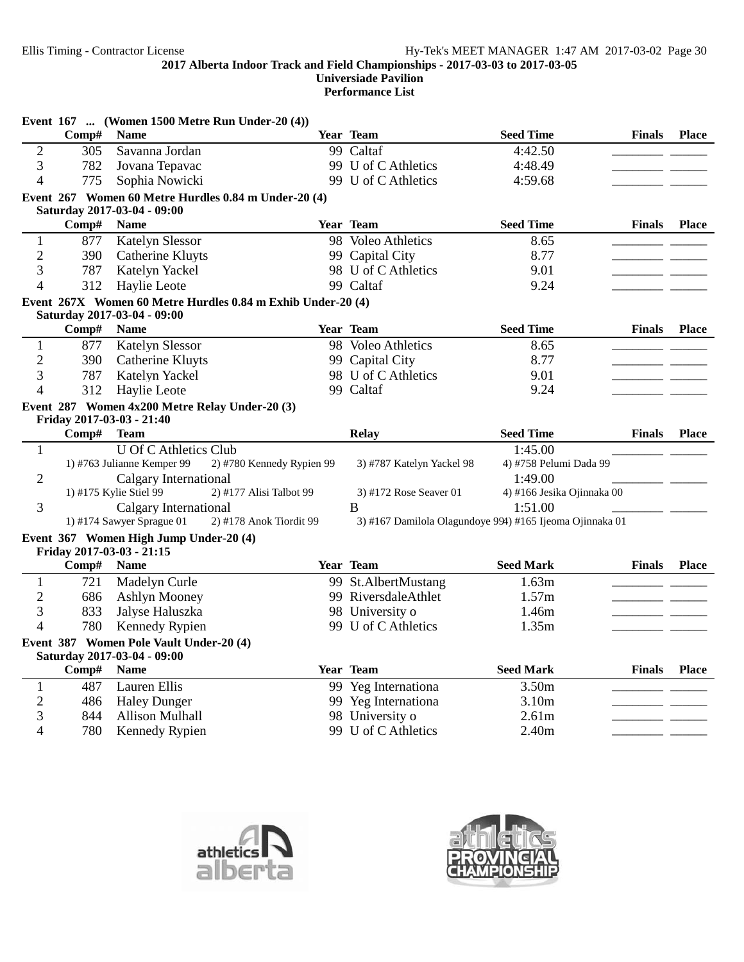**Universiade Pavilion**

|                     |            |                                                                             | Event 167  (Women 1500 Metre Run Under-20 (4))              |                                        |                                                          |                                      |              |
|---------------------|------------|-----------------------------------------------------------------------------|-------------------------------------------------------------|----------------------------------------|----------------------------------------------------------|--------------------------------------|--------------|
|                     | Comp#      | <b>Name</b>                                                                 |                                                             | Year Team                              | <b>Seed Time</b>                                         | <b>Finals</b>                        | <b>Place</b> |
| $\overline{2}$      | 305        | Savanna Jordan                                                              |                                                             | 99 Caltaf                              | 4:42.50                                                  |                                      |              |
| 3                   | 782        | Jovana Tepavac                                                              |                                                             | 99 U of C Athletics                    | 4:48.49                                                  |                                      |              |
| 4                   | 775        | Sophia Nowicki                                                              |                                                             | 99 U of C Athletics                    | 4:59.68                                                  |                                      |              |
|                     |            | Saturday 2017-03-04 - 09:00                                                 | Event 267 Women 60 Metre Hurdles 0.84 m Under-20 (4)        |                                        |                                                          |                                      |              |
|                     | Comp#      | <b>Name</b>                                                                 |                                                             | Year Team                              | <b>Seed Time</b>                                         | <b>Finals</b>                        | <b>Place</b> |
| $\mathbf{1}$        | 877        | <b>Katelyn Slessor</b>                                                      |                                                             | 98 Voleo Athletics                     | 8.65                                                     |                                      |              |
| $\mathbf{2}$        | 390        | Catherine Kluyts                                                            |                                                             | 99 Capital City                        | 8.77                                                     |                                      |              |
| 3                   | 787        | Katelyn Yackel                                                              |                                                             | 98 U of C Athletics                    | 9.01                                                     |                                      |              |
| $\overline{4}$      | 312        | Haylie Leote                                                                |                                                             | 99 Caltaf                              | 9.24                                                     |                                      |              |
|                     |            | Saturday 2017-03-04 - 09:00                                                 | Event 267X Women 60 Metre Hurdles 0.84 m Exhib Under-20 (4) |                                        |                                                          |                                      |              |
|                     | Comp#      | <b>Name</b>                                                                 |                                                             | Year Team                              | <b>Seed Time</b>                                         | <b>Finals</b>                        | <b>Place</b> |
| $\mathbf{1}$        | 877        | Katelyn Slessor                                                             |                                                             | 98 Voleo Athletics                     | 8.65                                                     |                                      |              |
| $\overline{2}$      | 390        | Catherine Kluyts                                                            |                                                             | 99 Capital City                        | 8.77                                                     | - -                                  |              |
| 3                   | 787        | Katelyn Yackel                                                              |                                                             | 98 U of C Athletics                    | 9.01                                                     |                                      |              |
| $\overline{4}$      | 312        | Haylie Leote                                                                |                                                             | 99 Caltaf                              | 9.24                                                     |                                      |              |
|                     |            | Event 287 Women 4x200 Metre Relay Under-20 (3)<br>Friday 2017-03-03 - 21:40 |                                                             |                                        |                                                          |                                      |              |
|                     | Comp#      | <b>Team</b>                                                                 |                                                             | <b>Relay</b>                           | <b>Seed Time</b>                                         | <b>Finals</b>                        | <b>Place</b> |
| $\mathbf{1}$        |            | <b>U Of C Athletics Club</b>                                                |                                                             |                                        | 1:45.00                                                  |                                      |              |
|                     |            | 1) #763 Julianne Kemper 99                                                  | 2) #780 Kennedy Rypien 99                                   | 3) #787 Katelyn Yackel 98              | 4) #758 Pelumi Dada 99                                   |                                      |              |
| $\overline{2}$      |            | Calgary International                                                       |                                                             |                                        | 1:49.00                                                  |                                      |              |
|                     |            | 1) #175 Kylie Stiel 99                                                      | 2) #177 Alisi Talbot 99                                     | 3) #172 Rose Seaver 01                 | 4) #166 Jesika Ojinnaka 00                               |                                      |              |
| 3                   |            | Calgary International                                                       |                                                             | B                                      | 1:51.00                                                  |                                      |              |
|                     |            | 1) #174 Sawyer Sprague 01                                                   | 2) #178 Anok Tiordit 99                                     |                                        | 3) #167 Damilola Olagundoye 994) #165 Ijeoma Ojinnaka 01 |                                      |              |
|                     |            | Event 367 Women High Jump Under-20 (4)                                      |                                                             |                                        |                                                          |                                      |              |
|                     |            | Friday 2017-03-03 - 21:15                                                   |                                                             |                                        |                                                          |                                      |              |
|                     | Comp#      | <b>Name</b>                                                                 |                                                             | Year Team                              | <b>Seed Mark</b>                                         | <b>Finals</b>                        | <b>Place</b> |
| $\mathbf{1}$        | 721        | Madelyn Curle                                                               |                                                             | 99 St.AlbertMustang                    | 1.63m                                                    |                                      |              |
| $\overline{2}$      | 686        | <b>Ashlyn Mooney</b>                                                        |                                                             | 99 RiversdaleAthlet                    | 1.57m                                                    |                                      |              |
| 3                   |            |                                                                             |                                                             |                                        |                                                          |                                      |              |
|                     | 833        | Jalyse Haluszka                                                             |                                                             | 98 University o                        | 1.46m                                                    | <u> Albanya a Manazarta da San A</u> |              |
| 4                   | 780        | Kennedy Rypien                                                              |                                                             | 99 U of C Athletics                    | 1.35m                                                    |                                      |              |
|                     |            | Event 387 Women Pole Vault Under-20 (4)                                     |                                                             |                                        |                                                          |                                      |              |
|                     |            | Saturday 2017-03-04 - 09:00<br><b>Name</b>                                  |                                                             | Year Team                              | <b>Seed Mark</b>                                         | <b>Finals</b>                        | <b>Place</b> |
|                     | Comp#      |                                                                             |                                                             |                                        |                                                          |                                      |              |
| 1                   | 487        | Lauren Ellis                                                                |                                                             | 99 Yeg Internationa                    | 3.50m                                                    |                                      |              |
| $\mathfrak{2}$<br>3 | 486<br>844 | <b>Haley Dunger</b><br><b>Allison Mulhall</b>                               |                                                             | 99 Yeg Internationa<br>98 University o | 3.10m<br>2.61m                                           |                                      |              |



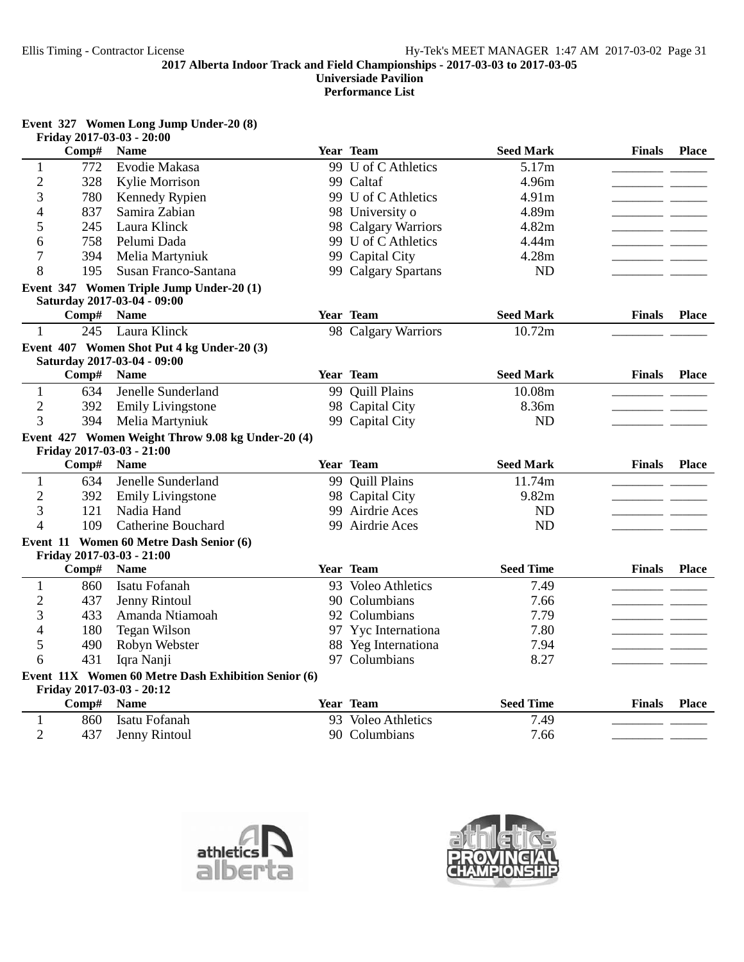## **Universiade Pavilion**

|                |       | Event 327 Women Long Jump Under-20 (8)<br>Friday 2017-03-03 - 20:00              |    |                     |                  |                                                                                                                       |              |
|----------------|-------|----------------------------------------------------------------------------------|----|---------------------|------------------|-----------------------------------------------------------------------------------------------------------------------|--------------|
|                | Comp# | <b>Name</b>                                                                      |    | Year Team           | <b>Seed Mark</b> | <b>Finals</b>                                                                                                         | <b>Place</b> |
| 1              | 772   | Evodie Makasa                                                                    |    | 99 U of C Athletics | 5.17m            |                                                                                                                       |              |
| $\overline{2}$ | 328   | Kylie Morrison                                                                   |    | 99 Caltaf           | 4.96m            | - -                                                                                                                   |              |
| 3              | 780   | Kennedy Rypien                                                                   |    | 99 U of C Athletics | 4.91m            |                                                                                                                       |              |
| 4              | 837   | Samira Zabian                                                                    |    | 98 University o     | 4.89m            | the control of the control of the                                                                                     |              |
| 5              | 245   | Laura Klinck                                                                     |    | 98 Calgary Warriors | 4.82m            | $\sim$ $\sim$ $\sim$ $\sim$                                                                                           |              |
| 6              | 758   | Pelumi Dada                                                                      |    | 99 U of C Athletics | 4.44m            | <u> Louis Communication de la communica</u>                                                                           |              |
| 7              | 394   | Melia Martyniuk                                                                  |    | 99 Capital City     | 4.28m            | —<br>—————                                                                                                            |              |
| 8              | 195   | Susan Franco-Santana                                                             |    | 99 Calgary Spartans | <b>ND</b>        |                                                                                                                       |              |
|                |       | Event 347 Women Triple Jump Under-20 (1)<br>Saturday 2017-03-04 - 09:00          |    |                     |                  |                                                                                                                       |              |
|                | Comp# | <b>Name</b>                                                                      |    | Year Team           | <b>Seed Mark</b> | <b>Finals</b>                                                                                                         | <b>Place</b> |
| $\mathbf{1}$   | 245   | Laura Klinck                                                                     |    | 98 Calgary Warriors | 10.72m           |                                                                                                                       |              |
|                |       | Event 407 Women Shot Put 4 kg Under-20 (3)<br>Saturday 2017-03-04 - 09:00        |    |                     |                  |                                                                                                                       |              |
|                | Comp# | <b>Name</b>                                                                      |    | Year Team           | <b>Seed Mark</b> | <b>Finals</b>                                                                                                         | <b>Place</b> |
| $\mathbf{1}$   | 634   | Jenelle Sunderland                                                               |    | 99 Quill Plains     | 10.08m           |                                                                                                                       |              |
| $\overline{2}$ | 392   | <b>Emily Livingstone</b>                                                         |    | 98 Capital City     | 8.36m            |                                                                                                                       |              |
| 3              | 394   | Melia Martyniuk                                                                  |    | 99 Capital City     | <b>ND</b>        |                                                                                                                       |              |
|                |       | Event 427 Women Weight Throw 9.08 kg Under-20 (4)<br>Friday 2017-03-03 - 21:00   |    |                     |                  |                                                                                                                       |              |
|                | Comp# | <b>Name</b>                                                                      |    | Year Team           | <b>Seed Mark</b> | <b>Finals</b>                                                                                                         | <b>Place</b> |
| $\mathbf{1}$   | 634   | Jenelle Sunderland                                                               | 99 | <b>Quill Plains</b> | 11.74m           | the contract of the contract of the                                                                                   |              |
| $\overline{c}$ | 392   | <b>Emily Livingstone</b>                                                         |    | 98 Capital City     | 9.82m            |                                                                                                                       |              |
| 3              | 121   | Nadia Hand                                                                       |    | 99 Airdrie Aces     | <b>ND</b>        |                                                                                                                       |              |
| 4              | 109   | <b>Catherine Bouchard</b>                                                        |    | 99 Airdrie Aces     | <b>ND</b>        |                                                                                                                       |              |
|                |       | Event 11 Women 60 Metre Dash Senior (6)<br>Friday 2017-03-03 - 21:00             |    |                     |                  |                                                                                                                       |              |
|                | Comp# | <b>Name</b>                                                                      |    | Year Team           | <b>Seed Time</b> | <b>Finals</b>                                                                                                         | <b>Place</b> |
| 1              | 860   | Isatu Fofanah                                                                    |    | 93 Voleo Athletics  | 7.49             |                                                                                                                       |              |
| $\overline{2}$ | 437   | Jenny Rintoul                                                                    |    | 90 Columbians       | 7.66             | <u> Louis Communication de la provincia de la provincia de la provincia de la provincia de la provincia de la pro</u> |              |
| 3              | 433   | Amanda Ntiamoah                                                                  |    | 92 Columbians       | 7.79             |                                                                                                                       |              |
| 4              | 180   | <b>Tegan Wilson</b>                                                              |    | 97 Yyc Internationa | 7.80             | $\sim$ $\sim$                                                                                                         |              |
| 5              | 490   | Robyn Webster                                                                    |    | 88 Yeg Internationa | 7.94             |                                                                                                                       |              |
| 6              | 431   | Iqra Nanji                                                                       |    | 97 Columbians       | 8.27             |                                                                                                                       |              |
|                |       | Event 11X Women 60 Metre Dash Exhibition Senior (6)<br>Friday 2017-03-03 - 20:12 |    |                     |                  |                                                                                                                       |              |
|                | Comp# | <b>Name</b>                                                                      |    | Year Team           | <b>Seed Time</b> | <b>Finals</b>                                                                                                         | <b>Place</b> |
| 1              | 860   | Isatu Fofanah                                                                    |    | 93 Voleo Athletics  | 7.49             |                                                                                                                       |              |
| $\overline{2}$ | 437   | Jenny Rintoul                                                                    |    | 90 Columbians       | 7.66             |                                                                                                                       |              |



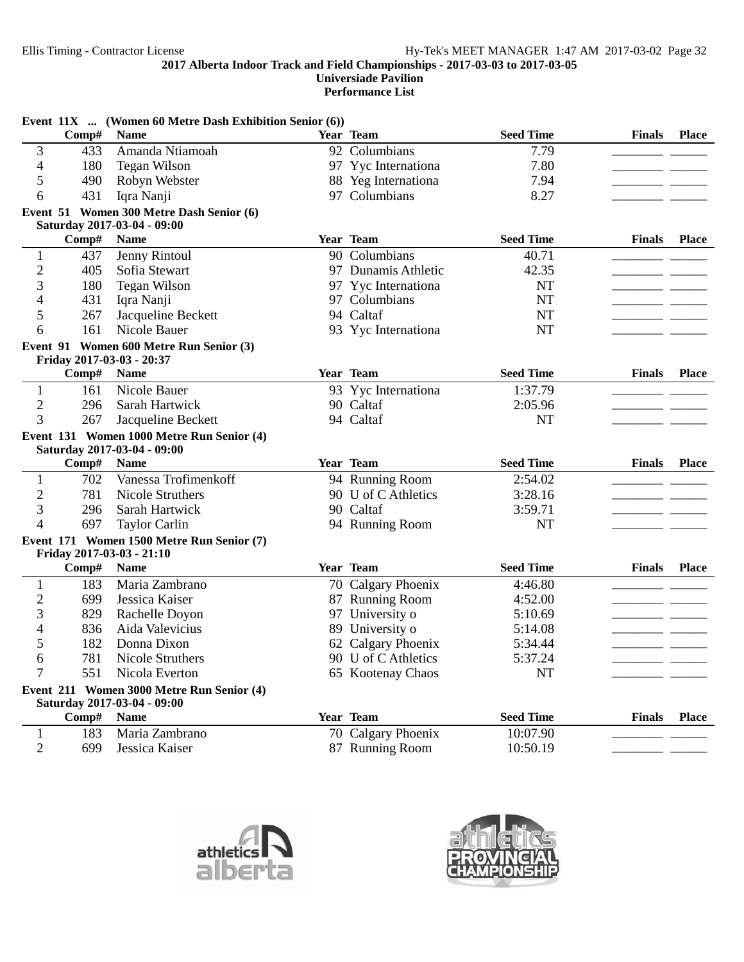#### **Universiade Pavilion**

|                |       | Event 11X  (Women 60 Metre Dash Exhibition Senior (6))                   |                     |                  |               |              |
|----------------|-------|--------------------------------------------------------------------------|---------------------|------------------|---------------|--------------|
|                | Comp# | <b>Name</b>                                                              | Year Team           | <b>Seed Time</b> | <b>Finals</b> | <b>Place</b> |
| 3              | 433   | Amanda Ntiamoah                                                          | 92 Columbians       | 7.79             |               |              |
| 4              | 180   | Tegan Wilson                                                             | 97 Yyc Internationa | 7.80             | - -           |              |
| 5              | 490   | Robyn Webster                                                            | 88 Yeg Internationa | 7.94             |               |              |
| 6              | 431   | Iqra Nanji                                                               | 97 Columbians       | 8.27             |               |              |
|                |       | Event 51 Women 300 Metre Dash Senior (6)                                 |                     |                  |               |              |
|                |       | Saturday 2017-03-04 - 09:00                                              |                     |                  |               |              |
|                | Comp# | <b>Name</b>                                                              | Year Team           | <b>Seed Time</b> | <b>Finals</b> | <b>Place</b> |
| $\mathbf{1}$   | 437   | Jenny Rintoul                                                            | 90 Columbians       | 40.71            |               |              |
| $\overline{c}$ | 405   | Sofia Stewart                                                            | 97 Dunamis Athletic | 42.35            |               |              |
| 3              | 180   | <b>Tegan Wilson</b>                                                      | 97 Yyc Internationa | <b>NT</b>        |               |              |
| 4              | 431   | Iqra Nanji                                                               | 97 Columbians       | <b>NT</b>        |               |              |
| 5              | 267   | Jacqueline Beckett                                                       | 94 Caltaf           | <b>NT</b>        |               |              |
| 6              | 161   | Nicole Bauer                                                             | 93 Yyc Internationa | <b>NT</b>        |               |              |
|                |       | Event 91 Women 600 Metre Run Senior (3)<br>Friday 2017-03-03 - 20:37     |                     |                  |               |              |
|                | Comp# | <b>Name</b>                                                              | Year Team           | <b>Seed Time</b> | Finals        | Place        |
| $\mathbf{1}$   | 161   | Nicole Bauer                                                             | 93 Yyc Internationa | 1:37.79          |               |              |
| $\overline{2}$ | 296   | Sarah Hartwick                                                           | 90 Caltaf           | 2:05.96          |               |              |
| 3              | 267   | Jacqueline Beckett                                                       | 94 Caltaf           | NT               |               |              |
|                |       | Event 131 Women 1000 Metre Run Senior (4)                                |                     |                  |               |              |
|                |       | Saturday 2017-03-04 - 09:00                                              |                     |                  |               |              |
|                | Comp# | <b>Name</b>                                                              | Year Team           | <b>Seed Time</b> | <b>Finals</b> | <b>Place</b> |
| 1              | 702   | Vanessa Trofimenkoff                                                     | 94 Running Room     | 2:54.02          |               |              |
| 2              | 781   | Nicole Struthers                                                         | 90 U of C Athletics | 3:28.16          |               |              |
| 3              | 296   | Sarah Hartwick                                                           | 90 Caltaf           | 3:59.71          |               |              |
| 4              | 697   | <b>Taylor Carlin</b>                                                     | 94 Running Room     | <b>NT</b>        |               |              |
|                |       | Event 171 Women 1500 Metre Run Senior (7)                                |                     |                  |               |              |
|                |       | Friday 2017-03-03 - 21:10                                                |                     |                  |               |              |
|                | Comp# | <b>Name</b>                                                              | Year Team           | <b>Seed Time</b> | <b>Finals</b> | <b>Place</b> |
| 1              | 183   | Maria Zambrano                                                           | 70 Calgary Phoenix  | 4:46.80          |               |              |
| 2              | 699   | Jessica Kaiser                                                           | 87 Running Room     | 4:52.00          |               |              |
| 3              | 829   | Rachelle Doyon                                                           | 97 University o     | 5:10.69          |               |              |
| 4              | 836   | Aida Valevicius                                                          | 89 University o     | 5:14.08          |               |              |
| 5              | 182   | Donna Dixon                                                              | 62 Calgary Phoenix  | 5:34.44          |               |              |
| 6              | 781   | Nicole Struthers                                                         | 90 U of C Athletics | 5:37.24          |               |              |
| 7              | 551   | Nicola Everton                                                           | 65 Kootenay Chaos   | NT               |               |              |
|                |       | Event 211 Women 3000 Metre Run Senior (4)<br>Saturday 2017-03-04 - 09:00 |                     |                  |               |              |
|                | Comp# | <b>Name</b>                                                              | Year Team           | <b>Seed Time</b> | <b>Finals</b> | <b>Place</b> |
| $\mathbf{1}$   | 183   | Maria Zambrano                                                           | 70 Calgary Phoenix  | 10:07.90         |               |              |
| $\overline{c}$ | 699   | Jessica Kaiser                                                           | 87 Running Room     | 10:50.19         |               |              |



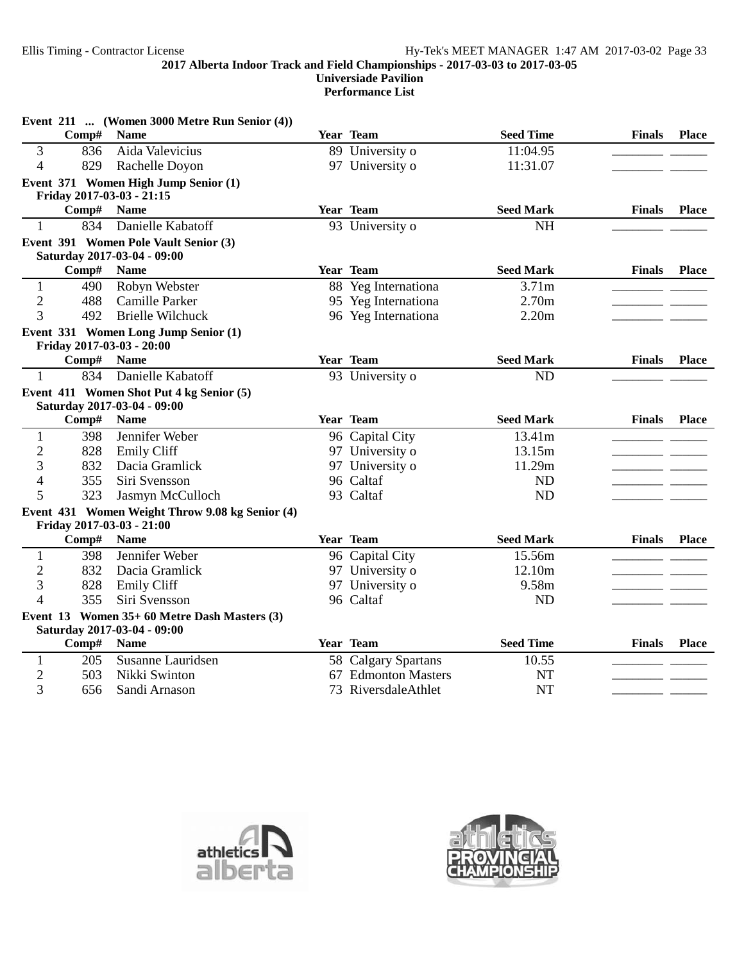**Universiade Pavilion Performance List**

|                |       | Event 211  (Women 3000 Metre Run Senior (4))                                 |                     |                  |               |              |
|----------------|-------|------------------------------------------------------------------------------|---------------------|------------------|---------------|--------------|
|                | Comp# | <b>Name</b>                                                                  | Year Team           | <b>Seed Time</b> | <b>Finals</b> | <b>Place</b> |
| 3              | 836   | Aida Valevicius                                                              | 89 University o     | 11:04.95         |               |              |
| 4              | 829   | Rachelle Doyon                                                               | 97 University o     | 11:31.07         |               |              |
|                |       | Event 371 Women High Jump Senior (1)                                         |                     |                  |               |              |
|                |       | Friday 2017-03-03 - 21:15                                                    |                     |                  |               |              |
|                | Comp# | <b>Name</b>                                                                  | Year Team           | <b>Seed Mark</b> | <b>Finals</b> | <b>Place</b> |
| 1              | 834   | Danielle Kabatoff                                                            | 93 University o     | <b>NH</b>        |               |              |
|                |       | Event 391 Women Pole Vault Senior (3)<br>Saturday 2017-03-04 - 09:00         |                     |                  |               |              |
|                | Comp# | <b>Name</b>                                                                  | Year Team           | <b>Seed Mark</b> | <b>Finals</b> | <b>Place</b> |
| $\mathbf{1}$   | 490   | Robyn Webster                                                                | 88 Yeg Internationa | 3.71m            |               |              |
| $\overline{2}$ | 488   | Camille Parker                                                               | 95 Yeg Internationa | 2.70m            |               |              |
| 3              | 492   | <b>Brielle Wilchuck</b>                                                      | 96 Yeg Internationa | 2.20m            |               |              |
|                |       | Event 331 Women Long Jump Senior (1)                                         |                     |                  |               |              |
|                |       | Friday 2017-03-03 - 20:00                                                    |                     |                  |               |              |
|                | Comp# | <b>Name</b>                                                                  | Year Team           | <b>Seed Mark</b> | <b>Finals</b> | <b>Place</b> |
| $\mathbf{1}$   | 834   | Danielle Kabatoff                                                            | 93 University o     | <b>ND</b>        |               |              |
|                |       | Event 411 Women Shot Put 4 kg Senior (5)                                     |                     |                  |               |              |
|                |       | Saturday 2017-03-04 - 09:00                                                  |                     |                  |               |              |
|                | Comp# | <b>Name</b>                                                                  | Year Team           | <b>Seed Mark</b> | <b>Finals</b> | <b>Place</b> |
| $\mathbf{1}$   | 398   | Jennifer Weber                                                               | 96 Capital City     | 13.41m           |               |              |
| $\mathbf{2}$   | 828   | <b>Emily Cliff</b>                                                           | 97 University o     | 13.15m           |               |              |
| 3              | 832   | Dacia Gramlick                                                               | 97 University o     | 11.29m           |               |              |
| 4              | 355   | Siri Svensson                                                                | 96 Caltaf           | ND               |               |              |
| 5              | 323   | Jasmyn McCulloch                                                             | 93 Caltaf           | <b>ND</b>        |               |              |
|                |       | Event 431 Women Weight Throw 9.08 kg Senior (4)<br>Friday 2017-03-03 - 21:00 |                     |                  |               |              |
|                | Comp# | <b>Name</b>                                                                  | Year Team           | <b>Seed Mark</b> | <b>Finals</b> | <b>Place</b> |
| $\mathbf{1}$   | 398   | Jennifer Weber                                                               | 96 Capital City     | 15.56m           |               |              |
| $\overline{c}$ | 832   | Dacia Gramlick                                                               | 97 University o     | 12.10m           |               |              |
| 3              | 828   | <b>Emily Cliff</b>                                                           | 97 University o     | 9.58m            |               |              |
| $\overline{4}$ | 355   | Siri Svensson                                                                | 96 Caltaf           | ND               |               |              |
|                |       | Event 13 Women 35+60 Metre Dash Masters (3)                                  |                     |                  |               |              |
|                |       | Saturday 2017-03-04 - 09:00                                                  |                     |                  |               |              |
|                | Comp# | <b>Name</b>                                                                  | Year Team           | <b>Seed Time</b> | <b>Finals</b> | <b>Place</b> |
| 1              | 205   | Susanne Lauridsen                                                            | 58 Calgary Spartans | 10.55            |               |              |
| $\overline{2}$ | 503   | Nikki Swinton                                                                | 67 Edmonton Masters | <b>NT</b>        |               |              |
| 3              | 656   | Sandi Arnason                                                                | 73 RiversdaleAthlet | <b>NT</b>        |               |              |



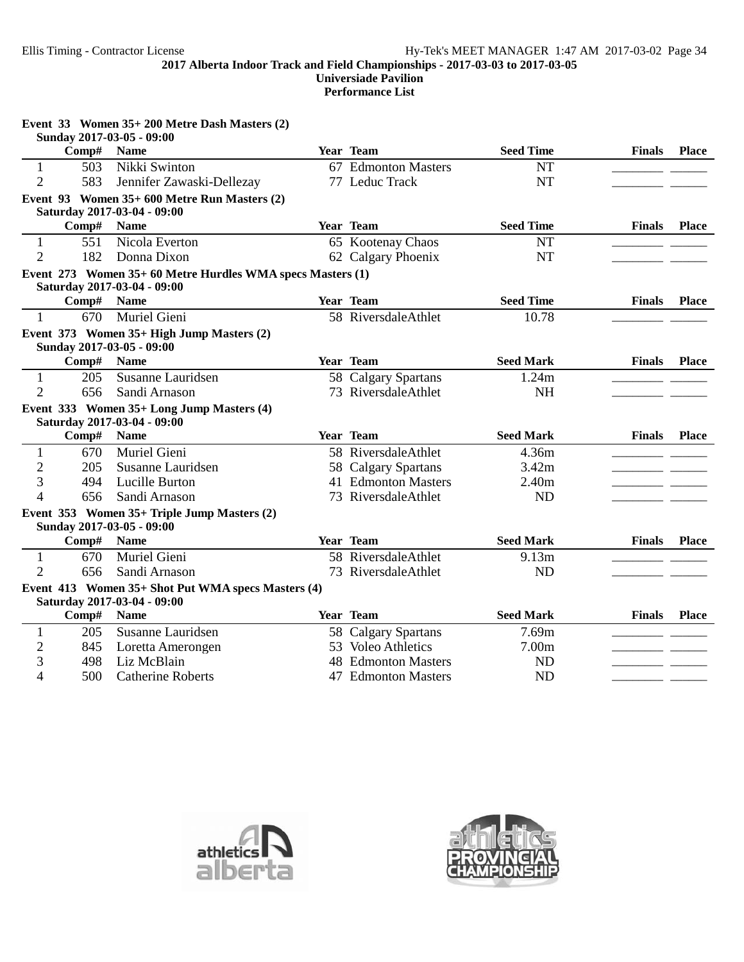## **Universiade Pavilion**

**Performance List**

**Event 33 Women 35+ 200 Metre Dash Masters (2)**

|                |            | Sunday 2017-03-05 - 09:00                                                |                            |                  |               |              |
|----------------|------------|--------------------------------------------------------------------------|----------------------------|------------------|---------------|--------------|
|                | Comp#      | <b>Name</b>                                                              | Year Team                  | <b>Seed Time</b> | <b>Finals</b> | <b>Place</b> |
| 1              | 503        | Nikki Swinton                                                            | 67 Edmonton Masters        | <b>NT</b>        |               |              |
| $\overline{2}$ | 583        | Jennifer Zawaski-Dellezay                                                | 77 Leduc Track             | <b>NT</b>        |               |              |
|                |            | Event 93 Women $35+600$ Metre Run Masters (2)                            |                            |                  |               |              |
|                |            | Saturday 2017-03-04 - 09:00                                              |                            |                  |               |              |
|                | Comp#      | <b>Name</b>                                                              | Year Team                  | <b>Seed Time</b> | <b>Finals</b> | <b>Place</b> |
| 1              | 551        | Nicola Everton                                                           | 65 Kootenay Chaos          | <b>NT</b>        |               |              |
| 2              | 182        | Donna Dixon                                                              | 62 Calgary Phoenix         | <b>NT</b>        |               |              |
|                |            | Event 273 Women 35+60 Metre Hurdles WMA specs Masters (1)                |                            |                  |               |              |
|                |            | Saturday 2017-03-04 - 09:00                                              |                            |                  |               |              |
|                | Comp# Name |                                                                          | Year Team                  | <b>Seed Time</b> | <b>Finals</b> | <b>Place</b> |
| 1              | 670        | Muriel Gieni                                                             | 58 RiversdaleAthlet        | 10.78            |               |              |
|                |            | Event 373 Women 35+ High Jump Masters (2)                                |                            |                  |               |              |
|                |            | Sunday 2017-03-05 - 09:00                                                |                            |                  |               |              |
|                | Comp# Name |                                                                          | Year Team                  | <b>Seed Mark</b> | <b>Finals</b> | <b>Place</b> |
| 1              | 205        | Susanne Lauridsen                                                        | 58 Calgary Spartans        | 1.24m            |               |              |
| $\overline{2}$ | 656        | Sandi Arnason                                                            | 73 RiversdaleAthlet        | <b>NH</b>        |               |              |
|                |            | Event 333 Women 35+ Long Jump Masters (4)<br>Saturday 2017-03-04 - 09:00 |                            |                  |               |              |
|                | Comp# Name |                                                                          | Year Team                  | <b>Seed Mark</b> | <b>Finals</b> | <b>Place</b> |
| $\mathbf{1}$   | 670        | Muriel Gieni                                                             | 58 RiversdaleAthlet        | 4.36m            |               |              |
| $\overline{2}$ | 205        | Susanne Lauridsen                                                        | 58 Calgary Spartans        | 3.42m            |               |              |
| 3              | 494        | Lucille Burton                                                           | 41 Edmonton Masters        | 2.40m            |               |              |
| 4              | 656        | Sandi Arnason                                                            | 73 RiversdaleAthlet        | <b>ND</b>        |               |              |
|                |            | Event 353 Women 35+ Triple Jump Masters (2)                              |                            |                  |               |              |
|                |            | Sunday 2017-03-05 - 09:00                                                |                            |                  |               |              |
|                | Comp# Name |                                                                          | Year Team                  | <b>Seed Mark</b> | <b>Finals</b> | <b>Place</b> |
| $\mathbf{1}$   | 670        | Muriel Gieni                                                             | 58 RiversdaleAthlet        | 9.13m            |               |              |
| $\overline{2}$ | 656        | Sandi Arnason                                                            | 73 RiversdaleAthlet        | <b>ND</b>        |               |              |
|                |            | Event 413 Women 35+ Shot Put WMA specs Masters (4)                       |                            |                  |               |              |
|                |            | Saturday 2017-03-04 - 09:00                                              |                            |                  |               |              |
|                | Comp#      | <b>Name</b>                                                              | Year Team                  | <b>Seed Mark</b> | <b>Finals</b> | Place        |
| 1              | 205        | Susanne Lauridsen                                                        | 58 Calgary Spartans        | 7.69m            |               |              |
| $\overline{2}$ | 845        | Loretta Amerongen                                                        | 53 Voleo Athletics         | 7.00m            |               |              |
| 3              | 498        | Liz McBlain                                                              | <b>48 Edmonton Masters</b> | <b>ND</b>        |               |              |
| 4              | 500        | <b>Catherine Roberts</b>                                                 | 47 Edmonton Masters        | <b>ND</b>        |               |              |



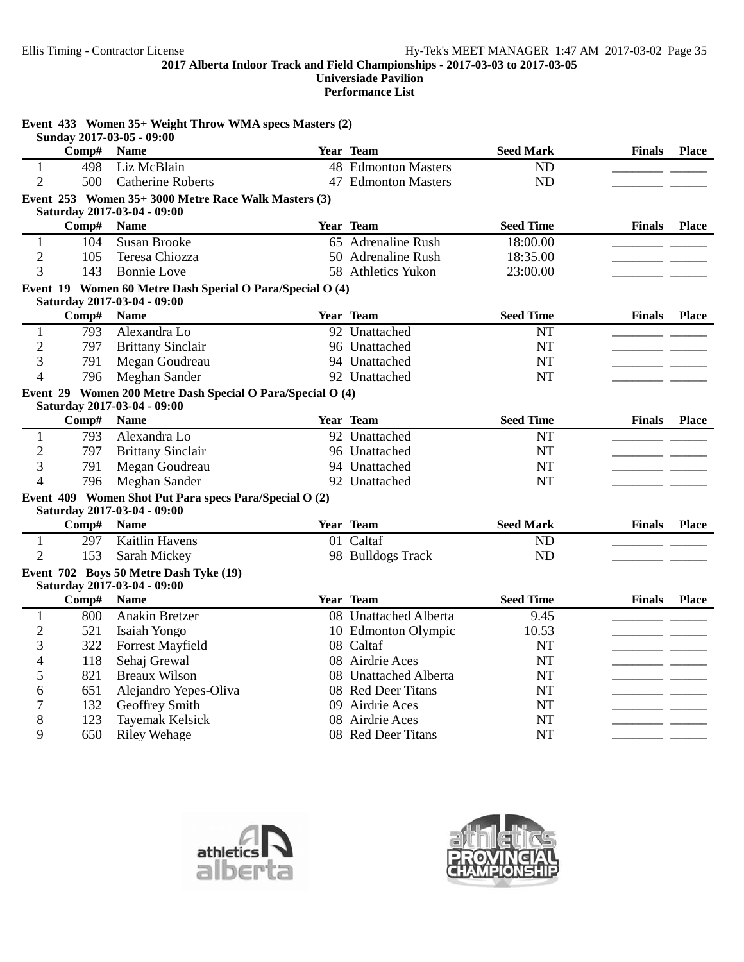**Universiade Pavilion**

|                |       | Event 433 Women 35+ Weight Throw WMA specs Masters (2)<br>Sunday 2017-03-05 - 09:00      |                       |                  |                                                                                                                                                                                                                                                                                                                                                                                                                                                       |                          |
|----------------|-------|------------------------------------------------------------------------------------------|-----------------------|------------------|-------------------------------------------------------------------------------------------------------------------------------------------------------------------------------------------------------------------------------------------------------------------------------------------------------------------------------------------------------------------------------------------------------------------------------------------------------|--------------------------|
|                | Comp# | <b>Name</b>                                                                              | Year Team             | <b>Seed Mark</b> | <b>Finals</b>                                                                                                                                                                                                                                                                                                                                                                                                                                         | <b>Place</b>             |
| $\mathbf{1}$   | 498   | Liz McBlain                                                                              | 48 Edmonton Masters   | ND               |                                                                                                                                                                                                                                                                                                                                                                                                                                                       |                          |
| $\overline{2}$ | 500   | <b>Catherine Roberts</b>                                                                 | 47 Edmonton Masters   | <b>ND</b>        |                                                                                                                                                                                                                                                                                                                                                                                                                                                       |                          |
|                |       | Event 253 Women 35+3000 Metre Race Walk Masters (3)                                      |                       |                  |                                                                                                                                                                                                                                                                                                                                                                                                                                                       |                          |
|                |       | Saturday 2017-03-04 - 09:00                                                              |                       |                  |                                                                                                                                                                                                                                                                                                                                                                                                                                                       |                          |
|                | Comp# | <b>Name</b>                                                                              | Year Team             | <b>Seed Time</b> | <b>Finals</b>                                                                                                                                                                                                                                                                                                                                                                                                                                         | <b>Place</b>             |
| $\mathbf{1}$   | 104   | <b>Susan Brooke</b>                                                                      | 65 Adrenaline Rush    | 18:00.00         |                                                                                                                                                                                                                                                                                                                                                                                                                                                       |                          |
| $\overline{2}$ | 105   | Teresa Chiozza                                                                           | 50 Adrenaline Rush    | 18:35.00         |                                                                                                                                                                                                                                                                                                                                                                                                                                                       |                          |
| 3              | 143   | <b>Bonnie Love</b>                                                                       | 58 Athletics Yukon    | 23:00.00         |                                                                                                                                                                                                                                                                                                                                                                                                                                                       |                          |
|                |       | Event 19 Women 60 Metre Dash Special O Para/Special O (4)<br>Saturday 2017-03-04 - 09:00 |                       |                  |                                                                                                                                                                                                                                                                                                                                                                                                                                                       |                          |
|                | Comp# | <b>Name</b>                                                                              | Year Team             | <b>Seed Time</b> | <b>Finals</b>                                                                                                                                                                                                                                                                                                                                                                                                                                         | <b>Place</b>             |
| $\mathbf{1}$   | 793   | Alexandra Lo                                                                             | 92 Unattached         | <b>NT</b>        |                                                                                                                                                                                                                                                                                                                                                                                                                                                       |                          |
| $\mathbf{2}$   | 797   | <b>Brittany Sinclair</b>                                                                 | 96 Unattached         | <b>NT</b>        | the control of the control of the                                                                                                                                                                                                                                                                                                                                                                                                                     |                          |
| 3              | 791   | Megan Goudreau                                                                           | 94 Unattached         | <b>NT</b>        |                                                                                                                                                                                                                                                                                                                                                                                                                                                       |                          |
| 4              | 796   | Meghan Sander                                                                            | 92 Unattached         | <b>NT</b>        |                                                                                                                                                                                                                                                                                                                                                                                                                                                       |                          |
|                |       | Event 29 Women 200 Metre Dash Special O Para/Special O (4)                               |                       |                  |                                                                                                                                                                                                                                                                                                                                                                                                                                                       |                          |
|                |       | Saturday 2017-03-04 - 09:00                                                              |                       |                  |                                                                                                                                                                                                                                                                                                                                                                                                                                                       |                          |
|                | Comp# | <b>Name</b>                                                                              | Year Team             | <b>Seed Time</b> | <b>Finals</b>                                                                                                                                                                                                                                                                                                                                                                                                                                         | <b>Place</b>             |
| $\mathbf{1}$   | 793   | Alexandra Lo                                                                             | 92 Unattached         | <b>NT</b>        |                                                                                                                                                                                                                                                                                                                                                                                                                                                       |                          |
| $\overline{2}$ | 797   | <b>Brittany Sinclair</b>                                                                 | 96 Unattached         | <b>NT</b>        | للمستنقص المستنقص                                                                                                                                                                                                                                                                                                                                                                                                                                     |                          |
| 3              | 791   | Megan Goudreau                                                                           | 94 Unattached         | <b>NT</b>        |                                                                                                                                                                                                                                                                                                                                                                                                                                                       |                          |
| 4              | 796   | Meghan Sander                                                                            | 92 Unattached         | <b>NT</b>        |                                                                                                                                                                                                                                                                                                                                                                                                                                                       |                          |
|                |       | Event 409 Women Shot Put Para specs Para/Special O (2)                                   |                       |                  |                                                                                                                                                                                                                                                                                                                                                                                                                                                       |                          |
|                |       | Saturday 2017-03-04 - 09:00                                                              |                       |                  |                                                                                                                                                                                                                                                                                                                                                                                                                                                       |                          |
|                | Comp# | <b>Name</b>                                                                              | Year Team             | <b>Seed Mark</b> | <b>Finals</b>                                                                                                                                                                                                                                                                                                                                                                                                                                         | Place                    |
| $\mathbf{1}$   | 297   | Kaitlin Havens                                                                           | 01 Caltaf             | ND               |                                                                                                                                                                                                                                                                                                                                                                                                                                                       |                          |
| $\overline{2}$ | 153   | Sarah Mickey                                                                             | 98 Bulldogs Track     | <b>ND</b>        |                                                                                                                                                                                                                                                                                                                                                                                                                                                       |                          |
|                |       | Event 702 Boys 50 Metre Dash Tyke (19)                                                   |                       |                  |                                                                                                                                                                                                                                                                                                                                                                                                                                                       |                          |
|                |       | Saturday 2017-03-04 - 09:00                                                              |                       |                  |                                                                                                                                                                                                                                                                                                                                                                                                                                                       |                          |
|                | Comp# | <b>Name</b>                                                                              | Year Team             | <b>Seed Time</b> | Finals                                                                                                                                                                                                                                                                                                                                                                                                                                                | <b>Place</b>             |
| $\mathbf{1}$   | 800   | Anakin Bretzer                                                                           | 08 Unattached Alberta | 9.45             |                                                                                                                                                                                                                                                                                                                                                                                                                                                       |                          |
| $\overline{2}$ | 521   | Isaiah Yongo                                                                             | 10 Edmonton Olympic   | 10.53            |                                                                                                                                                                                                                                                                                                                                                                                                                                                       |                          |
| 3              | 322   | <b>Forrest Mayfield</b>                                                                  | 08 Caltaf             | <b>NT</b>        | المستحصل المستحقق                                                                                                                                                                                                                                                                                                                                                                                                                                     |                          |
| 4              | 118   | Sehaj Grewal                                                                             | 08 Airdrie Aces       | <b>NT</b>        | $\begin{tabular}{ccccc} \multicolumn{1}{c }{\textbf{1} & \multicolumn{1}{c }{\textbf{2} & \multicolumn{1}{c }{\textbf{3} & \multicolumn{1}{c }{\textbf{4} & \multicolumn{1}{c }{\textbf{5} & \multicolumn{1}{c }{\textbf{6} & \multicolumn{1}{c }{\textbf{6} & \multicolumn{1}{c }{\textbf{6} & \multicolumn{1}{c }{\textbf{6} & \multicolumn{1}{c }{\textbf{6} & \multicolumn{1}{c }{\textbf{6} & \multicolumn{1}{c }{\textbf{6} & \multicolumn{1}{$ |                          |
| 5              | 821   | <b>Breaux Wilson</b>                                                                     | 08 Unattached Alberta | <b>NT</b>        |                                                                                                                                                                                                                                                                                                                                                                                                                                                       |                          |
| 6              | 651   | Alejandro Yepes-Oliva                                                                    | 08 Red Deer Titans    | <b>NT</b>        | __ __                                                                                                                                                                                                                                                                                                                                                                                                                                                 |                          |
| 7              | 132   | Geoffrey Smith                                                                           | 09 Airdrie Aces       | <b>NT</b>        |                                                                                                                                                                                                                                                                                                                                                                                                                                                       |                          |
| 8              | 123   | Tayemak Kelsick                                                                          | 08 Airdrie Aces       | <b>NT</b>        | _ _                                                                                                                                                                                                                                                                                                                                                                                                                                                   |                          |
| 9              | 650   | <b>Riley Wehage</b>                                                                      | 08 Red Deer Titans    | <b>NT</b>        |                                                                                                                                                                                                                                                                                                                                                                                                                                                       | $\overline{\phantom{a}}$ |



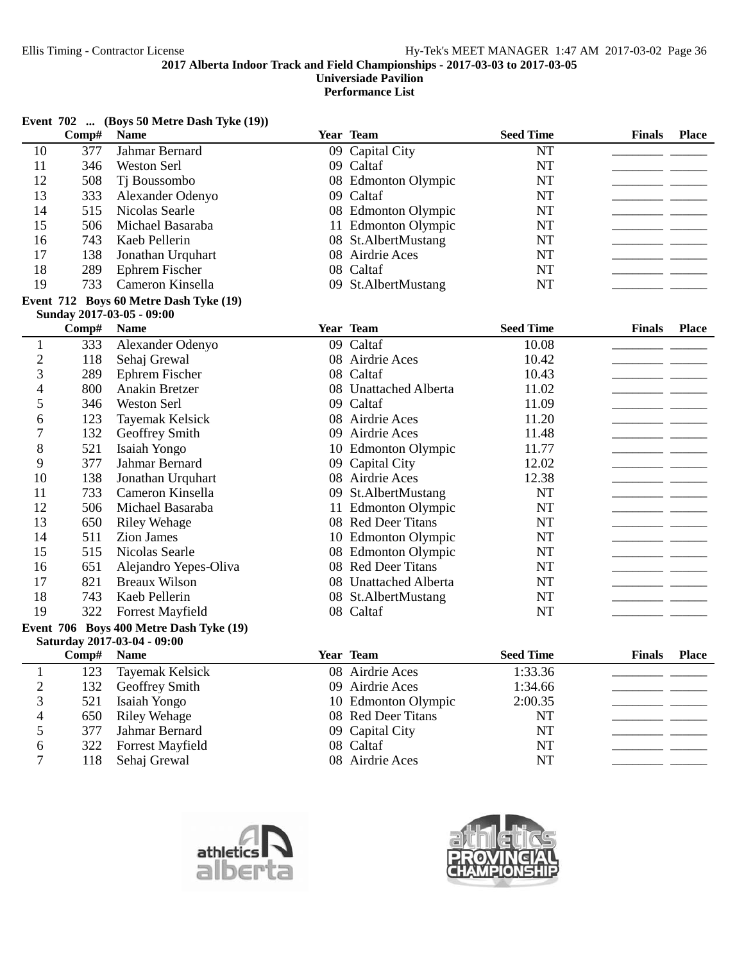**Event 702 ... (Boys 50 Metre Dash Tyke (19))**

**2017 Alberta Indoor Track and Field Championships - 2017-03-03 to 2017-03-05**

**Universiade Pavilion**

|                | Comp# | <b>Name</b>                             | Year Team             | <b>Seed Time</b> | <b>Finals</b> | <b>Place</b> |
|----------------|-------|-----------------------------------------|-----------------------|------------------|---------------|--------------|
| 10             | 377   | Jahmar Bernard                          | 09 Capital City       | <b>NT</b>        |               |              |
| 11             | 346   | Weston Serl                             | 09 Caltaf             | <b>NT</b>        |               |              |
| 12             | 508   | Tj Boussombo                            | 08 Edmonton Olympic   | NT               |               |              |
| 13             | 333   | Alexander Odenyo                        | 09 Caltaf             | NT               |               |              |
| 14             | 515   | Nicolas Searle                          | 08 Edmonton Olympic   | <b>NT</b>        |               |              |
| 15             | 506   | Michael Basaraba                        | 11 Edmonton Olympic   | NT               |               |              |
| 16             | 743   | Kaeb Pellerin                           | 08 St.AlbertMustang   | NT               |               |              |
| 17             | 138   | Jonathan Urquhart                       | 08 Airdrie Aces       | <b>NT</b>        |               |              |
| 18             | 289   | Ephrem Fischer                          | 08 Caltaf             | <b>NT</b>        |               |              |
| 19             | 733   | Cameron Kinsella                        | 09 St.AlbertMustang   | <b>NT</b>        |               |              |
|                |       | Event 712 Boys 60 Metre Dash Tyke (19)  |                       |                  |               |              |
|                |       | Sunday 2017-03-05 - 09:00               |                       |                  |               |              |
|                | Comp# | <b>Name</b>                             | Year Team             | <b>Seed Time</b> | <b>Finals</b> | <b>Place</b> |
| $\mathbf{1}$   | 333   | Alexander Odenyo                        | 09 Caltaf             | 10.08            | _________     |              |
| $\overline{c}$ | 118   | Sehaj Grewal                            | 08 Airdrie Aces       | 10.42            |               |              |
| 3              | 289   | Ephrem Fischer                          | 08 Caltaf             | 10.43            |               |              |
| 4              | 800   | Anakin Bretzer                          | 08 Unattached Alberta | 11.02            |               |              |
| 5              | 346   | Weston Serl                             | 09 Caltaf             | 11.09            |               |              |
| 6              | 123   | Tayemak Kelsick                         | 08 Airdrie Aces       | 11.20            |               |              |
| 7              | 132   | Geoffrey Smith                          | 09 Airdrie Aces       | 11.48            | __ __         |              |
| 8              | 521   | Isaiah Yongo                            | 10 Edmonton Olympic   | 11.77            |               |              |
| 9              | 377   | Jahmar Bernard                          | 09 Capital City       | 12.02            |               |              |
| 10             | 138   | Jonathan Urquhart                       | 08 Airdrie Aces       | 12.38            | __ __         |              |
| 11             | 733   | Cameron Kinsella                        | 09 St.AlbertMustang   | NT               |               |              |
| 12             | 506   | Michael Basaraba                        | 11 Edmonton Olympic   | <b>NT</b>        |               | ______       |
| 13             | 650   | <b>Riley Wehage</b>                     | 08 Red Deer Titans    | <b>NT</b>        |               | ____         |
| 14             | 511   | <b>Zion James</b>                       | 10 Edmonton Olympic   | <b>NT</b>        | -- --         |              |
| 15             | 515   | Nicolas Searle                          | 08 Edmonton Olympic   | <b>NT</b>        |               |              |
| 16             | 651   | Alejandro Yepes-Oliva                   | 08 Red Deer Titans    | <b>NT</b>        |               |              |
| 17             | 821   | <b>Breaux Wilson</b>                    | 08 Unattached Alberta | <b>NT</b>        |               |              |
| 18             | 743   | Kaeb Pellerin                           | 08 St.AlbertMustang   | <b>NT</b>        |               |              |
| 19             | 322   | <b>Forrest Mayfield</b>                 | 08 Caltaf             | <b>NT</b>        |               |              |
|                |       | Event 706 Boys 400 Metre Dash Tyke (19) |                       |                  |               |              |
|                |       | Saturday 2017-03-04 - 09:00             |                       |                  |               |              |
|                | Comp# | <b>Name</b>                             | Year Team             | <b>Seed Time</b> | <b>Finals</b> | <b>Place</b> |
| $\mathbf{1}$   | 123   | <b>Tayemak Kelsick</b>                  | 08 Airdrie Aces       | 1:33.36          |               |              |
| $\overline{c}$ | 132   | Geoffrey Smith                          | 09 Airdrie Aces       | 1:34.66          |               |              |
| 3              | 521   | Isaiah Yongo                            | 10 Edmonton Olympic   | 2:00.35          |               |              |
| 4              | 650   | <b>Riley Wehage</b>                     | 08 Red Deer Titans    | NT               |               |              |
| 5              | 377   | Jahmar Bernard                          | 09 Capital City       | <b>NT</b>        |               |              |
| 6              | 322   | <b>Forrest Mayfield</b>                 | 08 Caltaf             | NT               |               |              |
| 7              | 118   | Sehaj Grewal                            | 08 Airdrie Aces       | NT               |               |              |
|                |       |                                         |                       |                  |               |              |



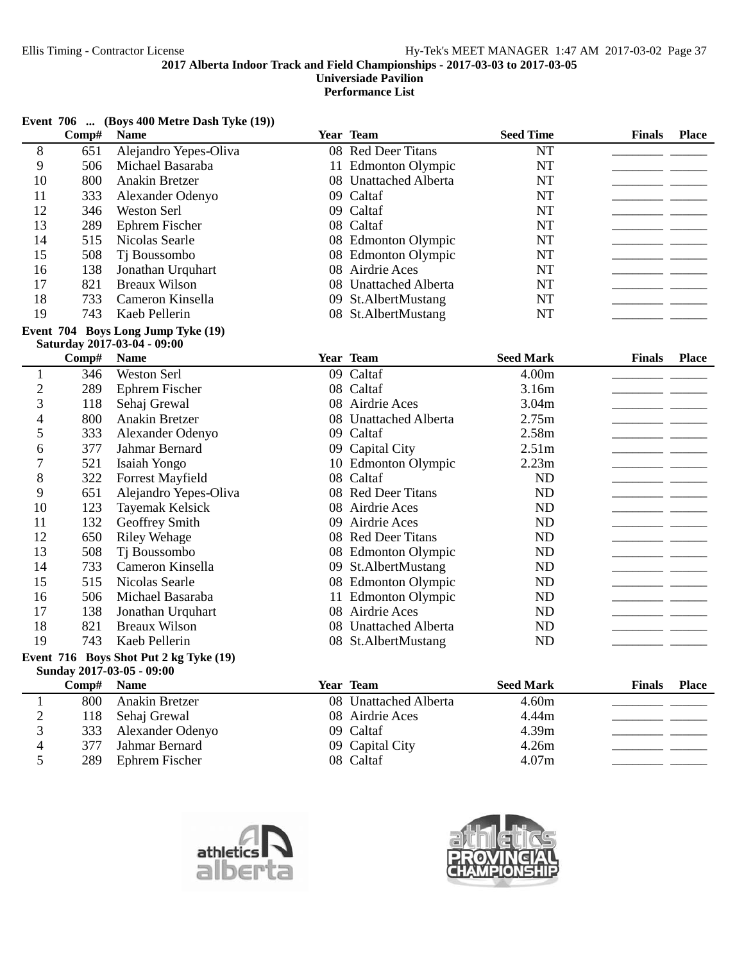**Universiade Pavilion**

|                |       | Event 706  (Boys 400 Metre Dash Tyke (19)) |    |                       |                  |                                                                                                                                                                                                                                      |              |
|----------------|-------|--------------------------------------------|----|-----------------------|------------------|--------------------------------------------------------------------------------------------------------------------------------------------------------------------------------------------------------------------------------------|--------------|
|                | Comp# | <b>Name</b>                                |    | Year Team             | <b>Seed Time</b> | Finals                                                                                                                                                                                                                               | <b>Place</b> |
| 8              | 651   | Alejandro Yepes-Oliva                      |    | 08 Red Deer Titans    | <b>NT</b>        |                                                                                                                                                                                                                                      |              |
| 9              | 506   | Michael Basaraba                           |    | 11 Edmonton Olympic   | <b>NT</b>        |                                                                                                                                                                                                                                      |              |
| 10             | 800   | <b>Anakin Bretzer</b>                      |    | 08 Unattached Alberta | NT               |                                                                                                                                                                                                                                      |              |
| 11             | 333   | Alexander Odenyo                           |    | 09 Caltaf             | NT               | __ __                                                                                                                                                                                                                                |              |
| 12             | 346   | Weston Serl                                |    | 09 Caltaf             | <b>NT</b>        | __ __                                                                                                                                                                                                                                |              |
| 13             | 289   | Ephrem Fischer                             |    | 08 Caltaf             | <b>NT</b>        |                                                                                                                                                                                                                                      |              |
| 14             | 515   | Nicolas Searle                             |    | 08 Edmonton Olympic   | <b>NT</b>        | ________                                                                                                                                                                                                                             |              |
| 15             | 508   | Ti Boussombo                               |    | 08 Edmonton Olympic   | NT               | <u> The Communication of the Communication of the Communication of the Communication of the Communication of the Communication of the Communication of the Communication of the Communication of the Communication of the Commun</u> |              |
| 16             | 138   | Jonathan Urquhart                          |    | 08 Airdrie Aces       | NT               |                                                                                                                                                                                                                                      |              |
| 17             | 821   | <b>Breaux Wilson</b>                       |    | 08 Unattached Alberta | <b>NT</b>        |                                                                                                                                                                                                                                      |              |
| 18             | 733   | Cameron Kinsella                           |    | 09 St.AlbertMustang   | <b>NT</b>        |                                                                                                                                                                                                                                      |              |
| 19             | 743   | Kaeb Pellerin                              |    | 08 St.AlbertMustang   | NT               |                                                                                                                                                                                                                                      |              |
|                |       | Event 704 Boys Long Jump Tyke (19)         |    |                       |                  |                                                                                                                                                                                                                                      |              |
|                |       | Saturday 2017-03-04 - 09:00                |    |                       |                  |                                                                                                                                                                                                                                      |              |
|                | Comp# | <b>Name</b>                                |    | Year Team             | <b>Seed Mark</b> | <b>Finals</b>                                                                                                                                                                                                                        | <b>Place</b> |
| $\mathbf{1}$   | 346   | Weston Serl                                |    | 09 Caltaf             | 4.00m            | and the control of the con-                                                                                                                                                                                                          |              |
| $\overline{2}$ | 289   | Ephrem Fischer                             |    | 08 Caltaf             | 3.16m            |                                                                                                                                                                                                                                      |              |
| 3              | 118   | Sehaj Grewal                               |    | 08 Airdrie Aces       | 3.04m            |                                                                                                                                                                                                                                      |              |
| 4              | 800   | Anakin Bretzer                             |    | 08 Unattached Alberta | 2.75m            |                                                                                                                                                                                                                                      |              |
| 5              | 333   | Alexander Odenyo                           |    | 09 Caltaf             | 2.58m            |                                                                                                                                                                                                                                      |              |
| 6              | 377   | Jahmar Bernard                             |    | 09 Capital City       | 2.51m            |                                                                                                                                                                                                                                      |              |
| 7              | 521   | Isaiah Yongo                               |    | 10 Edmonton Olympic   | 2.23m            |                                                                                                                                                                                                                                      |              |
| 8              | 322   | <b>Forrest Mayfield</b>                    |    | 08 Caltaf             | <b>ND</b>        |                                                                                                                                                                                                                                      |              |
| 9              | 651   | Alejandro Yepes-Oliva                      |    | 08 Red Deer Titans    | <b>ND</b>        |                                                                                                                                                                                                                                      |              |
| 10             | 123   | Tayemak Kelsick                            |    | 08 Airdrie Aces       | <b>ND</b>        |                                                                                                                                                                                                                                      |              |
| 11             | 132   | Geoffrey Smith                             | 09 | Airdrie Aces          | <b>ND</b>        |                                                                                                                                                                                                                                      |              |
| 12             | 650   | <b>Riley Wehage</b>                        |    | 08 Red Deer Titans    | <b>ND</b>        |                                                                                                                                                                                                                                      |              |
| 13             | 508   | Tj Boussombo                               |    | 08 Edmonton Olympic   | <b>ND</b>        |                                                                                                                                                                                                                                      |              |
| 14             | 733   | Cameron Kinsella                           | 09 | St.AlbertMustang      | <b>ND</b>        |                                                                                                                                                                                                                                      |              |
| 15             | 515   | Nicolas Searle                             |    | 08 Edmonton Olympic   | <b>ND</b>        |                                                                                                                                                                                                                                      |              |
| 16             | 506   | Michael Basaraba                           |    | 11 Edmonton Olympic   | <b>ND</b>        |                                                                                                                                                                                                                                      |              |
| 17             | 138   | Jonathan Urquhart                          |    | 08 Airdrie Aces       | <b>ND</b>        |                                                                                                                                                                                                                                      |              |
| 18             | 821   | <b>Breaux Wilson</b>                       |    | 08 Unattached Alberta | <b>ND</b>        |                                                                                                                                                                                                                                      |              |
| 19             | 743   | Kaeb Pellerin                              |    | 08 St.AlbertMustang   | <b>ND</b>        | _ _                                                                                                                                                                                                                                  |              |
|                |       | Event 716 Boys Shot Put 2 kg Tyke (19)     |    |                       |                  |                                                                                                                                                                                                                                      |              |
|                |       | Sunday 2017-03-05 - 09:00                  |    |                       |                  |                                                                                                                                                                                                                                      |              |
|                | Comp# | <b>Name</b>                                |    | Year Team             | <b>Seed Mark</b> | Finals                                                                                                                                                                                                                               | <b>Place</b> |
| $\mathbf{1}$   | 800   | Anakin Bretzer                             |    | 08 Unattached Alberta | 4.60m            |                                                                                                                                                                                                                                      |              |
| $\overline{c}$ | 118   | Sehaj Grewal                               |    | 08 Airdrie Aces       | 4.44m            |                                                                                                                                                                                                                                      |              |
| 3              | 333   | Alexander Odenyo                           |    | 09 Caltaf             | 4.39m            |                                                                                                                                                                                                                                      |              |
| 4              | 377   | Jahmar Bernard                             |    | 09 Capital City       | 4.26m            |                                                                                                                                                                                                                                      |              |
| 5              | 289   | Ephrem Fischer                             |    | 08 Caltaf             | 4.07m            |                                                                                                                                                                                                                                      |              |



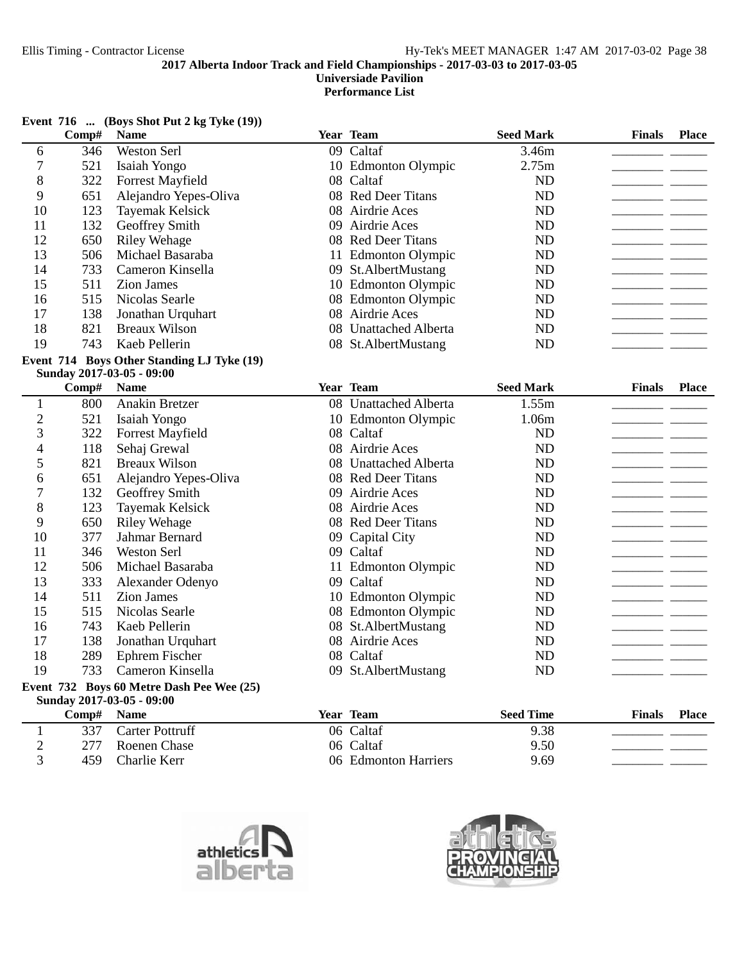**Event 716 ... (Boys Shot Put 2 kg Tyke (19))**

**2017 Alberta Indoor Track and Field Championships - 2017-03-03 to 2017-03-05**

## **Universiade Pavilion**

|                | Comp# | <b>Name</b>                                |    | Year Team             | <b>Seed Mark</b> | <b>Finals</b>                                                                                                                                                                                                                        | <b>Place</b> |
|----------------|-------|--------------------------------------------|----|-----------------------|------------------|--------------------------------------------------------------------------------------------------------------------------------------------------------------------------------------------------------------------------------------|--------------|
| 6              | 346   | Weston Serl                                |    | 09 Caltaf             | 3.46m            |                                                                                                                                                                                                                                      |              |
| 7              | 521   | Isaiah Yongo                               |    | 10 Edmonton Olympic   | 2.75m            |                                                                                                                                                                                                                                      |              |
| $8\,$          | 322   | <b>Forrest Mayfield</b>                    |    | 08 Caltaf             | ND               |                                                                                                                                                                                                                                      |              |
| 9              | 651   | Alejandro Yepes-Oliva                      |    | 08 Red Deer Titans    | ND               |                                                                                                                                                                                                                                      |              |
| 10             | 123   | Tayemak Kelsick                            | 08 | Airdrie Aces          | ND               | __________                                                                                                                                                                                                                           |              |
| 11             | 132   | Geoffrey Smith                             | 09 | Airdrie Aces          | ND               |                                                                                                                                                                                                                                      |              |
| 12             | 650   | <b>Riley Wehage</b>                        |    | 08 Red Deer Titans    | ND               |                                                                                                                                                                                                                                      |              |
| 13             | 506   | Michael Basaraba                           |    | 11 Edmonton Olympic   | <b>ND</b>        |                                                                                                                                                                                                                                      |              |
| 14             | 733   | Cameron Kinsella                           | 09 | St.AlbertMustang      | <b>ND</b>        |                                                                                                                                                                                                                                      |              |
| 15             | 511   | <b>Zion James</b>                          |    | 10 Edmonton Olympic   | <b>ND</b>        |                                                                                                                                                                                                                                      |              |
| 16             | 515   | Nicolas Searle                             |    | 08 Edmonton Olympic   | ND               |                                                                                                                                                                                                                                      |              |
| 17             | 138   | Jonathan Urquhart                          |    | 08 Airdrie Aces       | <b>ND</b>        | __ __                                                                                                                                                                                                                                |              |
| 18             | 821   | <b>Breaux Wilson</b>                       |    | 08 Unattached Alberta | ND               |                                                                                                                                                                                                                                      |              |
| 19             | 743   | Kaeb Pellerin                              |    | 08 St.AlbertMustang   | <b>ND</b>        |                                                                                                                                                                                                                                      |              |
|                |       | Event 714 Boys Other Standing LJ Tyke (19) |    |                       |                  |                                                                                                                                                                                                                                      |              |
|                |       | Sunday 2017-03-05 - 09:00                  |    |                       |                  |                                                                                                                                                                                                                                      |              |
|                | Comp# | <b>Name</b>                                |    | Year Team             | <b>Seed Mark</b> | <b>Finals</b>                                                                                                                                                                                                                        | <b>Place</b> |
| $\mathbf{1}$   | 800   | <b>Anakin Bretzer</b>                      |    | 08 Unattached Alberta | 1.55m            | <u> The Communication of the Communication of the Communication of the Communication of the Communication of the Communication of the Communication of the Communication of the Communication of the Communication of the Commun</u> |              |
| $\overline{c}$ | 521   | Isaiah Yongo                               |    | 10 Edmonton Olympic   | 1.06m            |                                                                                                                                                                                                                                      |              |
| 3              | 322   | <b>Forrest Mayfield</b>                    |    | 08 Caltaf             | <b>ND</b>        |                                                                                                                                                                                                                                      |              |
| 4              | 118   | Sehaj Grewal                               |    | 08 Airdrie Aces       | <b>ND</b>        |                                                                                                                                                                                                                                      |              |
| 5              | 821   | <b>Breaux Wilson</b>                       |    | 08 Unattached Alberta | ND               |                                                                                                                                                                                                                                      |              |
| 6              | 651   | Alejandro Yepes-Oliva                      |    | 08 Red Deer Titans    | ND               |                                                                                                                                                                                                                                      |              |
| 7              | 132   | Geoffrey Smith                             |    | 09 Airdrie Aces       | ND               |                                                                                                                                                                                                                                      |              |
| 8              | 123   | Tayemak Kelsick                            |    | 08 Airdrie Aces       | ND               |                                                                                                                                                                                                                                      |              |
| 9              | 650   | <b>Riley Wehage</b>                        |    | 08 Red Deer Titans    | ND               |                                                                                                                                                                                                                                      | __ _____     |
| 10             | 377   | Jahmar Bernard                             |    | 09 Capital City       | ND               |                                                                                                                                                                                                                                      |              |
| 11             | 346   | Weston Serl                                |    | 09 Caltaf             | ND               |                                                                                                                                                                                                                                      |              |
| 12             | 506   | Michael Basaraba                           |    | 11 Edmonton Olympic   | ND               |                                                                                                                                                                                                                                      |              |
| 13             | 333   | Alexander Odenyo                           |    | 09 Caltaf             | ND               | __ __                                                                                                                                                                                                                                |              |
| 14             | 511   | <b>Zion James</b>                          |    | 10 Edmonton Olympic   | ND               | ____                                                                                                                                                                                                                                 |              |
| 15             | 515   | Nicolas Searle                             |    | 08 Edmonton Olympic   | ND               | _ _                                                                                                                                                                                                                                  |              |
| 16             | 743   | Kaeb Pellerin                              |    | 08 St.AlbertMustang   | ND               |                                                                                                                                                                                                                                      |              |
| 17             | 138   | Jonathan Urquhart                          | 08 | Airdrie Aces          | <b>ND</b>        |                                                                                                                                                                                                                                      |              |
| 18             | 289   | Ephrem Fischer                             |    | 08 Caltaf             | <b>ND</b>        |                                                                                                                                                                                                                                      |              |
| 19             | 733   | Cameron Kinsella                           |    | 09 St.AlbertMustang   | N <sub>D</sub>   |                                                                                                                                                                                                                                      |              |
|                |       | Event 732 Boys 60 Metre Dash Pee Wee (25)  |    |                       |                  |                                                                                                                                                                                                                                      |              |
|                |       | Sunday 2017-03-05 - 09:00                  |    |                       |                  |                                                                                                                                                                                                                                      |              |
|                | Comp# | <b>Name</b>                                |    | Year Team             | <b>Seed Time</b> | <b>Finals</b>                                                                                                                                                                                                                        | <b>Place</b> |
| $\mathbf{1}$   | 337   | <b>Carter Pottruff</b>                     |    | 06 Caltaf             | 9.38             |                                                                                                                                                                                                                                      |              |
| $\overline{c}$ | 277   | Roenen Chase                               |    | 06 Caltaf             | 9.50             |                                                                                                                                                                                                                                      |              |
| 3              | 459   | Charlie Kerr                               |    | 06 Edmonton Harriers  | 9.69             |                                                                                                                                                                                                                                      |              |



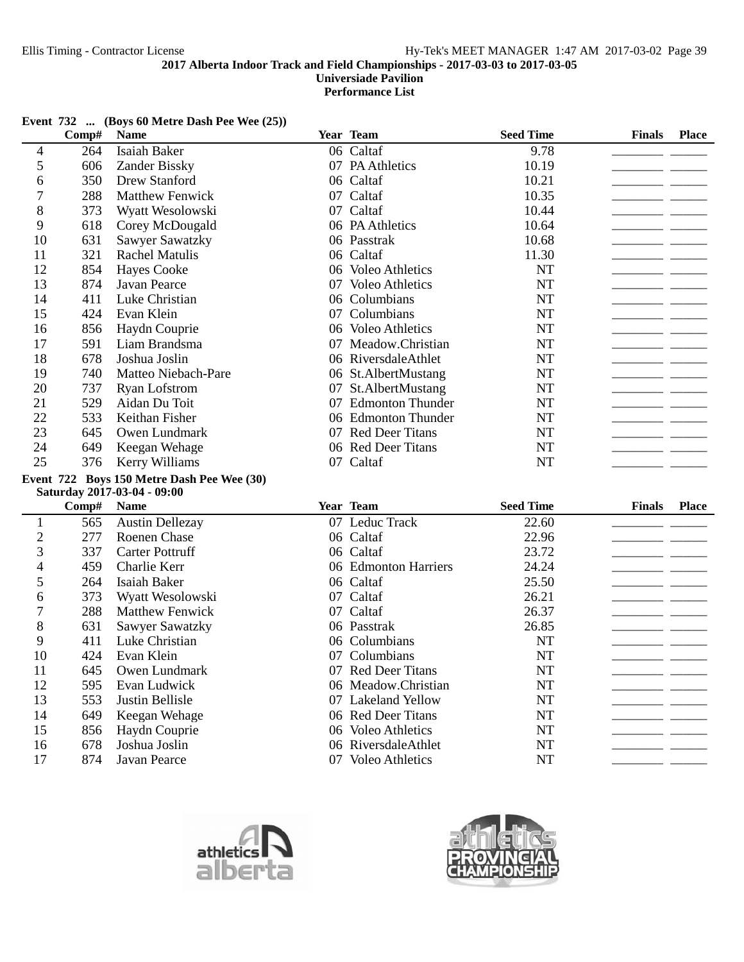## **Universiade Pavilion**

| Event 732  (Boys 60 Metre Dash Pee Wee (25)) |  |
|----------------------------------------------|--|
|----------------------------------------------|--|

|                  | Comp#      | <b>Name</b>                                | Year Team                                | <b>Seed Time</b>       | <b>Finals</b>                                         | <b>Place</b> |
|------------------|------------|--------------------------------------------|------------------------------------------|------------------------|-------------------------------------------------------|--------------|
| $\overline{4}$   | 264        | Isaiah Baker                               | 06 Caltaf                                | 9.78                   |                                                       |              |
| 5                | 606        | <b>Zander Bissky</b>                       | 07 PA Athletics                          | 10.19                  |                                                       |              |
| 6                | 350        | <b>Drew Stanford</b>                       | 06 Caltaf                                | 10.21                  | ___                                                   |              |
| $\overline{7}$   | 288        | <b>Matthew Fenwick</b>                     | 07 Caltaf                                | 10.35                  |                                                       |              |
| 8                | 373        | Wyatt Wesolowski                           | 07 Caltaf                                | 10.44                  |                                                       |              |
| 9                | 618        | Corey McDougald                            | 06 PA Athletics                          | 10.64                  |                                                       |              |
| 10               | 631        | <b>Sawyer Sawatzky</b>                     | 06 Passtrak                              | 10.68                  |                                                       |              |
| 11               | 321        | <b>Rachel Matulis</b>                      | 06 Caltaf                                | 11.30                  |                                                       |              |
| 12               | 854        | <b>Hayes Cooke</b>                         | 06 Voleo Athletics                       | <b>NT</b>              | للمستحدث المستحدث                                     |              |
| 13               | 874        | <b>Javan Pearce</b>                        | 07 Voleo Athletics                       | <b>NT</b>              |                                                       |              |
| 14               | 411        | Luke Christian                             | 06 Columbians                            | <b>NT</b>              |                                                       | _____        |
| 15               | 424        | Evan Klein                                 | 07 Columbians                            | <b>NT</b>              | - -                                                   |              |
| 16               | 856        | Haydn Couprie                              | 06 Voleo Athletics                       | <b>NT</b>              | $\overline{\phantom{a}}$                              |              |
| 17               | 591        | Liam Brandsma                              | 07 Meadow.Christian                      | <b>NT</b>              |                                                       |              |
| 18               | 678        | Joshua Joslin                              | 06 RiversdaleAthlet                      | <b>NT</b>              | and the state                                         |              |
| 19               | 740        | Matteo Niebach-Pare                        | 06 St.AlbertMustang                      | <b>NT</b>              |                                                       |              |
| 20               | 737        | <b>Ryan Lofstrom</b>                       | 07 St.AlbertMustang                      | <b>NT</b>              | <u>and the state</u>                                  |              |
| 21               | 529        | Aidan Du Toit                              | 07 Edmonton Thunder                      | <b>NT</b>              |                                                       |              |
| 22               | 533        | Keithan Fisher                             | 06 Edmonton Thunder                      | <b>NT</b>              |                                                       |              |
| 23               | 645        | Owen Lundmark                              | 07 Red Deer Titans                       | <b>NT</b>              | — —                                                   |              |
| 24               | 649        | Keegan Wehage                              | 06 Red Deer Titans                       | <b>NT</b>              | $\frac{1}{2}$                                         |              |
| 25               | 376        | Kerry Williams                             | 07 Caltaf                                | <b>NT</b>              |                                                       |              |
|                  |            | Event 722 Boys 150 Metre Dash Pee Wee (30) |                                          |                        |                                                       |              |
|                  |            | Saturday 2017-03-04 - 09:00                |                                          |                        |                                                       |              |
|                  | Comp#      | <b>Name</b>                                | Year Team                                | <b>Seed Time</b>       | <b>Finals</b>                                         | <b>Place</b> |
| $\mathbf{1}$     | 565        | <b>Austin Dellezay</b>                     | 07 Leduc Track                           | 22.60                  |                                                       |              |
| $\overline{c}$   | 277        | Roenen Chase                               | 06 Caltaf                                | 22.96                  |                                                       |              |
| 3                | 337        | <b>Carter Pottruff</b>                     | 06 Caltaf                                | 23.72                  |                                                       |              |
| $\overline{4}$   | 459        | Charlie Kerr                               | 06 Edmonton Harriers                     | 24.24                  | $\overline{\phantom{a}}$ and $\overline{\phantom{a}}$ |              |
| 5                | 264        | Isaiah Baker                               | 06 Caltaf                                | 25.50                  |                                                       |              |
| 6                | 373        | Wyatt Wesolowski                           | 07 Caltaf                                | 26.21                  | and the state                                         |              |
| $\boldsymbol{7}$ | 288        | Matthew Fenwick                            | 07 Caltaf                                | 26.37                  | _____                                                 |              |
| 8<br>9           | 631        | <b>Sawyer Sawatzky</b>                     | 06 Passtrak                              | 26.85                  | للمستحدث                                              |              |
|                  | 411<br>424 | Luke Christian                             | 06 Columbians                            | <b>NT</b>              | للمساريب                                              |              |
| 10<br>11         | 645        | Evan Klein<br>Owen Lundmark                | 07 Columbians<br>07 Red Deer Titans      | <b>NT</b><br><b>NT</b> |                                                       |              |
| 12               |            |                                            |                                          |                        |                                                       |              |
| 13               | 595        | Evan Ludwick                               | 06 Meadow.Christian                      | <b>NT</b>              |                                                       |              |
| 14               | 553        | Justin Bellisle                            | 07 Lakeland Yellow<br>06 Red Deer Titans | <b>NT</b>              |                                                       |              |
| 15               | 649<br>856 | Keegan Wehage<br>Haydn Couprie             | 06 Voleo Athletics                       | <b>NT</b><br><b>NT</b> |                                                       |              |
| 16               | 678        | Joshua Joslin                              |                                          | <b>NT</b>              |                                                       |              |
|                  |            |                                            | 06 RiversdaleAthlet                      | <b>NT</b>              | ___ __                                                |              |
| 17               | 874        | <b>Javan Pearce</b>                        | 07 Voleo Athletics                       |                        |                                                       |              |



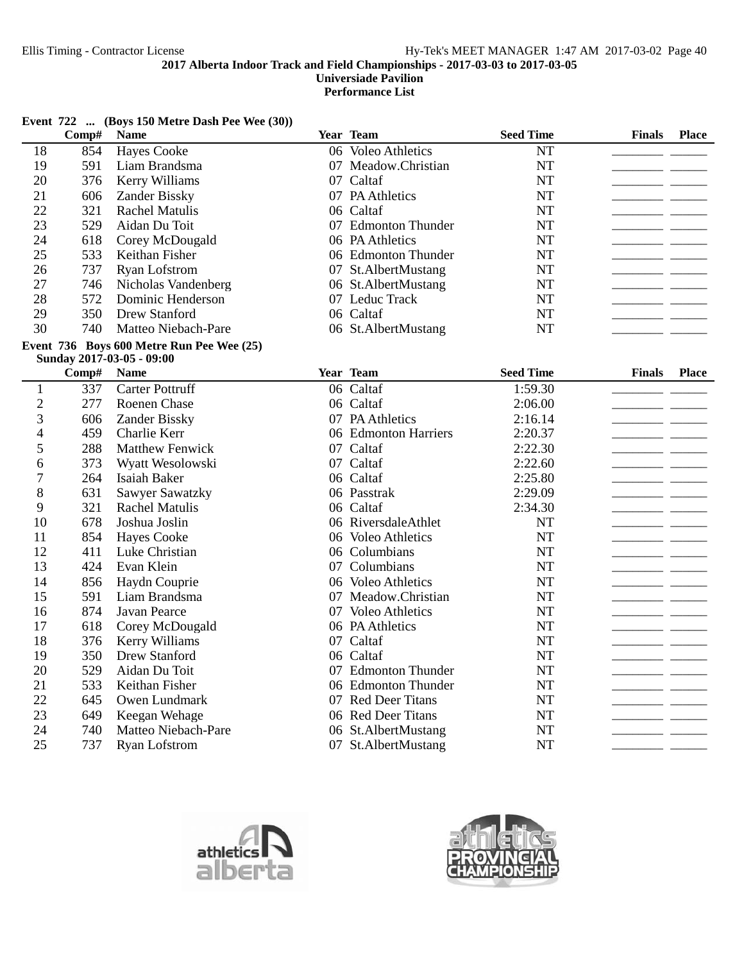**Event 722 ... (Boys 150 Metre Dash Pee Wee (30))**

**2017 Alberta Indoor Track and Field Championships - 2017-03-03 to 2017-03-05**

## **Universiade Pavilion**

|                | Comp# | <b>Name</b>                               | Year Team                       | <b>Seed Time</b> | <b>Finals</b>                                                                                                         | <b>Place</b> |
|----------------|-------|-------------------------------------------|---------------------------------|------------------|-----------------------------------------------------------------------------------------------------------------------|--------------|
| 18             | 854   | <b>Hayes Cooke</b>                        | $\overline{06}$ Voleo Athletics | <b>NT</b>        |                                                                                                                       |              |
| 19             | 591   | Liam Brandsma                             | 07 Meadow.Christian             | <b>NT</b>        |                                                                                                                       |              |
| 20             | 376   | Kerry Williams                            | 07 Caltaf                       | <b>NT</b>        |                                                                                                                       |              |
| 21             | 606   | <b>Zander Bissky</b>                      | 07 PA Athletics                 | <b>NT</b>        |                                                                                                                       |              |
| 22             | 321   | <b>Rachel Matulis</b>                     | 06 Caltaf                       | <b>NT</b>        |                                                                                                                       |              |
| 23             | 529   | Aidan Du Toit                             | 07 Edmonton Thunder             | <b>NT</b>        |                                                                                                                       |              |
| 24             | 618   | Corey McDougald                           | 06 PA Athletics                 | <b>NT</b>        |                                                                                                                       |              |
| 25             | 533   | Keithan Fisher                            | 06 Edmonton Thunder             | <b>NT</b>        |                                                                                                                       |              |
| 26             | 737   | <b>Ryan Lofstrom</b>                      | 07 St.AlbertMustang             | <b>NT</b>        | __ __                                                                                                                 |              |
| 27             | 746   | Nicholas Vandenberg                       | 06 St.AlbertMustang             | <b>NT</b>        |                                                                                                                       |              |
| 28             | 572   | Dominic Henderson                         | 07 Leduc Track                  | <b>NT</b>        |                                                                                                                       |              |
| 29             | 350   | Drew Stanford                             | 06 Caltaf                       | <b>NT</b>        |                                                                                                                       |              |
| 30             | 740   | Matteo Niebach-Pare                       | 06 St.AlbertMustang             | <b>NT</b>        |                                                                                                                       |              |
|                |       | Event 736 Boys 600 Metre Run Pee Wee (25) |                                 |                  |                                                                                                                       |              |
|                |       | Sunday 2017-03-05 - 09:00                 |                                 |                  |                                                                                                                       |              |
|                | Comp# | <b>Name</b>                               | Year Team                       | <b>Seed Time</b> | <b>Finals</b>                                                                                                         | <b>Place</b> |
| 1              | 337   | <b>Carter Pottruff</b>                    | 06 Caltaf                       | 1:59.30          |                                                                                                                       |              |
| $\overline{c}$ | 277   | <b>Roenen Chase</b>                       | 06 Caltaf                       | 2:06.00          |                                                                                                                       |              |
| 3              | 606   | <b>Zander Bissky</b>                      | 07 PA Athletics                 | 2:16.14          | — —                                                                                                                   |              |
| $\overline{4}$ | 459   | Charlie Kerr                              | 06 Edmonton Harriers            | 2:20.37          | للمستحدث المستحدث                                                                                                     |              |
| 5              | 288   | <b>Matthew Fenwick</b>                    | 07 Caltaf                       | 2:22.30          |                                                                                                                       |              |
| 6              | 373   | Wyatt Wesolowski                          | 07 Caltaf                       | 2:22.60          |                                                                                                                       |              |
| 7              | 264   | Isaiah Baker                              | 06 Caltaf                       | 2:25.80          |                                                                                                                       |              |
| 8              | 631   | Sawyer Sawatzky                           | 06 Passtrak                     | 2:29.09          | - -                                                                                                                   |              |
| 9              | 321   | <b>Rachel Matulis</b>                     | 06 Caltaf                       | 2:34.30          |                                                                                                                       |              |
| 10             | 678   | Joshua Joslin                             | 06 RiversdaleAthlet             | <b>NT</b>        |                                                                                                                       |              |
| 11             | 854   | <b>Hayes Cooke</b>                        | 06 Voleo Athletics              | <b>NT</b>        |                                                                                                                       |              |
| 12             | 411   | Luke Christian                            | 06 Columbians                   | <b>NT</b>        | $=$ $-$                                                                                                               |              |
| 13             | 424   | Evan Klein                                | 07 Columbians                   | <b>NT</b>        |                                                                                                                       |              |
| 14             | 856   | Haydn Couprie                             | 06 Voleo Athletics              | <b>NT</b>        |                                                                                                                       |              |
| 15             | 591   | Liam Brandsma                             | 07 Meadow.Christian             | <b>NT</b>        |                                                                                                                       |              |
| 16             | 874   | Javan Pearce                              | 07 Voleo Athletics              | <b>NT</b>        |                                                                                                                       |              |
| 17             | 618   | Corey McDougald                           | 06 PA Athletics                 | <b>NT</b>        | —— ——                                                                                                                 |              |
| 18             | 376   | Kerry Williams                            | 07 Caltaf                       | <b>NT</b>        |                                                                                                                       |              |
| 19             | 350   | Drew Stanford                             | 06 Caltaf                       | <b>NT</b>        |                                                                                                                       |              |
| 20             | 529   | Aidan Du Toit                             | 07 Edmonton Thunder             | <b>NT</b>        |                                                                                                                       |              |
| 21             | 533   | Keithan Fisher                            | 06 Edmonton Thunder             | <b>NT</b>        | <u> De Barbara de Caractería de Barbara de Barbara de Barbara de Estados e o Estados de Barbara de Estados e o Es</u> |              |
| 22             | 645   | Owen Lundmark                             | 07 Red Deer Titans              | <b>NT</b>        |                                                                                                                       |              |
| 23             | 649   | Keegan Wehage                             | 06 Red Deer Titans              | <b>NT</b>        | __ __                                                                                                                 |              |
| 24             | 740   | Matteo Niebach-Pare                       | 06 St.AlbertMustang             | <b>NT</b>        |                                                                                                                       |              |
| 25             | 737   | Ryan Lofstrom                             | 07 St.AlbertMustang             | <b>NT</b>        | _ _                                                                                                                   |              |



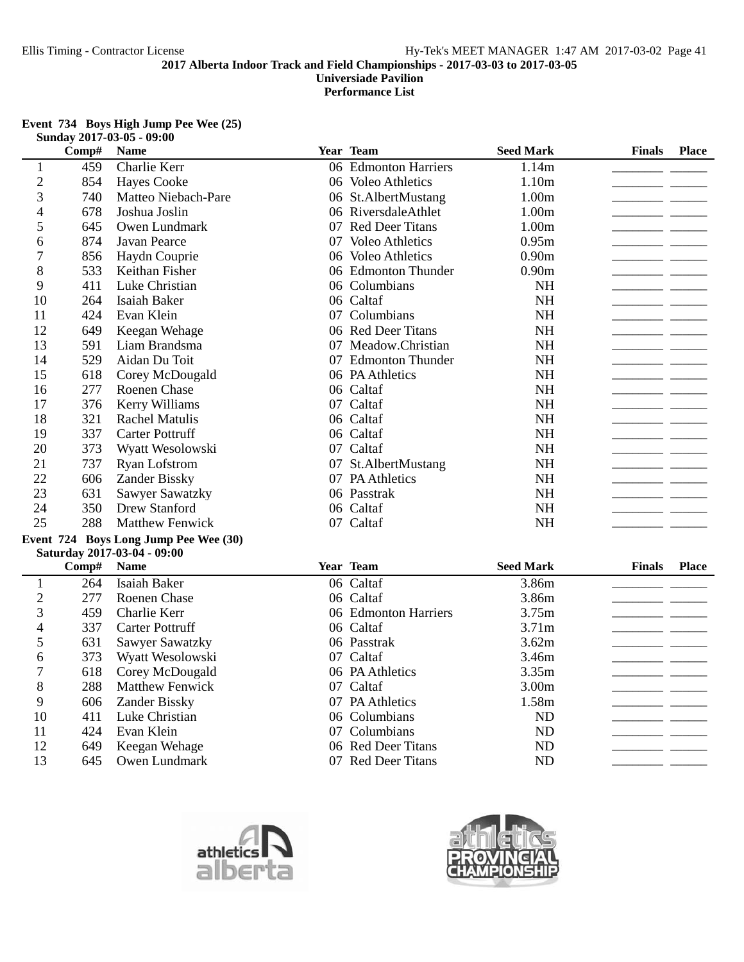## **Universiade Pavilion**

**Performance List**

|                          | 50-00-10-00-00<br>Comp# | <b>Name</b>                                                          | Year Team                         | <b>Seed Mark</b>  | <b>Finals</b>                 | <b>Place</b>             |
|--------------------------|-------------------------|----------------------------------------------------------------------|-----------------------------------|-------------------|-------------------------------|--------------------------|
| $\mathbf{1}$             | 459                     | Charlie Kerr                                                         | $\overline{06}$ Edmonton Harriers | 1.14m             |                               |                          |
| $\overline{2}$           | 854                     | <b>Hayes Cooke</b>                                                   | 06 Voleo Athletics                | 1.10 <sub>m</sub> |                               |                          |
| 3                        | 740                     | Matteo Niebach-Pare                                                  | 06 St.AlbertMustang               | 1.00 <sub>m</sub> |                               | $\sim$                   |
| $\overline{\mathcal{L}}$ | 678                     | Joshua Joslin                                                        | 06 RiversdaleAthlet               | 1.00m             |                               |                          |
| 5                        | 645                     | Owen Lundmark                                                        | 07 Red Deer Titans                | 1.00 <sub>m</sub> |                               |                          |
| 6                        | 874                     | Javan Pearce                                                         | 07 Voleo Athletics                | 0.95m             |                               |                          |
| $\overline{7}$           | 856                     | Haydn Couprie                                                        | 06 Voleo Athletics                | 0.90 <sub>m</sub> |                               |                          |
| 8                        | 533                     | Keithan Fisher                                                       | 06 Edmonton Thunder               | 0.90 <sub>m</sub> |                               |                          |
| 9                        | 411                     | Luke Christian                                                       | 06 Columbians                     | <b>NH</b>         |                               |                          |
| 10                       | 264                     | <b>Isaiah Baker</b>                                                  | 06 Caltaf                         | <b>NH</b>         |                               |                          |
| 11                       | 424                     | Evan Klein                                                           | 07 Columbians                     | $NH$              |                               |                          |
| 12                       | 649                     | Keegan Wehage                                                        | 06 Red Deer Titans                | <b>NH</b>         | $=$ $=$                       |                          |
| 13                       | 591                     | Liam Brandsma                                                        | 07 Meadow.Christian               | NH                | the control of the control of |                          |
| 14                       | 529                     | Aidan Du Toit                                                        | 07 Edmonton Thunder               | $NH$              |                               |                          |
| 15                       | 618                     | Corey McDougald                                                      | 06 PA Athletics                   | NH                |                               |                          |
| 16                       | 277                     | <b>Roenen Chase</b>                                                  | 06 Caltaf                         | <b>NH</b>         |                               |                          |
| 17                       | 376                     | Kerry Williams                                                       | 07 Caltaf                         | <b>NH</b>         |                               |                          |
| 18                       | 321                     | <b>Rachel Matulis</b>                                                | 06 Caltaf                         | <b>NH</b>         |                               |                          |
| 19                       | 337                     | <b>Carter Pottruff</b>                                               | 06 Caltaf                         | $NH$              |                               |                          |
| 20                       | 373                     | Wyatt Wesolowski                                                     | 07 Caltaf                         | NH                |                               |                          |
| 21                       | 737                     | <b>Ryan Lofstrom</b>                                                 | 07 St.AlbertMustang               | <b>NH</b>         |                               |                          |
| 22                       | 606                     | <b>Zander Bissky</b>                                                 | 07 PA Athletics                   | <b>NH</b>         |                               |                          |
| 23                       | 631                     | Sawyer Sawatzky                                                      | 06 Passtrak                       | $NH$              |                               |                          |
| 24                       | 350                     | Drew Stanford                                                        | 06 Caltaf                         | <b>NH</b>         |                               |                          |
| 25                       | 288                     | <b>Matthew Fenwick</b>                                               | 07 Caltaf                         | NH                |                               |                          |
|                          |                         | Event 724 Boys Long Jump Pee Wee (30)<br>Saturday 2017-03-04 - 09:00 |                                   |                   |                               |                          |
|                          | Comp#                   | <b>Name</b>                                                          | Year Team                         | <b>Seed Mark</b>  | <b>Finals</b>                 | <b>Place</b>             |
| $\mathbf{1}$             | 264                     | Isaiah Baker                                                         | 06 Caltaf                         | 3.86m             |                               |                          |
| $\overline{2}$           | 277                     | <b>Roenen Chase</b>                                                  | 06 Caltaf                         | 3.86m             | $\mathcal{L}^{\mathcal{L}}$   |                          |
| 3                        | 459                     | Charlie Kerr                                                         | 06 Edmonton Harriers              | 3.75m             |                               |                          |
| $\overline{\mathcal{L}}$ | 337                     | <b>Carter Pottruff</b>                                               | 06 Caltaf                         | 3.71 <sub>m</sub> |                               |                          |
| 5                        | 631                     | Sawyer Sawatzky                                                      | 06 Passtrak                       | 3.62m             |                               |                          |
| 6                        | 373                     | Wyatt Wesolowski                                                     | 07 Caltaf                         | 3.46m             | ____                          |                          |
| 7                        | 618                     | Corey McDougald                                                      | 06 PA Athletics                   | 3.35m             |                               |                          |
| 8                        | 288                     | <b>Matthew Fenwick</b>                                               | 07 Caltaf                         | 3.00 <sub>m</sub> |                               |                          |
| 9                        | 606                     | <b>Zander Bissky</b>                                                 | 07 PA Athletics                   | 1.58m             |                               |                          |
| 10                       | 411                     | Luke Christian                                                       | 06 Columbians                     | ND                | $=$ $=$                       |                          |
| 11                       | 424                     | Evan Klein                                                           | 07 Columbians                     | ND                |                               |                          |
| 12                       | 649                     | Keegan Wehage                                                        | 06 Red Deer Titans                | ND                |                               |                          |
| 13                       | 645                     | Owen Lundmark                                                        | 07 Red Deer Titans                | <b>ND</b>         |                               | $\overline{\phantom{a}}$ |

#### **Event 734 Boys High Jump Pee Wee (25) Sunday 2017-03-05 - 09:00**



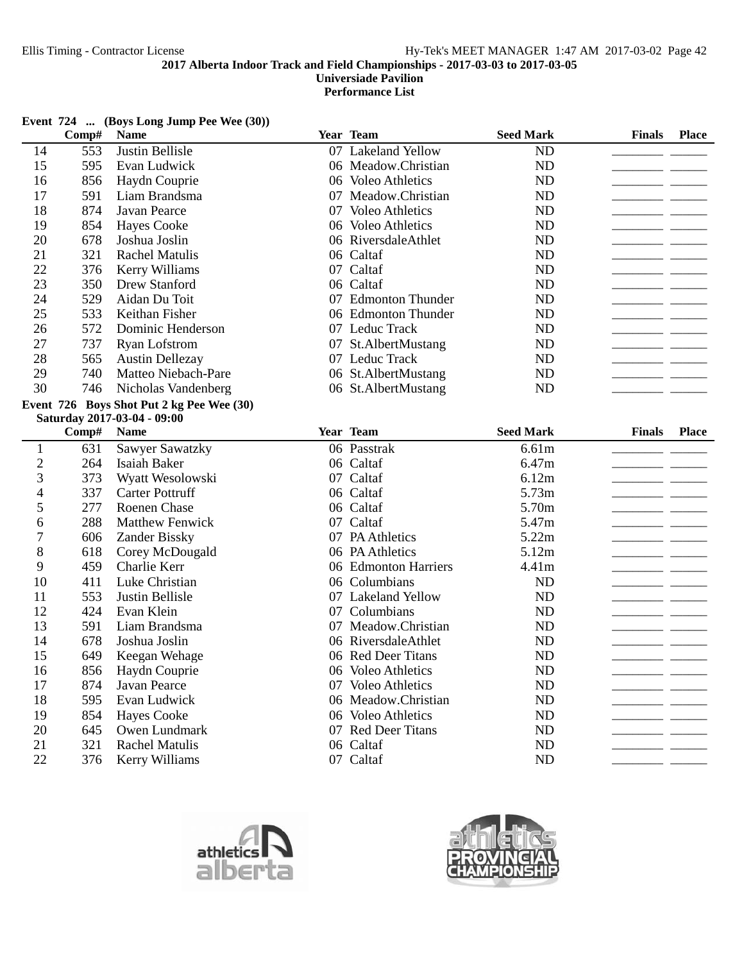## **Universiade Pavilion**

|                |       | Event 724  (Boys Long Jump Pee Wee (30))  |                       |                  |               |              |
|----------------|-------|-------------------------------------------|-----------------------|------------------|---------------|--------------|
|                | Comp# | <b>Name</b>                               | Year Team             | <b>Seed Mark</b> | <b>Finals</b> | <b>Place</b> |
| 14             | 553   | Justin Bellisle                           | 07 Lakeland Yellow    | ND               |               |              |
| 15             | 595   | Evan Ludwick                              | 06 Meadow.Christian   | ND               |               |              |
| 16             | 856   | Haydn Couprie                             | 06 Voleo Athletics    | ND               |               |              |
| 17             | 591   | Liam Brandsma                             | 07 Meadow.Christian   | ND               |               |              |
| 18             | 874   | Javan Pearce                              | 07 Voleo Athletics    | ND               |               |              |
| 19             | 854   | <b>Hayes Cooke</b>                        | 06 Voleo Athletics    | ND               |               |              |
| 20             | 678   | Joshua Joslin                             | 06 RiversdaleAthlet   | <b>ND</b>        |               |              |
| 21             | 321   | <b>Rachel Matulis</b>                     | 06 Caltaf             | ND               |               |              |
| 22             | 376   | Kerry Williams                            | 07 Caltaf             | ND               |               |              |
| 23             | 350   | Drew Stanford                             | 06 Caltaf             | ND               |               |              |
| 24             | 529   | Aidan Du Toit                             | 07 Edmonton Thunder   | ND               |               |              |
| 25             | 533   | Keithan Fisher                            | 06 Edmonton Thunder   | ND               |               |              |
| 26             | 572   | Dominic Henderson                         | 07 Leduc Track        | <b>ND</b>        |               |              |
| 27             | 737   | <b>Ryan Lofstrom</b>                      | 07 St. Albert Mustang | ND               | _____         |              |
| 28             | 565   | <b>Austin Dellezay</b>                    | 07 Leduc Track        | ND               | ____          |              |
| 29             | 740   | Matteo Niebach-Pare                       | 06 St.AlbertMustang   | ND               |               |              |
| 30             | 746   | Nicholas Vandenberg                       | 06 St. Albert Mustang | ND               |               |              |
|                |       | Event 726 Boys Shot Put 2 kg Pee Wee (30) |                       |                  |               |              |
|                |       | Saturday 2017-03-04 - 09:00               |                       |                  |               |              |
|                | Comp# | <b>Name</b>                               | Year Team             | <b>Seed Mark</b> | <b>Finals</b> | <b>Place</b> |
| $\mathbf{1}$   | 631   | Sawyer Sawatzky                           | 06 Passtrak           | 6.61m            |               |              |
| $\overline{2}$ | 264   | Isaiah Baker                              | 06 Caltaf             | 6.47m            |               |              |
| 3              | 373   | Wyatt Wesolowski                          | 07 Caltaf             | 6.12m            |               |              |
| 4              | 337   | <b>Carter Pottruff</b>                    | 06 Caltaf             | 5.73m            |               |              |
| 5              | 277   | <b>Roenen Chase</b>                       | 06 Caltaf             | 5.70m            |               |              |
| 6              | 288   | <b>Matthew Fenwick</b>                    | 07 Caltaf             | 5.47m            |               |              |
| 7              | 606   | <b>Zander Bissky</b>                      | 07 PA Athletics       | 5.22m            |               |              |
| 8              | 618   | Corey McDougald                           | 06 PA Athletics       | 5.12m            |               |              |
| 9              | 459   | Charlie Kerr                              | 06 Edmonton Harriers  | 4.41m            |               |              |
| 10             | 411   | Luke Christian                            | 06 Columbians         | ND               |               |              |
| 11             | 553   | Justin Bellisle                           | 07 Lakeland Yellow    | <b>ND</b>        |               |              |
| 12             | 424   | Evan Klein                                | 07 Columbians         | ND               |               |              |
| 13             | 591   | Liam Brandsma                             | 07 Meadow.Christian   | <b>ND</b>        |               |              |
| 14             | 678   | Joshua Joslin                             | 06 RiversdaleAthlet   | <b>ND</b>        |               |              |
| 15             | 649   | Keegan Wehage                             | 06 Red Deer Titans    | <b>ND</b>        |               |              |
| 16             | 856   | Haydn Couprie                             | 06 Voleo Athletics    | ND               |               |              |
| 17             | 874   | Javan Pearce                              | 07 Voleo Athletics    | ND               |               |              |
| 18             | 595   | Evan Ludwick                              | 06 Meadow.Christian   | ND               |               |              |
| 19             | 854   | <b>Hayes Cooke</b>                        | 06 Voleo Athletics    | ND               |               |              |
| 20             | 645   | Owen Lundmark                             | 07 Red Deer Titans    | ND               |               |              |
| 21             | 321   | <b>Rachel Matulis</b>                     | 06 Caltaf             | ND               |               |              |
| 22             | 376   | Kerry Williams                            | 07 Caltaf             | <b>ND</b>        |               |              |



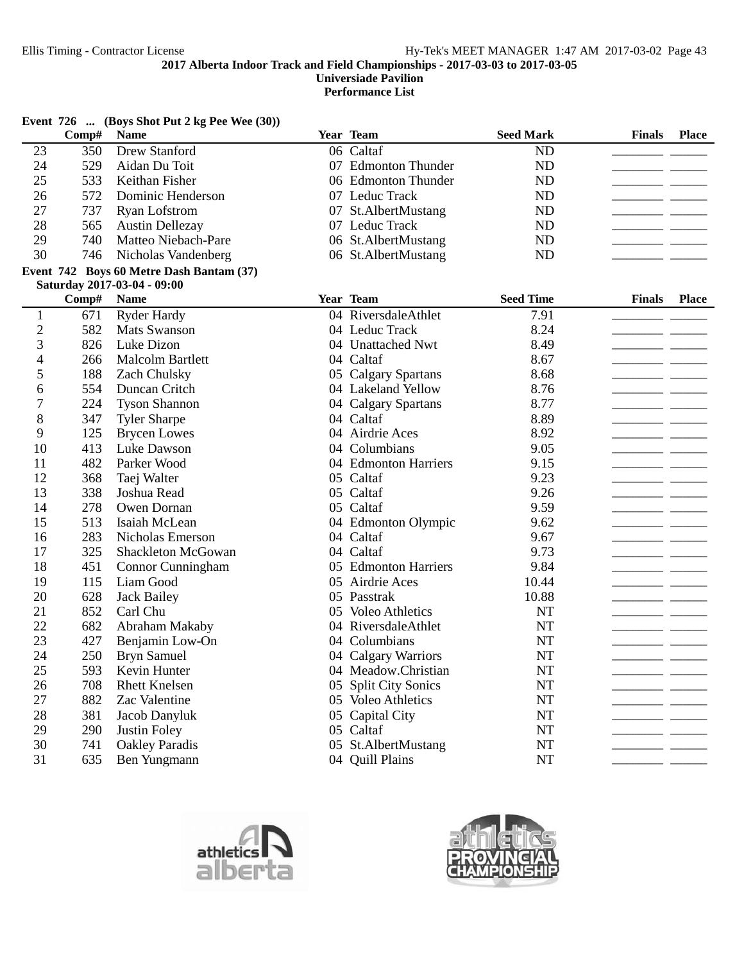#### **Universiade Pavilion**

|                |       | Event 726  (Boys Shot Put 2 kg Pee Wee (30)) |                                  |                  |               |              |
|----------------|-------|----------------------------------------------|----------------------------------|------------------|---------------|--------------|
|                | Comp# | <b>Name</b>                                  | Year Team                        | <b>Seed Mark</b> | <b>Finals</b> | <b>Place</b> |
| 23             | 350   | Drew Stanford                                | 06 Caltaf                        | <b>ND</b>        |               |              |
| 24             | 529   | Aidan Du Toit                                | 07 Edmonton Thunder              | <b>ND</b>        |               |              |
| 25             | 533   | Keithan Fisher                               | 06 Edmonton Thunder              | <b>ND</b>        |               |              |
| 26             | 572   | Dominic Henderson                            | 07 Leduc Track                   | <b>ND</b>        |               |              |
| 27             | 737   | <b>Ryan Lofstrom</b>                         | 07 St.AlbertMustang              | <b>ND</b>        |               |              |
| 28             | 565   | <b>Austin Dellezay</b>                       | 07 Leduc Track                   | ND               |               |              |
| 29             | 740   | Matteo Niebach-Pare                          | 06 St.AlbertMustang              | ND               |               |              |
| 30             | 746   | Nicholas Vandenberg                          | 06 St.AlbertMustang              | ND               |               |              |
|                |       | Event 742 Boys 60 Metre Dash Bantam (37)     |                                  |                  |               |              |
|                |       | Saturday 2017-03-04 - 09:00                  |                                  |                  |               |              |
|                | Comp# | <b>Name</b>                                  | Year Team                        | <b>Seed Time</b> | <b>Finals</b> | <b>Place</b> |
| $\mathbf{1}$   | 671   | <b>Ryder Hardy</b>                           | $\overline{04}$ RiversdaleAthlet | 7.91             |               |              |
| $\mathfrak{2}$ | 582   | <b>Mats Swanson</b>                          | 04 Leduc Track                   | 8.24             |               |              |
| 3              | 826   | Luke Dizon                                   | 04 Unattached Nwt                | 8.49             |               |              |
| 4              | 266   | <b>Malcolm Bartlett</b>                      | 04 Caltaf                        | 8.67             |               |              |
| 5              | 188   | Zach Chulsky                                 | 05 Calgary Spartans              | 8.68             |               |              |
| 6              | 554   | Duncan Critch                                | 04 Lakeland Yellow               | 8.76             |               |              |
| $\overline{7}$ | 224   | <b>Tyson Shannon</b>                         | 04 Calgary Spartans              | 8.77             |               |              |
| $8\,$          | 347   | <b>Tyler Sharpe</b>                          | 04 Caltaf                        | 8.89             |               |              |
| 9              | 125   | <b>Brycen Lowes</b>                          | 04 Airdrie Aces                  | 8.92             |               |              |
| 10             | 413   | Luke Dawson                                  | 04 Columbians                    | 9.05             |               |              |
| 11             | 482   | Parker Wood                                  | 04 Edmonton Harriers             | 9.15             |               |              |
| 12             | 368   | Taej Walter                                  | 05 Caltaf                        | 9.23             |               |              |
| 13             | 338   | Joshua Read                                  | 05 Caltaf                        | 9.26             |               |              |
| 14             | 278   | Owen Dornan                                  | 05 Caltaf                        | 9.59             |               |              |
| 15             | 513   | Isaiah McLean                                | 04 Edmonton Olympic              | 9.62             |               |              |
| 16             | 283   | <b>Nicholas Emerson</b>                      | 04 Caltaf                        | 9.67             |               |              |
| 17             | 325   | Shackleton McGowan                           | 04 Caltaf                        | 9.73             |               |              |
| 18             | 451   | Connor Cunningham                            | 05 Edmonton Harriers             | 9.84             |               |              |
| 19             | 115   | Liam Good                                    | 05 Airdrie Aces                  | 10.44            |               |              |
| 20             | 628   | <b>Jack Bailey</b>                           | 05 Passtrak                      | 10.88            |               |              |
| 21             | 852   | Carl Chu                                     | 05 Voleo Athletics               | <b>NT</b>        |               |              |
| 22             | 682   | Abraham Makaby                               | 04 RiversdaleAthlet              | <b>NT</b>        |               |              |
| 23             | 427   | Benjamin Low-On                              | 04 Columbians                    | <b>NT</b>        |               |              |
| 24             | 250   | <b>Bryn Samuel</b>                           | 04 Calgary Warriors              | NT               |               |              |
| 25             | 593   | Kevin Hunter                                 | 04 Meadow.Christian              | <b>NT</b>        |               |              |
| 26             | 708   | <b>Rhett Knelsen</b>                         | 05 Split City Sonics             | <b>NT</b>        |               |              |
| 27             | 882   | Zac Valentine                                | 05 Voleo Athletics               | <b>NT</b>        |               |              |
| 28             | 381   | Jacob Danyluk                                | 05 Capital City                  | NT               |               |              |
| 29             | 290   | <b>Justin Foley</b>                          | 05 Caltaf                        | <b>NT</b>        |               |              |
| 30             | 741   | Oakley Paradis                               | 05 St.AlbertMustang              | NT               |               |              |
| 31             | 635   | Ben Yungmann                                 | 04 Quill Plains                  | <b>NT</b>        |               |              |



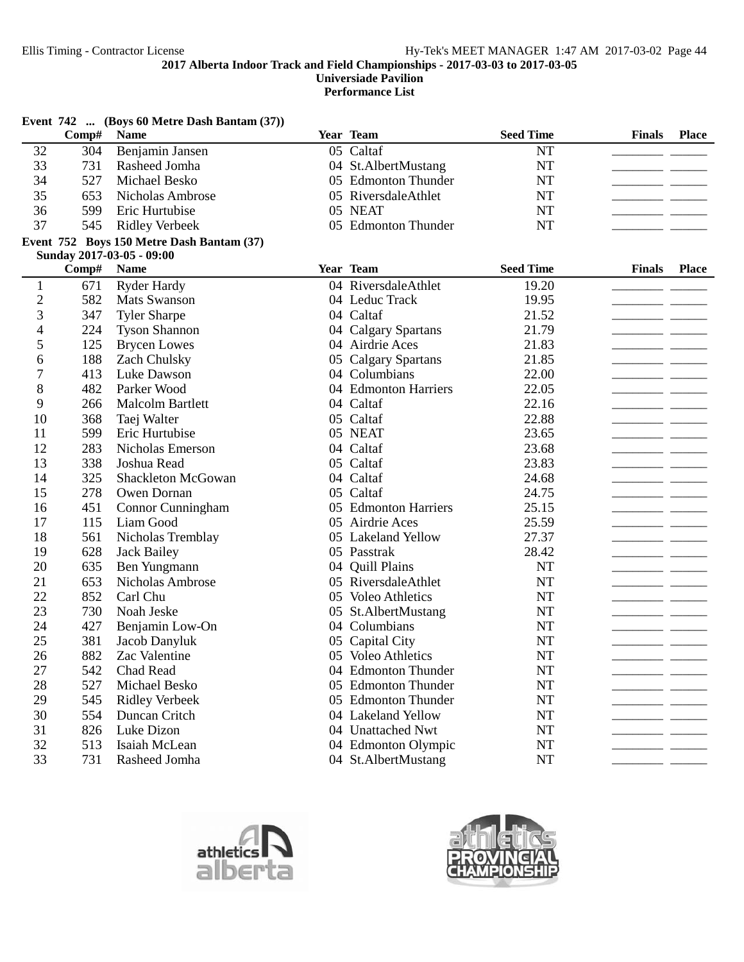#### **Universiade Pavilion**

|              |       | Event 742  (Boys 60 Metre Dash Bantam (37)) |    |                          |                  |               |              |
|--------------|-------|---------------------------------------------|----|--------------------------|------------------|---------------|--------------|
|              | Comp# | <b>Name</b>                                 |    | Year Team                | <b>Seed Time</b> | <b>Finals</b> | <b>Place</b> |
| 32           | 304   | Benjamin Jansen                             |    | 05 Caltaf                | <b>NT</b>        |               |              |
| 33           | 731   | Rasheed Jomha                               |    | 04 St.AlbertMustang      | <b>NT</b>        |               |              |
| 34           | 527   | Michael Besko                               |    | 05 Edmonton Thunder      | <b>NT</b>        |               |              |
| 35           | 653   | Nicholas Ambrose                            |    | 05 RiversdaleAthlet      | <b>NT</b>        |               |              |
| 36           | 599   | Eric Hurtubise                              |    | 05 NEAT                  | <b>NT</b>        |               |              |
| 37           | 545   | <b>Ridley Verbeek</b>                       |    | 05 Edmonton Thunder      | <b>NT</b>        |               |              |
|              |       | Event 752 Boys 150 Metre Dash Bantam (37)   |    |                          |                  |               |              |
|              |       | Sunday 2017-03-05 - 09:00                   |    |                          |                  |               |              |
|              | Comp# | <b>Name</b>                                 |    | Year Team                | <b>Seed Time</b> | <b>Finals</b> | <b>Place</b> |
| $\mathbf{1}$ | 671   | <b>Ryder Hardy</b>                          |    | 04 RiversdaleAthlet      | 19.20            |               |              |
| $\mathbf{2}$ | 582   | <b>Mats Swanson</b>                         |    | 04 Leduc Track           | 19.95            |               |              |
| 3            | 347   | <b>Tyler Sharpe</b>                         |    | 04 Caltaf                | 21.52            |               |              |
| 4            | 224   | <b>Tyson Shannon</b>                        |    | 04 Calgary Spartans      | 21.79            |               |              |
| 5            | 125   | <b>Brycen Lowes</b>                         |    | 04 Airdrie Aces          | 21.83            |               |              |
| 6            | 188   | Zach Chulsky                                |    | 05 Calgary Spartans      | 21.85            |               |              |
| 7            | 413   | Luke Dawson                                 |    | 04 Columbians            | 22.00            |               |              |
| $8\,$        | 482   | Parker Wood                                 |    | 04 Edmonton Harriers     | 22.05            |               |              |
| 9            | 266   | <b>Malcolm Bartlett</b>                     |    | 04 Caltaf                | 22.16            |               |              |
| 10           | 368   | Taej Walter                                 |    | 05 Caltaf                | 22.88            |               |              |
| 11           | 599   | Eric Hurtubise                              |    | 05 NEAT                  | 23.65            |               |              |
| 12           | 283   | Nicholas Emerson                            |    | 04 Caltaf                | 23.68            |               |              |
| 13           | 338   | Joshua Read                                 |    | 05 Caltaf                | 23.83            |               |              |
| 14           | 325   | Shackleton McGowan                          |    | 04 Caltaf                | 24.68            |               |              |
| 15           | 278   | Owen Dornan                                 |    | 05 Caltaf                | 24.75            |               |              |
| 16           | 451   | Connor Cunningham                           | 05 | <b>Edmonton Harriers</b> | 25.15            |               |              |
| 17           | 115   | Liam Good                                   |    | 05 Airdrie Aces          | 25.59            |               |              |
| 18           | 561   | Nicholas Tremblay                           |    | 05 Lakeland Yellow       | 27.37            |               |              |
| 19           | 628   | <b>Jack Bailey</b>                          |    | 05 Passtrak              | 28.42            |               |              |
| 20           | 635   | Ben Yungmann                                |    | 04 Quill Plains          | <b>NT</b>        |               |              |
| 21           | 653   | Nicholas Ambrose                            |    | 05 RiversdaleAthlet      | <b>NT</b>        |               |              |
| 22           | 852   | Carl Chu                                    |    | 05 Voleo Athletics       | <b>NT</b>        |               |              |
| 23           | 730   | Noah Jeske                                  |    | 05 St. Albert Mustang    | NT               |               |              |
| 24           | 427   | Benjamin Low-On                             |    | 04 Columbians            | <b>NT</b>        |               |              |
| 25           | 381   | Jacob Danyluk                               |    | 05 Capital City          | <b>NT</b>        |               |              |
| 26           | 882   | Zac Valentine                               |    | 05 Voleo Athletics       | NT               |               |              |
| 27           | 542   | Chad Read                                   |    | 04 Edmonton Thunder      | NT               |               |              |
| 28           | 527   | Michael Besko                               |    | 05 Edmonton Thunder      | NT               |               |              |
| 29           | 545   | <b>Ridley Verbeek</b>                       |    | 05 Edmonton Thunder      | NT               |               |              |
| 30           | 554   | Duncan Critch                               |    | 04 Lakeland Yellow       | NT               |               |              |
| 31           | 826   | Luke Dizon                                  |    | 04 Unattached Nwt        | NT               |               |              |
| 32           | 513   | Isaiah McLean                               |    | 04 Edmonton Olympic      | NT               |               |              |
| 33           | 731   | Rasheed Jomha                               |    | 04 St.AlbertMustang      | NT               |               |              |



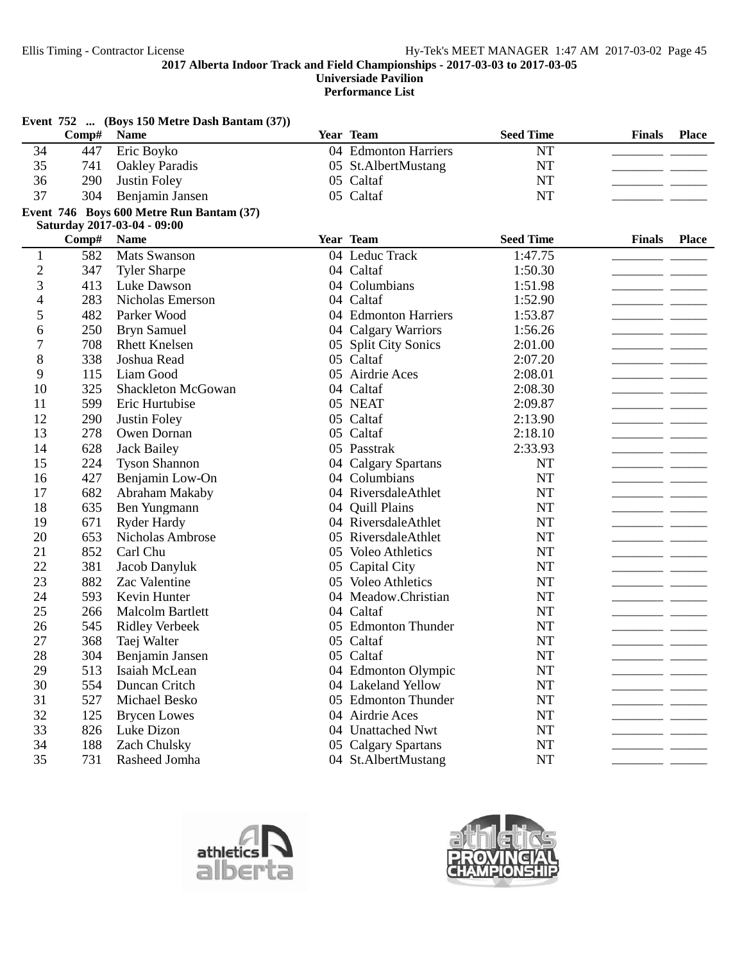**Universiade Pavilion**

|                |       | Event 752  (Boys 150 Metre Dash Bantam (37)) |    |                         |                  |               |              |
|----------------|-------|----------------------------------------------|----|-------------------------|------------------|---------------|--------------|
|                | Comp# | <b>Name</b>                                  |    | Year Team               | <b>Seed Time</b> | <b>Finals</b> | <b>Place</b> |
| 34             | 447   | Eric Boyko                                   |    | 04 Edmonton Harriers    | <b>NT</b>        |               |              |
| 35             | 741   | Oakley Paradis                               |    | 05 St.AlbertMustang     | <b>NT</b>        |               |              |
| 36             | 290   | Justin Foley                                 |    | 05 Caltaf               | <b>NT</b>        |               |              |
| 37             | 304   | Benjamin Jansen                              |    | 05 Caltaf               | <b>NT</b>        |               |              |
|                |       | Event 746 Boys 600 Metre Run Bantam (37)     |    |                         |                  |               |              |
|                |       | Saturday 2017-03-04 - 09:00                  |    |                         |                  |               |              |
|                | Comp# | <b>Name</b>                                  |    | Year Team               | <b>Seed Time</b> | <b>Finals</b> | <b>Place</b> |
| $\mathbf{1}$   | 582   | <b>Mats Swanson</b>                          |    | 04 Leduc Track          | 1:47.75          |               |              |
| $\overline{c}$ | 347   | <b>Tyler Sharpe</b>                          |    | 04 Caltaf               | 1:50.30          |               |              |
| 3              | 413   | Luke Dawson                                  |    | 04 Columbians           | 1:51.98          |               |              |
| 4              | 283   | <b>Nicholas Emerson</b>                      |    | 04 Caltaf               | 1:52.90          |               |              |
| 5              | 482   | Parker Wood                                  |    | 04 Edmonton Harriers    | 1:53.87          |               |              |
| 6              | 250   | <b>Bryn Samuel</b>                           |    | 04 Calgary Warriors     | 1:56.26          |               |              |
| 7              | 708   | <b>Rhett Knelsen</b>                         |    | 05 Split City Sonics    | 2:01.00          |               |              |
| 8              | 338   | Joshua Read                                  |    | 05 Caltaf               | 2:07.20          |               |              |
| 9              | 115   | Liam Good                                    |    | 05 Airdrie Aces         | 2:08.01          |               |              |
| 10             | 325   | Shackleton McGowan                           |    | 04 Caltaf               | 2:08.30          |               |              |
| 11             | 599   | Eric Hurtubise                               |    | 05 NEAT                 | 2:09.87          |               |              |
| 12             | 290   | <b>Justin Foley</b>                          |    | 05 Caltaf               | 2:13.90          |               |              |
| 13             | 278   | Owen Dornan                                  |    | 05 Caltaf               | 2:18.10          |               |              |
| 14             | 628   | <b>Jack Bailey</b>                           |    | 05 Passtrak             | 2:33.93          |               |              |
| 15             | 224   | <b>Tyson Shannon</b>                         |    | 04 Calgary Spartans     | NT               | -- -          |              |
| 16             | 427   | Benjamin Low-On                              |    | 04 Columbians           | <b>NT</b>        |               |              |
| 17             | 682   | Abraham Makaby                               |    | 04 RiversdaleAthlet     | <b>NT</b>        |               |              |
| 18             | 635   | Ben Yungmann                                 | 04 | <b>Quill Plains</b>     | <b>NT</b>        |               |              |
| 19             | 671   | <b>Ryder Hardy</b>                           |    | 04 RiversdaleAthlet     | <b>NT</b>        |               |              |
| 20             | 653   | Nicholas Ambrose                             |    | 05 RiversdaleAthlet     | <b>NT</b>        |               |              |
| 21             | 852   | Carl Chu                                     |    | 05 Voleo Athletics      | <b>NT</b>        |               |              |
| 22             | 381   | Jacob Danyluk                                |    | 05 Capital City         | <b>NT</b>        |               |              |
| 23             | 882   | Zac Valentine                                |    | 05 Voleo Athletics      | <b>NT</b>        |               |              |
| 24             | 593   | Kevin Hunter                                 |    | 04 Meadow.Christian     | <b>NT</b>        |               |              |
| 25             | 266   | <b>Malcolm Bartlett</b>                      |    | 04 Caltaf               | <b>NT</b>        |               |              |
| 26             | 545   | <b>Ridley Verbeek</b>                        |    | 05 Edmonton Thunder     | NT               |               |              |
| 27             | 368   | Taej Walter                                  |    | 05 Caltaf               | <b>NT</b>        |               |              |
| 28             | 304   | Benjamin Jansen                              |    | 05 Caltaf               | <b>NT</b>        |               |              |
| 29             | 513   | Isaiah McLean                                |    | 04 Edmonton Olympic     | NT               |               |              |
| 30             | 554   | Duncan Critch                                |    | 04 Lakeland Yellow      | <b>NT</b>        |               |              |
| 31             | 527   | Michael Besko                                |    | 05 Edmonton Thunder     | NT               |               |              |
| 32             | 125   | <b>Brycen Lowes</b>                          |    | 04 Airdrie Aces         | <b>NT</b>        |               |              |
| 33             | 826   | Luke Dizon                                   |    | 04 Unattached Nwt       | <b>NT</b>        |               |              |
| 34             | 188   | Zach Chulsky                                 | 05 | <b>Calgary Spartans</b> | <b>NT</b>        |               |              |
| 35             | 731   | Rasheed Jomha                                |    | 04 St.AlbertMustang     | <b>NT</b>        |               |              |



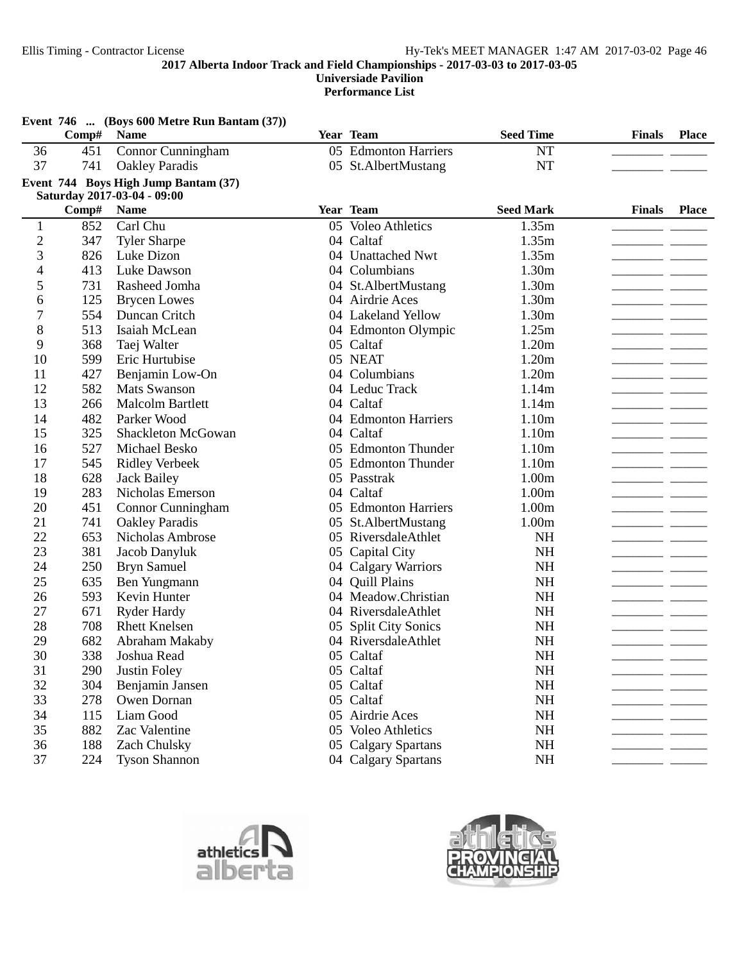**Universiade Pavilion**

|                | Comp# | Event 746  (Boys 600 Metre Run Bantam (37))<br><b>Name</b> | Year Team             | <b>Seed Time</b>  | <b>Finals</b> | <b>Place</b> |
|----------------|-------|------------------------------------------------------------|-----------------------|-------------------|---------------|--------------|
| 36             | 451   | Connor Cunningham                                          | 05 Edmonton Harriers  | <b>NT</b>         |               |              |
| 37             | 741   | Oakley Paradis                                             | 05 St.AlbertMustang   | <b>NT</b>         |               |              |
|                |       | Event 744 Boys High Jump Bantam (37)                       |                       |                   |               |              |
|                |       | Saturday 2017-03-04 - 09:00                                |                       |                   |               |              |
|                | Comp# | <b>Name</b>                                                | Year Team             | <b>Seed Mark</b>  | <b>Finals</b> | <b>Place</b> |
| $\mathbf{1}$   | 852   | Carl Chu                                                   | 05 Voleo Athletics    | 1.35m             |               |              |
| $\overline{c}$ | 347   | <b>Tyler Sharpe</b>                                        | 04 Caltaf             | 1.35m             |               |              |
| 3              | 826   | Luke Dizon                                                 | 04 Unattached Nwt     | 1.35m             | _ _           |              |
| 4              | 413   | Luke Dawson                                                | 04 Columbians         | 1.30 <sub>m</sub> | _ _           |              |
| 5              | 731   | Rasheed Jomha                                              | 04 St. Albert Mustang | 1.30 <sub>m</sub> |               |              |
| 6              | 125   | <b>Brycen Lowes</b>                                        | 04 Airdrie Aces       | 1.30 <sub>m</sub> |               |              |
| 7              | 554   | Duncan Critch                                              | 04 Lakeland Yellow    | 1.30 <sub>m</sub> |               |              |
| 8              | 513   | Isaiah McLean                                              | 04 Edmonton Olympic   | 1.25m             |               | - -          |
| 9              | 368   | Taej Walter                                                | 05 Caltaf             | 1.20m             |               | - - - -      |
| 10             | 599   | Eric Hurtubise                                             | 05 NEAT               | 1.20m             |               |              |
| 11             | 427   | Benjamin Low-On                                            | 04 Columbians         | 1.20m             |               | ___          |
| 12             | 582   | <b>Mats Swanson</b>                                        | 04 Leduc Track        | 1.14m             |               |              |
| 13             | 266   | <b>Malcolm Bartlett</b>                                    | 04 Caltaf             | 1.14m             |               |              |
| 14             | 482   | Parker Wood                                                | 04 Edmonton Harriers  | 1.10m             | _ __          |              |
| 15             | 325   | Shackleton McGowan                                         | 04 Caltaf             | 1.10m             |               |              |
| 16             | 527   | Michael Besko                                              | 05 Edmonton Thunder   | 1.10m             |               |              |
| 17             | 545   | <b>Ridley Verbeek</b>                                      | 05 Edmonton Thunder   | 1.10m             |               |              |
| 18             | 628   | <b>Jack Bailey</b>                                         | 05 Passtrak           | 1.00 <sub>m</sub> |               |              |
| 19             | 283   | Nicholas Emerson                                           | 04 Caltaf             | 1.00 <sub>m</sub> |               |              |
| 20             | 451   | Connor Cunningham                                          | 05 Edmonton Harriers  | 1.00 <sub>m</sub> |               |              |
| 21             | 741   | Oakley Paradis                                             | 05 St. Albert Mustang | 1.00 <sub>m</sub> |               |              |
| 22             | 653   | Nicholas Ambrose                                           | 05 RiversdaleAthlet   | <b>NH</b>         |               |              |
| 23             | 381   | Jacob Danyluk                                              | 05 Capital City       | <b>NH</b>         | ___           |              |
| 24             | 250   | <b>Bryn Samuel</b>                                         | 04 Calgary Warriors   | <b>NH</b>         |               |              |
| 25             | 635   | Ben Yungmann                                               | 04 Quill Plains       | <b>NH</b>         |               |              |
| 26             | 593   | Kevin Hunter                                               | 04 Meadow.Christian   | <b>NH</b>         |               |              |
| 27             | 671   | <b>Ryder Hardy</b>                                         | 04 RiversdaleAthlet   | <b>NH</b>         |               |              |
| 28             | 708   | <b>Rhett Knelsen</b>                                       | 05 Split City Sonics  | <b>NH</b>         |               |              |
| 29             | 682   | Abraham Makaby                                             | 04 RiversdaleAthlet   | <b>NH</b>         |               |              |
| 30             | 338   | Joshua Read                                                | 05 Caltaf             | <b>NH</b>         |               |              |
| 31             | 290   | <b>Justin Foley</b>                                        | 05 Caltaf             | NH                |               |              |
| 32             | 304   | Benjamin Jansen                                            | 05 Caltaf             | NH                |               |              |
| 33             | 278   | Owen Dornan                                                | 05 Caltaf             | NH                |               |              |
| 34             | 115   | Liam Good                                                  | 05 Airdrie Aces       | NH                |               |              |
| 35             | 882   | Zac Valentine                                              | 05 Voleo Athletics    | NH                |               |              |
| 36             | 188   | <b>Zach Chulsky</b>                                        | 05 Calgary Spartans   | NH                |               |              |
| 37             | 224   | <b>Tyson Shannon</b>                                       | 04 Calgary Spartans   | <b>NH</b>         |               |              |



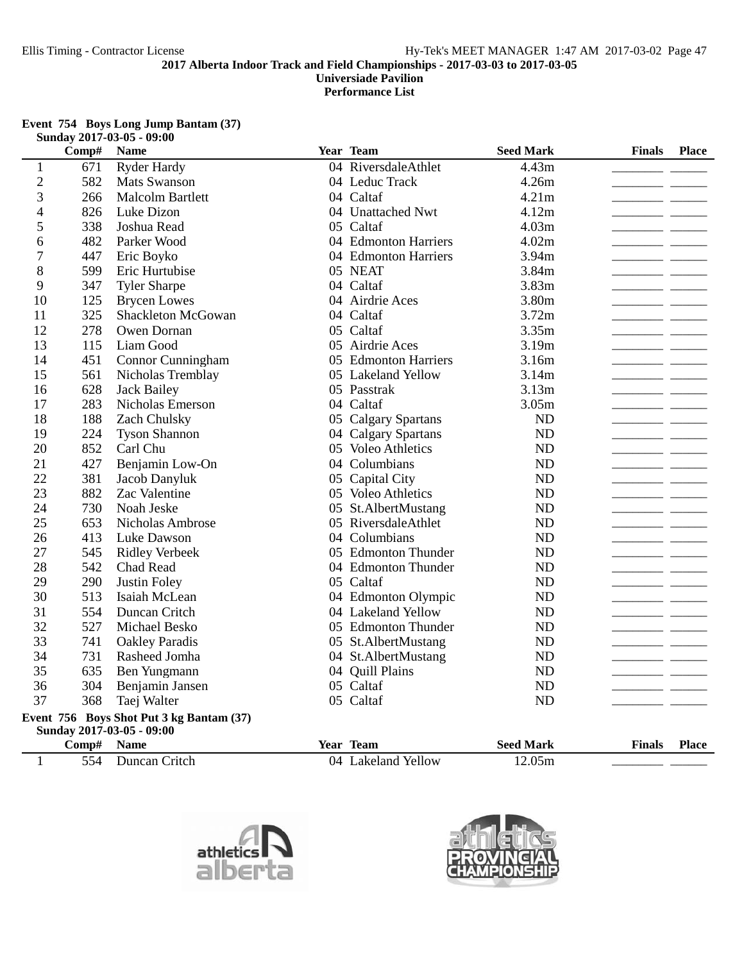#### **Universiade Pavilion**

**Performance List**

|                          | Comp# | <b>Name</b>                              | Year Team            | <b>Seed Mark</b> | <b>Finals</b>               | <b>Place</b> |
|--------------------------|-------|------------------------------------------|----------------------|------------------|-----------------------------|--------------|
| 1                        | 671   | <b>Ryder Hardy</b>                       | 04 RiversdaleAthlet  | 4.43m            |                             |              |
| $\overline{c}$           | 582   | <b>Mats Swanson</b>                      | 04 Leduc Track       | 4.26m            |                             |              |
| 3                        | 266   | <b>Malcolm Bartlett</b>                  | 04 Caltaf            | 4.21m            | $\overline{a}$              |              |
| $\overline{\mathcal{L}}$ | 826   | Luke Dizon                               | 04 Unattached Nwt    | 4.12m            |                             | للمستدرج     |
| 5                        | 338   | Joshua Read                              | 05 Caltaf            | 4.03m            |                             |              |
| 6                        | 482   | Parker Wood                              | 04 Edmonton Harriers | 4.02m            |                             |              |
| 7                        | 447   | Eric Boyko                               | 04 Edmonton Harriers | 3.94m            | $\mathcal{L}^{\mathcal{L}}$ |              |
| 8                        | 599   | Eric Hurtubise                           | 05 NEAT              | 3.84m            |                             |              |
| 9                        | 347   | <b>Tyler Sharpe</b>                      | 04 Caltaf            | 3.83m            |                             |              |
| 10                       | 125   | <b>Brycen Lowes</b>                      | 04 Airdrie Aces      | 3.80m            |                             |              |
| 11                       | 325   | Shackleton McGowan                       | 04 Caltaf            | 3.72m            |                             |              |
| 12                       | 278   | Owen Dornan                              | 05 Caltaf            | 3.35m            |                             | $\sim$       |
| 13                       | 115   | Liam Good                                | 05 Airdrie Aces      | 3.19m            |                             |              |
| 14                       | 451   | Connor Cunningham                        | 05 Edmonton Harriers | 3.16m            |                             |              |
| 15                       | 561   | Nicholas Tremblay                        | 05 Lakeland Yellow   | 3.14m            |                             |              |
| 16                       | 628   | <b>Jack Bailey</b>                       | 05 Passtrak          | 3.13m            |                             |              |
| 17                       | 283   | Nicholas Emerson                         | 04 Caltaf            | 3.05m            |                             |              |
| 18                       | 188   | Zach Chulsky                             | 05 Calgary Spartans  | ND               |                             |              |
| 19                       | 224   | <b>Tyson Shannon</b>                     | 04 Calgary Spartans  | ND               |                             |              |
| 20                       | 852   | Carl Chu                                 | 05 Voleo Athletics   | ND               |                             |              |
| 21                       | 427   | Benjamin Low-On                          | 04 Columbians        | ND               |                             |              |
| 22                       | 381   | Jacob Danyluk                            | 05 Capital City      | ND               |                             |              |
| 23                       | 882   | Zac Valentine                            | 05 Voleo Athletics   | ND               |                             |              |
| 24                       | 730   | Noah Jeske                               | 05 St.AlbertMustang  | ND               |                             |              |
| 25                       | 653   | Nicholas Ambrose                         | 05 RiversdaleAthlet  | ND               |                             |              |
| 26                       | 413   | Luke Dawson                              | 04 Columbians        | ND               |                             |              |
| 27                       | 545   | <b>Ridley Verbeek</b>                    | 05 Edmonton Thunder  | ND               |                             |              |
| 28                       | 542   | Chad Read                                | 04 Edmonton Thunder  | ND               |                             |              |
| 29                       | 290   | Justin Foley                             | 05 Caltaf            | ND               | - -                         |              |
| 30                       | 513   | Isaiah McLean                            | 04 Edmonton Olympic  | ND               |                             |              |
| 31                       | 554   | Duncan Critch                            | 04 Lakeland Yellow   | ND               |                             |              |
| 32                       | 527   | Michael Besko                            | 05 Edmonton Thunder  | ND               |                             |              |
| 33                       | 741   | Oakley Paradis                           | 05 St.AlbertMustang  | ND               |                             |              |
| 34                       | 731   | Rasheed Jomha                            | 04 St.AlbertMustang  | ND               |                             |              |
| 35                       | 635   | Ben Yungmann                             | 04 Quill Plains      | ND               |                             |              |
| 36                       | 304   | Benjamin Jansen                          | 05 Caltaf            | ND               |                             |              |
| 37                       | 368   | Taej Walter                              | 05 Caltaf            | <b>ND</b>        |                             |              |
|                          |       | Event 756 Boys Shot Put 3 kg Bantam (37) |                      |                  |                             |              |
|                          |       | Sunday 2017-03-05 - 09:00                |                      |                  |                             |              |
|                          | Comp# | <b>Name</b>                              | Year Team            | <b>Seed Mark</b> | <b>Finals</b>               | Place        |
| $\mathbf{1}$             | 554   | Duncan Critch                            | 04 Lakeland Yellow   | 12.05m           |                             |              |

#### **Event 754 Boys Long Jump Bantam (37) Sunday 2017-03-05 - 09:00**



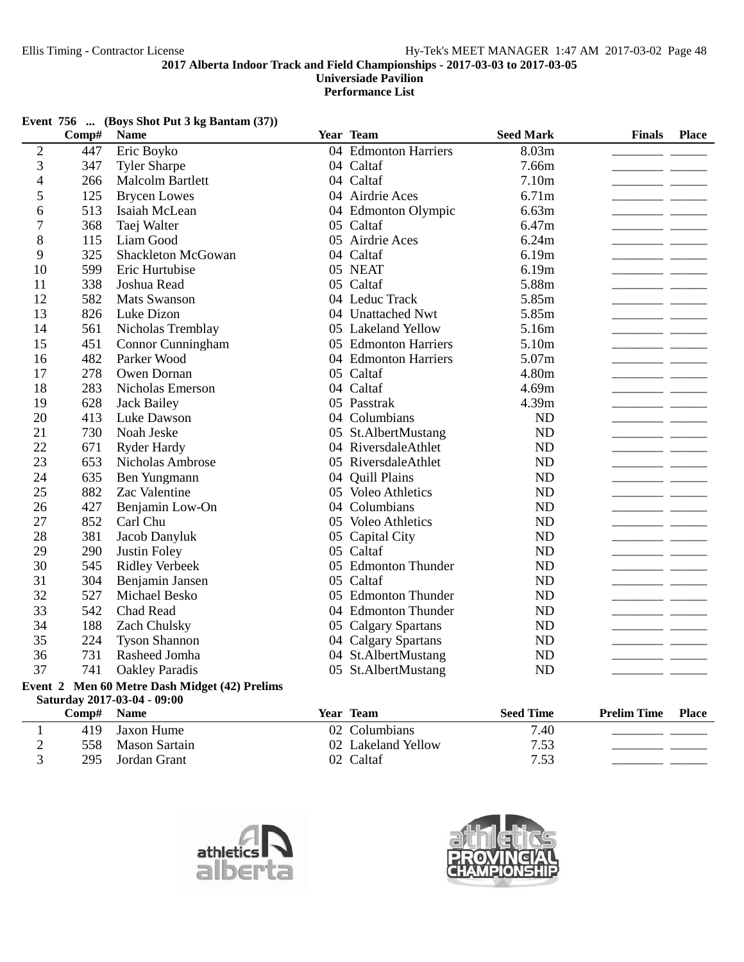## **Universiade Pavilion**

**Performance List**

|                | Comp# | <b>Name</b>             |    | Year Team             | <b>Seed Mark</b> | <b>Finals</b> | <b>Place</b> |
|----------------|-------|-------------------------|----|-----------------------|------------------|---------------|--------------|
| $\overline{2}$ | 447   | Eric Boyko              |    | 04 Edmonton Harriers  | 8.03m            |               |              |
| 3              | 347   | <b>Tyler Sharpe</b>     |    | 04 Caltaf             | 7.66m            |               |              |
| 4              | 266   | <b>Malcolm Bartlett</b> |    | 04 Caltaf             | 7.10m            |               |              |
| 5              | 125   | <b>Brycen Lowes</b>     |    | 04 Airdrie Aces       | 6.71m            |               |              |
| 6              | 513   | Isaiah McLean           |    | 04 Edmonton Olympic   | 6.63m            |               |              |
| 7              | 368   | Taej Walter             |    | 05 Caltaf             | 6.47m            |               |              |
| 8              | 115   | Liam Good               |    | 05 Airdrie Aces       | 6.24m            |               |              |
| 9              | 325   | Shackleton McGowan      |    | 04 Caltaf             | 6.19m            |               |              |
| 10             | 599   | Eric Hurtubise          |    | 05 NEAT               | 6.19m            |               |              |
| 11             | 338   | Joshua Read             |    | 05 Caltaf             | 5.88m            |               |              |
| 12             | 582   | <b>Mats Swanson</b>     |    | 04 Leduc Track        | 5.85m            |               |              |
| 13             | 826   | Luke Dizon              |    | 04 Unattached Nwt     | 5.85m            |               |              |
| 14             | 561   | Nicholas Tremblay       |    | 05 Lakeland Yellow    | 5.16m            |               |              |
| 15             | 451   | Connor Cunningham       |    | 05 Edmonton Harriers  | 5.10m            |               |              |
| 16             | 482   | Parker Wood             |    | 04 Edmonton Harriers  | 5.07m            |               |              |
| 17             | 278   | Owen Dornan             |    | 05 Caltaf             | 4.80m            | - -           |              |
| 18             | 283   | <b>Nicholas Emerson</b> |    | 04 Caltaf             | 4.69m            |               |              |
| 19             | 628   | <b>Jack Bailey</b>      |    | 05 Passtrak           | 4.39m            |               |              |
| 20             | 413   | Luke Dawson             |    | 04 Columbians         | <b>ND</b>        |               |              |
| 21             | 730   | Noah Jeske              |    | 05 St.AlbertMustang   | <b>ND</b>        | - -           |              |
| 22             | 671   | <b>Ryder Hardy</b>      |    | 04 RiversdaleAthlet   | ND               |               |              |
| 23             | 653   | Nicholas Ambrose        |    | 05 RiversdaleAthlet   | ND               | - -           |              |
| 24             | 635   | Ben Yungmann            | 04 | <b>Quill Plains</b>   | ND               |               |              |
| 25             | 882   | Zac Valentine           |    | 05 Voleo Athletics    | ND               |               |              |
| 26             | 427   | Benjamin Low-On         |    | 04 Columbians         | ND               |               |              |
| 27             | 852   | Carl Chu                |    | 05 Voleo Athletics    | <b>ND</b>        |               |              |
| 28             | 381   | Jacob Danyluk           |    | 05 Capital City       | ND               |               |              |
| 29             | 290   | <b>Justin Foley</b>     |    | 05 Caltaf             | <b>ND</b>        |               |              |
| 30             | 545   | <b>Ridley Verbeek</b>   |    | 05 Edmonton Thunder   | ND               |               |              |
| 31             | 304   | Benjamin Jansen         |    | 05 Caltaf             | <b>ND</b>        |               |              |
| 32             | 527   | Michael Besko           |    | 05 Edmonton Thunder   | ND               |               |              |
| 33             | 542   | Chad Read               |    | 04 Edmonton Thunder   | ND               |               |              |
| 34             | 188   | Zach Chulsky            |    | 05 Calgary Spartans   | ND               |               |              |
| 35             | 224   | <b>Tyson Shannon</b>    |    | 04 Calgary Spartans   | ND               |               |              |
| 36             | 731   | Rasheed Jomha           |    | 04 St.AlbertMustang   | <b>ND</b>        |               |              |
| 37             | 741   | Oakley Paradis          |    | 05 St. Albert Mustang | <b>ND</b>        |               |              |

#### **Event 756 ... (Boys Shot Put 3 kg Bantam (37))**

#### **Event 2 Men 60 Metre Dash Midget (42) Prelims Saturday 2017-03-04 - 09:00**

| <b>Comp#</b> | <b>Name</b>   | Year Team          | <b>Seed Time</b> | <b>Prelim Time</b> | <b>Place</b> |
|--------------|---------------|--------------------|------------------|--------------------|--------------|
| 419          | Jaxon Hume    | 02 Columbians      | 7.40             |                    |              |
| 558          | Mason Sartain | 02 Lakeland Yellow | 7.53             |                    |              |
| 295          | Jordan Grant  | 02 Caltaf          | 7.53             |                    |              |



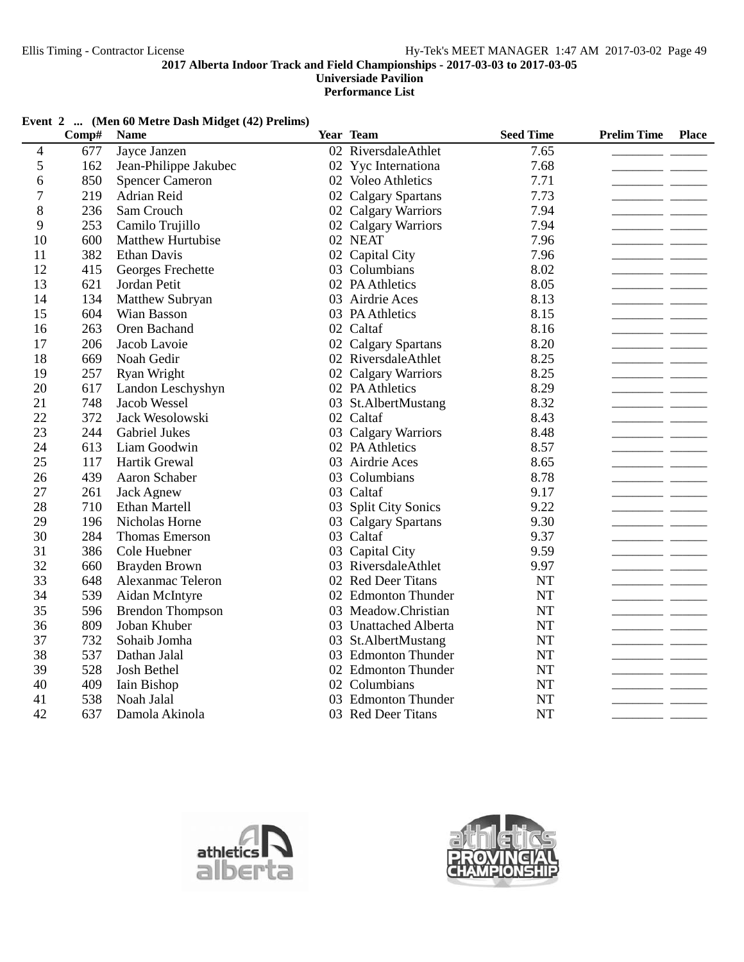**Universiade Pavilion**

**Performance List**

|                | Comp# | Event 2  (Men 60 Metre Dash Midget (42) Prelims)<br><b>Name</b> | Year Team                        | <b>Seed Time</b> | <b>Prelim Time</b> | <b>Place</b> |
|----------------|-------|-----------------------------------------------------------------|----------------------------------|------------------|--------------------|--------------|
| $\overline{4}$ | 677   | Jayce Janzen                                                    | $\overline{02}$ RiversdaleAthlet | 7.65             |                    |              |
| 5              | 162   | Jean-Philippe Jakubec                                           | 02 Yyc Internationa              | 7.68             |                    |              |
| 6              | 850   | <b>Spencer Cameron</b>                                          | 02 Voleo Athletics               | 7.71             |                    |              |
| 7              | 219   | Adrian Reid                                                     | 02 Calgary Spartans              | 7.73             |                    |              |
| 8              | 236   | Sam Crouch                                                      | 02 Calgary Warriors              | 7.94             |                    |              |
| 9              | 253   | Camilo Trujillo                                                 | 02 Calgary Warriors              | 7.94             |                    |              |
| 10             | 600   | Matthew Hurtubise                                               | 02 NEAT                          | 7.96             |                    |              |
| 11             | 382   | <b>Ethan Davis</b>                                              | 02 Capital City                  | 7.96             |                    |              |
| 12             | 415   | Georges Frechette                                               | 03 Columbians                    | 8.02             |                    |              |
| 13             | 621   | Jordan Petit                                                    | 02 PA Athletics                  | 8.05             |                    |              |
| 14             | 134   | Matthew Subryan                                                 | 03 Airdrie Aces                  | 8.13             |                    |              |
| 15             | 604   | Wian Basson                                                     | 03 PA Athletics                  | 8.15             |                    |              |
| 16             | 263   | Oren Bachand                                                    | 02 Caltaf                        | 8.16             |                    |              |
| 17             | 206   | Jacob Lavoie                                                    | 02 Calgary Spartans              | 8.20             |                    |              |
| 18             | 669   | Noah Gedir                                                      | 02 RiversdaleAthlet              | 8.25             |                    |              |
| 19             | 257   | Ryan Wright                                                     | 02 Calgary Warriors              | 8.25             |                    |              |
| 20             | 617   | Landon Leschyshyn                                               | 02 PA Athletics                  | 8.29             |                    |              |
| 21             | 748   | Jacob Wessel                                                    | 03 St.AlbertMustang              | 8.32             |                    |              |
| 22             | 372   | Jack Wesolowski                                                 | 02 Caltaf                        | 8.43             |                    | $\sim$       |
| 23             | 244   | Gabriel Jukes                                                   | 03 Calgary Warriors              | 8.48             |                    |              |
| 24             | 613   | Liam Goodwin                                                    | 02 PA Athletics                  | 8.57             |                    |              |
| 25             | 117   | Hartik Grewal                                                   | 03 Airdrie Aces                  | 8.65             |                    |              |
| 26             | 439   | Aaron Schaber                                                   | 03 Columbians                    | 8.78             |                    |              |
| 27             | 261   | Jack Agnew                                                      | 03 Caltaf                        | 9.17             |                    |              |
| 28             | 710   | <b>Ethan Martell</b>                                            | 03 Split City Sonics             | 9.22             |                    |              |
| 29             | 196   | Nicholas Horne                                                  | 03 Calgary Spartans              | 9.30             |                    |              |
| 30             | 284   | <b>Thomas Emerson</b>                                           | 03 Caltaf                        | 9.37             |                    |              |
| 31             | 386   | Cole Huebner                                                    | 03 Capital City                  | 9.59             |                    |              |
| 32             | 660   | <b>Brayden Brown</b>                                            | 03 RiversdaleAthlet              | 9.97             |                    |              |
| 33             | 648   | Alexanmac Teleron                                               | 02 Red Deer Titans               | <b>NT</b>        |                    |              |
| 34             | 539   | Aidan McIntyre                                                  | 02 Edmonton Thunder              | <b>NT</b>        |                    |              |
| 35             | 596   | <b>Brendon Thompson</b>                                         | 03 Meadow.Christian              | <b>NT</b>        |                    |              |
| 36             | 809   | Joban Khuber                                                    | 03 Unattached Alberta            | <b>NT</b>        |                    |              |
| 37             | 732   | Sohaib Jomha                                                    | 03 St.AlbertMustang              | <b>NT</b>        | - -                |              |
| 38             | 537   | Dathan Jalal                                                    | 03 Edmonton Thunder              | <b>NT</b>        |                    |              |
| 39             | 528   | <b>Josh Bethel</b>                                              | 02 Edmonton Thunder              | <b>NT</b>        |                    |              |
| 40             | 409   | Iain Bishop                                                     | 02 Columbians                    | <b>NT</b>        |                    |              |
| 41             | 538   | Noah Jalal                                                      | 03 Edmonton Thunder              | <b>NT</b>        |                    |              |

42 637 Damola Akinola 637 03 Red Deer Titans NT 2012 2013



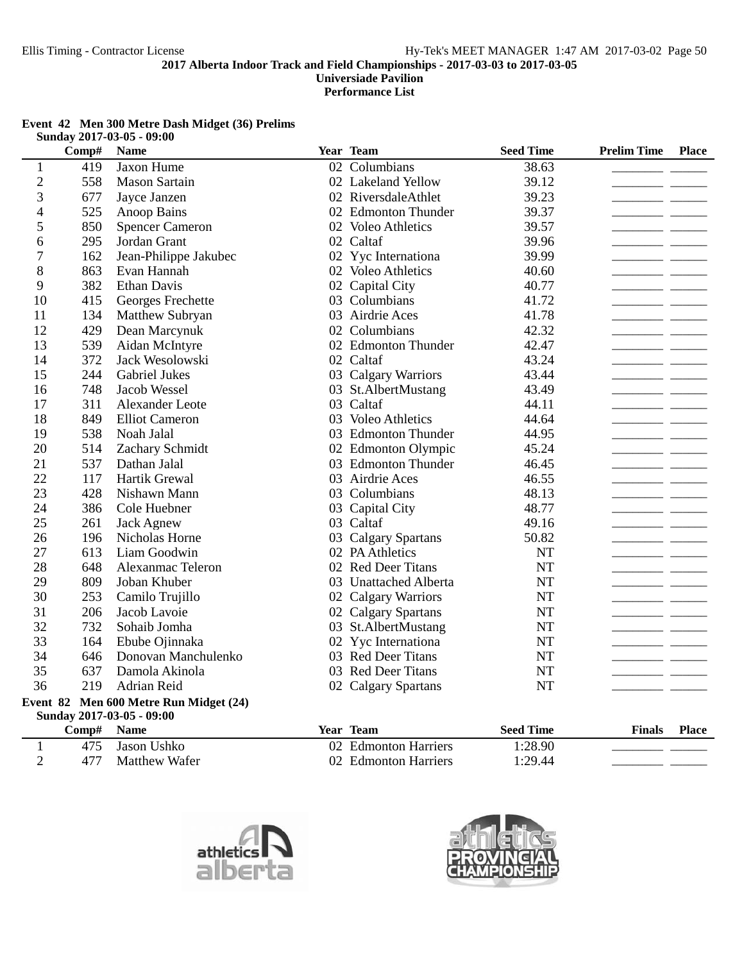## **Universiade Pavilion**

**Performance List**

|                          | Comp#         | <b>Name</b>                            | Year Team             | <b>Seed Time</b> | <b>Prelim Time</b>                                                                                                                                                                                                                                                                                                                                                                                                                                    | <b>Place</b> |
|--------------------------|---------------|----------------------------------------|-----------------------|------------------|-------------------------------------------------------------------------------------------------------------------------------------------------------------------------------------------------------------------------------------------------------------------------------------------------------------------------------------------------------------------------------------------------------------------------------------------------------|--------------|
| 1                        | 419           | Jaxon Hume                             | 02 Columbians         | 38.63            |                                                                                                                                                                                                                                                                                                                                                                                                                                                       |              |
| $\mathbf{2}$             | 558           | <b>Mason Sartain</b>                   | 02 Lakeland Yellow    | 39.12            | $\frac{1}{2}$                                                                                                                                                                                                                                                                                                                                                                                                                                         |              |
| 3                        | 677           | Jayce Janzen                           | 02 RiversdaleAthlet   | 39.23            | $\frac{1}{1}$                                                                                                                                                                                                                                                                                                                                                                                                                                         |              |
| $\overline{\mathcal{L}}$ | 525           | Anoop Bains                            | 02 Edmonton Thunder   | 39.37            |                                                                                                                                                                                                                                                                                                                                                                                                                                                       |              |
| 5                        | 850           | <b>Spencer Cameron</b>                 | 02 Voleo Athletics    | 39.57            |                                                                                                                                                                                                                                                                                                                                                                                                                                                       |              |
| 6                        | 295           | Jordan Grant                           | 02 Caltaf             | 39.96            |                                                                                                                                                                                                                                                                                                                                                                                                                                                       |              |
| 7                        | 162           | Jean-Philippe Jakubec                  | 02 Yyc Internationa   | 39.99            |                                                                                                                                                                                                                                                                                                                                                                                                                                                       |              |
| 8                        | 863           | Evan Hannah                            | 02 Voleo Athletics    | 40.60            |                                                                                                                                                                                                                                                                                                                                                                                                                                                       |              |
| 9                        | 382           | Ethan Davis                            | 02 Capital City       | 40.77            | $\frac{1}{2}$                                                                                                                                                                                                                                                                                                                                                                                                                                         |              |
| 10                       | 415           | Georges Frechette                      | 03 Columbians         | 41.72            | $\frac{1}{2}$                                                                                                                                                                                                                                                                                                                                                                                                                                         |              |
| 11                       | 134           | Matthew Subryan                        | 03 Airdrie Aces       | 41.78            |                                                                                                                                                                                                                                                                                                                                                                                                                                                       |              |
| 12                       | 429           | Dean Marcynuk                          | 02 Columbians         | 42.32            |                                                                                                                                                                                                                                                                                                                                                                                                                                                       |              |
| 13                       | 539           | Aidan McIntyre                         | 02 Edmonton Thunder   | 42.47            | __ __                                                                                                                                                                                                                                                                                                                                                                                                                                                 |              |
| 14                       | 372           | Jack Wesolowski                        | 02 Caltaf             | 43.24            |                                                                                                                                                                                                                                                                                                                                                                                                                                                       |              |
| 15                       | 244           | <b>Gabriel Jukes</b>                   | 03 Calgary Warriors   | 43.44            |                                                                                                                                                                                                                                                                                                                                                                                                                                                       |              |
| 16                       | 748           | Jacob Wessel                           | 03 St.AlbertMustang   | 43.49            |                                                                                                                                                                                                                                                                                                                                                                                                                                                       |              |
| 17                       | 311           | Alexander Leote                        | 03 Caltaf             | 44.11            | $\frac{1}{1-\frac{1}{1-\frac{1}{1-\frac{1}{1-\frac{1}{1-\frac{1}{1-\frac{1}{1-\frac{1}{1-\frac{1}{1-\frac{1}{1-\frac{1}{1-\frac{1}{1-\frac{1}{1-\frac{1}{1-\frac{1}{1-\frac{1}{1-\frac{1}{1-\frac{1}{1-\frac{1}{1-\frac{1}{1-\frac{1}{1-\frac{1}{1-\frac{1}{1-\frac{1}{1-\frac{1}{1-\frac{1}{1-\frac{1}{1-\frac{1}{1-\frac{1}{1-\frac{1}{1-\frac{1}{1-\frac{1}{1-\frac{1}{1-\frac{1}{1-\frac{1}{1-\frac{1}{1-\frac{1$                                 |              |
| 18                       | 849           | <b>Elliot Cameron</b>                  | 03 Voleo Athletics    | 44.64            |                                                                                                                                                                                                                                                                                                                                                                                                                                                       |              |
| 19                       | 538           | Noah Jalal                             | 03 Edmonton Thunder   | 44.95            |                                                                                                                                                                                                                                                                                                                                                                                                                                                       |              |
| 20                       | 514           | Zachary Schmidt                        | 02 Edmonton Olympic   | 45.24            |                                                                                                                                                                                                                                                                                                                                                                                                                                                       |              |
| 21                       | 537           | Dathan Jalal                           | 03 Edmonton Thunder   | 46.45            |                                                                                                                                                                                                                                                                                                                                                                                                                                                       |              |
| 22                       | 117           | Hartik Grewal                          | 03 Airdrie Aces       | 46.55            |                                                                                                                                                                                                                                                                                                                                                                                                                                                       |              |
| 23                       | 428           | Nishawn Mann                           | 03 Columbians         | 48.13            |                                                                                                                                                                                                                                                                                                                                                                                                                                                       |              |
| 24                       | 386           | Cole Huebner                           | 03 Capital City       | 48.77            | $\overline{\phantom{a}}$ and $\overline{\phantom{a}}$                                                                                                                                                                                                                                                                                                                                                                                                 |              |
| 25                       | 261           | Jack Agnew                             | 03 Caltaf             | 49.16            | $\begin{tabular}{ccccc} \multicolumn{2}{c }{\textbf{1} & \multicolumn{2}{c }{\textbf{2} & \multicolumn{2}{c }{\textbf{3} & \multicolumn{2}{c }{\textbf{4} & \multicolumn{2}{c }{\textbf{5} & \multicolumn{2}{c }{\textbf{6} & \multicolumn{2}{c }{\textbf{6} & \multicolumn{2}{c }{\textbf{6} & \multicolumn{2}{c }{\textbf{6} & \multicolumn{2}{c }{\textbf{6} & \multicolumn{2}{c }{\textbf{6} & \multicolumn{2}{c }{\textbf{6} & \multicolumn{2}{$ |              |
| 26                       | 196           | Nicholas Horne                         | 03 Calgary Spartans   | 50.82            |                                                                                                                                                                                                                                                                                                                                                                                                                                                       |              |
| 27                       | 613           | Liam Goodwin                           | 02 PA Athletics       | <b>NT</b>        |                                                                                                                                                                                                                                                                                                                                                                                                                                                       |              |
| 28                       | 648           | Alexanmac Teleron                      | 02 Red Deer Titans    | <b>NT</b>        |                                                                                                                                                                                                                                                                                                                                                                                                                                                       |              |
| 29                       | 809           | Joban Khuber                           | 03 Unattached Alberta | <b>NT</b>        |                                                                                                                                                                                                                                                                                                                                                                                                                                                       |              |
| 30                       | 253           | Camilo Trujillo                        | 02 Calgary Warriors   | <b>NT</b>        |                                                                                                                                                                                                                                                                                                                                                                                                                                                       |              |
| 31                       | 206           | Jacob Lavoie                           | 02 Calgary Spartans   | <b>NT</b>        | $\frac{1}{1-\frac{1}{1-\frac{1}{1-\frac{1}{1-\frac{1}{1-\frac{1}{1-\frac{1}{1-\frac{1}{1-\frac{1}{1-\frac{1}{1-\frac{1}{1-\frac{1}{1-\frac{1}{1-\frac{1}{1-\frac{1}{1-\frac{1}{1-\frac{1}{1-\frac{1}{1-\frac{1}{1-\frac{1}{1-\frac{1}{1-\frac{1}{1-\frac{1}{1-\frac{1}{1-\frac{1}{1-\frac{1}{1-\frac{1}{1-\frac{1}{1-\frac{1}{1-\frac{1}{1-\frac{1}{1-\frac{1}{1-\frac{1}{1-\frac{1}{1-\frac{1}{1-\frac{1}{1-\frac{1$                                 |              |
| 32                       | 732           | Sohaib Jomha                           | 03 St.AlbertMustang   | <b>NT</b>        |                                                                                                                                                                                                                                                                                                                                                                                                                                                       |              |
| 33                       | 164           | Ebube Ojinnaka                         | 02 Yyc Internationa   | <b>NT</b>        | $\frac{1}{2}$                                                                                                                                                                                                                                                                                                                                                                                                                                         |              |
| 34                       | 646           | Donovan Manchulenko                    | 03 Red Deer Titans    | <b>NT</b>        |                                                                                                                                                                                                                                                                                                                                                                                                                                                       |              |
| 35                       | 637           | Damola Akinola                         | 03 Red Deer Titans    | <b>NT</b>        | $\overline{\phantom{a}}$ $\overline{\phantom{a}}$ $\overline{\phantom{a}}$ $\overline{\phantom{a}}$                                                                                                                                                                                                                                                                                                                                                   |              |
| 36                       | 219           | Adrian Reid                            | 02 Calgary Spartans   | <b>NT</b>        |                                                                                                                                                                                                                                                                                                                                                                                                                                                       |              |
|                          |               | Event 82 Men 600 Metre Run Midget (24) |                       |                  |                                                                                                                                                                                                                                                                                                                                                                                                                                                       |              |
|                          |               | Sunday 2017-03-05 - 09:00              |                       |                  |                                                                                                                                                                                                                                                                                                                                                                                                                                                       |              |
|                          | $Comn\#$ Name |                                        | Vear Team             | Seed Time        | Finale                                                                                                                                                                                                                                                                                                                                                                                                                                                | Place        |

#### **Event 42 Men 300 Metre Dash Midget (36) Prelims Sunday 2017-03-05 - 09:00**

| <b>Comp#</b> | <b>Name</b>   | Year Team            | <b>Seed Time</b> | <b>Finals</b> | Place |
|--------------|---------------|----------------------|------------------|---------------|-------|
| 475          | Jason Ushko   | 02 Edmonton Harriers | 1:28.90          |               |       |
| 477          | Matthew Wafer | 02 Edmonton Harriers | 1:29.44          |               |       |



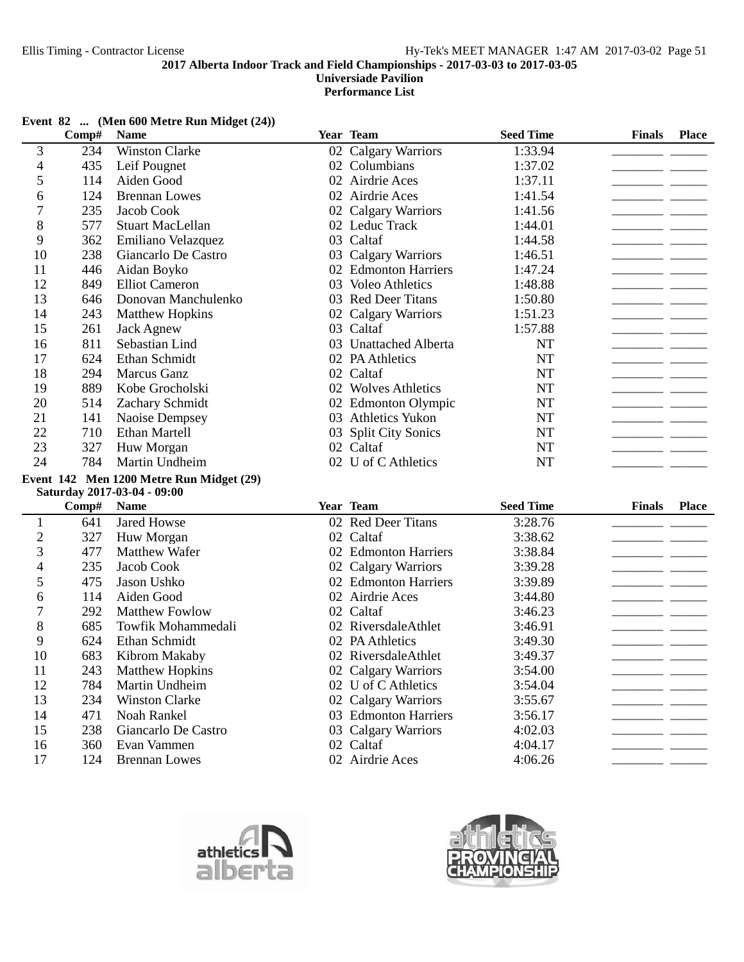**Event 82 ... (Men 600 Metre Run Midget (24))**

**2017 Alberta Indoor Track and Field Championships - 2017-03-03 to 2017-03-05**

## **Universiade Pavilion**

## **Performance List**

## **Comp# Name Place Place Place Place Place Place Place Place Place Place Place Place Place** 3 234 Winston Clarke 02 Calgary Warriors 1:33.94 \_\_\_\_\_\_\_\_\_ \_\_\_\_\_\_ 4 435 Leif Pougnet 02 Columbians 1:37.02 \_\_\_\_\_\_\_\_\_ \_\_\_\_\_\_ 114 Aiden Good 02 Airdrie Aces 1:37.11 — — — — 6 124 Brennan Lowes 02 Airdrie Aces 1:41.54 \_\_\_\_\_\_\_\_\_ \_\_\_\_\_\_ 7 235 Jacob Cook 02 Calgary Warriors 1:41.56 8 577 Stuart MacLellan 02 Leduc Track 1:44.01 \_\_\_\_\_\_\_\_\_ \_\_\_\_\_\_ 362 Emiliano Velazquez 63 Caltaf 1:44.58 \_\_\_\_\_\_\_ \_\_\_\_\_\_ 10 238 Giancarlo De Castro 03 Calgary Warriors 1:46.51 \_\_\_\_\_\_\_\_ \_\_\_\_ 11 446 Aidan Boyko 02 Edmonton Harriers 1:47.24 \_\_\_\_\_\_\_\_\_ \_\_\_\_\_\_ 12 849 Elliot Cameron 03 Voleo Athletics 1:48.88 \_\_\_\_\_\_\_\_ \_\_\_\_\_ 13 646 Donovan Manchulenko 03 Red Deer Titans 1:50.80 \_\_\_\_\_\_\_\_\_ \_\_\_\_\_\_ 14 243 Matthew Hopkins 02 Calgary Warriors 1:51.23 15 261 Jack Agnew 03 Caltaf 1:57.88 \_\_\_\_\_\_\_ \_\_\_\_\_ 16 811 Sebastian Lind 03 Unattached Alberta NT \_\_\_\_\_\_\_\_\_ \_\_\_\_\_\_ 17 624 Ethan Schmidt 02 PA Athletics NT<br>
18 294 Marcus Ganz 02 Caltaf NT 18 294 Marcus Ganz 02 Caltaf NT \_\_\_\_\_\_\_\_\_ \_\_\_\_\_\_ 19 889 Kobe Grocholski 02 Wolves Athletics NT \_\_\_\_\_\_\_\_\_ \_\_\_\_\_\_ 214 Zachary Schmidt 02 Edmonton Olympic NT 21 141 Naoise Dempsey 03 Athletics Yukon NT \_\_\_\_\_\_\_\_\_\_\_\_\_\_ 22 710 Ethan Martell 03 Split City Sonics NT 23 327 Huw Morgan 02 Caltaf NT \_\_\_\_\_\_\_\_ \_\_\_\_\_ 24 784 Martin Undheim 02 U of C Athletics NT **Event 142 Men 1200 Metre Run Midget (29) Saturday 2017-03-04 - 09:00 Comp# Name Place Place Place Place Place Place Place Place Place Place Place Place Place** 1 641 Jared Howse 02 Red Deer Titans 3:28.76 \_\_\_\_\_\_\_ \_\_\_\_\_ 2 327 Huw Morgan 02 Caltaf 3:38.62 <u>\_\_\_\_\_</u> \_\_\_\_\_ 3 477 Matthew Wafer 02 Edmonton Harriers 3:38.84 \_\_\_\_\_\_\_\_\_\_\_\_\_\_\_\_\_\_\_\_\_\_\_\_\_\_\_\_\_\_\_ 4 235 Jacob Cook 02 Calgary Warriors 3:39.28 \_\_\_\_\_\_\_\_ \_\_\_\_\_\_ 5 475 Jason Ushko 02 Edmonton Harriers 3:39.89 \_\_\_\_\_\_\_\_\_ \_\_\_\_\_\_ 6 114 Aiden Good 02 Airdrie Aces 3:44.80 \_\_\_\_\_\_\_ \_ 7 292 Matthew Fowlow 02 Caltaf 3:46.23 \_\_\_\_\_\_\_ \_\_\_\_ 8 685 Towfik Mohammedali 02 RiversdaleAthlet 3:46.91 20 \_\_\_\_\_\_\_\_\_\_\_\_\_\_\_\_\_\_\_\_\_\_\_\_ 9 624 Ethan Schmidt 02 PA Athletics 3:49.30 \_\_\_\_\_\_ \_\_\_ 10 683 Kibrom Makaby 02 RiversdaleAthlet 3:49.37 \_\_\_\_\_\_\_\_ \_\_\_\_ 11 243 Matthew Hopkins 02 Calgary Warriors 3:54.00 12 784 Martin Undheim 02 U of C Athletics 3:54.04 \_\_\_\_\_\_\_ \_\_\_\_ 13 234 Winston Clarke 02 Calgary Warriors 3:55.67 \_\_\_\_\_\_\_\_ \_\_\_\_\_ 14 471 Noah Rankel 03 Edmonton Harriers 3:56.17 2011 2021 15 238 Giancarlo De Castro 03 Calgary Warriors 4:02.03 \_\_\_\_\_\_\_\_ \_\_\_\_\_ 16 360 Evan Vammen 02 Caltaf 4:04.17 \_\_\_\_\_\_\_ \_\_\_\_\_ 17 124 Brennan Lowes 02 Airdrie Aces 4:06.26 \_\_\_\_\_\_\_ \_\_\_\_\_ \_\_\_\_\_



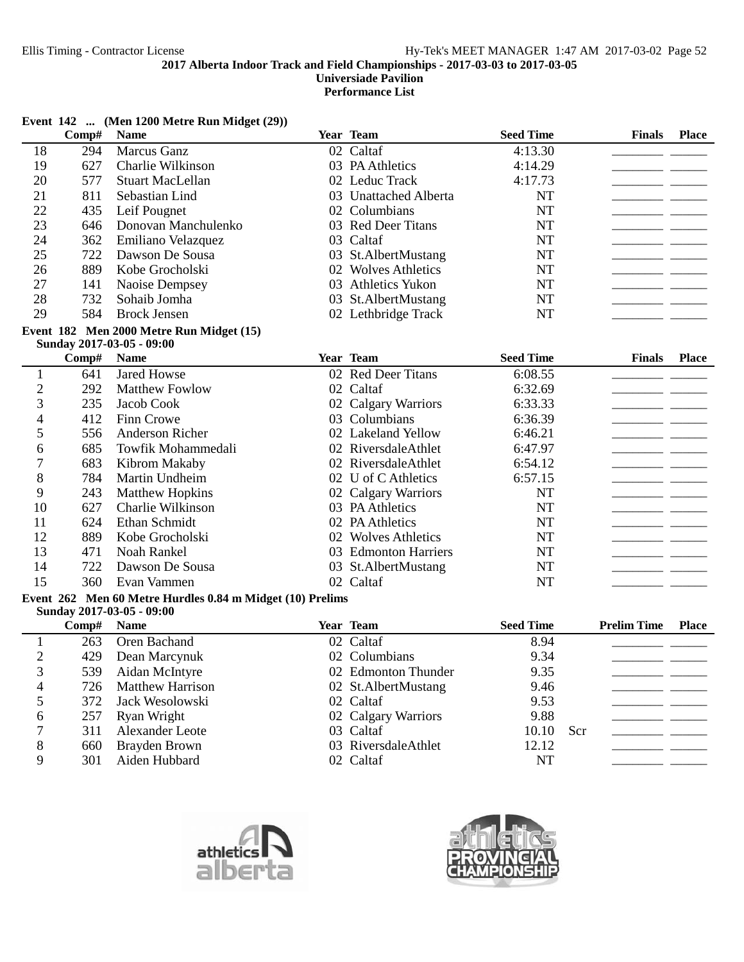## **Universiade Pavilion**

|                |       | Event 142  (Men 1200 Metre Run Midget (29))                                            |                       |                  |     |                    |              |
|----------------|-------|----------------------------------------------------------------------------------------|-----------------------|------------------|-----|--------------------|--------------|
|                | Comp# | <b>Name</b>                                                                            | Year Team             | <b>Seed Time</b> |     | <b>Finals</b>      | <b>Place</b> |
| 18             | 294   | <b>Marcus Ganz</b>                                                                     | 02 Caltaf             | 4:13.30          |     |                    |              |
| 19             | 627   | Charlie Wilkinson                                                                      | 03 PA Athletics       | 4:14.29          |     |                    |              |
| 20             | 577   | <b>Stuart MacLellan</b>                                                                | 02 Leduc Track        | 4:17.73          |     |                    |              |
| 21             | 811   | Sebastian Lind                                                                         | 03 Unattached Alberta | NT               |     |                    |              |
| 22             | 435   | Leif Pougnet                                                                           | 02 Columbians         | NT               |     | <u>.</u>           |              |
| 23             | 646   | Donovan Manchulenko                                                                    | 03 Red Deer Titans    | <b>NT</b>        |     | — —                |              |
| 24             | 362   | Emiliano Velazquez                                                                     | 03 Caltaf             | <b>NT</b>        |     | _____              |              |
| 25             | 722   | Dawson De Sousa                                                                        | 03 St.AlbertMustang   | <b>NT</b>        |     |                    |              |
| 26             | 889   | Kobe Grocholski                                                                        | 02 Wolves Athletics   | <b>NT</b>        |     |                    |              |
| 27             | 141   | Naoise Dempsey                                                                         | 03 Athletics Yukon    | <b>NT</b>        |     | __ __              |              |
| 28             | 732   | Sohaib Jomha                                                                           | 03 St. Albert Mustang | <b>NT</b>        |     |                    |              |
| 29             | 584   | <b>Brock Jensen</b>                                                                    | 02 Lethbridge Track   | <b>NT</b>        |     |                    |              |
|                |       | Event 182 Men 2000 Metre Run Midget (15)                                               |                       |                  |     |                    |              |
|                |       | Sunday 2017-03-05 - 09:00                                                              |                       |                  |     |                    |              |
|                | Comp# | <b>Name</b>                                                                            | Year Team             | <b>Seed Time</b> |     | <b>Finals</b>      | <b>Place</b> |
| $\mathbf{1}$   | 641   | <b>Jared Howse</b>                                                                     | 02 Red Deer Titans    | 6:08.55          |     |                    |              |
| $\overline{c}$ | 292   | <b>Matthew Fowlow</b>                                                                  | 02 Caltaf             | 6:32.69          |     |                    |              |
| 3              | 235   | Jacob Cook                                                                             | 02 Calgary Warriors   | 6:33.33          |     |                    |              |
| 4              | 412   | Finn Crowe                                                                             | 03 Columbians         | 6:36.39          |     |                    |              |
| 5              | 556   | Anderson Richer                                                                        | 02 Lakeland Yellow    | 6:46.21          |     |                    |              |
| 6              | 685   | Towfik Mohammedali                                                                     | 02 RiversdaleAthlet   | 6:47.97          |     |                    | -- ---       |
| $\tau$         | 683   | Kibrom Makaby                                                                          | 02 RiversdaleAthlet   | 6:54.12          |     |                    |              |
| 8              | 784   | Martin Undheim                                                                         | 02 U of C Athletics   | 6:57.15          |     |                    |              |
| 9              | 243   | <b>Matthew Hopkins</b>                                                                 | 02 Calgary Warriors   | <b>NT</b>        |     |                    |              |
| 10             | 627   | Charlie Wilkinson                                                                      | 03 PA Athletics       | <b>NT</b>        |     |                    |              |
| 11             | 624   | Ethan Schmidt                                                                          | 02 PA Athletics       | <b>NT</b>        |     |                    |              |
| 12             | 889   | Kobe Grocholski                                                                        | 02 Wolves Athletics   | <b>NT</b>        |     |                    |              |
| 13             | 471   | Noah Rankel                                                                            | 03 Edmonton Harriers  | <b>NT</b>        |     |                    |              |
| 14             | 722   | Dawson De Sousa                                                                        | 03 St.AlbertMustang   | <b>NT</b>        |     |                    |              |
| 15             | 360   | Evan Vammen                                                                            | 02 Caltaf             | <b>NT</b>        |     |                    |              |
|                |       | Event 262 Men 60 Metre Hurdles 0.84 m Midget (10) Prelims<br>Sunday 2017-03-05 - 09:00 |                       |                  |     |                    |              |
|                | Comp# | <b>Name</b>                                                                            | Year Team             | <b>Seed Time</b> |     | <b>Prelim Time</b> | <b>Place</b> |
| $\mathbf{1}$   | 263   | Oren Bachand                                                                           | 02 Caltaf             | 8.94             |     |                    |              |
| $\overline{2}$ |       | 429 Dean Marcynuk                                                                      | 02 Columbians         | 9.34             |     |                    |              |
| 3              | 539   | Aidan McIntyre                                                                         | 02 Edmonton Thunder   | 9.35             |     |                    |              |
| 4              | 726   | <b>Matthew Harrison</b>                                                                | 02 St.AlbertMustang   | 9.46             |     |                    |              |
| 5              | 372   | Jack Wesolowski                                                                        | 02 Caltaf             | 9.53             |     |                    |              |
| 6              | 257   | <b>Ryan Wright</b>                                                                     | 02 Calgary Warriors   | 9.88             |     |                    |              |
| 7              | 311   | Alexander Leote                                                                        | 03 Caltaf             | 10.10            | Scr |                    |              |
| 8              | 660   | Brayden Brown                                                                          | 03 RiversdaleAthlet   | 12.12            |     |                    |              |
| 9              | 301   | Aiden Hubbard                                                                          | 02 Caltaf             | <b>NT</b>        |     |                    |              |
|                |       |                                                                                        |                       |                  |     |                    |              |



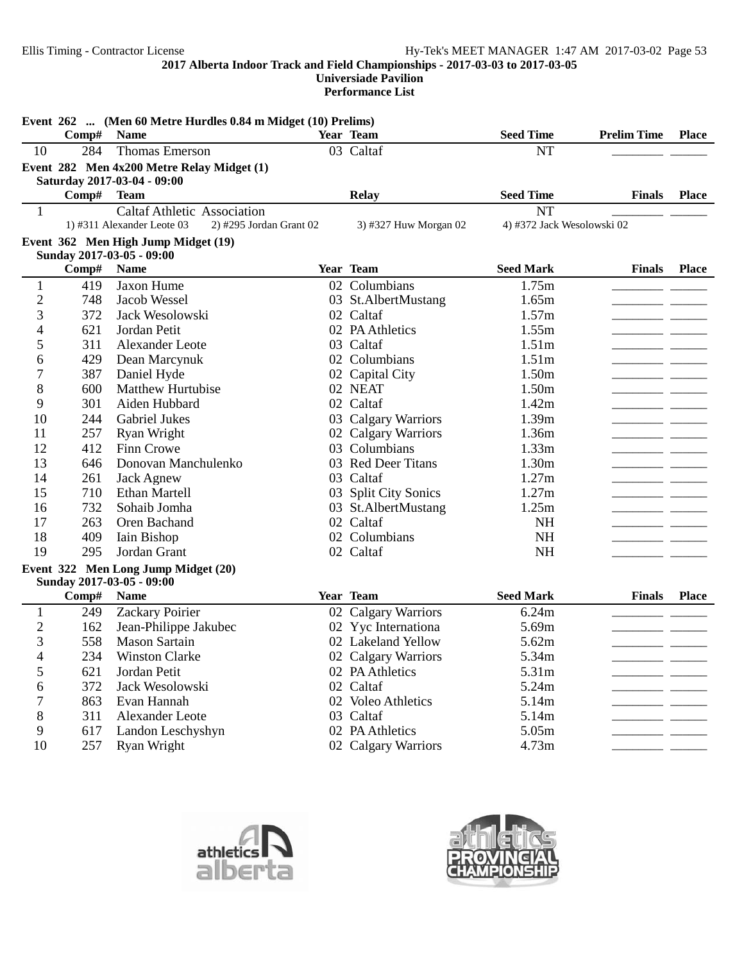**Universiade Pavilion**

|                                | Comp# | Event 262  (Men 60 Metre Hurdles 0.84 m Midget (10) Prelims)<br><b>Name</b>                 |    | Year Team             | <b>Seed Time</b>                        | <b>Prelim Time</b>                                                                                                                                                                                                                   | <b>Place</b>                                                                                                          |
|--------------------------------|-------|---------------------------------------------------------------------------------------------|----|-----------------------|-----------------------------------------|--------------------------------------------------------------------------------------------------------------------------------------------------------------------------------------------------------------------------------------|-----------------------------------------------------------------------------------------------------------------------|
| 10                             | 284   | Thomas Emerson                                                                              |    | 03 Caltaf             | <b>NT</b>                               |                                                                                                                                                                                                                                      |                                                                                                                       |
|                                |       | Event 282 Men 4x200 Metre Relay Midget (1)<br>Saturday 2017-03-04 - 09:00                   |    |                       |                                         |                                                                                                                                                                                                                                      |                                                                                                                       |
|                                | Comp# | <b>Team</b>                                                                                 |    | <b>Relay</b>          | <b>Seed Time</b>                        | <b>Finals</b>                                                                                                                                                                                                                        | <b>Place</b>                                                                                                          |
| $\mathbf{1}$                   |       | <b>Caltaf Athletic Association</b><br>2) #295 Jordan Grant 02<br>1) #311 Alexander Leote 03 |    | 3) #327 Huw Morgan 02 | <b>NT</b><br>4) #372 Jack Wesolowski 02 |                                                                                                                                                                                                                                      |                                                                                                                       |
|                                |       | Event 362 Men High Jump Midget (19)                                                         |    |                       |                                         |                                                                                                                                                                                                                                      |                                                                                                                       |
|                                | Comp# | Sunday 2017-03-05 - 09:00<br><b>Name</b>                                                    |    | Year Team             | <b>Seed Mark</b>                        | <b>Finals</b>                                                                                                                                                                                                                        | <b>Place</b>                                                                                                          |
|                                | 419   | Jaxon Hume                                                                                  |    | 02 Columbians         | 1.75m                                   |                                                                                                                                                                                                                                      |                                                                                                                       |
| $\mathbf{1}$<br>$\overline{c}$ | 748   | Jacob Wessel                                                                                |    | 03 St.AlbertMustang   | 1.65m                                   |                                                                                                                                                                                                                                      |                                                                                                                       |
| 3                              | 372   | Jack Wesolowski                                                                             |    | 02 Caltaf             | 1.57m                                   |                                                                                                                                                                                                                                      |                                                                                                                       |
| 4                              | 621   | Jordan Petit                                                                                |    | 02 PA Athletics       | 1.55m                                   | <u> The Community Community of the Community of the Community of the Community of the Community of the Community of the Community of the Community of the Community of the Community of the Community of the Community of the Co</u> |                                                                                                                       |
| 5                              | 311   | Alexander Leote                                                                             |    | 03 Caltaf             | 1.51m                                   |                                                                                                                                                                                                                                      |                                                                                                                       |
| 6                              | 429   | Dean Marcynuk                                                                               |    | 02 Columbians         | 1.51m                                   |                                                                                                                                                                                                                                      | <u> La Carlo de la Carlo de la Carlo de la Carlo de la Carlo de la Carlo de la Carlo de la Carlo de la Carlo de l</u> |
| $\overline{7}$                 | 387   | Daniel Hyde                                                                                 |    | 02 Capital City       | 1.50m                                   |                                                                                                                                                                                                                                      | ____                                                                                                                  |
| 8                              | 600   | <b>Matthew Hurtubise</b>                                                                    |    | 02 NEAT               | 1.50m                                   |                                                                                                                                                                                                                                      |                                                                                                                       |
| 9                              | 301   | Aiden Hubbard                                                                               |    | 02 Caltaf             | 1.42m                                   |                                                                                                                                                                                                                                      |                                                                                                                       |
| 10                             | 244   | Gabriel Jukes                                                                               |    | 03 Calgary Warriors   | 1.39m                                   |                                                                                                                                                                                                                                      |                                                                                                                       |
| 11                             | 257   | Ryan Wright                                                                                 |    | 02 Calgary Warriors   | 1.36m                                   |                                                                                                                                                                                                                                      |                                                                                                                       |
| 12                             | 412   | Finn Crowe                                                                                  |    | 03 Columbians         | 1.33m                                   |                                                                                                                                                                                                                                      |                                                                                                                       |
| 13                             | 646   | Donovan Manchulenko                                                                         |    | 03 Red Deer Titans    | 1.30 <sub>m</sub>                       |                                                                                                                                                                                                                                      |                                                                                                                       |
| 14                             | 261   | Jack Agnew                                                                                  |    | 03 Caltaf             | 1.27m                                   |                                                                                                                                                                                                                                      |                                                                                                                       |
| 15                             | 710   | <b>Ethan Martell</b>                                                                        |    | 03 Split City Sonics  | 1.27m                                   |                                                                                                                                                                                                                                      |                                                                                                                       |
| 16                             | 732   | Sohaib Jomha                                                                                |    | 03 St. Albert Mustang | 1.25m                                   |                                                                                                                                                                                                                                      |                                                                                                                       |
| 17                             | 263   | Oren Bachand                                                                                | 02 | Caltaf                | <b>NH</b>                               |                                                                                                                                                                                                                                      |                                                                                                                       |
| 18                             | 409   | Iain Bishop                                                                                 | 02 | Columbians            | <b>NH</b>                               |                                                                                                                                                                                                                                      |                                                                                                                       |
| 19                             | 295   | Jordan Grant                                                                                |    | 02 Caltaf             | <b>NH</b>                               |                                                                                                                                                                                                                                      |                                                                                                                       |
|                                |       | Event 322 Men Long Jump Midget (20)<br>Sunday 2017-03-05 - 09:00                            |    |                       |                                         |                                                                                                                                                                                                                                      |                                                                                                                       |
|                                | Comp# | <b>Name</b>                                                                                 |    | Year Team             | <b>Seed Mark</b>                        | <b>Finals</b>                                                                                                                                                                                                                        | <b>Place</b>                                                                                                          |
| $\mathbf{1}$                   | 249   | <b>Zackary Poirier</b>                                                                      |    | 02 Calgary Warriors   | 6.24m                                   |                                                                                                                                                                                                                                      |                                                                                                                       |
| $\overline{2}$                 | 162   | Jean-Philippe Jakubec                                                                       |    | 02 Yyc Internationa   | 5.69m                                   | the company of the company                                                                                                                                                                                                           |                                                                                                                       |
| 3                              | 558   | <b>Mason Sartain</b>                                                                        |    | 02 Lakeland Yellow    | 5.62m                                   |                                                                                                                                                                                                                                      |                                                                                                                       |
| Δ                              | 234   | Winston Clarke                                                                              |    | 02 Calgary Warriors   | 5.34m                                   |                                                                                                                                                                                                                                      |                                                                                                                       |
| 5                              | 621   | Jordan Petit                                                                                |    | 02 PA Athletics       | 5.31m                                   |                                                                                                                                                                                                                                      |                                                                                                                       |
| 6                              | 372   | Jack Wesolowski                                                                             |    | 02 Caltaf             | 5.24m                                   |                                                                                                                                                                                                                                      |                                                                                                                       |
| 7                              | 863   | Evan Hannah                                                                                 |    | 02 Voleo Athletics    | 5.14m                                   |                                                                                                                                                                                                                                      |                                                                                                                       |
| 8                              | 311   | Alexander Leote                                                                             |    | 03 Caltaf             | 5.14m                                   |                                                                                                                                                                                                                                      |                                                                                                                       |
| 9                              | 617   | Landon Leschyshyn                                                                           |    | 02 PA Athletics       | 5.05m                                   |                                                                                                                                                                                                                                      |                                                                                                                       |
| 10                             | 257   | Ryan Wright                                                                                 |    | 02 Calgary Warriors   | 4.73m                                   |                                                                                                                                                                                                                                      |                                                                                                                       |



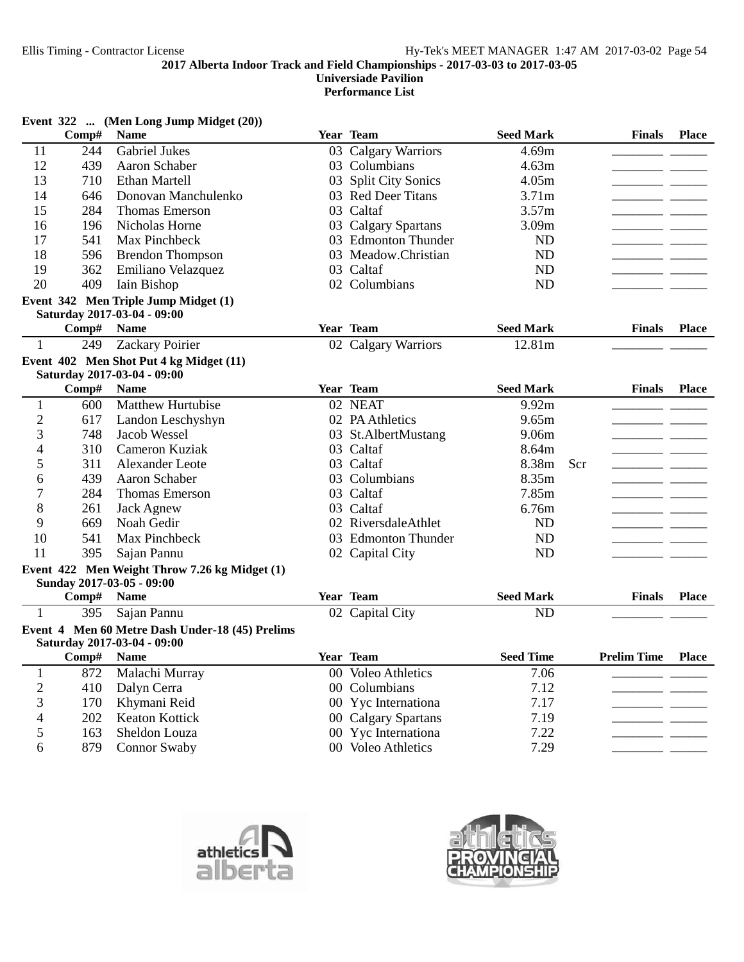**Universiade Pavilion**

|              |            | Event 322  (Men Long Jump Midget (20))          |                       |                   |                          |              |
|--------------|------------|-------------------------------------------------|-----------------------|-------------------|--------------------------|--------------|
|              | Comp#      | <b>Name</b>                                     | Year Team             | <b>Seed Mark</b>  | <b>Finals</b>            | <b>Place</b> |
| 11           | 244        | Gabriel Jukes                                   | 03 Calgary Warriors   | 4.69m             |                          |              |
| 12           | 439        | Aaron Schaber                                   | 03 Columbians         | 4.63m             | ___                      |              |
| 13           | 710        | Ethan Martell                                   | 03 Split City Sonics  | 4.05m             |                          |              |
| 14           | 646        | Donovan Manchulenko                             | 03 Red Deer Titans    | 3.71 <sub>m</sub> | _______                  |              |
| 15           | 284        | <b>Thomas Emerson</b>                           | 03 Caltaf             | 3.57m             | ________                 |              |
| 16           | 196        | Nicholas Horne                                  | 03 Calgary Spartans   | 3.09m             |                          |              |
| 17           | 541        | Max Pinchbeck                                   | 03 Edmonton Thunder   | ND                | _______                  |              |
| 18           | 596        | <b>Brendon Thompson</b>                         | 03 Meadow.Christian   | ND                |                          |              |
| 19           | 362        | Emiliano Velazquez                              | 03 Caltaf             | ND                |                          |              |
| 20           | 409        | Iain Bishop                                     | 02 Columbians         | ND                |                          |              |
|              |            | Event 342 Men Triple Jump Midget (1)            |                       |                   |                          |              |
|              |            | Saturday 2017-03-04 - 09:00                     |                       |                   |                          |              |
|              | Comp#      | <b>Name</b>                                     | Year Team             | <b>Seed Mark</b>  | <b>Finals</b>            | <b>Place</b> |
| $\mathbf{1}$ | 249        | Zackary Poirier                                 | 02 Calgary Warriors   | 12.81m            |                          |              |
|              |            | Event 402 Men Shot Put 4 kg Midget (11)         |                       |                   |                          |              |
|              |            | Saturday 2017-03-04 - 09:00                     |                       |                   |                          |              |
|              | Comp#      | <b>Name</b>                                     | Year Team             | <b>Seed Mark</b>  | <b>Finals</b>            | <b>Place</b> |
| $\mathbf{1}$ | 600        | <b>Matthew Hurtubise</b>                        | 02 NEAT               | 9.92m             |                          |              |
| $\sqrt{2}$   | 617        | Landon Leschyshyn                               | 02 PA Athletics       | 9.65m             |                          |              |
| 3            | 748        | Jacob Wessel                                    | 03 St. Albert Mustang | 9.06m             |                          |              |
| 4            | 310        | Cameron Kuziak                                  | 03 Caltaf             | 8.64m             |                          |              |
| 5            | 311        | Alexander Leote                                 | 03 Caltaf             | 8.38m             | Scr                      |              |
| 6            | 439        | Aaron Schaber                                   | 03 Columbians         | 8.35m             |                          |              |
| 7            | 284        | Thomas Emerson                                  | 03 Caltaf             | 7.85m             |                          |              |
| 8            | 261        | <b>Jack Agnew</b>                               | 03 Caltaf             | 6.76m             |                          |              |
| 9            | 669        | Noah Gedir                                      | 02 RiversdaleAthlet   | <b>ND</b>         |                          |              |
| 10           | 541        | Max Pinchbeck                                   | 03 Edmonton Thunder   | ND                |                          |              |
| 11           | 395        | Sajan Pannu                                     | 02 Capital City       | ND                |                          |              |
|              |            | Event 422 Men Weight Throw 7.26 kg Midget (1)   |                       |                   |                          |              |
|              |            | Sunday 2017-03-05 - 09:00                       |                       |                   |                          |              |
|              | Comp#      | Name                                            | Year Team             | <b>Seed Mark</b>  | <b>Finals</b>            | <b>Place</b> |
| 1            | 395        | Sajan Pannu                                     | 02 Capital City       | <b>ND</b>         |                          |              |
|              |            | Event 4 Men 60 Metre Dash Under-18 (45) Prelims |                       |                   |                          |              |
|              |            | Saturday 2017-03-04 - 09:00                     |                       |                   |                          |              |
|              | Comp# Name |                                                 | Year Team             | <b>Seed Time</b>  | <b>Prelim Time Place</b> |              |
| $\mathbf{1}$ | 872        | Malachi Murray                                  | 00 Voleo Athletics    | 7.06              |                          |              |
| $\mathbf{2}$ | 410        | Dalyn Cerra                                     | 00 Columbians         | 7.12              |                          |              |
| 3            | 170        | Khymani Reid                                    | 00 Yyc Internationa   | 7.17              |                          |              |
| 4            | 202        | Keaton Kottick                                  | 00 Calgary Spartans   | 7.19              |                          |              |
| 5            | 163        | Sheldon Louza                                   | 00 Yyc Internationa   | 7.22              |                          |              |
| 6            | 879        | <b>Connor Swaby</b>                             | 00 Voleo Athletics    | 7.29              |                          |              |



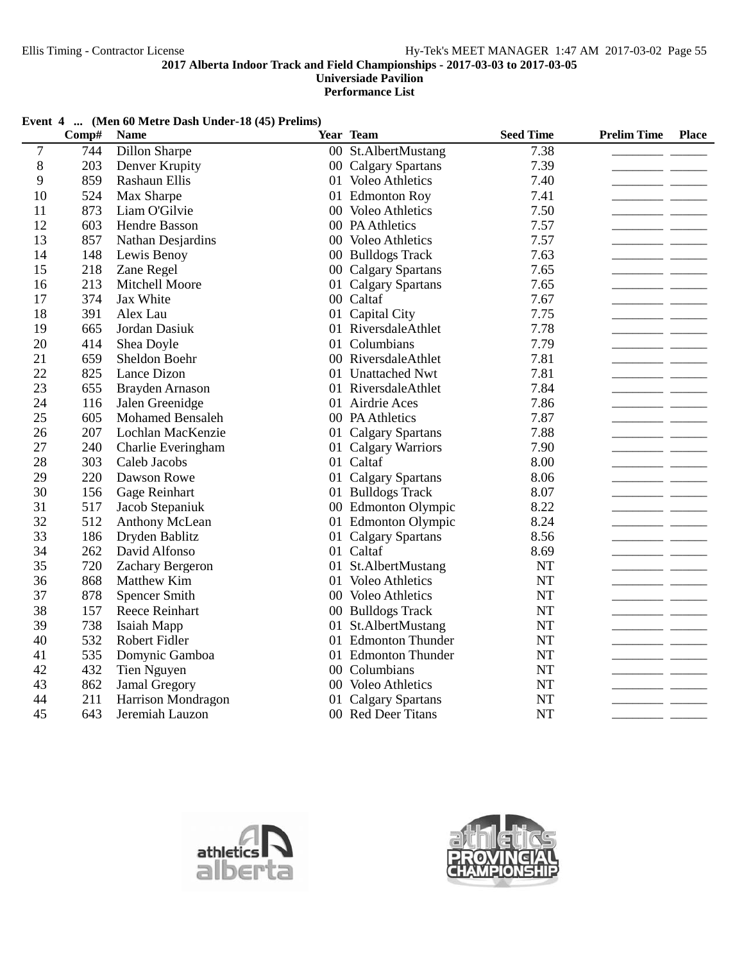**Universiade Pavilion**

| Event 4  (Men 60 Metre Dash Under-18 (45) Prelims) |  |  |  |  |  |
|----------------------------------------------------|--|--|--|--|--|
|----------------------------------------------------|--|--|--|--|--|

|                | Comp# | <b>Name</b>             |        | Year Team               | <b>Seed Time</b> | <b>Prelim Time</b> | <b>Place</b> |
|----------------|-------|-------------------------|--------|-------------------------|------------------|--------------------|--------------|
| $\overline{7}$ | 744   | Dillon Sharpe           |        | 00 St.AlbertMustang     | 7.38             |                    |              |
| 8              | 203   | Denver Krupity          | $00\,$ | <b>Calgary Spartans</b> | 7.39             | <u>.</u>           |              |
| 9              | 859   | Rashaun Ellis           |        | 01 Voleo Athletics      | 7.40             |                    |              |
| 10             | 524   | Max Sharpe              |        | 01 Edmonton Roy         | 7.41             |                    |              |
| 11             | 873   | Liam O'Gilvie           |        | 00 Voleo Athletics      | 7.50             |                    |              |
| 12             | 603   | <b>Hendre Basson</b>    |        | 00 PA Athletics         | 7.57             |                    |              |
| 13             | 857   | Nathan Desjardins       |        | 00 Voleo Athletics      | 7.57             |                    |              |
| 14             | 148   | Lewis Benoy             |        | 00 Bulldogs Track       | 7.63             | - -                |              |
| 15             | 218   | Zane Regel              |        | 00 Calgary Spartans     | 7.65             | -- --              |              |
| 16             | 213   | Mitchell Moore          |        | 01 Calgary Spartans     | 7.65             | -- -               |              |
| 17             | 374   | Jax White               |        | 00 Caltaf               | 7.67             |                    |              |
| 18             | 391   | Alex Lau                |        | 01 Capital City         | 7.75             |                    |              |
| 19             | 665   | Jordan Dasiuk           |        | 01 RiversdaleAthlet     | 7.78             |                    |              |
| 20             | 414   | Shea Doyle              |        | 01 Columbians           | 7.79             |                    |              |
| 21             | 659   | Sheldon Boehr           |        | 00 RiversdaleAthlet     | 7.81             |                    |              |
| 22             | 825   | Lance Dizon             |        | 01 Unattached Nwt       | 7.81             |                    |              |
| 23             | 655   | Brayden Arnason         |        | 01 RiversdaleAthlet     | 7.84             | __ __              |              |
| 24             | 116   | Jalen Greenidge         |        | 01 Airdrie Aces         | 7.86             |                    |              |
| 25             | 605   | <b>Mohamed Bensaleh</b> |        | 00 PA Athletics         | 7.87             |                    |              |
| 26             | 207   | Lochlan MacKenzie       |        | 01 Calgary Spartans     | 7.88             |                    |              |
| 27             | 240   | Charlie Everingham      | 01     | <b>Calgary Warriors</b> | 7.90             |                    |              |
| 28             | 303   | Caleb Jacobs            |        | 01 Caltaf               | 8.00             |                    |              |
| 29             | 220   | Dawson Rowe             |        | 01 Calgary Spartans     | 8.06             | ____               |              |
| 30             | 156   | Gage Reinhart           |        | 01 Bulldogs Track       | 8.07             |                    |              |
| 31             | 517   | Jacob Stepaniuk         |        | 00 Edmonton Olympic     | 8.22             |                    |              |
| 32             | 512   | <b>Anthony McLean</b>   |        | 01 Edmonton Olympic     | 8.24             |                    |              |
| 33             | 186   | Dryden Bablitz          |        | 01 Calgary Spartans     | 8.56             | ___________        |              |
| 34             | 262   | David Alfonso           |        | 01 Caltaf               | 8.69             |                    |              |
| 35             | 720   | Zachary Bergeron        |        | 01 St.AlbertMustang     | <b>NT</b>        |                    |              |
| 36             | 868   | <b>Matthew Kim</b>      |        | 01 Voleo Athletics      | <b>NT</b>        |                    |              |
| 37             | 878   | <b>Spencer Smith</b>    |        | 00 Voleo Athletics      | NT               | ___________        |              |
| 38             | 157   | Reece Reinhart          |        | 00 Bulldogs Track       | NT               |                    |              |
| 39             | 738   | Isaiah Mapp             |        | 01 St. Albert Mustang   | NT               | - -                |              |
| 40             | 532   | Robert Fidler           |        | 01 Edmonton Thunder     | <b>NT</b>        |                    |              |
| 41             | 535   | Domynic Gamboa          |        | 01 Edmonton Thunder     | <b>NT</b>        |                    |              |
| 42             | 432   | Tien Nguyen             |        | 00 Columbians           | <b>NT</b>        |                    |              |
| 43             | 862   | <b>Jamal Gregory</b>    |        | 00 Voleo Athletics      | <b>NT</b>        | - -                |              |
| 44             | 211   | Harrison Mondragon      | 01     | <b>Calgary Spartans</b> | <b>NT</b>        |                    |              |
| 45             | 643   | Jeremiah Lauzon         |        | 00 Red Deer Titans      | <b>NT</b>        | _ _                |              |



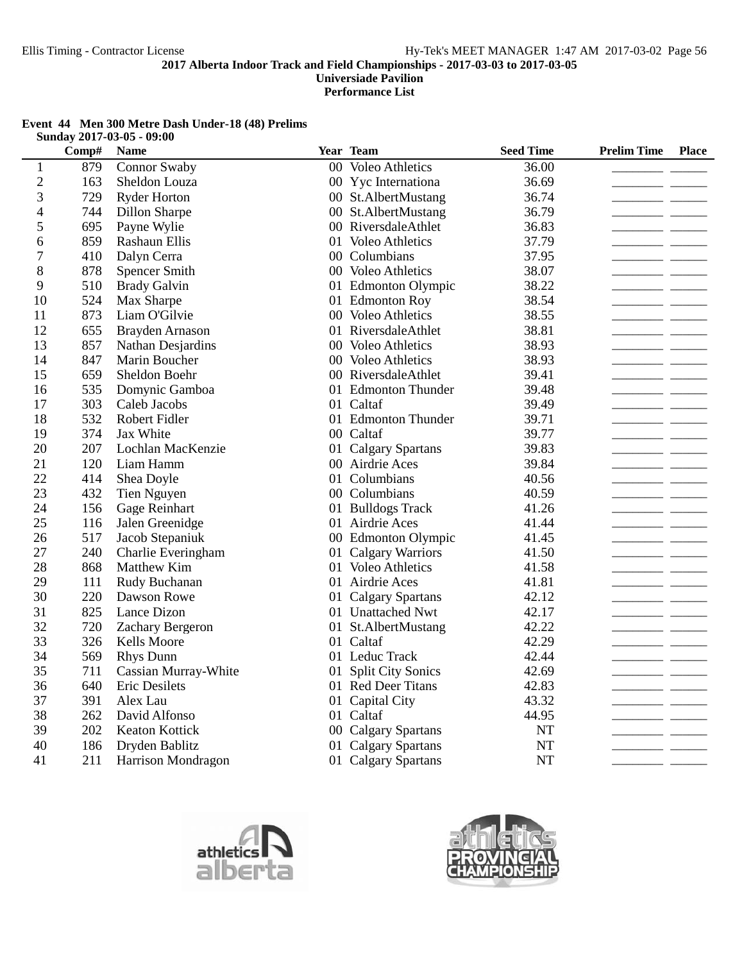**Universiade Pavilion**

**Performance List**

|                          | Comp# | <b>Name</b>          | <b>Year Team</b>     | <b>Seed Time</b> | <b>Prelim Time</b>                                                                                                                                                                                                                   | <b>Place</b>  |
|--------------------------|-------|----------------------|----------------------|------------------|--------------------------------------------------------------------------------------------------------------------------------------------------------------------------------------------------------------------------------------|---------------|
| $\mathbf{1}$             | 879   | Connor Swaby         | 00 Voleo Athletics   | 36.00            |                                                                                                                                                                                                                                      |               |
| $\overline{c}$           | 163   | Sheldon Louza        | 00 Yyc Internationa  | 36.69            |                                                                                                                                                                                                                                      |               |
| 3                        | 729   | <b>Ryder Horton</b>  | 00 St.AlbertMustang  | 36.74            | <u> The Common Service Common Service Common Service Common Service Common Service Common Service Common Service Common Service Common Service Common Service Common Service Common Service Common Service Common Service Common</u> |               |
| $\overline{\mathcal{A}}$ | 744   | <b>Dillon Sharpe</b> | 00 St.AlbertMustang  | 36.79            | $\overline{\phantom{a}}$ and $\overline{\phantom{a}}$                                                                                                                                                                                |               |
| 5                        | 695   | Payne Wylie          | 00 RiversdaleAthlet  | 36.83            |                                                                                                                                                                                                                                      |               |
| 6                        | 859   | Rashaun Ellis        | 01 Voleo Athletics   | 37.79            | _ _                                                                                                                                                                                                                                  |               |
| $\overline{7}$           | 410   | Dalyn Cerra          | 00 Columbians        | 37.95            | - -                                                                                                                                                                                                                                  |               |
| 8                        | 878   | <b>Spencer Smith</b> | 00 Voleo Athletics   | 38.07            |                                                                                                                                                                                                                                      |               |
| 9                        | 510   | <b>Brady Galvin</b>  | 01 Edmonton Olympic  | 38.22            |                                                                                                                                                                                                                                      |               |
| 10                       | 524   | Max Sharpe           | 01 Edmonton Roy      | 38.54            |                                                                                                                                                                                                                                      |               |
| 11                       | 873   | Liam O'Gilvie        | 00 Voleo Athletics   | 38.55            |                                                                                                                                                                                                                                      |               |
| 12                       | 655   | Brayden Arnason      | 01 RiversdaleAthlet  | 38.81            |                                                                                                                                                                                                                                      |               |
| 13                       | 857   | Nathan Desjardins    | 00 Voleo Athletics   | 38.93            | —— ——                                                                                                                                                                                                                                |               |
| 14                       | 847   | Marin Boucher        | 00 Voleo Athletics   | 38.93            |                                                                                                                                                                                                                                      |               |
| 15                       | 659   | Sheldon Boehr        | 00 RiversdaleAthlet  | 39.41            |                                                                                                                                                                                                                                      |               |
| 16                       | 535   | Domynic Gamboa       | 01 Edmonton Thunder  | 39.48            | $=$ $=$                                                                                                                                                                                                                              |               |
| 17                       | 303   | Caleb Jacobs         | 01 Caltaf            | 39.49            | $\sim$ $\sim$ $\sim$                                                                                                                                                                                                                 |               |
| 18                       | 532   | Robert Fidler        | 01 Edmonton Thunder  | 39.71            |                                                                                                                                                                                                                                      |               |
| 19                       | 374   | Jax White            | 00 Caltaf            | 39.77            |                                                                                                                                                                                                                                      |               |
| 20                       | 207   | Lochlan MacKenzie    | 01 Calgary Spartans  | 39.83            | <u> 1980 - Jan Jawa</u>                                                                                                                                                                                                              |               |
| 21                       | 120   | Liam Hamm            | 00 Airdrie Aces      | 39.84            |                                                                                                                                                                                                                                      |               |
| 22                       | 414   | Shea Doyle           | 01 Columbians        | 40.56            |                                                                                                                                                                                                                                      |               |
| 23                       | 432   | Tien Nguyen          | 00 Columbians        | 40.59            |                                                                                                                                                                                                                                      |               |
| 24                       | 156   | Gage Reinhart        | 01 Bulldogs Track    | 41.26            | <u>.</u>                                                                                                                                                                                                                             |               |
| 25                       | 116   | Jalen Greenidge      | 01 Airdrie Aces      | 41.44            | $\frac{1}{2}$                                                                                                                                                                                                                        |               |
| 26                       | 517   | Jacob Stepaniuk      | 00 Edmonton Olympic  | 41.45            |                                                                                                                                                                                                                                      |               |
| 27                       | 240   | Charlie Everingham   | 01 Calgary Warriors  | 41.50            |                                                                                                                                                                                                                                      |               |
| 28                       | 868   | Matthew Kim          | 01 Voleo Athletics   | 41.58            |                                                                                                                                                                                                                                      |               |
| 29                       | 111   | Rudy Buchanan        | 01 Airdrie Aces      | 41.81            | $ -$                                                                                                                                                                                                                                 |               |
| 30                       | 220   | Dawson Rowe          | 01 Calgary Spartans  | 42.12            |                                                                                                                                                                                                                                      |               |
| 31                       | 825   | Lance Dizon          | 01 Unattached Nwt    | 42.17            |                                                                                                                                                                                                                                      |               |
| 32                       | 720   | Zachary Bergeron     | 01 St.AlbertMustang  | 42.22            |                                                                                                                                                                                                                                      |               |
| 33                       | 326   | Kells Moore          | 01 Caltaf            | 42.29            |                                                                                                                                                                                                                                      |               |
| 34                       | 569   | <b>Rhys Dunn</b>     | 01 Leduc Track       | 42.44            |                                                                                                                                                                                                                                      |               |
| 35                       | 711   | Cassian Murray-White | 01 Split City Sonics | 42.69            |                                                                                                                                                                                                                                      |               |
| 36                       | 640   | <b>Eric Desilets</b> | 01 Red Deer Titans   | 42.83            | $\overline{\phantom{a}}$ and $\overline{\phantom{a}}$                                                                                                                                                                                |               |
| 37                       | 391   | Alex Lau             | 01 Capital City      | 43.32            |                                                                                                                                                                                                                                      |               |
| 38                       | 262   | David Alfonso        | 01 Caltaf            | 44.95            |                                                                                                                                                                                                                                      |               |
| 39                       | 202   | Keaton Kottick       | 00 Calgary Spartans  | <b>NT</b>        |                                                                                                                                                                                                                                      |               |
| 40                       | 186   | Dryden Bablitz       | 01 Calgary Spartans  | <b>NT</b>        |                                                                                                                                                                                                                                      |               |
| 41                       | 211   | Harrison Mondragon   | 01 Calgary Spartans  | <b>NT</b>        |                                                                                                                                                                                                                                      | $\frac{1}{2}$ |

#### **Event 44 Men 300 Metre Dash Under-18 (48) Prelims Sunday 2017-03-05 - 09:00**



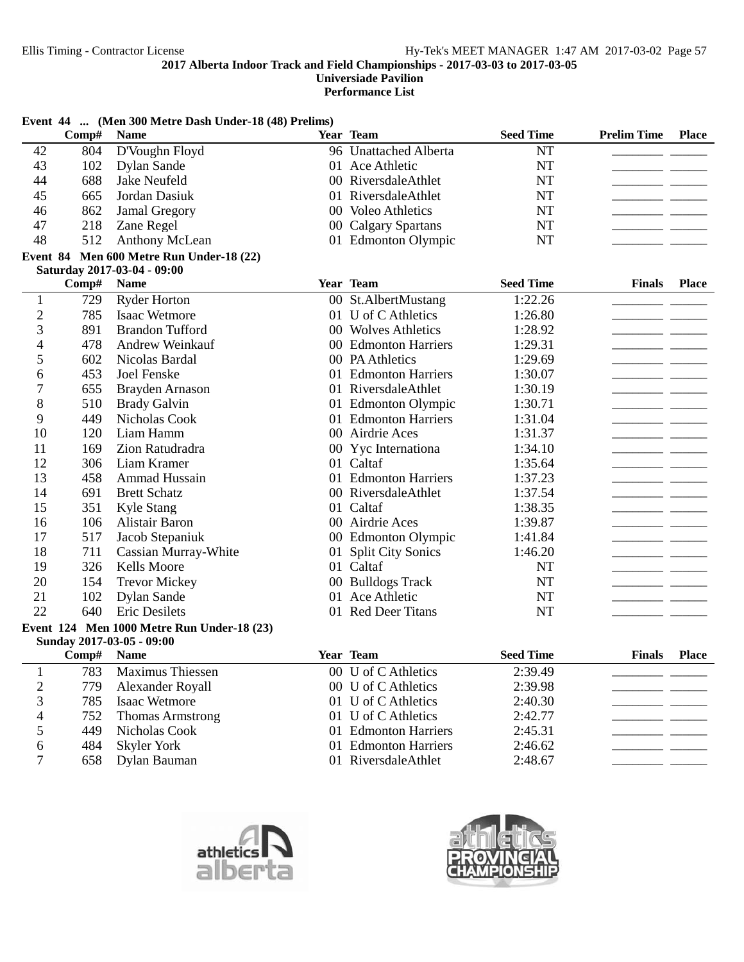**Universiade Pavilion**

|                |            | Event 44  (Men 300 Metre Dash Under-18 (48) Prelims) |    |                          |                  |                                                                                                                                                                                                                                      |                                                                                                                                                                                                                                      |
|----------------|------------|------------------------------------------------------|----|--------------------------|------------------|--------------------------------------------------------------------------------------------------------------------------------------------------------------------------------------------------------------------------------------|--------------------------------------------------------------------------------------------------------------------------------------------------------------------------------------------------------------------------------------|
|                | Comp#      | <b>Name</b>                                          |    | Year Team                | <b>Seed Time</b> | <b>Prelim Time</b>                                                                                                                                                                                                                   | <b>Place</b>                                                                                                                                                                                                                         |
| 42             | 804        | D'Voughn Floyd                                       |    | 96 Unattached Alberta    | <b>NT</b>        |                                                                                                                                                                                                                                      |                                                                                                                                                                                                                                      |
| 43             | 102        | Dylan Sande                                          |    | 01 Ace Athletic          | <b>NT</b>        |                                                                                                                                                                                                                                      |                                                                                                                                                                                                                                      |
| 44             | 688        | <b>Jake Neufeld</b>                                  |    | 00 RiversdaleAthlet      | <b>NT</b>        |                                                                                                                                                                                                                                      |                                                                                                                                                                                                                                      |
| 45             | 665        | Jordan Dasiuk                                        |    | 01 RiversdaleAthlet      | <b>NT</b>        | ________                                                                                                                                                                                                                             |                                                                                                                                                                                                                                      |
| 46             | 862        | <b>Jamal Gregory</b>                                 |    | 00 Voleo Athletics       | <b>NT</b>        |                                                                                                                                                                                                                                      |                                                                                                                                                                                                                                      |
| 47             | 218        | Zane Regel                                           |    | 00 Calgary Spartans      | <b>NT</b>        | <u> The Communication of the Communication of the Communication of the Communication of the Communication of the Communication of the Communication of the Communication of the Communication of the Communication of the Commun</u> |                                                                                                                                                                                                                                      |
| 48             | 512        | <b>Anthony McLean</b>                                |    | 01 Edmonton Olympic      | <b>NT</b>        |                                                                                                                                                                                                                                      |                                                                                                                                                                                                                                      |
|                |            | Event 84 Men 600 Metre Run Under-18 (22)             |    |                          |                  |                                                                                                                                                                                                                                      |                                                                                                                                                                                                                                      |
|                |            | Saturday 2017-03-04 - 09:00                          |    |                          |                  |                                                                                                                                                                                                                                      |                                                                                                                                                                                                                                      |
|                | Comp#      | <b>Name</b>                                          |    | Year Team                | <b>Seed Time</b> | <b>Finals</b>                                                                                                                                                                                                                        | <b>Place</b>                                                                                                                                                                                                                         |
| $\mathbf{1}$   | 729        | <b>Ryder Horton</b>                                  |    | 00 St.AlbertMustang      | 1:22.26          |                                                                                                                                                                                                                                      |                                                                                                                                                                                                                                      |
| $\overline{c}$ | 785        | <b>Isaac Wetmore</b>                                 |    | 01 U of C Athletics      | 1:26.80          |                                                                                                                                                                                                                                      |                                                                                                                                                                                                                                      |
| 3              | 891        | <b>Brandon Tufford</b>                               |    | 00 Wolves Athletics      | 1:28.92          |                                                                                                                                                                                                                                      |                                                                                                                                                                                                                                      |
| 4              | 478        | <b>Andrew Weinkauf</b>                               |    | 00 Edmonton Harriers     | 1:29.31          |                                                                                                                                                                                                                                      |                                                                                                                                                                                                                                      |
| 5              | 602        | Nicolas Bardal                                       |    | 00 PA Athletics          | 1:29.69          |                                                                                                                                                                                                                                      |                                                                                                                                                                                                                                      |
| 6              | 453        | Joel Fenske                                          |    | 01 Edmonton Harriers     | 1:30.07          |                                                                                                                                                                                                                                      | <u>in the company of the company of the company of the company of the company of the company of the company of the company of the company of the company of the company of the company of the company of the company of the comp</u> |
| 7              | 655        | Brayden Arnason                                      |    | 01 RiversdaleAthlet      | 1:30.19          |                                                                                                                                                                                                                                      |                                                                                                                                                                                                                                      |
| 8              | 510        | <b>Brady Galvin</b>                                  |    | 01 Edmonton Olympic      | 1:30.71          |                                                                                                                                                                                                                                      |                                                                                                                                                                                                                                      |
| 9              | 449        | <b>Nicholas Cook</b>                                 |    | 01 Edmonton Harriers     | 1:31.04          |                                                                                                                                                                                                                                      |                                                                                                                                                                                                                                      |
| 10             | 120        | Liam Hamm                                            |    | 00 Airdrie Aces          | 1:31.37          |                                                                                                                                                                                                                                      |                                                                                                                                                                                                                                      |
| 11             | 169        | Zion Ratudradra                                      |    | 00 Yyc Internationa      | 1:34.10          |                                                                                                                                                                                                                                      |                                                                                                                                                                                                                                      |
| 12             | 306        | Liam Kramer                                          |    | 01 Caltaf                | 1:35.64          |                                                                                                                                                                                                                                      |                                                                                                                                                                                                                                      |
| 13             | 458        | Ammad Hussain                                        |    | 01 Edmonton Harriers     | 1:37.23          |                                                                                                                                                                                                                                      |                                                                                                                                                                                                                                      |
| 14             | 691        | <b>Brett Schatz</b>                                  |    | 00 RiversdaleAthlet      | 1:37.54          | <u> The Communication of the Communication of the Communication of the Communication of the Communication of the Communication of the Communication of the Communication of the Communication of the Communication of the Commun</u> |                                                                                                                                                                                                                                      |
| 15             | 351        | Kyle Stang                                           |    | 01 Caltaf                | 1:38.35          |                                                                                                                                                                                                                                      |                                                                                                                                                                                                                                      |
| 16             | 106        | Alistair Baron                                       |    | 00 Airdrie Aces          | 1:39.87          |                                                                                                                                                                                                                                      |                                                                                                                                                                                                                                      |
| 17             | 517        | Jacob Stepaniuk                                      |    | 00 Edmonton Olympic      | 1:41.84          |                                                                                                                                                                                                                                      |                                                                                                                                                                                                                                      |
| 18             | 711        | Cassian Murray-White                                 | 01 | <b>Split City Sonics</b> | 1:46.20          |                                                                                                                                                                                                                                      |                                                                                                                                                                                                                                      |
| 19             | 326        | Kells Moore                                          |    | 01 Caltaf                | <b>NT</b>        |                                                                                                                                                                                                                                      |                                                                                                                                                                                                                                      |
| 20             | 154        | <b>Trevor Mickey</b>                                 |    | 00 Bulldogs Track        | <b>NT</b>        |                                                                                                                                                                                                                                      |                                                                                                                                                                                                                                      |
| 21             | 102        | Dylan Sande                                          |    | 01 Ace Athletic          | <b>NT</b>        |                                                                                                                                                                                                                                      |                                                                                                                                                                                                                                      |
| 22             | 640        | <b>Eric Desilets</b>                                 |    | 01 Red Deer Titans       | <b>NT</b>        |                                                                                                                                                                                                                                      |                                                                                                                                                                                                                                      |
|                |            | Event 124 Men 1000 Metre Run Under-18 (23)           |    |                          |                  |                                                                                                                                                                                                                                      |                                                                                                                                                                                                                                      |
|                |            | Sunday 2017-03-05 - 09:00                            |    |                          |                  |                                                                                                                                                                                                                                      |                                                                                                                                                                                                                                      |
|                | Comp# Name |                                                      |    | Year Team                | <b>Seed Time</b> | Finals                                                                                                                                                                                                                               | <b>Place</b>                                                                                                                                                                                                                         |
| 1              | 783        | <b>Maximus Thiessen</b>                              |    | 00 U of C Athletics      | 2:39.49          |                                                                                                                                                                                                                                      |                                                                                                                                                                                                                                      |
| $\overline{c}$ | 779        | Alexander Royall                                     |    | 00 U of C Athletics      | 2:39.98          |                                                                                                                                                                                                                                      |                                                                                                                                                                                                                                      |
| 3              | 785        | Isaac Wetmore                                        |    | 01 U of C Athletics      | 2:40.30          |                                                                                                                                                                                                                                      |                                                                                                                                                                                                                                      |
| 4              | 752        | <b>Thomas Armstrong</b>                              |    | 01 U of C Athletics      | 2:42.77          |                                                                                                                                                                                                                                      |                                                                                                                                                                                                                                      |
| 5              | 449        | Nicholas Cook                                        |    | 01 Edmonton Harriers     | 2:45.31          |                                                                                                                                                                                                                                      |                                                                                                                                                                                                                                      |
| 6              | 484        | <b>Skyler York</b>                                   |    | 01 Edmonton Harriers     | 2:46.62          |                                                                                                                                                                                                                                      |                                                                                                                                                                                                                                      |
| 7              | 658        | Dylan Bauman                                         |    | 01 RiversdaleAthlet      | 2:48.67          |                                                                                                                                                                                                                                      |                                                                                                                                                                                                                                      |



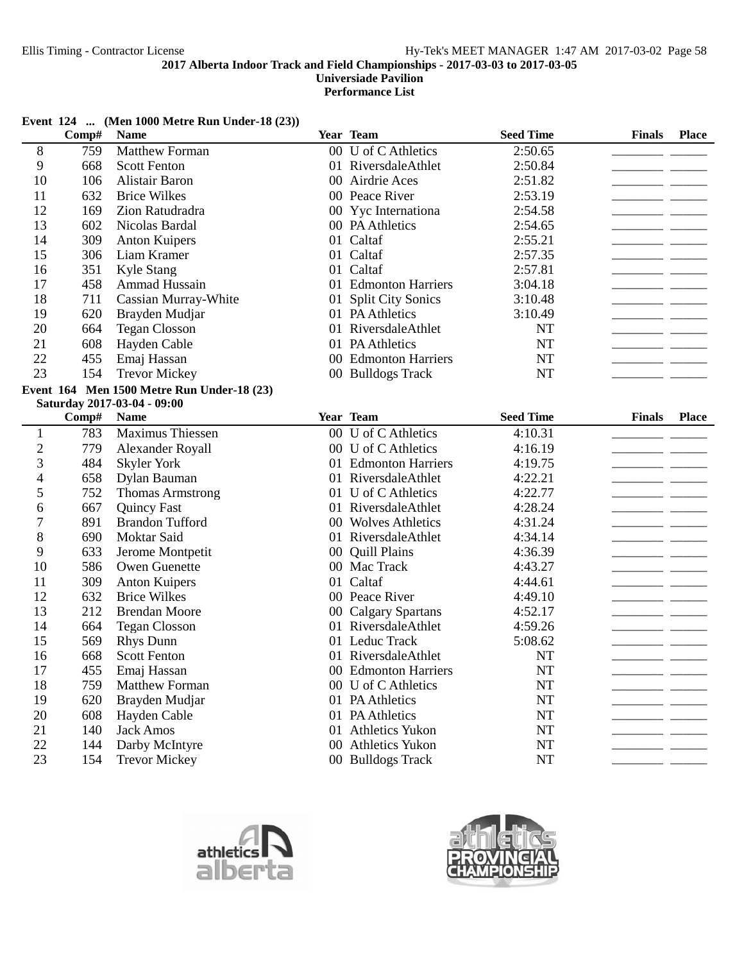**Universiade Pavilion**

|                |       | Event 124  (Men 1000 Metre Run Under-18 (23)) |                      |                  |               |              |
|----------------|-------|-----------------------------------------------|----------------------|------------------|---------------|--------------|
|                | Comp# | <b>Name</b>                                   | Year Team            | <b>Seed Time</b> | <b>Finals</b> | <b>Place</b> |
| 8              | 759   | <b>Matthew Forman</b>                         | 00 U of C Athletics  | 2:50.65          |               |              |
| 9              | 668   | <b>Scott Fenton</b>                           | 01 RiversdaleAthlet  | 2:50.84          |               |              |
| 10             | 106   | Alistair Baron                                | 00 Airdrie Aces      | 2:51.82          |               |              |
| 11             | 632   | <b>Brice Wilkes</b>                           | 00 Peace River       | 2:53.19          |               |              |
| 12             | 169   | Zion Ratudradra                               | 00 Yyc Internationa  | 2:54.58          |               |              |
| 13             | 602   | Nicolas Bardal                                | 00 PA Athletics      | 2:54.65          |               |              |
| 14             | 309   | <b>Anton Kuipers</b>                          | 01 Caltaf            | 2:55.21          |               |              |
| 15             | 306   | Liam Kramer                                   | 01 Caltaf            | 2:57.35          |               |              |
| 16             | 351   | <b>Kyle Stang</b>                             | 01 Caltaf            | 2:57.81          |               |              |
| 17             | 458   | Ammad Hussain                                 | 01 Edmonton Harriers | 3:04.18          |               |              |
| 18             | 711   | Cassian Murray-White                          | 01 Split City Sonics | 3:10.48          |               |              |
| 19             | 620   | Brayden Mudjar                                | 01 PA Athletics      | 3:10.49          | -- -          |              |
| 20             | 664   | <b>Tegan Closson</b>                          | 01 RiversdaleAthlet  | NT               |               |              |
| 21             | 608   | Hayden Cable                                  | 01 PA Athletics      | <b>NT</b>        |               |              |
| 22             | 455   | Emaj Hassan                                   | 00 Edmonton Harriers | <b>NT</b>        |               |              |
| 23             | 154   | <b>Trevor Mickey</b>                          | 00 Bulldogs Track    | NT               |               |              |
|                |       | Event 164 Men 1500 Metre Run Under-18 (23)    |                      |                  |               |              |
|                |       | Saturday 2017-03-04 - 09:00                   |                      |                  |               |              |
|                | Comp# | <b>Name</b>                                   | Year Team            | <b>Seed Time</b> | <b>Finals</b> | <b>Place</b> |
| $\mathbf{1}$   | 783   | Maximus Thiessen                              | 00 U of C Athletics  | 4:10.31          | -- -          |              |
| $\overline{2}$ | 779   | Alexander Royall                              | 00 U of C Athletics  | 4:16.19          |               |              |
| 3              | 484   | Skyler York                                   | 01 Edmonton Harriers | 4:19.75          |               |              |
| 4              | 658   | Dylan Bauman                                  | 01 RiversdaleAthlet  | 4:22.21          |               |              |
| 5              | 752   | <b>Thomas Armstrong</b>                       | 01 U of C Athletics  | 4:22.77          |               |              |
| 6              | 667   | <b>Quincy Fast</b>                            | 01 RiversdaleAthlet  | 4:28.24          |               |              |
| $\overline{7}$ | 891   | <b>Brandon Tufford</b>                        | 00 Wolves Athletics  | 4:31.24          |               |              |
| 8              | 690   | Moktar Said                                   | 01 RiversdaleAthlet  | 4:34.14          |               |              |
| 9              | 633   | Jerome Montpetit                              | 00 Quill Plains      | 4:36.39          |               |              |
| 10             | 586   | Owen Guenette                                 | 00 Mac Track         | 4:43.27          |               |              |
| 11             | 309   | <b>Anton Kuipers</b>                          | 01 Caltaf            | 4:44.61          |               |              |
| 12             | 632   | <b>Brice Wilkes</b>                           | 00 Peace River       | 4:49.10          |               |              |
| 13             | 212   | <b>Brendan Moore</b>                          | 00 Calgary Spartans  | 4:52.17          |               |              |
| 14             | 664   | <b>Tegan Closson</b>                          | 01 RiversdaleAthlet  | 4:59.26          |               |              |
| 15             | 569   | <b>Rhys Dunn</b>                              | 01 Leduc Track       | 5:08.62          |               |              |
| 16             | 668   | <b>Scott Fenton</b>                           | 01 RiversdaleAthlet  | NT               |               |              |
| 17             | 455   | Emaj Hassan                                   | 00 Edmonton Harriers | <b>NT</b>        |               |              |
| 18             | 759   | <b>Matthew Forman</b>                         | 00 U of C Athletics  | NT               |               |              |
| 19             | 620   | Brayden Mudjar                                | 01 PA Athletics      | NT               |               |              |
| 20             | 608   | Hayden Cable                                  | 01 PA Athletics      | NT               |               |              |
| 21             | 140   | <b>Jack Amos</b>                              | 01 Athletics Yukon   | NT               |               |              |
| 22             | 144   | Darby McIntyre                                | 00 Athletics Yukon   | <b>NT</b>        |               |              |
| 23             | 154   | <b>Trevor Mickey</b>                          | 00 Bulldogs Track    | NT               |               |              |



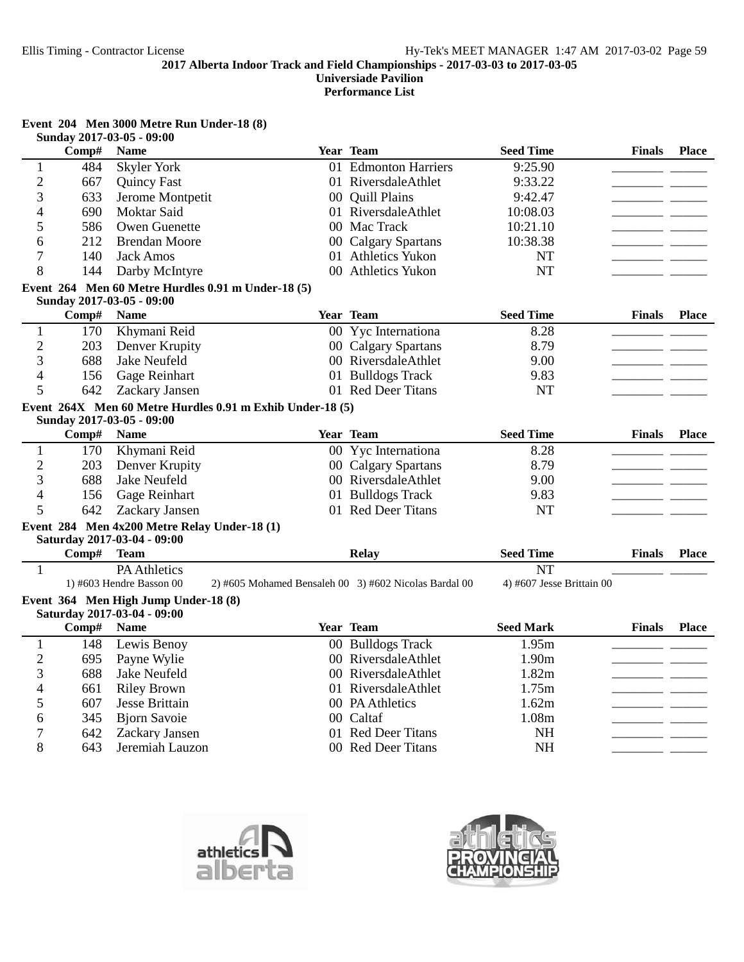**Universiade Pavilion**

|  | Event 204 Men 3000 Metre Run Under-18 (8) |  |  |
|--|-------------------------------------------|--|--|
|  | Sunday 2017-03-05 - 09:00                 |  |  |

|                |       | SUNUAY 4017-03-05 - 09.00                    |                                                           |                      |                           |                                                                                                                                                                                                                                                                                                                                                                                                                       |              |
|----------------|-------|----------------------------------------------|-----------------------------------------------------------|----------------------|---------------------------|-----------------------------------------------------------------------------------------------------------------------------------------------------------------------------------------------------------------------------------------------------------------------------------------------------------------------------------------------------------------------------------------------------------------------|--------------|
|                | Comp# | <b>Name</b>                                  |                                                           | Year Team            | <b>Seed Time</b>          | <b>Finals</b>                                                                                                                                                                                                                                                                                                                                                                                                         | <b>Place</b> |
| $\mathbf{1}$   | 484   | <b>Skyler York</b>                           |                                                           | 01 Edmonton Harriers | 9:25.90                   | the control of the control of the                                                                                                                                                                                                                                                                                                                                                                                     |              |
| $\overline{2}$ | 667   | <b>Quincy Fast</b>                           |                                                           | 01 RiversdaleAthlet  | 9:33.22                   | __ __                                                                                                                                                                                                                                                                                                                                                                                                                 |              |
| 3              | 633   | Jerome Montpetit                             |                                                           | 00 Quill Plains      | 9:42.47                   | $\frac{1}{1-\frac{1}{1-\frac{1}{1-\frac{1}{1-\frac{1}{1-\frac{1}{1-\frac{1}{1-\frac{1}{1-\frac{1}{1-\frac{1}{1-\frac{1}{1-\frac{1}{1-\frac{1}{1-\frac{1}{1-\frac{1}{1-\frac{1}{1-\frac{1}{1-\frac{1}{1-\frac{1}{1-\frac{1}{1-\frac{1}{1-\frac{1}{1-\frac{1}{1-\frac{1}{1-\frac{1}{1-\frac{1}{1-\frac{1}{1-\frac{1}{1-\frac{1}{1-\frac{1}{1-\frac{1}{1-\frac{1}{1-\frac{1}{1-\frac{1}{1-\frac{1}{1-\frac{1}{1-\frac{1$ |              |
| 4              | 690   | Moktar Said                                  |                                                           | 01 RiversdaleAthlet  | 10:08.03                  |                                                                                                                                                                                                                                                                                                                                                                                                                       |              |
| 5              | 586   | Owen Guenette                                |                                                           | 00 Mac Track         | 10:21.10                  |                                                                                                                                                                                                                                                                                                                                                                                                                       |              |
| 6              | 212   | <b>Brendan Moore</b>                         |                                                           | 00 Calgary Spartans  | 10:38.38                  |                                                                                                                                                                                                                                                                                                                                                                                                                       |              |
| 7              | 140   | <b>Jack Amos</b>                             |                                                           | 01 Athletics Yukon   | NT                        | <u> 1989 - Jan James James</u>                                                                                                                                                                                                                                                                                                                                                                                        |              |
| 8              | 144   | Darby McIntyre                               |                                                           | 00 Athletics Yukon   | <b>NT</b>                 |                                                                                                                                                                                                                                                                                                                                                                                                                       |              |
|                |       | Sunday 2017-03-05 - 09:00                    | Event 264 Men 60 Metre Hurdles 0.91 m Under-18 (5)        |                      |                           |                                                                                                                                                                                                                                                                                                                                                                                                                       |              |
|                | Comp# | <b>Name</b>                                  |                                                           | Year Team            | <b>Seed Time</b>          | <b>Finals</b>                                                                                                                                                                                                                                                                                                                                                                                                         | <b>Place</b> |
| $\mathbf{1}$   | 170   | Khymani Reid                                 |                                                           | 00 Yyc Internationa  | 8.28                      |                                                                                                                                                                                                                                                                                                                                                                                                                       |              |
| $\overline{c}$ | 203   | Denver Krupity                               |                                                           | 00 Calgary Spartans  | 8.79                      |                                                                                                                                                                                                                                                                                                                                                                                                                       |              |
| 3              | 688   | <b>Jake Neufeld</b>                          |                                                           | 00 RiversdaleAthlet  | 9.00                      |                                                                                                                                                                                                                                                                                                                                                                                                                       |              |
| 4              | 156   | Gage Reinhart                                |                                                           | 01 Bulldogs Track    | 9.83                      |                                                                                                                                                                                                                                                                                                                                                                                                                       |              |
| 5              | 642   | Zackary Jansen                               |                                                           | 01 Red Deer Titans   | <b>NT</b>                 |                                                                                                                                                                                                                                                                                                                                                                                                                       |              |
|                |       |                                              | Event 264X Men 60 Metre Hurdles 0.91 m Exhib Under-18 (5) |                      |                           |                                                                                                                                                                                                                                                                                                                                                                                                                       |              |
|                |       | Sunday 2017-03-05 - 09:00                    |                                                           |                      |                           |                                                                                                                                                                                                                                                                                                                                                                                                                       |              |
|                | Comp# | <b>Name</b>                                  |                                                           | Year Team            | <b>Seed Time</b>          | <b>Finals</b>                                                                                                                                                                                                                                                                                                                                                                                                         | <b>Place</b> |
| $\mathbf{1}$   | 170   | Khymani Reid                                 |                                                           | 00 Yyc Internationa  | 8.28                      | للمستحدث المستحدث                                                                                                                                                                                                                                                                                                                                                                                                     |              |
| $\overline{2}$ | 203   | Denver Krupity                               |                                                           | 00 Calgary Spartans  | 8.79                      | __ __                                                                                                                                                                                                                                                                                                                                                                                                                 |              |
| 3              | 688   | <b>Jake Neufeld</b>                          |                                                           | 00 RiversdaleAthlet  | 9.00                      |                                                                                                                                                                                                                                                                                                                                                                                                                       |              |
| 4              | 156   | Gage Reinhart                                |                                                           | 01 Bulldogs Track    | 9.83                      |                                                                                                                                                                                                                                                                                                                                                                                                                       |              |
| 5              | 642   | Zackary Jansen                               |                                                           | 01 Red Deer Titans   | <b>NT</b>                 |                                                                                                                                                                                                                                                                                                                                                                                                                       |              |
|                |       | Event 284 Men 4x200 Metre Relay Under-18 (1) |                                                           |                      |                           |                                                                                                                                                                                                                                                                                                                                                                                                                       |              |
|                |       | Saturday 2017-03-04 - 09:00                  |                                                           |                      |                           |                                                                                                                                                                                                                                                                                                                                                                                                                       |              |
|                | Comp# | <b>Team</b>                                  |                                                           | <b>Relay</b>         | <b>Seed Time</b>          | <b>Finals</b>                                                                                                                                                                                                                                                                                                                                                                                                         | <b>Place</b> |
| $\mathbf{1}$   |       | <b>PA Athletics</b>                          |                                                           |                      | <b>NT</b>                 |                                                                                                                                                                                                                                                                                                                                                                                                                       |              |
|                |       | 1) #603 Hendre Basson 00                     | 2) #605 Mohamed Bensaleh 00 3) #602 Nicolas Bardal 00     |                      | 4) #607 Jesse Brittain 00 |                                                                                                                                                                                                                                                                                                                                                                                                                       |              |
|                |       | Event 364 Men High Jump Under-18 (8)         |                                                           |                      |                           |                                                                                                                                                                                                                                                                                                                                                                                                                       |              |
|                |       | Saturday 2017-03-04 - 09:00                  |                                                           |                      |                           |                                                                                                                                                                                                                                                                                                                                                                                                                       |              |
|                | Comp# | <b>Name</b>                                  |                                                           | Year Team            | <b>Seed Mark</b>          | <b>Finals</b>                                                                                                                                                                                                                                                                                                                                                                                                         | <b>Place</b> |
| $\mathbf{1}$   | 148   | Lewis Benoy                                  |                                                           | 00 Bulldogs Track    | 1.95m                     |                                                                                                                                                                                                                                                                                                                                                                                                                       |              |
| $\overline{2}$ | 695   | Payne Wylie                                  |                                                           | 00 RiversdaleAthlet  | 1.90m                     |                                                                                                                                                                                                                                                                                                                                                                                                                       |              |
| 3              | 688   | Jake Neufeld                                 |                                                           | 00 RiversdaleAthlet  | 1.82m                     |                                                                                                                                                                                                                                                                                                                                                                                                                       |              |
| 4              | 661   | <b>Riley Brown</b>                           |                                                           | 01 RiversdaleAthlet  | 1.75m                     |                                                                                                                                                                                                                                                                                                                                                                                                                       |              |
| 5              | 607   | Jesse Brittain                               |                                                           | 00 PA Athletics      | 1.62m                     | _____                                                                                                                                                                                                                                                                                                                                                                                                                 |              |
| 6              | 345   | <b>Bjorn Savoie</b>                          |                                                           | 00 Caltaf            | 1.08m                     |                                                                                                                                                                                                                                                                                                                                                                                                                       |              |
| 7              | 642   | Zackary Jansen                               |                                                           | 01 Red Deer Titans   | <b>NH</b>                 | _____                                                                                                                                                                                                                                                                                                                                                                                                                 |              |
| 8              | 643   | Jeremiah Lauzon                              |                                                           | 00 Red Deer Titans   | <b>NH</b>                 | - -                                                                                                                                                                                                                                                                                                                                                                                                                   |              |



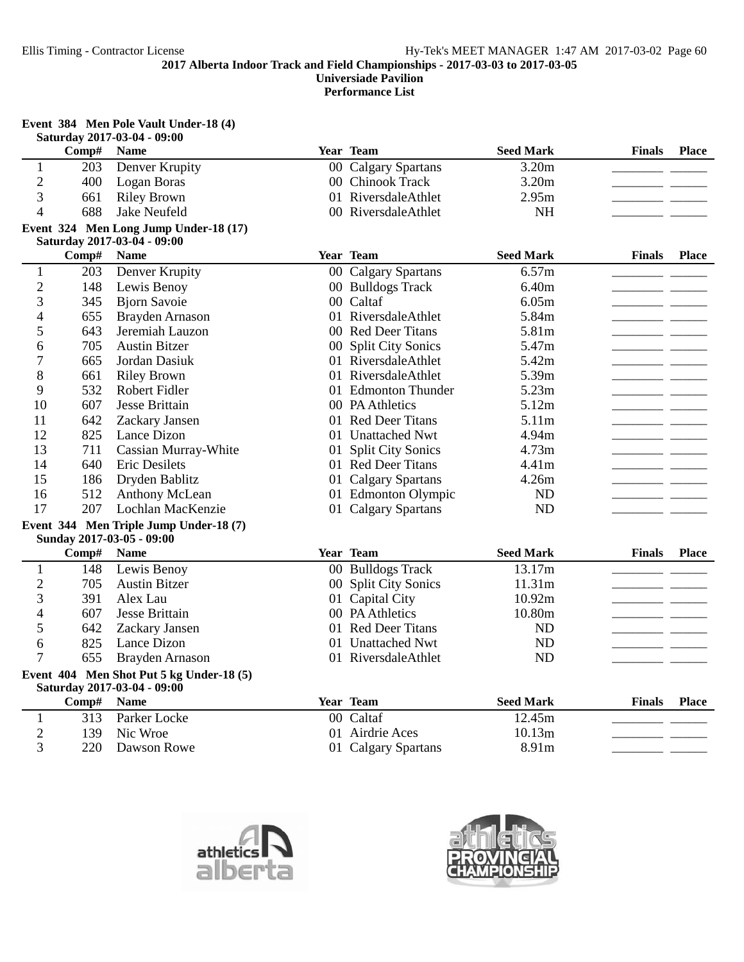**Event 384 Men Pole Vault Under-18 (4)**

**2017 Alberta Indoor Track and Field Championships - 2017-03-03 to 2017-03-05**

**Universiade Pavilion**

|                |       | Saturday 2017-03-04 - 09:00              |                      |                  |                                                                                                                                                                                                                                                                                                                                                                                                                                                                                           |              |
|----------------|-------|------------------------------------------|----------------------|------------------|-------------------------------------------------------------------------------------------------------------------------------------------------------------------------------------------------------------------------------------------------------------------------------------------------------------------------------------------------------------------------------------------------------------------------------------------------------------------------------------------|--------------|
|                | Comp# | <b>Name</b>                              | Year Team            | <b>Seed Mark</b> | <b>Finals</b>                                                                                                                                                                                                                                                                                                                                                                                                                                                                             | <b>Place</b> |
| $\mathbf{1}$   | 203   | Denver Krupity                           | 00 Calgary Spartans  | 3.20m            |                                                                                                                                                                                                                                                                                                                                                                                                                                                                                           |              |
| $\overline{2}$ | 400   | Logan Boras                              | 00 Chinook Track     | 3.20m            |                                                                                                                                                                                                                                                                                                                                                                                                                                                                                           |              |
| 3              | 661   | <b>Riley Brown</b>                       | 01 RiversdaleAthlet  | 2.95m            |                                                                                                                                                                                                                                                                                                                                                                                                                                                                                           |              |
| $\overline{4}$ | 688   | <b>Jake Neufeld</b>                      | 00 RiversdaleAthlet  | <b>NH</b>        |                                                                                                                                                                                                                                                                                                                                                                                                                                                                                           |              |
|                |       | Event 324 Men Long Jump Under-18 (17)    |                      |                  |                                                                                                                                                                                                                                                                                                                                                                                                                                                                                           |              |
|                |       | Saturday 2017-03-04 - 09:00              |                      |                  |                                                                                                                                                                                                                                                                                                                                                                                                                                                                                           |              |
|                | Comp# | <b>Name</b>                              | Year Team            | <b>Seed Mark</b> | <b>Finals</b>                                                                                                                                                                                                                                                                                                                                                                                                                                                                             | <b>Place</b> |
| $\mathbf{1}$   | 203   | Denver Krupity                           | 00 Calgary Spartans  | 6.57m            |                                                                                                                                                                                                                                                                                                                                                                                                                                                                                           |              |
| $\overline{2}$ | 148   | Lewis Benoy                              | 00 Bulldogs Track    | 6.40m            | - -                                                                                                                                                                                                                                                                                                                                                                                                                                                                                       |              |
| 3              | 345   | <b>Bjorn Savoie</b>                      | 00 Caltaf            | 6.05m            |                                                                                                                                                                                                                                                                                                                                                                                                                                                                                           |              |
| 4              | 655   | Brayden Arnason                          | 01 RiversdaleAthlet  | 5.84m            |                                                                                                                                                                                                                                                                                                                                                                                                                                                                                           |              |
| 5              | 643   | Jeremiah Lauzon                          | 00 Red Deer Titans   | 5.81m            |                                                                                                                                                                                                                                                                                                                                                                                                                                                                                           |              |
| 6              | 705   | <b>Austin Bitzer</b>                     | 00 Split City Sonics | 5.47m            |                                                                                                                                                                                                                                                                                                                                                                                                                                                                                           |              |
| 7              | 665   | Jordan Dasiuk                            | 01 RiversdaleAthlet  | 5.42m            | <u>. .</u>                                                                                                                                                                                                                                                                                                                                                                                                                                                                                |              |
| 8              | 661   | <b>Riley Brown</b>                       | 01 RiversdaleAthlet  | 5.39m            |                                                                                                                                                                                                                                                                                                                                                                                                                                                                                           |              |
| 9              | 532   | <b>Robert Fidler</b>                     | 01 Edmonton Thunder  | 5.23m            | $\begin{tabular}{ccccc} \multicolumn{2}{c }{\textbf{---}} & \multicolumn{2}{c }{\textbf{---}}\\ \multicolumn{2}{c }{\textbf{---}} & \multicolumn{2}{c }{\textbf{---}}\\ \multicolumn{2}{c }{\textbf{---}} & \multicolumn{2}{c }{\textbf{---}}\\ \multicolumn{2}{c }{\textbf{---}} & \multicolumn{2}{c }{\textbf{---}}\\ \multicolumn{2}{c }{\textbf{---}} & \multicolumn{2}{c }{\textbf{---}}\\ \multicolumn{2}{c }{\textbf{---}} & \multicolumn{2}{c }{\textbf{---}}\\ \multicolumn{2}{$ |              |
| 10             | 607   | Jesse Brittain                           | 00 PA Athletics      | 5.12m            |                                                                                                                                                                                                                                                                                                                                                                                                                                                                                           |              |
| 11             | 642   | Zackary Jansen                           | 01 Red Deer Titans   | 5.11m            | $ -$                                                                                                                                                                                                                                                                                                                                                                                                                                                                                      |              |
| 12             | 825   | Lance Dizon                              | 01 Unattached Nwt    | 4.94m            |                                                                                                                                                                                                                                                                                                                                                                                                                                                                                           |              |
| 13             | 711   | <b>Cassian Murray-White</b>              | 01 Split City Sonics | 4.73m            | ___                                                                                                                                                                                                                                                                                                                                                                                                                                                                                       |              |
| 14             | 640   | <b>Eric Desilets</b>                     | 01 Red Deer Titans   | 4.41m            |                                                                                                                                                                                                                                                                                                                                                                                                                                                                                           |              |
| 15             | 186   | Dryden Bablitz                           | 01 Calgary Spartans  | 4.26m            | للمساريب                                                                                                                                                                                                                                                                                                                                                                                                                                                                                  |              |
| 16             | 512   | Anthony McLean                           | 01 Edmonton Olympic  | <b>ND</b>        |                                                                                                                                                                                                                                                                                                                                                                                                                                                                                           |              |
| 17             | 207   | Lochlan MacKenzie                        | 01 Calgary Spartans  | <b>ND</b>        |                                                                                                                                                                                                                                                                                                                                                                                                                                                                                           |              |
|                |       | Event 344 Men Triple Jump Under-18 (7)   |                      |                  |                                                                                                                                                                                                                                                                                                                                                                                                                                                                                           |              |
|                |       | Sunday 2017-03-05 - 09:00                |                      |                  |                                                                                                                                                                                                                                                                                                                                                                                                                                                                                           |              |
|                | Comp# | <b>Name</b>                              | Year Team            | <b>Seed Mark</b> | <b>Finals</b>                                                                                                                                                                                                                                                                                                                                                                                                                                                                             | <b>Place</b> |
| $\mathbf{1}$   | 148   | Lewis Benoy                              | 00 Bulldogs Track    | 13.17m           |                                                                                                                                                                                                                                                                                                                                                                                                                                                                                           |              |
| $\overline{2}$ | 705   | <b>Austin Bitzer</b>                     | 00 Split City Sonics | 11.31m           |                                                                                                                                                                                                                                                                                                                                                                                                                                                                                           |              |
| 3              | 391   | Alex Lau                                 | 01 Capital City      | 10.92m           |                                                                                                                                                                                                                                                                                                                                                                                                                                                                                           |              |
| 4              | 607   | Jesse Brittain                           | 00 PA Athletics      | 10.80m           | and the control of the control of                                                                                                                                                                                                                                                                                                                                                                                                                                                         |              |
| 5              | 642   | Zackary Jansen                           | 01 Red Deer Titans   | <b>ND</b>        | - -                                                                                                                                                                                                                                                                                                                                                                                                                                                                                       |              |
| 6              | 825   | Lance Dizon                              | 01 Unattached Nwt    | <b>ND</b>        | — —                                                                                                                                                                                                                                                                                                                                                                                                                                                                                       |              |
| 7              | 655   | Brayden Arnason                          | 01 RiversdaleAthlet  | <b>ND</b>        |                                                                                                                                                                                                                                                                                                                                                                                                                                                                                           |              |
|                |       | Event 404 Men Shot Put 5 kg Under-18 (5) |                      |                  |                                                                                                                                                                                                                                                                                                                                                                                                                                                                                           |              |
|                |       | Saturday 2017-03-04 - 09:00              |                      |                  |                                                                                                                                                                                                                                                                                                                                                                                                                                                                                           |              |
|                | Comp# | <b>Name</b>                              | Year Team            | <b>Seed Mark</b> | <b>Finals</b>                                                                                                                                                                                                                                                                                                                                                                                                                                                                             | <b>Place</b> |
| $\mathbf{1}$   | 313   | Parker Locke                             | 00 Caltaf            | 12.45m           |                                                                                                                                                                                                                                                                                                                                                                                                                                                                                           |              |
| $\overline{2}$ | 139   | Nic Wroe                                 | 01 Airdrie Aces      | 10.13m           |                                                                                                                                                                                                                                                                                                                                                                                                                                                                                           |              |
| 3              | 220   | Dawson Rowe                              | 01 Calgary Spartans  | 8.91m            |                                                                                                                                                                                                                                                                                                                                                                                                                                                                                           |              |



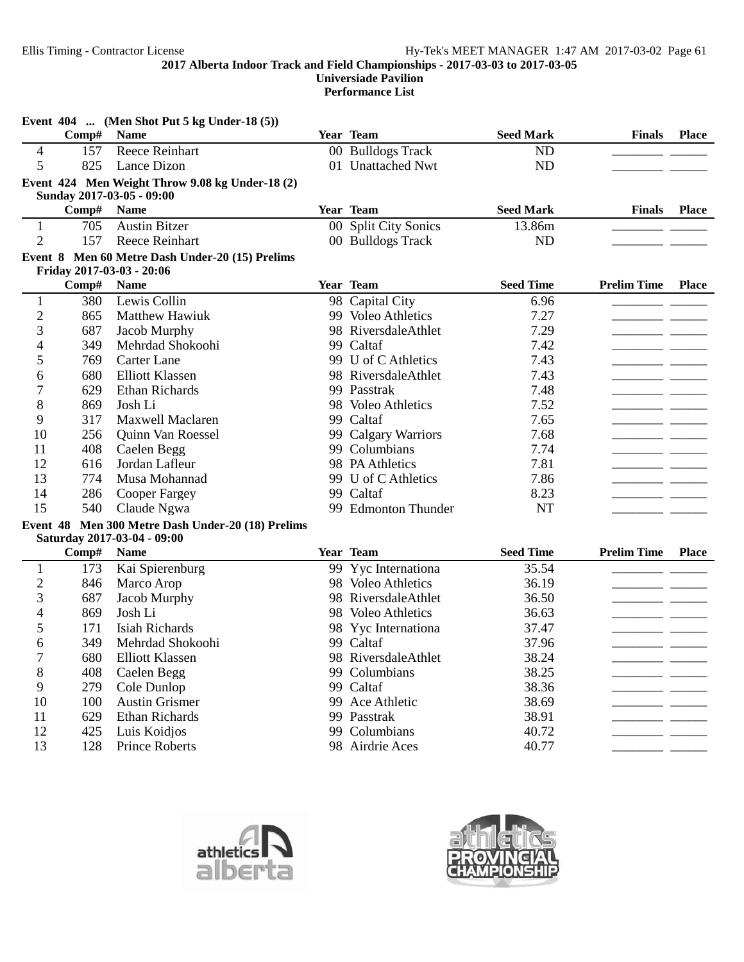**Universiade Pavilion**

|                |            | Event 404  (Men Shot Put 5 kg Under-18 (5))                                      | Year Team                              |                  | <b>Finals</b>      | <b>Place</b> |
|----------------|------------|----------------------------------------------------------------------------------|----------------------------------------|------------------|--------------------|--------------|
|                | Comp#      | <b>Name</b>                                                                      |                                        | <b>Seed Mark</b> |                    |              |
| 4<br>5         | 157<br>825 | Reece Reinhart<br>Lance Dizon                                                    | 00 Bulldogs Track<br>01 Unattached Nwt | ND<br><b>ND</b>  |                    |              |
|                |            |                                                                                  |                                        |                  |                    |              |
|                |            | Event 424 Men Weight Throw 9.08 kg Under-18 (2)<br>Sunday 2017-03-05 - 09:00     |                                        |                  |                    |              |
|                | Comp#      | <b>Name</b>                                                                      | Year Team                              | <b>Seed Mark</b> | <b>Finals</b>      | <b>Place</b> |
| $\mathbf{1}$   | 705        | <b>Austin Bitzer</b>                                                             | $\overline{00}$ Split City Sonics      | 13.86m           |                    |              |
| $\overline{2}$ | 157        | <b>Reece Reinhart</b>                                                            | 00 Bulldogs Track                      | <b>ND</b>        |                    |              |
|                |            | Event 8 Men 60 Metre Dash Under-20 (15) Prelims<br>Friday 2017-03-03 - 20:06     |                                        |                  |                    |              |
|                | Comp#      | <b>Name</b>                                                                      | Year Team                              | <b>Seed Time</b> | <b>Prelim Time</b> | <b>Place</b> |
| $\mathbf{1}$   | 380        | Lewis Collin                                                                     | 98 Capital City                        | 6.96             |                    |              |
| $\overline{2}$ | 865        | Matthew Hawiuk                                                                   | 99 Voleo Athletics                     | 7.27             |                    |              |
| 3              | 687        | Jacob Murphy                                                                     | 98 RiversdaleAthlet                    | 7.29             |                    |              |
| 4              | 349        | Mehrdad Shokoohi                                                                 | 99 Caltaf                              | 7.42             |                    |              |
| 5              | 769        | Carter Lane                                                                      | 99 U of C Athletics                    | 7.43             |                    |              |
| 6              | 680        | <b>Elliott Klassen</b>                                                           | 98 RiversdaleAthlet                    | 7.43             | ________           |              |
| 7              | 629        | <b>Ethan Richards</b>                                                            | 99 Passtrak                            | 7.48             |                    |              |
| 8              | 869        | Josh Li                                                                          | 98 Voleo Athletics                     | 7.52             |                    |              |
| 9              | 317        | Maxwell Maclaren                                                                 | 99 Caltaf                              | 7.65             |                    |              |
| 10             | 256        | Quinn Van Roessel                                                                | 99 Calgary Warriors                    | 7.68             |                    |              |
| 11             | 408        | Caelen Begg                                                                      | 99 Columbians                          | 7.74             |                    |              |
| 12             | 616        | Jordan Lafleur                                                                   | 98 PA Athletics                        | 7.81             |                    |              |
| 13             | 774        | Musa Mohannad                                                                    | 99 U of C Athletics                    | 7.86             |                    |              |
| 14             | 286        | <b>Cooper Fargey</b>                                                             | 99 Caltaf                              | 8.23             |                    |              |
| 15             | 540        | Claude Ngwa                                                                      | 99 Edmonton Thunder                    | <b>NT</b>        |                    |              |
|                |            | Event 48 Men 300 Metre Dash Under-20 (18) Prelims<br>Saturday 2017-03-04 - 09:00 |                                        |                  |                    |              |
|                | Comp#      | <b>Name</b>                                                                      | Year Team                              | <b>Seed Time</b> | <b>Prelim Time</b> | <b>Place</b> |
| 1              | 173        | Kai Spierenburg                                                                  | 99 Yyc Internationa                    | 35.54            |                    |              |
| $\overline{c}$ | 846        | Marco Arop                                                                       | 98 Voleo Athletics                     | 36.19            |                    |              |
| 3              | 687        | Jacob Murphy                                                                     | 98 RiversdaleAthlet                    | 36.50            |                    |              |
| 4              | 869        | Josh Li                                                                          | 98 Voleo Athletics                     | 36.63            |                    |              |
| 5              | 171        | Isiah Richards                                                                   | 98 Yyc Internationa                    | 37.47            |                    |              |
| 6              | 349        | Mehrdad Shokoohi                                                                 | 99 Caltaf                              | 37.96            |                    |              |
| 7              | 680        | <b>Elliott Klassen</b>                                                           | 98 RiversdaleAthlet                    | 38.24            |                    |              |
| 8              | 408        | Caelen Begg                                                                      | 99 Columbians                          | 38.25            |                    |              |
| 9              | 279        | Cole Dunlop                                                                      | 99 Caltaf                              | 38.36            |                    |              |
| 10             | 100        | <b>Austin Grismer</b>                                                            | 99 Ace Athletic                        | 38.69            |                    |              |
| 11             | 629        | <b>Ethan Richards</b>                                                            | 99 Passtrak                            | 38.91            |                    |              |
| 12             | 425        | Luis Koidjos                                                                     | 99 Columbians                          | 40.72            |                    |              |
| 13             | 128        | Prince Roberts                                                                   | 98 Airdrie Aces                        | 40.77            |                    |              |



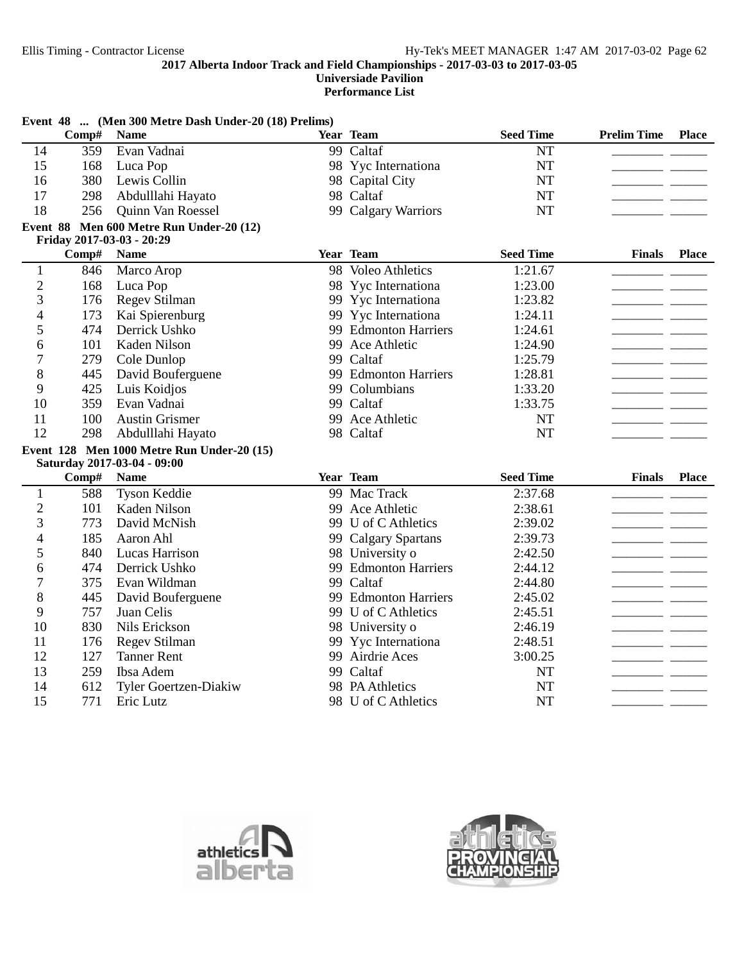**Universiade Pavilion**

|                |       | Event 48  (Men 300 Metre Dash Under-20 (18) Prelims) |                                 |                  |                                       |              |
|----------------|-------|------------------------------------------------------|---------------------------------|------------------|---------------------------------------|--------------|
|                | Comp# | <b>Name</b>                                          | Year Team                       | <b>Seed Time</b> | <b>Prelim Time</b>                    | <b>Place</b> |
| 14             | 359   | Evan Vadnai                                          | 99 Caltaf                       | <b>NT</b>        |                                       |              |
| 15             | 168   | Luca Pop                                             | 98 Yyc Internationa             | <b>NT</b>        | ___ __                                |              |
| 16             | 380   | Lewis Collin                                         | 98 Capital City                 | <b>NT</b>        |                                       |              |
| 17             | 298   | Abdulllahi Hayato                                    | 98 Caltaf                       | NT               |                                       |              |
| 18             | 256   | Quinn Van Roessel                                    | 99 Calgary Warriors             | <b>NT</b>        |                                       |              |
|                |       | Event 88 Men 600 Metre Run Under-20 (12)             |                                 |                  |                                       |              |
|                |       | Friday 2017-03-03 - 20:29                            |                                 |                  |                                       |              |
|                | Comp# | <b>Name</b>                                          | Year Team                       | <b>Seed Time</b> | Finals                                | <b>Place</b> |
| $\mathbf{1}$   | 846   | Marco Arop                                           | $\overline{98}$ Voleo Athletics | 1:21.67          | <u> 1980 - Jan Jawa Barat, pasawa</u> |              |
| $\overline{2}$ | 168   | Luca Pop                                             | 98 Yyc Internationa             | 1:23.00          |                                       |              |
| 3              | 176   | Regev Stilman                                        | 99 Yyc Internationa             | 1:23.82          |                                       |              |
| 4              | 173   | Kai Spierenburg                                      | 99 Yyc Internationa             | 1:24.11          | __                                    |              |
| 5              | 474   | Derrick Ushko                                        | 99 Edmonton Harriers            | 1:24.61          |                                       |              |
| 6              | 101   | Kaden Nilson                                         | 99 Ace Athletic                 | 1:24.90          |                                       |              |
| 7              | 279   | Cole Dunlop                                          | 99 Caltaf                       | 1:25.79          |                                       |              |
| 8              | 445   | David Bouferguene                                    | 99 Edmonton Harriers            | 1:28.81          | - -                                   |              |
| 9              | 425   | Luis Koidjos                                         | 99 Columbians                   | 1:33.20          | <u>.</u>                              |              |
| 10             | 359   | Evan Vadnai                                          | 99 Caltaf                       | 1:33.75          |                                       |              |
| 11             | 100   | <b>Austin Grismer</b>                                | 99 Ace Athletic                 | <b>NT</b>        |                                       |              |
| 12             | 298   | Abdulllahi Hayato                                    | 98 Caltaf                       | <b>NT</b>        |                                       |              |
|                |       | Event 128 Men 1000 Metre Run Under-20 (15)           |                                 |                  |                                       |              |
|                |       | Saturday 2017-03-04 - 09:00                          |                                 |                  |                                       |              |
|                | Comp# | <b>Name</b>                                          | Year Team                       | <b>Seed Time</b> | <b>Finals</b>                         | <b>Place</b> |
| $\mathbf{1}$   | 588   | <b>Tyson Keddie</b>                                  | 99 Mac Track                    | 2:37.68          |                                       |              |
| $\overline{2}$ | 101   | Kaden Nilson                                         | 99 Ace Athletic                 | 2:38.61          |                                       |              |
| 3              | 773   | David McNish                                         | 99 U of C Athletics             | 2:39.02          |                                       |              |
| $\overline{4}$ | 185   | Aaron Ahl                                            | 99 Calgary Spartans             | 2:39.73          |                                       |              |
| 5              | 840   | Lucas Harrison                                       | 98 University o                 | 2:42.50          |                                       |              |
| 6              | 474   | Derrick Ushko                                        | 99 Edmonton Harriers            | 2:44.12          | ___                                   |              |
| $\tau$         | 375   | Evan Wildman                                         | 99 Caltaf                       | 2:44.80          |                                       |              |
| 8              | 445   | David Bouferguene                                    | 99 Edmonton Harriers            | 2:45.02          | -- -                                  |              |
| 9              | 757   | Juan Celis                                           | 99 U of C Athletics             | 2:45.51          |                                       |              |
| 10             | 830   | Nils Erickson                                        | 98 University o                 | 2:46.19          |                                       | للمستدر      |
| 11             | 176   | Regev Stilman                                        | 99 Yyc Internationa             | 2:48.51          |                                       |              |
| 12             | 127   | <b>Tanner Rent</b>                                   | 99 Airdrie Aces                 | 3:00.25          | - -                                   |              |
| 13             | 259   | Ibsa Adem                                            | 99 Caltaf                       | <b>NT</b>        |                                       |              |
| 14             | 612   | Tyler Goertzen-Diakiw                                | 98 PA Athletics                 | <b>NT</b>        |                                       |              |
| 15             | 771   | Eric Lutz                                            | 98 U of C Athletics             | <b>NT</b>        | _ _                                   |              |



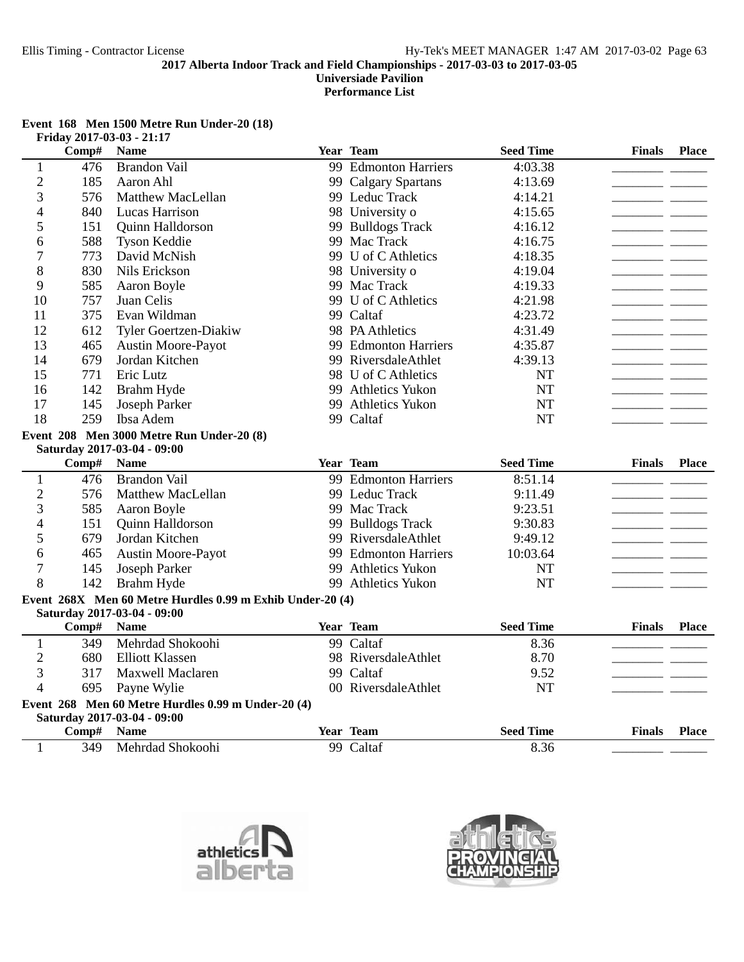## **Universiade Pavilion**

**Performance List**

|                |       | <b>Friday 2017-03-03 - 21:17</b>                          |                      |                  |                                                       |              |
|----------------|-------|-----------------------------------------------------------|----------------------|------------------|-------------------------------------------------------|--------------|
|                | Comp# | <b>Name</b>                                               | Year Team            | <b>Seed Time</b> | <b>Finals</b>                                         | <b>Place</b> |
| $\mathbf{1}$   | 476   | <b>Brandon Vail</b>                                       | 99 Edmonton Harriers | 4:03.38          |                                                       |              |
| $\overline{c}$ | 185   | Aaron Ahl                                                 | 99 Calgary Spartans  | 4:13.69          | __ __                                                 |              |
| 3              | 576   | Matthew MacLellan                                         | 99 Leduc Track       | 4:14.21          |                                                       |              |
| 4              | 840   | Lucas Harrison                                            | 98 University o      | 4:15.65          |                                                       |              |
| 5              | 151   | Quinn Halldorson                                          | 99 Bulldogs Track    | 4:16.12          |                                                       |              |
| 6              | 588   | <b>Tyson Keddie</b>                                       | 99 Mac Track         | 4:16.75          |                                                       |              |
| 7              | 773   | David McNish                                              | 99 U of C Athletics  | 4:18.35          | __ __                                                 |              |
| 8              | 830   | Nils Erickson                                             | 98 University o      | 4:19.04          |                                                       |              |
| 9              | 585   | Aaron Boyle                                               | 99 Mac Track         | 4:19.33          | __ __                                                 |              |
| 10             | 757   | Juan Celis                                                | 99 U of C Athletics  | 4:21.98          |                                                       |              |
| 11             | 375   | Evan Wildman                                              | 99 Caltaf            | 4:23.72          |                                                       |              |
| 12             | 612   | Tyler Goertzen-Diakiw                                     | 98 PA Athletics      | 4:31.49          | $\sim$ $\sim$ $\sim$                                  |              |
| 13             | 465   | <b>Austin Moore-Payot</b>                                 | 99 Edmonton Harriers | 4:35.87          | __ __                                                 |              |
| 14             | 679   | Jordan Kitchen                                            | 99 RiversdaleAthlet  | 4:39.13          |                                                       |              |
| 15             | 771   | Eric Lutz                                                 | 98 U of C Athletics  | <b>NT</b>        |                                                       |              |
| 16             | 142   | Brahm Hyde                                                | 99 Athletics Yukon   | <b>NT</b>        | __ __                                                 |              |
| 17             | 145   | Joseph Parker                                             | 99 Athletics Yukon   | <b>NT</b>        | $\overline{\phantom{a}}$ and $\overline{\phantom{a}}$ |              |
| 18             | 259   | Ibsa Adem                                                 | 99 Caltaf            | <b>NT</b>        |                                                       |              |
|                |       | Event 208 Men 3000 Metre Run Under-20 (8)                 |                      |                  |                                                       |              |
|                |       | Saturday 2017-03-04 - 09:00                               |                      |                  |                                                       |              |
|                | Comp# | <b>Name</b>                                               | Year Team            | <b>Seed Time</b> | <b>Finals</b>                                         | <b>Place</b> |
| $\mathbf{1}$   | 476   | <b>Brandon Vail</b>                                       | 99 Edmonton Harriers | 8:51.14          |                                                       |              |
| $\overline{c}$ | 576   | Matthew MacLellan                                         | 99 Leduc Track       | 9:11.49          |                                                       |              |
| 3              | 585   | Aaron Boyle                                               | 99 Mac Track         | 9:23.51          |                                                       |              |
| $\overline{4}$ | 151   | Quinn Halldorson                                          | 99 Bulldogs Track    | 9:30.83          |                                                       |              |
| 5              | 679   | Jordan Kitchen                                            | 99 RiversdaleAthlet  | 9:49.12          | — —                                                   |              |
| 6              | 465   | <b>Austin Moore-Payot</b>                                 | 99 Edmonton Harriers | 10:03.64         |                                                       |              |
| $\overline{7}$ | 145   | Joseph Parker                                             | 99 Athletics Yukon   | <b>NT</b>        |                                                       |              |
| 8              | 142   | Brahm Hyde                                                | 99 Athletics Yukon   | <b>NT</b>        |                                                       |              |
|                |       | Event 268X Men 60 Metre Hurdles 0.99 m Exhib Under-20 (4) |                      |                  |                                                       |              |
|                |       | Saturday 2017-03-04 - 09:00                               |                      |                  |                                                       |              |
|                | Comp# | <b>Name</b>                                               | Year Team            | <b>Seed Time</b> | <b>Finals</b>                                         | <b>Place</b> |
| $\mathbf{1}$   | 349   | Mehrdad Shokoohi                                          | 99 Caltaf            | 8.36             |                                                       |              |
| $\overline{2}$ | 680   | <b>Elliott Klassen</b>                                    | 98 RiversdaleAthlet  | 8.70             |                                                       |              |
| 3              | 317   | Maxwell Maclaren                                          | 99 Caltaf            | 9.52             |                                                       |              |
| 4              | 695   | Payne Wylie                                               | 00 RiversdaleAthlet  | <b>NT</b>        |                                                       |              |
|                |       | Event 268 Men 60 Metre Hurdles 0.99 m Under-20 (4)        |                      |                  |                                                       |              |
|                |       | Saturday 2017-03-04 - 09:00                               |                      |                  |                                                       |              |
|                | Comp# | <b>Name</b>                                               | Year Team            | <b>Seed Time</b> | <b>Finals</b>                                         | <b>Place</b> |
| 1              | 349   | Mehrdad Shokoohi                                          | 99 Caltaf            | 8.36             |                                                       |              |

#### **Event 168 Men 1500 Metre Run Under-20 (18) Friday 2017-03-03 - 21:17**



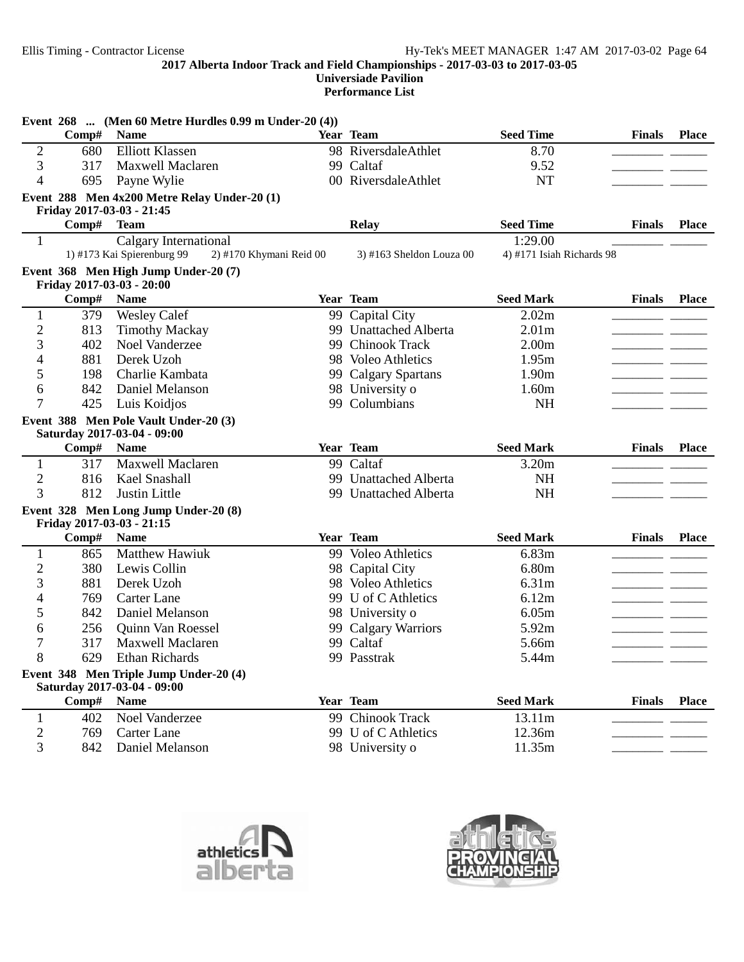**Universiade Pavilion**

|                |            | Event 268  (Men 60 Metre Hurdles 0.99 m Under-20 (4))                |                          |                           |                                                  |              |
|----------------|------------|----------------------------------------------------------------------|--------------------------|---------------------------|--------------------------------------------------|--------------|
|                | Comp#      | <b>Name</b>                                                          | Year Team                | <b>Seed Time</b>          | <b>Finals</b>                                    | <b>Place</b> |
| $\sqrt{2}$     | 680        | <b>Elliott Klassen</b>                                               | 98 RiversdaleAthlet      | 8.70                      |                                                  |              |
| 3              | 317        | Maxwell Maclaren                                                     | 99 Caltaf                | 9.52                      |                                                  |              |
| 4              | 695        | Payne Wylie                                                          | 00 RiversdaleAthlet      | <b>NT</b>                 |                                                  |              |
|                |            | Event 288 Men 4x200 Metre Relay Under-20 (1)                         |                          |                           |                                                  |              |
|                |            | Friday 2017-03-03 - 21:45                                            |                          |                           |                                                  |              |
|                | Comp#      | <b>Team</b>                                                          | <b>Relay</b>             | <b>Seed Time</b>          | <b>Finals</b>                                    | <b>Place</b> |
| 1              |            | Calgary International                                                |                          | 1:29.00                   |                                                  |              |
|                |            | 1) #173 Kai Spierenburg 99<br>2) #170 Khymani Reid 00                | 3) #163 Sheldon Louza 00 | 4) #171 Isiah Richards 98 |                                                  |              |
|                |            | Event 368 Men High Jump Under-20 (7)                                 |                          |                           |                                                  |              |
|                |            | Friday 2017-03-03 - 20:00                                            |                          |                           |                                                  |              |
|                | Comp#      | <b>Name</b>                                                          | Year Team                | <b>Seed Mark</b>          | Finals                                           | <b>Place</b> |
| 1              | 379        | <b>Wesley Calef</b>                                                  | 99 Capital City          | 2.02m                     |                                                  |              |
| $\overline{c}$ | 813        | <b>Timothy Mackay</b>                                                | 99 Unattached Alberta    | 2.01 <sub>m</sub>         |                                                  |              |
| 3              | 402        | Noel Vanderzee                                                       | 99 Chinook Track         | 2.00 <sub>m</sub>         |                                                  |              |
| 4              | 881        | Derek Uzoh                                                           | 98 Voleo Athletics       | 1.95m                     |                                                  |              |
| 5              | 198        | Charlie Kambata                                                      | 99 Calgary Spartans      | 1.90m                     |                                                  |              |
| 6              | 842        | Daniel Melanson                                                      | 98 University o          | 1.60m                     | <u> 1980 - Andrea Andrew Maria III (m. 1976)</u> |              |
| 7              | 425        | Luis Koidjos                                                         | 99 Columbians            | <b>NH</b>                 |                                                  |              |
|                |            | Event 388 Men Pole Vault Under-20 (3)<br>Saturday 2017-03-04 - 09:00 |                          |                           |                                                  |              |
|                | Comp# Name |                                                                      | Year Team                | <b>Seed Mark</b>          | <b>Finals</b>                                    | <b>Place</b> |
| $\mathbf{1}$   | 317        | Maxwell Maclaren                                                     | 99 Caltaf                | 3.20m                     |                                                  |              |
| $\mathbf{2}$   | 816        | Kael Snashall                                                        | 99 Unattached Alberta    | <b>NH</b>                 |                                                  |              |
| 3              | 812        | Justin Little                                                        | 99 Unattached Alberta    | <b>NH</b>                 |                                                  |              |
|                |            | Event 328 Men Long Jump Under-20 (8)                                 |                          |                           |                                                  |              |
|                |            | Friday 2017-03-03 - 21:15                                            |                          |                           |                                                  |              |
|                | Comp#      | <b>Name</b>                                                          | Year Team                | <b>Seed Mark</b>          | <b>Finals</b>                                    | <b>Place</b> |
| $\mathbf{1}$   | 865        | Matthew Hawiuk                                                       | 99 Voleo Athletics       | 6.83m                     |                                                  |              |
| $\overline{c}$ | 380        | Lewis Collin                                                         | 98 Capital City          | 6.80m                     |                                                  |              |
| 3              | 881        | Derek Uzoh                                                           | 98 Voleo Athletics       | 6.31m                     |                                                  |              |
| 4              | 769        | Carter Lane                                                          | 99 U of C Athletics      | 6.12m                     |                                                  |              |
| 5              | 842        | Daniel Melanson                                                      | 98 University o          | 6.05m                     |                                                  |              |
| 6              | 256        | Quinn Van Roessel                                                    | 99 Calgary Warriors      | 5.92m                     |                                                  |              |
| 7              | 317        | Maxwell Maclaren                                                     | 99 Caltaf                | 5.66m                     |                                                  |              |
| 8              | 629        | Ethan Richards                                                       | 99 Passtrak              | 5.44m                     |                                                  |              |
|                |            | Event 348 Men Triple Jump Under-20 (4)                               |                          |                           |                                                  |              |
|                |            | Saturday 2017-03-04 - 09:00                                          |                          |                           |                                                  |              |
|                | Comp#      | <b>Name</b>                                                          | Year Team                | <b>Seed Mark</b>          | <b>Finals</b>                                    | <b>Place</b> |
| 1              | 402        | Noel Vanderzee                                                       | 99 Chinook Track         | 13.11m                    |                                                  |              |
| $\overline{c}$ | 769        | Carter Lane                                                          | 99 U of C Athletics      | 12.36m                    |                                                  |              |
| 3              | 842        | Daniel Melanson                                                      | 98 University o          | 11.35m                    |                                                  |              |



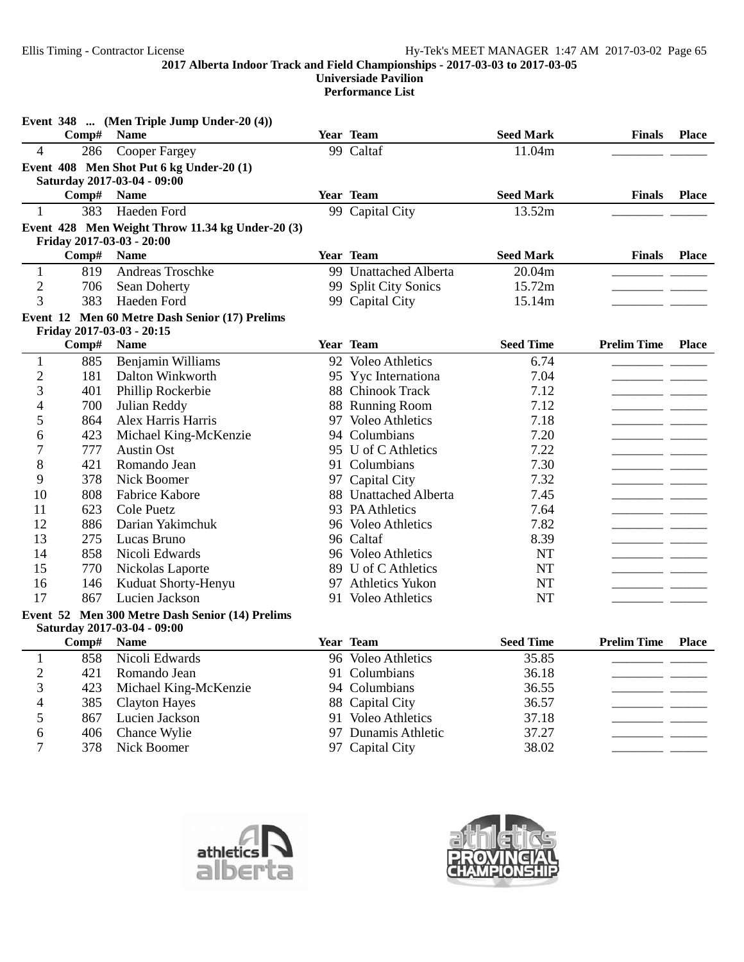**Universiade Pavilion**

|                | Comp# | Event 348  (Men Triple Jump Under-20 (4))<br><b>Name</b>                      | Year Team             | <b>Seed Mark</b> | <b>Finals</b>                                                                                                                                                                                                                        | <b>Place</b> |
|----------------|-------|-------------------------------------------------------------------------------|-----------------------|------------------|--------------------------------------------------------------------------------------------------------------------------------------------------------------------------------------------------------------------------------------|--------------|
| 4              | 286   | Cooper Fargey                                                                 | 99 Caltaf             | 11.04m           |                                                                                                                                                                                                                                      |              |
|                |       | Event 408 Men Shot Put 6 kg Under-20 (1)                                      |                       |                  |                                                                                                                                                                                                                                      |              |
|                |       | Saturday 2017-03-04 - 09:00                                                   |                       |                  |                                                                                                                                                                                                                                      |              |
|                | Comp# | <b>Name</b>                                                                   | Year Team             | <b>Seed Mark</b> | <b>Finals</b>                                                                                                                                                                                                                        | <b>Place</b> |
| $\mathbf{1}$   | 383   | Haeden Ford                                                                   | 99 Capital City       | 13.52m           |                                                                                                                                                                                                                                      |              |
|                |       | Event 428 Men Weight Throw 11.34 kg Under-20 (3)<br>Friday 2017-03-03 - 20:00 |                       |                  |                                                                                                                                                                                                                                      |              |
|                | Comp# | <b>Name</b>                                                                   | Year Team             | <b>Seed Mark</b> | <b>Finals</b>                                                                                                                                                                                                                        | <b>Place</b> |
| $\mathbf{1}$   | 819   | Andreas Troschke                                                              | 99 Unattached Alberta | 20.04m           |                                                                                                                                                                                                                                      |              |
| $\overline{2}$ | 706   | Sean Doherty                                                                  | 99 Split City Sonics  | 15.72m           |                                                                                                                                                                                                                                      |              |
| 3              | 383   | Haeden Ford                                                                   | 99 Capital City       | 15.14m           |                                                                                                                                                                                                                                      |              |
|                |       | Event 12 Men 60 Metre Dash Senior (17) Prelims<br>Friday 2017-03-03 - 20:15   |                       |                  |                                                                                                                                                                                                                                      |              |
|                | Comp# | <b>Name</b>                                                                   | Year Team             | <b>Seed Time</b> | <b>Prelim Time</b>                                                                                                                                                                                                                   | <b>Place</b> |
| 1              | 885   | Benjamin Williams                                                             | 92 Voleo Athletics    | 6.74             |                                                                                                                                                                                                                                      |              |
| $\overline{2}$ | 181   | Dalton Winkworth                                                              | 95 Yyc Internationa   | 7.04             |                                                                                                                                                                                                                                      |              |
| 3              | 401   | Phillip Rockerbie                                                             | 88 Chinook Track      | 7.12             |                                                                                                                                                                                                                                      |              |
| 4              | 700   | Julian Reddy                                                                  | 88 Running Room       | 7.12             |                                                                                                                                                                                                                                      |              |
| 5              | 864   | Alex Harris Harris                                                            | 97 Voleo Athletics    | 7.18             |                                                                                                                                                                                                                                      |              |
| 6              | 423   | Michael King-McKenzie                                                         | 94 Columbians         | 7.20             |                                                                                                                                                                                                                                      |              |
| 7              | 777   | <b>Austin Ost</b>                                                             | 95 U of C Athletics   | 7.22             | <u> De Carlos de Carlos de Carlos de Carlos de Carlos de Carlos de Carlos de Carlos de Carlos de Carlos de Carlos de Carlos de Carlos de Carlos de Carlos de Carlos de Carlos de Carlos de Carlos de Carlos de Carlos de Carlos </u> |              |
| 8              | 421   | Romando Jean                                                                  | 91 Columbians         | 7.30             | _____                                                                                                                                                                                                                                |              |
| 9              | 378   | <b>Nick Boomer</b>                                                            | 97 Capital City       | 7.32             | -- -                                                                                                                                                                                                                                 |              |
| 10             | 808   | Fabrice Kabore                                                                | 88 Unattached Alberta | 7.45             |                                                                                                                                                                                                                                      |              |
| 11             | 623   | <b>Cole Puetz</b>                                                             | 93 PA Athletics       | 7.64             |                                                                                                                                                                                                                                      |              |
| 12             | 886   | Darian Yakimchuk                                                              | 96 Voleo Athletics    | 7.82             |                                                                                                                                                                                                                                      |              |
| 13             | 275   | Lucas Bruno                                                                   | 96 Caltaf             | 8.39             |                                                                                                                                                                                                                                      |              |
| 14             | 858   | Nicoli Edwards                                                                | 96 Voleo Athletics    | <b>NT</b>        |                                                                                                                                                                                                                                      |              |
| 15             | 770   | Nickolas Laporte                                                              | 89 U of C Athletics   | <b>NT</b>        | - -                                                                                                                                                                                                                                  |              |
| 16             | 146   | Kuduat Shorty-Henyu                                                           | 97 Athletics Yukon    | <b>NT</b>        |                                                                                                                                                                                                                                      |              |
| 17             | 867   | Lucien Jackson                                                                | 91 Voleo Athletics    | <b>NT</b>        |                                                                                                                                                                                                                                      |              |
| Event 52       |       | Men 300 Metre Dash Senior (14) Prelims                                        |                       |                  |                                                                                                                                                                                                                                      |              |
|                | Comp# | Saturday 2017-03-04 - 09:00<br><b>Name</b>                                    | Year Team             | <b>Seed Time</b> | <b>Prelim Time</b>                                                                                                                                                                                                                   | <b>Place</b> |
| $\mathbf{1}$   | 858   | Nicoli Edwards                                                                | 96 Voleo Athletics    | 35.85            |                                                                                                                                                                                                                                      |              |
| $\overline{c}$ | 421   | Romando Jean                                                                  | 91 Columbians         | 36.18            |                                                                                                                                                                                                                                      |              |
| 3              | 423   | Michael King-McKenzie                                                         | 94 Columbians         | 36.55            |                                                                                                                                                                                                                                      |              |
| 4              | 385   | <b>Clayton Hayes</b>                                                          | 88 Capital City       | 36.57            |                                                                                                                                                                                                                                      |              |
| 5              | 867   | Lucien Jackson                                                                | 91 Voleo Athletics    | 37.18            |                                                                                                                                                                                                                                      |              |
| 6              | 406   | Chance Wylie                                                                  | 97 Dunamis Athletic   | 37.27            |                                                                                                                                                                                                                                      |              |
| 7              | 378   | <b>Nick Boomer</b>                                                            | 97 Capital City       | 38.02            |                                                                                                                                                                                                                                      |              |



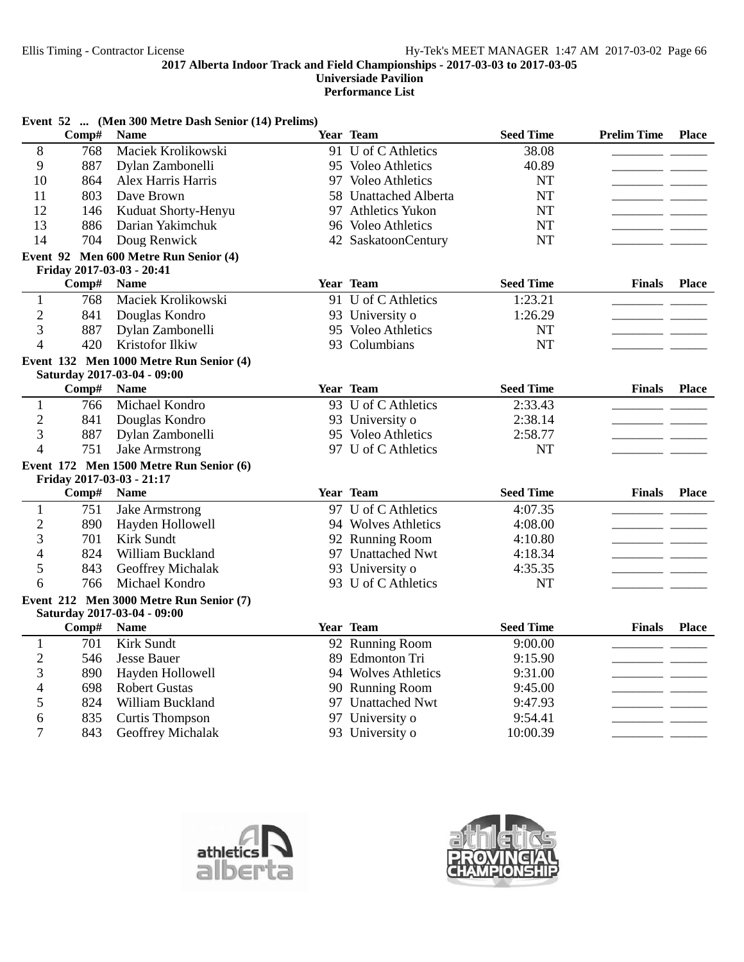**Universiade Pavilion**

|                |       | Event 52  (Men 300 Metre Dash Senior (14) Prelims) |                       |                  |                                                                                                                                                                                                                                                                                                                                                                                                                                                                            |                          |
|----------------|-------|----------------------------------------------------|-----------------------|------------------|----------------------------------------------------------------------------------------------------------------------------------------------------------------------------------------------------------------------------------------------------------------------------------------------------------------------------------------------------------------------------------------------------------------------------------------------------------------------------|--------------------------|
|                | Comp# | <b>Name</b>                                        | Year Team             | <b>Seed Time</b> | <b>Prelim Time</b>                                                                                                                                                                                                                                                                                                                                                                                                                                                         | <b>Place</b>             |
| 8              | 768   | Maciek Krolikowski                                 | 91 U of C Athletics   | 38.08            |                                                                                                                                                                                                                                                                                                                                                                                                                                                                            |                          |
| 9              | 887   | Dylan Zambonelli                                   | 95 Voleo Athletics    | 40.89            |                                                                                                                                                                                                                                                                                                                                                                                                                                                                            |                          |
| 10             | 864   | Alex Harris Harris                                 | 97 Voleo Athletics    | <b>NT</b>        | — —                                                                                                                                                                                                                                                                                                                                                                                                                                                                        |                          |
| 11             | 803   | Dave Brown                                         | 58 Unattached Alberta | <b>NT</b>        |                                                                                                                                                                                                                                                                                                                                                                                                                                                                            |                          |
| 12             | 146   | Kuduat Shorty-Henyu                                | 97 Athletics Yukon    | <b>NT</b>        |                                                                                                                                                                                                                                                                                                                                                                                                                                                                            |                          |
| 13             | 886   | Darian Yakimchuk                                   | 96 Voleo Athletics    | <b>NT</b>        |                                                                                                                                                                                                                                                                                                                                                                                                                                                                            |                          |
| 14             | 704   | Doug Renwick                                       | 42 SaskatoonCentury   | <b>NT</b>        |                                                                                                                                                                                                                                                                                                                                                                                                                                                                            |                          |
|                |       | Event 92 Men 600 Metre Run Senior (4)              |                       |                  |                                                                                                                                                                                                                                                                                                                                                                                                                                                                            |                          |
|                |       | Friday 2017-03-03 - 20:41                          |                       |                  |                                                                                                                                                                                                                                                                                                                                                                                                                                                                            |                          |
|                | Comp# | <b>Name</b>                                        | Year Team             | <b>Seed Time</b> | <b>Finals</b>                                                                                                                                                                                                                                                                                                                                                                                                                                                              | <b>Place</b>             |
| $\mathbf{1}$   | 768   | Maciek Krolikowski                                 | 91 U of C Athletics   | 1:23.21          |                                                                                                                                                                                                                                                                                                                                                                                                                                                                            |                          |
| $\overline{2}$ | 841   | Douglas Kondro                                     | 93 University o       | 1:26.29          |                                                                                                                                                                                                                                                                                                                                                                                                                                                                            |                          |
| 3              | 887   | Dylan Zambonelli                                   | 95 Voleo Athletics    | <b>NT</b>        |                                                                                                                                                                                                                                                                                                                                                                                                                                                                            |                          |
| 4              | 420   | Kristofor Ilkiw                                    | 93 Columbians         | <b>NT</b>        | and the control of the control of                                                                                                                                                                                                                                                                                                                                                                                                                                          |                          |
|                |       | Event 132 Men 1000 Metre Run Senior (4)            |                       |                  |                                                                                                                                                                                                                                                                                                                                                                                                                                                                            |                          |
|                |       | Saturday 2017-03-04 - 09:00                        |                       |                  |                                                                                                                                                                                                                                                                                                                                                                                                                                                                            |                          |
|                | Comp# | <b>Name</b>                                        | Year Team             | <b>Seed Time</b> | <b>Finals</b>                                                                                                                                                                                                                                                                                                                                                                                                                                                              | <b>Place</b>             |
| $\mathbf{1}$   | 766   | Michael Kondro                                     | 93 U of C Athletics   | 2:33.43          |                                                                                                                                                                                                                                                                                                                                                                                                                                                                            |                          |
| $\overline{2}$ | 841   | Douglas Kondro                                     | 93 University o       | 2:38.14          | <u>.</u>                                                                                                                                                                                                                                                                                                                                                                                                                                                                   |                          |
| 3              | 887   | Dylan Zambonelli                                   | 95 Voleo Athletics    | 2:58.77          |                                                                                                                                                                                                                                                                                                                                                                                                                                                                            |                          |
| $\overline{4}$ | 751   | <b>Jake Armstrong</b>                              | 97 U of C Athletics   | <b>NT</b>        |                                                                                                                                                                                                                                                                                                                                                                                                                                                                            |                          |
|                |       | Event 172 Men 1500 Metre Run Senior (6)            |                       |                  |                                                                                                                                                                                                                                                                                                                                                                                                                                                                            |                          |
|                |       | Friday 2017-03-03 - 21:17                          |                       |                  |                                                                                                                                                                                                                                                                                                                                                                                                                                                                            |                          |
|                | Comp# | <b>Name</b>                                        | Year Team             | <b>Seed Time</b> | <b>Finals</b>                                                                                                                                                                                                                                                                                                                                                                                                                                                              | <b>Place</b>             |
| 1              | 751   | <b>Jake Armstrong</b>                              | 97 U of C Athletics   | 4:07.35          |                                                                                                                                                                                                                                                                                                                                                                                                                                                                            |                          |
| $\sqrt{2}$     | 890   | Hayden Hollowell                                   | 94 Wolves Athletics   | 4:08.00          |                                                                                                                                                                                                                                                                                                                                                                                                                                                                            |                          |
| 3              | 701   | <b>Kirk Sundt</b>                                  | 92 Running Room       | 4:10.80          |                                                                                                                                                                                                                                                                                                                                                                                                                                                                            |                          |
| 4              | 824   | William Buckland                                   | 97 Unattached Nwt     | 4:18.34          |                                                                                                                                                                                                                                                                                                                                                                                                                                                                            |                          |
| 5              | 843   | Geoffrey Michalak                                  | 93 University o       | 4:35.35          | $\frac{1}{2} \left( \frac{1}{2} \right) \left( \frac{1}{2} \right) \left( \frac{1}{2} \right) \left( \frac{1}{2} \right) \left( \frac{1}{2} \right) \left( \frac{1}{2} \right) \left( \frac{1}{2} \right) \left( \frac{1}{2} \right) \left( \frac{1}{2} \right) \left( \frac{1}{2} \right) \left( \frac{1}{2} \right) \left( \frac{1}{2} \right) \left( \frac{1}{2} \right) \left( \frac{1}{2} \right) \left( \frac{1}{2} \right) \left( \frac{1}{2} \right) \left( \frac$ |                          |
| 6              | 766   | Michael Kondro                                     | 93 U of C Athletics   | <b>NT</b>        |                                                                                                                                                                                                                                                                                                                                                                                                                                                                            |                          |
|                |       | Event 212 Men 3000 Metre Run Senior (7)            |                       |                  |                                                                                                                                                                                                                                                                                                                                                                                                                                                                            |                          |
|                |       | Saturday 2017-03-04 - 09:00                        |                       |                  |                                                                                                                                                                                                                                                                                                                                                                                                                                                                            |                          |
|                | Comp# | <b>Name</b>                                        | Year Team             | <b>Seed Time</b> | <b>Finals</b>                                                                                                                                                                                                                                                                                                                                                                                                                                                              | <b>Place</b>             |
| $\mathbf{1}$   | 701   | Kirk Sundt                                         | 92 Running Room       | 9:00.00          |                                                                                                                                                                                                                                                                                                                                                                                                                                                                            |                          |
| $\sqrt{2}$     | 546   | <b>Jesse Bauer</b>                                 | 89 Edmonton Tri       | 9:15.90          |                                                                                                                                                                                                                                                                                                                                                                                                                                                                            |                          |
| 3              | 890   | Hayden Hollowell                                   | 94 Wolves Athletics   | 9:31.00          |                                                                                                                                                                                                                                                                                                                                                                                                                                                                            |                          |
| 4              | 698   | <b>Robert Gustas</b>                               | 90 Running Room       | 9:45.00          |                                                                                                                                                                                                                                                                                                                                                                                                                                                                            |                          |
| 5              | 824   | William Buckland                                   | 97 Unattached Nwt     | 9:47.93          |                                                                                                                                                                                                                                                                                                                                                                                                                                                                            |                          |
| 6              | 835   | <b>Curtis Thompson</b>                             | 97 University o       | 9:54.41          |                                                                                                                                                                                                                                                                                                                                                                                                                                                                            |                          |
| $\overline{7}$ | 843   | Geoffrey Michalak                                  | 93 University o       | 10:00.39         |                                                                                                                                                                                                                                                                                                                                                                                                                                                                            | $\overline{\phantom{a}}$ |



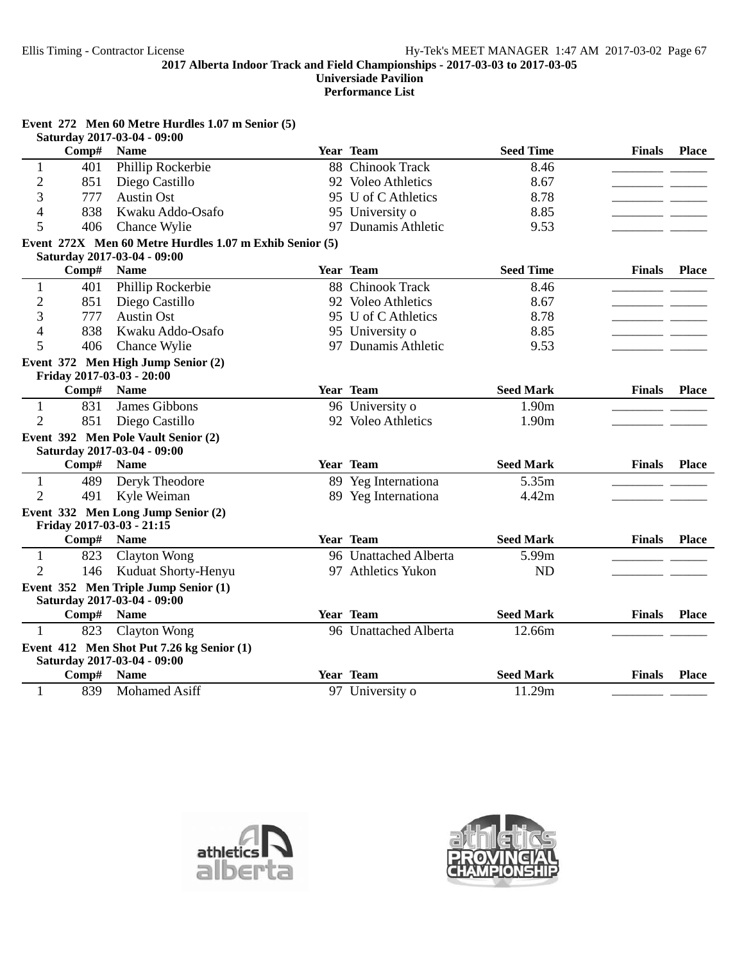## **Universiade Pavilion**

|                |       | Saturday 2017-03-04 - 09:00                             |                       |                   |               |              |
|----------------|-------|---------------------------------------------------------|-----------------------|-------------------|---------------|--------------|
|                | Comp# | <b>Name</b>                                             | Year Team             | <b>Seed Time</b>  | <b>Finals</b> | <b>Place</b> |
| $\mathbf{1}$   | 401   | Phillip Rockerbie                                       | 88 Chinook Track      | 8.46              |               |              |
| $\overline{c}$ | 851   | Diego Castillo                                          | 92 Voleo Athletics    | 8.67              |               |              |
| 3              | 777   | <b>Austin Ost</b>                                       | 95 U of C Athletics   | 8.78              |               |              |
| 4              | 838   | Kwaku Addo-Osafo                                        | 95 University o       | 8.85              |               |              |
| 5              | 406   | Chance Wylie                                            | 97 Dunamis Athletic   | 9.53              |               |              |
|                |       | Event 272X Men 60 Metre Hurdles 1.07 m Exhib Senior (5) |                       |                   |               |              |
|                |       | Saturday 2017-03-04 - 09:00                             |                       |                   |               |              |
|                | Comp# | <b>Name</b>                                             | Year Team             | <b>Seed Time</b>  | <b>Finals</b> | <b>Place</b> |
| 1              | 401   | Phillip Rockerbie                                       | 88 Chinook Track      | 8.46              |               |              |
| $\overline{2}$ | 851   | Diego Castillo                                          | 92 Voleo Athletics    | 8.67              |               |              |
| 3              | 777   | <b>Austin Ost</b>                                       | 95 U of C Athletics   | 8.78              |               |              |
| $\overline{4}$ | 838   | Kwaku Addo-Osafo                                        | 95 University o       | 8.85              |               |              |
| 5              | 406   | Chance Wylie                                            | 97 Dunamis Athletic   | 9.53              |               |              |
|                |       | Event 372 Men High Jump Senior (2)                      |                       |                   |               |              |
|                |       | Friday 2017-03-03 - 20:00                               |                       |                   |               |              |
|                | Comp# | <b>Name</b>                                             | Year Team             | <b>Seed Mark</b>  | <b>Finals</b> | <b>Place</b> |
| 1              | 831   | James Gibbons                                           | 96 University o       | 1.90m             |               |              |
| $\overline{2}$ | 851   | Diego Castillo                                          | 92 Voleo Athletics    | 1.90 <sub>m</sub> |               |              |
|                |       | Event 392 Men Pole Vault Senior (2)                     |                       |                   |               |              |
|                |       | Saturday 2017-03-04 - 09:00                             |                       |                   |               |              |
|                | Comp# | <b>Name</b>                                             | Year Team             | <b>Seed Mark</b>  | <b>Finals</b> | <b>Place</b> |
| $\mathbf{1}$   | 489   | Deryk Theodore                                          | 89 Yeg Internationa   | 5.35m             |               |              |
| $\overline{2}$ | 491   | Kyle Weiman                                             | 89 Yeg Internationa   | 4.42m             |               |              |
|                |       | Event 332 Men Long Jump Senior (2)                      |                       |                   |               |              |
|                |       | Friday 2017-03-03 - 21:15                               |                       |                   |               |              |
|                | Comp# | <b>Name</b>                                             | Year Team             | <b>Seed Mark</b>  | <b>Finals</b> | <b>Place</b> |
| $\mathbf{1}$   | 823   | <b>Clayton Wong</b>                                     | 96 Unattached Alberta | 5.99m             |               |              |
| $\overline{2}$ | 146   | Kuduat Shorty-Henyu                                     | 97 Athletics Yukon    | <b>ND</b>         |               |              |
|                |       | Event 352 Men Triple Jump Senior (1)                    |                       |                   |               |              |
|                |       | Saturday 2017-03-04 - 09:00                             |                       |                   |               |              |
|                | Comp# | <b>Name</b>                                             | Year Team             | <b>Seed Mark</b>  | <b>Finals</b> | <b>Place</b> |
| $\mathbf{1}$   | 823   | <b>Clayton Wong</b>                                     | 96 Unattached Alberta | 12.66m            |               |              |
|                |       | Event 412 Men Shot Put 7.26 kg Senior (1)               |                       |                   |               |              |
|                |       | Saturday 2017-03-04 - 09:00                             |                       |                   |               |              |
|                | Comp# | <b>Name</b>                                             | Year Team             | <b>Seed Mark</b>  | <b>Finals</b> | <b>Place</b> |
| 1              | 839   | Mohamed Asiff                                           | 97 University o       | 11.29m            |               |              |



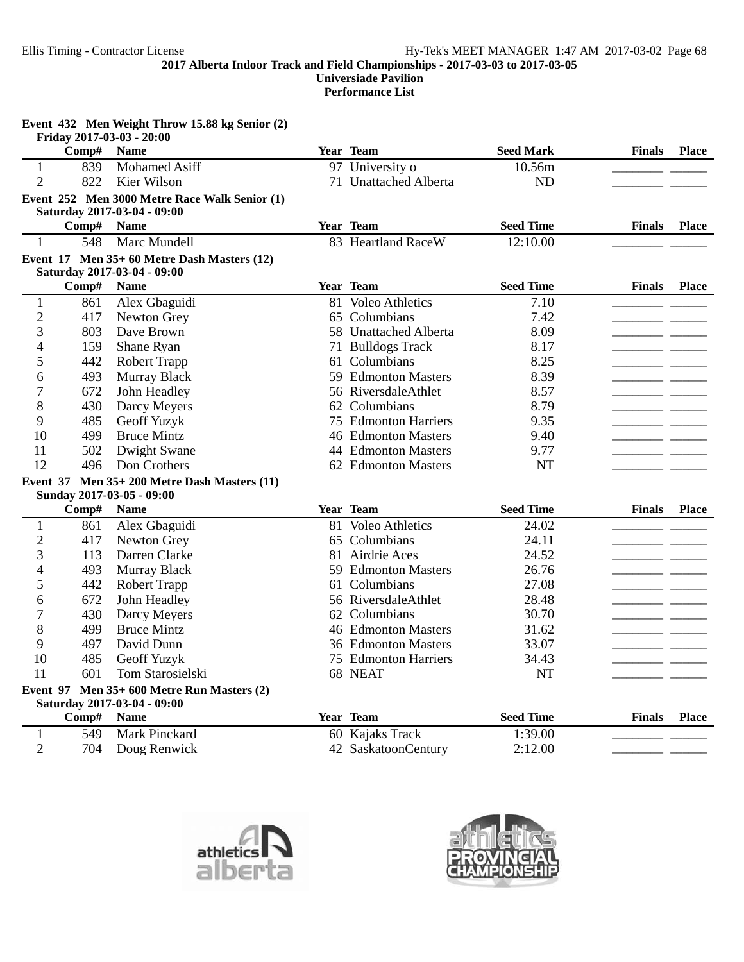**Universiade Pavilion**

|  | Event 432 Men Weight Throw 15.88 kg Senior (2) |  |  |
|--|------------------------------------------------|--|--|
|  | Friday 2017-03-03 - 20:00                      |  |  |

|                |            | FIIUAY 4017-03-03 - 40:00                                                |                       |                  |               |              |
|----------------|------------|--------------------------------------------------------------------------|-----------------------|------------------|---------------|--------------|
|                | Comp# Name |                                                                          | Year Team             | <b>Seed Mark</b> | <b>Finals</b> | <b>Place</b> |
| $\mathbf{1}$   | 839        | Mohamed Asiff                                                            | 97 University o       | 10.56m           |               |              |
| $\overline{2}$ | 822        | Kier Wilson                                                              | 71 Unattached Alberta | ND               |               |              |
|                |            | Event 252 Men 3000 Metre Race Walk Senior (1)                            |                       |                  |               |              |
|                |            | Saturday 2017-03-04 - 09:00                                              |                       |                  |               |              |
|                | Comp#      | <b>Name</b>                                                              | Year Team             | <b>Seed Time</b> | <b>Finals</b> | <b>Place</b> |
| $\mathbf{1}$   | 548        | Marc Mundell                                                             | 83 Heartland RaceW    | 12:10.00         |               |              |
|                |            | Event $17$ Men $35+60$ Metre Dash Masters $(12)$                         |                       |                  |               |              |
|                |            | Saturday 2017-03-04 - 09:00                                              |                       |                  |               |              |
|                | Comp#      | <b>Name</b>                                                              | Year Team             | <b>Seed Time</b> | <b>Finals</b> | <b>Place</b> |
| $\mathbf{1}$   | 861        | Alex Gbaguidi                                                            | 81 Voleo Athletics    | 7.10             |               |              |
| $\overline{2}$ | 417        | Newton Grey                                                              | 65 Columbians         | 7.42             |               |              |
| 3              | 803        | Dave Brown                                                               | 58 Unattached Alberta | 8.09             |               |              |
| 4              | 159        | Shane Ryan                                                               | 71 Bulldogs Track     | 8.17             |               |              |
| 5              | 442        | <b>Robert Trapp</b>                                                      | 61 Columbians         | 8.25             | __ _          |              |
| 6              | 493        | Murray Black                                                             | 59 Edmonton Masters   | 8.39             |               |              |
| 7              | 672        | John Headley                                                             | 56 RiversdaleAthlet   | 8.57             |               |              |
| 8              | 430        | Darcy Meyers                                                             | 62 Columbians         | 8.79             |               |              |
| 9              | 485        | Geoff Yuzyk                                                              | 75 Edmonton Harriers  | 9.35             |               |              |
| 10             | 499        | <b>Bruce Mintz</b>                                                       | 46 Edmonton Masters   | 9.40             |               |              |
| 11             | 502        | Dwight Swane                                                             | 44 Edmonton Masters   | 9.77             |               |              |
| 12             | 496        | Don Crothers                                                             | 62 Edmonton Masters   | <b>NT</b>        |               |              |
|                |            | Event 37 Men 35+200 Metre Dash Masters (11)<br>Sunday 2017-03-05 - 09:00 |                       |                  |               |              |
|                | Comp#      | <b>Name</b>                                                              | Year Team             | <b>Seed Time</b> | <b>Finals</b> | <b>Place</b> |
| $\mathbf{1}$   | 861        | Alex Gbaguidi                                                            | 81 Voleo Athletics    | 24.02            |               |              |
| $\overline{2}$ | 417        | Newton Grey                                                              | 65 Columbians         | 24.11            |               |              |
| 3              | 113        | Darren Clarke                                                            | 81 Airdrie Aces       | 24.52            |               |              |
| $\overline{4}$ | 493        | Murray Black                                                             | 59 Edmonton Masters   | 26.76            |               |              |
| 5              | 442        | <b>Robert Trapp</b>                                                      | 61 Columbians         | 27.08            |               |              |
| 6              | 672        | John Headley                                                             | 56 RiversdaleAthlet   | 28.48            |               |              |
| 7              | 430        | Darcy Meyers                                                             | 62 Columbians         | 30.70            |               |              |
| 8              | 499        | <b>Bruce Mintz</b>                                                       | 46 Edmonton Masters   | 31.62            |               |              |
| 9              | 497        | David Dunn                                                               | 36 Edmonton Masters   | 33.07            |               |              |
| 10             | 485        | Geoff Yuzyk                                                              | 75 Edmonton Harriers  | 34.43            |               |              |
| 11             | 601        | Tom Starosielski                                                         | 68 NEAT               | <b>NT</b>        |               |              |
|                |            | Event 97 Men 35+600 Metre Run Masters (2)                                |                       |                  |               |              |
|                |            | Saturday 2017-03-04 - 09:00                                              |                       |                  |               |              |
|                | Comp#      | <b>Name</b>                                                              | Year Team             | <b>Seed Time</b> | <b>Finals</b> | <b>Place</b> |
| $\mathbf{1}$   | 549        | Mark Pinckard                                                            | 60 Kajaks Track       | 1:39.00          |               |              |
| $\overline{2}$ | 704        | Doug Renwick                                                             | 42 SaskatoonCentury   | 2:12.00          |               |              |



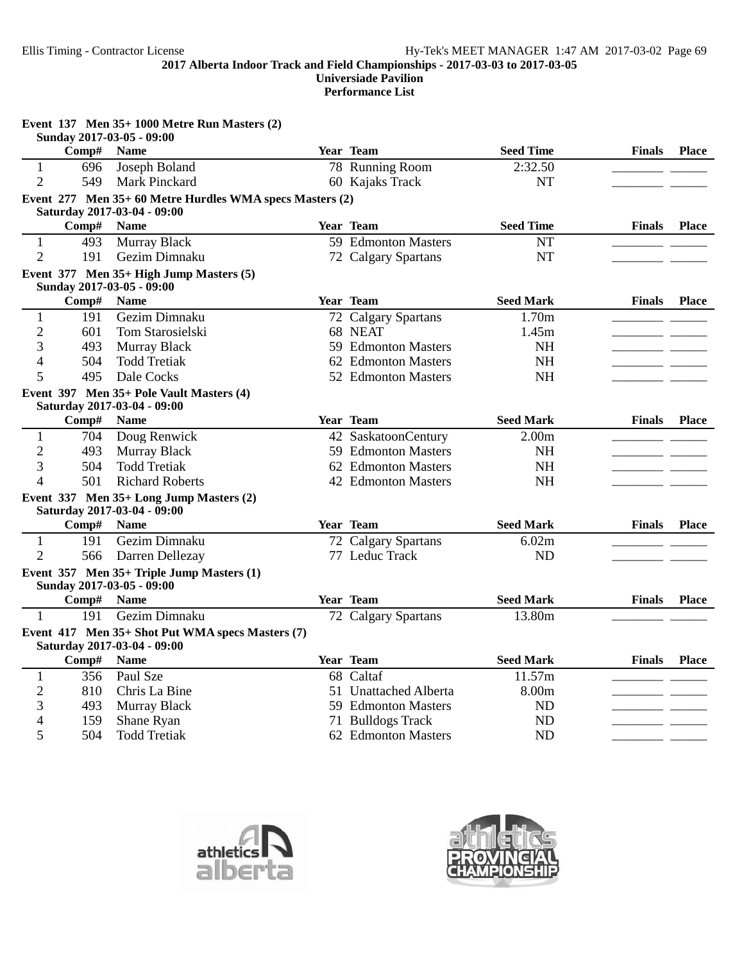## **Universiade Pavilion**

|  | Event 137 Men 35+1000 Metre Run Masters (2) |  |  |  |
|--|---------------------------------------------|--|--|--|
|  |                                             |  |  |  |

|                |       | Sunday 2017-03-05 - 09:00                                                  |                       |                   |               |              |
|----------------|-------|----------------------------------------------------------------------------|-----------------------|-------------------|---------------|--------------|
|                | Comp# | <b>Name</b>                                                                | Year Team             | <b>Seed Time</b>  | <b>Finals</b> | <b>Place</b> |
| $\mathbf{1}$   | 696   | Joseph Boland                                                              | 78 Running Room       | 2:32.50           |               |              |
| $\overline{2}$ | 549   | <b>Mark Pinckard</b>                                                       | 60 Kajaks Track       | <b>NT</b>         |               |              |
|                |       | Event 277 Men 35+60 Metre Hurdles WMA specs Masters (2)                    |                       |                   |               |              |
|                |       | Saturday 2017-03-04 - 09:00                                                |                       |                   |               |              |
|                | Comp# | <b>Name</b>                                                                | Year Team             | <b>Seed Time</b>  | <b>Finals</b> | <b>Place</b> |
| $\mathbf{1}$   | 493   | Murray Black                                                               | 59 Edmonton Masters   | <b>NT</b>         |               |              |
| $\overline{2}$ | 191   | Gezim Dimnaku                                                              | 72 Calgary Spartans   | <b>NT</b>         |               |              |
|                |       | Event $377$ Men $35+$ High Jump Masters $(5)$<br>Sunday 2017-03-05 - 09:00 |                       |                   |               |              |
|                | Comp# | <b>Name</b>                                                                | Year Team             | <b>Seed Mark</b>  | <b>Finals</b> | <b>Place</b> |
| 1              | 191   | Gezim Dimnaku                                                              | 72 Calgary Spartans   | 1.70m             |               |              |
| $\overline{2}$ | 601   | Tom Starosielski                                                           | 68 NEAT               | 1.45m             |               |              |
| 3              | 493   | Murray Black                                                               | 59 Edmonton Masters   | <b>NH</b>         |               |              |
| $\overline{4}$ | 504   | <b>Todd Tretiak</b>                                                        | 62 Edmonton Masters   | <b>NH</b>         |               |              |
| 5              | 495   | Dale Cocks                                                                 | 52 Edmonton Masters   | <b>NH</b>         |               |              |
|                |       | Event 397 Men 35+ Pole Vault Masters (4)<br>Saturday 2017-03-04 - 09:00    |                       |                   |               |              |
|                | Comp# | <b>Name</b>                                                                | Year Team             | <b>Seed Mark</b>  | <b>Finals</b> | <b>Place</b> |
| $\mathbf{1}$   | 704   | Doug Renwick                                                               | 42 SaskatoonCentury   | 2.00 <sub>m</sub> |               |              |
| $\overline{2}$ | 493   | Murray Black                                                               | 59 Edmonton Masters   | <b>NH</b>         |               |              |
| 3              | 504   | <b>Todd Tretiak</b>                                                        | 62 Edmonton Masters   | <b>NH</b>         |               |              |
| $\overline{4}$ | 501   | <b>Richard Roberts</b>                                                     | 42 Edmonton Masters   | <b>NH</b>         |               |              |
|                |       | Event 337 Men 35+ Long Jump Masters (2)<br>Saturday 2017-03-04 - 09:00     |                       |                   |               |              |
|                | Comp# | <b>Name</b>                                                                | Year Team             | <b>Seed Mark</b>  | <b>Finals</b> | <b>Place</b> |
| $\mathbf{1}$   | 191   | Gezim Dimnaku                                                              | 72 Calgary Spartans   | 6.02m             |               |              |
| $\overline{2}$ | 566   | Darren Dellezay                                                            | 77 Leduc Track        | <b>ND</b>         |               |              |
|                |       | Event 357 Men 35+ Triple Jump Masters (1)                                  |                       |                   |               |              |
|                |       | Sunday 2017-03-05 - 09:00                                                  |                       |                   |               |              |
|                | Comp# | <b>Name</b>                                                                | Year Team             | <b>Seed Mark</b>  | <b>Finals</b> | <b>Place</b> |
| $\mathbf{1}$   | 191   | Gezim Dimnaku                                                              | 72 Calgary Spartans   | 13.80m            |               |              |
|                |       | Event 417 Men 35+ Shot Put WMA specs Masters (7)                           |                       |                   |               |              |
|                |       | Saturday 2017-03-04 - 09:00                                                |                       |                   |               |              |
|                | Comp# | <b>Name</b>                                                                | Year Team             | <b>Seed Mark</b>  | <b>Finals</b> | <b>Place</b> |
| 1              | 356   | Paul Sze                                                                   | 68 Caltaf             | 11.57m            |               |              |
| $\overline{2}$ | 810   | Chris La Bine                                                              | 51 Unattached Alberta | 8.00m             |               |              |
| 3              | 493   | Murray Black                                                               | 59 Edmonton Masters   | <b>ND</b>         |               |              |
| $\overline{4}$ | 159   | Shane Ryan                                                                 | 71 Bulldogs Track     | ND                |               |              |
| 5              | 504   | <b>Todd Tretiak</b>                                                        | 62 Edmonton Masters   | <b>ND</b>         | - -           |              |



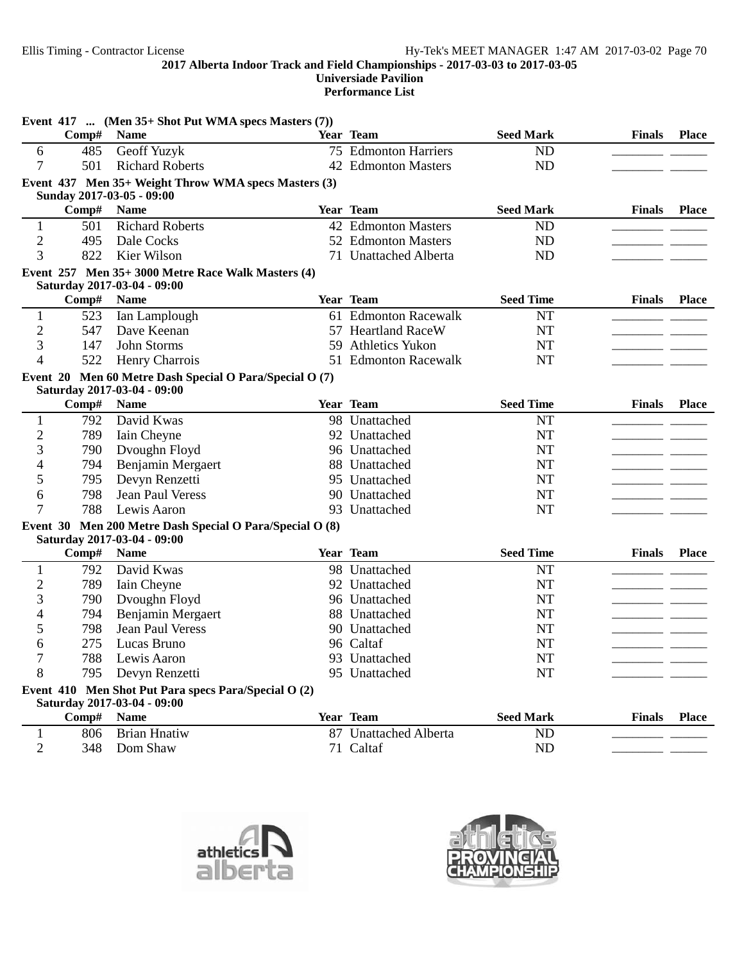## **Universiade Pavilion**

| Year Team<br><b>Seed Mark</b><br>Comp#<br><b>Name</b><br>Finals<br><b>Place</b><br>485<br>75 Edmonton Harriers<br>6<br>Geoff Yuzyk<br>ND<br>7<br>501<br><b>Richard Roberts</b><br>42 Edmonton Masters<br><b>ND</b><br>Event 437 Men 35+ Weight Throw WMA specs Masters (3)<br>Sunday 2017-03-05 - 09:00<br>Comp#<br>Year Team<br><b>Seed Mark</b><br><b>Name</b><br><b>Finals</b><br><b>Place</b><br>42 Edmonton Masters<br>501<br><b>Richard Roberts</b><br><b>ND</b><br>1<br>$\overline{2}$<br>495<br>Dale Cocks<br>52 Edmonton Masters<br><b>ND</b><br>3<br>822<br>Kier Wilson<br>71 Unattached Alberta<br><b>ND</b><br>Event 257 Men 35+3000 Metre Race Walk Masters (4)<br>Saturday 2017-03-04 - 09:00<br>Year Team<br><b>Seed Time</b><br>Comp#<br><b>Place</b><br><b>Name</b><br><b>Finals</b><br>523<br>Ian Lamplough<br>61 Edmonton Racewalk<br><b>NT</b><br>1<br>$\overline{2}$<br>57 Heartland RaceW<br>547<br>Dave Keenan<br><b>NT</b><br>3<br>147<br>John Storms<br>59 Athletics Yukon<br><b>NT</b><br>4<br>522<br>Henry Charrois<br>51 Edmonton Racewalk<br><b>NT</b><br>Event 20 Men 60 Metre Dash Special O Para/Special O (7)<br>Saturday 2017-03-04 - 09:00<br>Comp#<br><b>Seed Time</b><br><b>Name</b><br>Year Team<br><b>Finals</b><br><b>Place</b><br>David Kwas<br>$\mathbf{1}$<br>792<br>98 Unattached<br><b>NT</b><br>$\overline{c}$<br>789<br><b>NT</b><br>Iain Cheyne<br>92 Unattached<br>3<br>790<br>Dvoughn Floyd<br>96 Unattached<br><b>NT</b><br>4<br>794<br>Benjamin Mergaert<br>88 Unattached<br><b>NT</b><br>5<br>795<br>Devyn Renzetti<br>95 Unattached<br><b>NT</b><br>798<br>Jean Paul Veress<br>6<br>90 Unattached<br><b>NT</b><br>7<br>788<br>Lewis Aaron<br>93 Unattached<br>NT<br>Event 30 Men 200 Metre Dash Special O Para/Special O (8)<br>Saturday 2017-03-04 - 09:00<br><b>Seed Time</b><br>Comp#<br>Year Team<br><b>Finals</b><br><b>Name</b><br><b>Place</b><br>792<br>David Kwas<br>98 Unattached<br><b>NT</b><br>1<br>$\overline{2}$<br>789<br>92 Unattached<br><b>NT</b><br>Iain Cheyne<br>3<br>790<br>Dvoughn Floyd<br>96 Unattached<br><b>NT</b><br>4<br>794<br>Benjamin Mergaert<br>88 Unattached<br><b>NT</b><br>5<br>798<br><b>Jean Paul Veress</b><br>90 Unattached<br><b>NT</b><br>275<br>Lucas Bruno<br>96 Caltaf<br>6<br>NT<br>7<br>788<br>NT<br>93 Unattached<br>Lewis Aaron<br>8<br><b>NT</b><br>795 Devyn Renzetti<br>95 Unattached<br>Event 410 Men Shot Put Para specs Para/Special O (2)<br>Saturday 2017-03-04 - 09:00<br>Comp#<br>Year Team<br><b>Name</b><br><b>Seed Mark</b><br><b>Place</b><br><b>Finals</b><br><b>Brian Hnatiw</b><br>87 Unattached Alberta<br>806<br><b>ND</b><br>$\mathbf{1}$<br>71 Caltaf |                |     | Event 417  (Men $35+$ Shot Put WMA specs Masters $(7)$ ) |  |           |  |
|-------------------------------------------------------------------------------------------------------------------------------------------------------------------------------------------------------------------------------------------------------------------------------------------------------------------------------------------------------------------------------------------------------------------------------------------------------------------------------------------------------------------------------------------------------------------------------------------------------------------------------------------------------------------------------------------------------------------------------------------------------------------------------------------------------------------------------------------------------------------------------------------------------------------------------------------------------------------------------------------------------------------------------------------------------------------------------------------------------------------------------------------------------------------------------------------------------------------------------------------------------------------------------------------------------------------------------------------------------------------------------------------------------------------------------------------------------------------------------------------------------------------------------------------------------------------------------------------------------------------------------------------------------------------------------------------------------------------------------------------------------------------------------------------------------------------------------------------------------------------------------------------------------------------------------------------------------------------------------------------------------------------------------------------------------------------------------------------------------------------------------------------------------------------------------------------------------------------------------------------------------------------------------------------------------------------------------------------------------------------------------------------------------------------------------------------------------------------------------------------------------------------------------------------------------------------------------------------------------------------------------------------------------------------------------------|----------------|-----|----------------------------------------------------------|--|-----------|--|
|                                                                                                                                                                                                                                                                                                                                                                                                                                                                                                                                                                                                                                                                                                                                                                                                                                                                                                                                                                                                                                                                                                                                                                                                                                                                                                                                                                                                                                                                                                                                                                                                                                                                                                                                                                                                                                                                                                                                                                                                                                                                                                                                                                                                                                                                                                                                                                                                                                                                                                                                                                                                                                                                                     |                |     |                                                          |  |           |  |
|                                                                                                                                                                                                                                                                                                                                                                                                                                                                                                                                                                                                                                                                                                                                                                                                                                                                                                                                                                                                                                                                                                                                                                                                                                                                                                                                                                                                                                                                                                                                                                                                                                                                                                                                                                                                                                                                                                                                                                                                                                                                                                                                                                                                                                                                                                                                                                                                                                                                                                                                                                                                                                                                                     |                |     |                                                          |  |           |  |
|                                                                                                                                                                                                                                                                                                                                                                                                                                                                                                                                                                                                                                                                                                                                                                                                                                                                                                                                                                                                                                                                                                                                                                                                                                                                                                                                                                                                                                                                                                                                                                                                                                                                                                                                                                                                                                                                                                                                                                                                                                                                                                                                                                                                                                                                                                                                                                                                                                                                                                                                                                                                                                                                                     |                |     |                                                          |  |           |  |
|                                                                                                                                                                                                                                                                                                                                                                                                                                                                                                                                                                                                                                                                                                                                                                                                                                                                                                                                                                                                                                                                                                                                                                                                                                                                                                                                                                                                                                                                                                                                                                                                                                                                                                                                                                                                                                                                                                                                                                                                                                                                                                                                                                                                                                                                                                                                                                                                                                                                                                                                                                                                                                                                                     |                |     |                                                          |  |           |  |
|                                                                                                                                                                                                                                                                                                                                                                                                                                                                                                                                                                                                                                                                                                                                                                                                                                                                                                                                                                                                                                                                                                                                                                                                                                                                                                                                                                                                                                                                                                                                                                                                                                                                                                                                                                                                                                                                                                                                                                                                                                                                                                                                                                                                                                                                                                                                                                                                                                                                                                                                                                                                                                                                                     |                |     |                                                          |  |           |  |
|                                                                                                                                                                                                                                                                                                                                                                                                                                                                                                                                                                                                                                                                                                                                                                                                                                                                                                                                                                                                                                                                                                                                                                                                                                                                                                                                                                                                                                                                                                                                                                                                                                                                                                                                                                                                                                                                                                                                                                                                                                                                                                                                                                                                                                                                                                                                                                                                                                                                                                                                                                                                                                                                                     |                |     |                                                          |  |           |  |
|                                                                                                                                                                                                                                                                                                                                                                                                                                                                                                                                                                                                                                                                                                                                                                                                                                                                                                                                                                                                                                                                                                                                                                                                                                                                                                                                                                                                                                                                                                                                                                                                                                                                                                                                                                                                                                                                                                                                                                                                                                                                                                                                                                                                                                                                                                                                                                                                                                                                                                                                                                                                                                                                                     |                |     |                                                          |  |           |  |
|                                                                                                                                                                                                                                                                                                                                                                                                                                                                                                                                                                                                                                                                                                                                                                                                                                                                                                                                                                                                                                                                                                                                                                                                                                                                                                                                                                                                                                                                                                                                                                                                                                                                                                                                                                                                                                                                                                                                                                                                                                                                                                                                                                                                                                                                                                                                                                                                                                                                                                                                                                                                                                                                                     |                |     |                                                          |  |           |  |
|                                                                                                                                                                                                                                                                                                                                                                                                                                                                                                                                                                                                                                                                                                                                                                                                                                                                                                                                                                                                                                                                                                                                                                                                                                                                                                                                                                                                                                                                                                                                                                                                                                                                                                                                                                                                                                                                                                                                                                                                                                                                                                                                                                                                                                                                                                                                                                                                                                                                                                                                                                                                                                                                                     |                |     |                                                          |  |           |  |
|                                                                                                                                                                                                                                                                                                                                                                                                                                                                                                                                                                                                                                                                                                                                                                                                                                                                                                                                                                                                                                                                                                                                                                                                                                                                                                                                                                                                                                                                                                                                                                                                                                                                                                                                                                                                                                                                                                                                                                                                                                                                                                                                                                                                                                                                                                                                                                                                                                                                                                                                                                                                                                                                                     |                |     |                                                          |  |           |  |
|                                                                                                                                                                                                                                                                                                                                                                                                                                                                                                                                                                                                                                                                                                                                                                                                                                                                                                                                                                                                                                                                                                                                                                                                                                                                                                                                                                                                                                                                                                                                                                                                                                                                                                                                                                                                                                                                                                                                                                                                                                                                                                                                                                                                                                                                                                                                                                                                                                                                                                                                                                                                                                                                                     |                |     |                                                          |  |           |  |
|                                                                                                                                                                                                                                                                                                                                                                                                                                                                                                                                                                                                                                                                                                                                                                                                                                                                                                                                                                                                                                                                                                                                                                                                                                                                                                                                                                                                                                                                                                                                                                                                                                                                                                                                                                                                                                                                                                                                                                                                                                                                                                                                                                                                                                                                                                                                                                                                                                                                                                                                                                                                                                                                                     |                |     |                                                          |  |           |  |
|                                                                                                                                                                                                                                                                                                                                                                                                                                                                                                                                                                                                                                                                                                                                                                                                                                                                                                                                                                                                                                                                                                                                                                                                                                                                                                                                                                                                                                                                                                                                                                                                                                                                                                                                                                                                                                                                                                                                                                                                                                                                                                                                                                                                                                                                                                                                                                                                                                                                                                                                                                                                                                                                                     |                |     |                                                          |  |           |  |
|                                                                                                                                                                                                                                                                                                                                                                                                                                                                                                                                                                                                                                                                                                                                                                                                                                                                                                                                                                                                                                                                                                                                                                                                                                                                                                                                                                                                                                                                                                                                                                                                                                                                                                                                                                                                                                                                                                                                                                                                                                                                                                                                                                                                                                                                                                                                                                                                                                                                                                                                                                                                                                                                                     |                |     |                                                          |  |           |  |
|                                                                                                                                                                                                                                                                                                                                                                                                                                                                                                                                                                                                                                                                                                                                                                                                                                                                                                                                                                                                                                                                                                                                                                                                                                                                                                                                                                                                                                                                                                                                                                                                                                                                                                                                                                                                                                                                                                                                                                                                                                                                                                                                                                                                                                                                                                                                                                                                                                                                                                                                                                                                                                                                                     |                |     |                                                          |  |           |  |
|                                                                                                                                                                                                                                                                                                                                                                                                                                                                                                                                                                                                                                                                                                                                                                                                                                                                                                                                                                                                                                                                                                                                                                                                                                                                                                                                                                                                                                                                                                                                                                                                                                                                                                                                                                                                                                                                                                                                                                                                                                                                                                                                                                                                                                                                                                                                                                                                                                                                                                                                                                                                                                                                                     |                |     |                                                          |  |           |  |
|                                                                                                                                                                                                                                                                                                                                                                                                                                                                                                                                                                                                                                                                                                                                                                                                                                                                                                                                                                                                                                                                                                                                                                                                                                                                                                                                                                                                                                                                                                                                                                                                                                                                                                                                                                                                                                                                                                                                                                                                                                                                                                                                                                                                                                                                                                                                                                                                                                                                                                                                                                                                                                                                                     |                |     |                                                          |  |           |  |
|                                                                                                                                                                                                                                                                                                                                                                                                                                                                                                                                                                                                                                                                                                                                                                                                                                                                                                                                                                                                                                                                                                                                                                                                                                                                                                                                                                                                                                                                                                                                                                                                                                                                                                                                                                                                                                                                                                                                                                                                                                                                                                                                                                                                                                                                                                                                                                                                                                                                                                                                                                                                                                                                                     |                |     |                                                          |  |           |  |
|                                                                                                                                                                                                                                                                                                                                                                                                                                                                                                                                                                                                                                                                                                                                                                                                                                                                                                                                                                                                                                                                                                                                                                                                                                                                                                                                                                                                                                                                                                                                                                                                                                                                                                                                                                                                                                                                                                                                                                                                                                                                                                                                                                                                                                                                                                                                                                                                                                                                                                                                                                                                                                                                                     |                |     |                                                          |  |           |  |
|                                                                                                                                                                                                                                                                                                                                                                                                                                                                                                                                                                                                                                                                                                                                                                                                                                                                                                                                                                                                                                                                                                                                                                                                                                                                                                                                                                                                                                                                                                                                                                                                                                                                                                                                                                                                                                                                                                                                                                                                                                                                                                                                                                                                                                                                                                                                                                                                                                                                                                                                                                                                                                                                                     |                |     |                                                          |  |           |  |
|                                                                                                                                                                                                                                                                                                                                                                                                                                                                                                                                                                                                                                                                                                                                                                                                                                                                                                                                                                                                                                                                                                                                                                                                                                                                                                                                                                                                                                                                                                                                                                                                                                                                                                                                                                                                                                                                                                                                                                                                                                                                                                                                                                                                                                                                                                                                                                                                                                                                                                                                                                                                                                                                                     |                |     |                                                          |  |           |  |
|                                                                                                                                                                                                                                                                                                                                                                                                                                                                                                                                                                                                                                                                                                                                                                                                                                                                                                                                                                                                                                                                                                                                                                                                                                                                                                                                                                                                                                                                                                                                                                                                                                                                                                                                                                                                                                                                                                                                                                                                                                                                                                                                                                                                                                                                                                                                                                                                                                                                                                                                                                                                                                                                                     |                |     |                                                          |  |           |  |
|                                                                                                                                                                                                                                                                                                                                                                                                                                                                                                                                                                                                                                                                                                                                                                                                                                                                                                                                                                                                                                                                                                                                                                                                                                                                                                                                                                                                                                                                                                                                                                                                                                                                                                                                                                                                                                                                                                                                                                                                                                                                                                                                                                                                                                                                                                                                                                                                                                                                                                                                                                                                                                                                                     |                |     |                                                          |  |           |  |
|                                                                                                                                                                                                                                                                                                                                                                                                                                                                                                                                                                                                                                                                                                                                                                                                                                                                                                                                                                                                                                                                                                                                                                                                                                                                                                                                                                                                                                                                                                                                                                                                                                                                                                                                                                                                                                                                                                                                                                                                                                                                                                                                                                                                                                                                                                                                                                                                                                                                                                                                                                                                                                                                                     |                |     |                                                          |  |           |  |
|                                                                                                                                                                                                                                                                                                                                                                                                                                                                                                                                                                                                                                                                                                                                                                                                                                                                                                                                                                                                                                                                                                                                                                                                                                                                                                                                                                                                                                                                                                                                                                                                                                                                                                                                                                                                                                                                                                                                                                                                                                                                                                                                                                                                                                                                                                                                                                                                                                                                                                                                                                                                                                                                                     |                |     |                                                          |  |           |  |
|                                                                                                                                                                                                                                                                                                                                                                                                                                                                                                                                                                                                                                                                                                                                                                                                                                                                                                                                                                                                                                                                                                                                                                                                                                                                                                                                                                                                                                                                                                                                                                                                                                                                                                                                                                                                                                                                                                                                                                                                                                                                                                                                                                                                                                                                                                                                                                                                                                                                                                                                                                                                                                                                                     |                |     |                                                          |  |           |  |
|                                                                                                                                                                                                                                                                                                                                                                                                                                                                                                                                                                                                                                                                                                                                                                                                                                                                                                                                                                                                                                                                                                                                                                                                                                                                                                                                                                                                                                                                                                                                                                                                                                                                                                                                                                                                                                                                                                                                                                                                                                                                                                                                                                                                                                                                                                                                                                                                                                                                                                                                                                                                                                                                                     |                |     |                                                          |  |           |  |
|                                                                                                                                                                                                                                                                                                                                                                                                                                                                                                                                                                                                                                                                                                                                                                                                                                                                                                                                                                                                                                                                                                                                                                                                                                                                                                                                                                                                                                                                                                                                                                                                                                                                                                                                                                                                                                                                                                                                                                                                                                                                                                                                                                                                                                                                                                                                                                                                                                                                                                                                                                                                                                                                                     |                |     |                                                          |  |           |  |
|                                                                                                                                                                                                                                                                                                                                                                                                                                                                                                                                                                                                                                                                                                                                                                                                                                                                                                                                                                                                                                                                                                                                                                                                                                                                                                                                                                                                                                                                                                                                                                                                                                                                                                                                                                                                                                                                                                                                                                                                                                                                                                                                                                                                                                                                                                                                                                                                                                                                                                                                                                                                                                                                                     |                |     |                                                          |  |           |  |
|                                                                                                                                                                                                                                                                                                                                                                                                                                                                                                                                                                                                                                                                                                                                                                                                                                                                                                                                                                                                                                                                                                                                                                                                                                                                                                                                                                                                                                                                                                                                                                                                                                                                                                                                                                                                                                                                                                                                                                                                                                                                                                                                                                                                                                                                                                                                                                                                                                                                                                                                                                                                                                                                                     |                |     |                                                          |  |           |  |
|                                                                                                                                                                                                                                                                                                                                                                                                                                                                                                                                                                                                                                                                                                                                                                                                                                                                                                                                                                                                                                                                                                                                                                                                                                                                                                                                                                                                                                                                                                                                                                                                                                                                                                                                                                                                                                                                                                                                                                                                                                                                                                                                                                                                                                                                                                                                                                                                                                                                                                                                                                                                                                                                                     |                |     |                                                          |  |           |  |
|                                                                                                                                                                                                                                                                                                                                                                                                                                                                                                                                                                                                                                                                                                                                                                                                                                                                                                                                                                                                                                                                                                                                                                                                                                                                                                                                                                                                                                                                                                                                                                                                                                                                                                                                                                                                                                                                                                                                                                                                                                                                                                                                                                                                                                                                                                                                                                                                                                                                                                                                                                                                                                                                                     |                |     |                                                          |  |           |  |
|                                                                                                                                                                                                                                                                                                                                                                                                                                                                                                                                                                                                                                                                                                                                                                                                                                                                                                                                                                                                                                                                                                                                                                                                                                                                                                                                                                                                                                                                                                                                                                                                                                                                                                                                                                                                                                                                                                                                                                                                                                                                                                                                                                                                                                                                                                                                                                                                                                                                                                                                                                                                                                                                                     |                |     |                                                          |  |           |  |
|                                                                                                                                                                                                                                                                                                                                                                                                                                                                                                                                                                                                                                                                                                                                                                                                                                                                                                                                                                                                                                                                                                                                                                                                                                                                                                                                                                                                                                                                                                                                                                                                                                                                                                                                                                                                                                                                                                                                                                                                                                                                                                                                                                                                                                                                                                                                                                                                                                                                                                                                                                                                                                                                                     |                |     |                                                          |  |           |  |
|                                                                                                                                                                                                                                                                                                                                                                                                                                                                                                                                                                                                                                                                                                                                                                                                                                                                                                                                                                                                                                                                                                                                                                                                                                                                                                                                                                                                                                                                                                                                                                                                                                                                                                                                                                                                                                                                                                                                                                                                                                                                                                                                                                                                                                                                                                                                                                                                                                                                                                                                                                                                                                                                                     |                |     |                                                          |  |           |  |
|                                                                                                                                                                                                                                                                                                                                                                                                                                                                                                                                                                                                                                                                                                                                                                                                                                                                                                                                                                                                                                                                                                                                                                                                                                                                                                                                                                                                                                                                                                                                                                                                                                                                                                                                                                                                                                                                                                                                                                                                                                                                                                                                                                                                                                                                                                                                                                                                                                                                                                                                                                                                                                                                                     |                |     |                                                          |  |           |  |
|                                                                                                                                                                                                                                                                                                                                                                                                                                                                                                                                                                                                                                                                                                                                                                                                                                                                                                                                                                                                                                                                                                                                                                                                                                                                                                                                                                                                                                                                                                                                                                                                                                                                                                                                                                                                                                                                                                                                                                                                                                                                                                                                                                                                                                                                                                                                                                                                                                                                                                                                                                                                                                                                                     |                |     |                                                          |  |           |  |
|                                                                                                                                                                                                                                                                                                                                                                                                                                                                                                                                                                                                                                                                                                                                                                                                                                                                                                                                                                                                                                                                                                                                                                                                                                                                                                                                                                                                                                                                                                                                                                                                                                                                                                                                                                                                                                                                                                                                                                                                                                                                                                                                                                                                                                                                                                                                                                                                                                                                                                                                                                                                                                                                                     |                |     |                                                          |  |           |  |
|                                                                                                                                                                                                                                                                                                                                                                                                                                                                                                                                                                                                                                                                                                                                                                                                                                                                                                                                                                                                                                                                                                                                                                                                                                                                                                                                                                                                                                                                                                                                                                                                                                                                                                                                                                                                                                                                                                                                                                                                                                                                                                                                                                                                                                                                                                                                                                                                                                                                                                                                                                                                                                                                                     |                |     |                                                          |  |           |  |
|                                                                                                                                                                                                                                                                                                                                                                                                                                                                                                                                                                                                                                                                                                                                                                                                                                                                                                                                                                                                                                                                                                                                                                                                                                                                                                                                                                                                                                                                                                                                                                                                                                                                                                                                                                                                                                                                                                                                                                                                                                                                                                                                                                                                                                                                                                                                                                                                                                                                                                                                                                                                                                                                                     |                |     |                                                          |  |           |  |
|                                                                                                                                                                                                                                                                                                                                                                                                                                                                                                                                                                                                                                                                                                                                                                                                                                                                                                                                                                                                                                                                                                                                                                                                                                                                                                                                                                                                                                                                                                                                                                                                                                                                                                                                                                                                                                                                                                                                                                                                                                                                                                                                                                                                                                                                                                                                                                                                                                                                                                                                                                                                                                                                                     | $\overline{2}$ | 348 | Dom Shaw                                                 |  | <b>ND</b> |  |